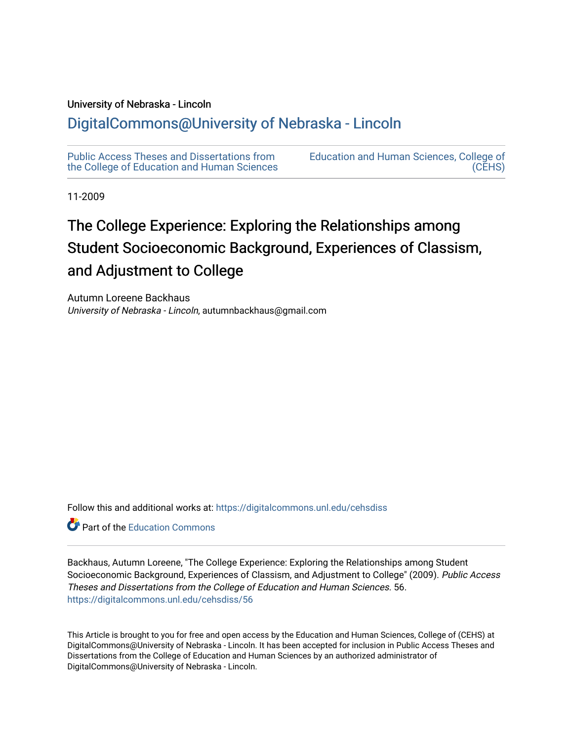#### University of Nebraska - Lincoln

# [DigitalCommons@University of Nebraska - Lincoln](https://digitalcommons.unl.edu/)

[Public Access Theses and Dissertations from](https://digitalcommons.unl.edu/cehsdiss)  [the College of Education and Human Sciences](https://digitalcommons.unl.edu/cehsdiss) [Education and Human Sciences, College of](https://digitalcommons.unl.edu/college_educhumsci)  [\(CEHS\)](https://digitalcommons.unl.edu/college_educhumsci) 

11-2009

# The College Experience: Exploring the Relationships among Student Socioeconomic Background, Experiences of Classism, and Adjustment to College

Autumn Loreene Backhaus University of Nebraska - Lincoln, autumnbackhaus@gmail.com

Follow this and additional works at: [https://digitalcommons.unl.edu/cehsdiss](https://digitalcommons.unl.edu/cehsdiss?utm_source=digitalcommons.unl.edu%2Fcehsdiss%2F56&utm_medium=PDF&utm_campaign=PDFCoverPages)

**C** Part of the [Education Commons](http://network.bepress.com/hgg/discipline/784?utm_source=digitalcommons.unl.edu%2Fcehsdiss%2F56&utm_medium=PDF&utm_campaign=PDFCoverPages)

Backhaus, Autumn Loreene, "The College Experience: Exploring the Relationships among Student Socioeconomic Background, Experiences of Classism, and Adjustment to College" (2009). Public Access Theses and Dissertations from the College of Education and Human Sciences. 56. [https://digitalcommons.unl.edu/cehsdiss/56](https://digitalcommons.unl.edu/cehsdiss/56?utm_source=digitalcommons.unl.edu%2Fcehsdiss%2F56&utm_medium=PDF&utm_campaign=PDFCoverPages) 

This Article is brought to you for free and open access by the Education and Human Sciences, College of (CEHS) at DigitalCommons@University of Nebraska - Lincoln. It has been accepted for inclusion in Public Access Theses and Dissertations from the College of Education and Human Sciences by an authorized administrator of DigitalCommons@University of Nebraska - Lincoln.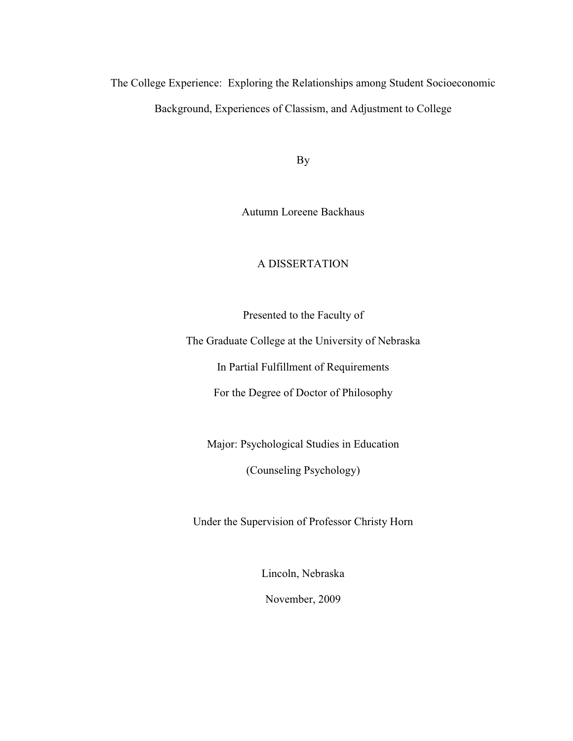The College Experience: Exploring the Relationships among Student Socioeconomic Background, Experiences of Classism, and Adjustment to College

By

Autumn Loreene Backhaus

## A DISSERTATION

Presented to the Faculty of

The Graduate College at the University of Nebraska

In Partial Fulfillment of Requirements

For the Degree of Doctor of Philosophy

Major: Psychological Studies in Education

(Counseling Psychology)

Under the Supervision of Professor Christy Horn

Lincoln, Nebraska November, 2009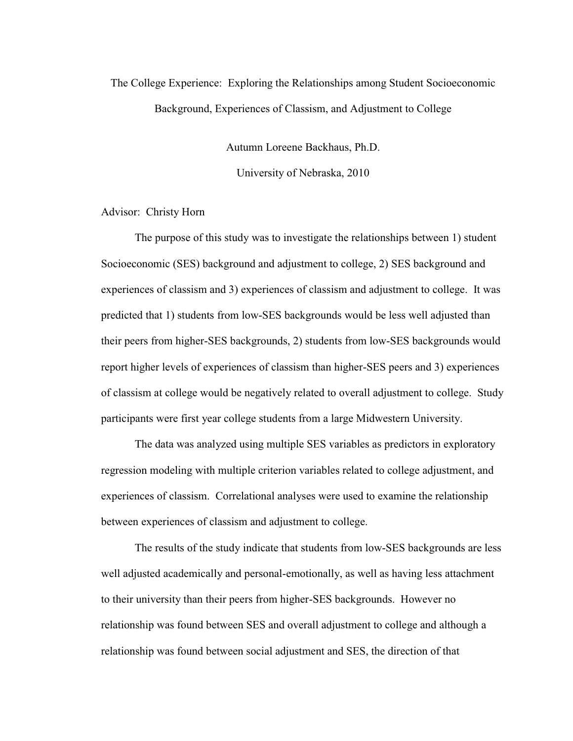# The College Experience: Exploring the Relationships among Student Socioeconomic Background, Experiences of Classism, and Adjustment to College

Autumn Loreene Backhaus, Ph.D.

University of Nebraska, 2010

#### Advisor: Christy Horn

 The purpose of this study was to investigate the relationships between 1) student Socioeconomic (SES) background and adjustment to college, 2) SES background and experiences of classism and 3) experiences of classism and adjustment to college. It was predicted that 1) students from low-SES backgrounds would be less well adjusted than their peers from higher-SES backgrounds, 2) students from low-SES backgrounds would report higher levels of experiences of classism than higher-SES peers and 3) experiences of classism at college would be negatively related to overall adjustment to college. Study participants were first year college students from a large Midwestern University.

 The data was analyzed using multiple SES variables as predictors in exploratory regression modeling with multiple criterion variables related to college adjustment, and experiences of classism. Correlational analyses were used to examine the relationship between experiences of classism and adjustment to college.

 The results of the study indicate that students from low-SES backgrounds are less well adjusted academically and personal-emotionally, as well as having less attachment to their university than their peers from higher-SES backgrounds. However no relationship was found between SES and overall adjustment to college and although a relationship was found between social adjustment and SES, the direction of that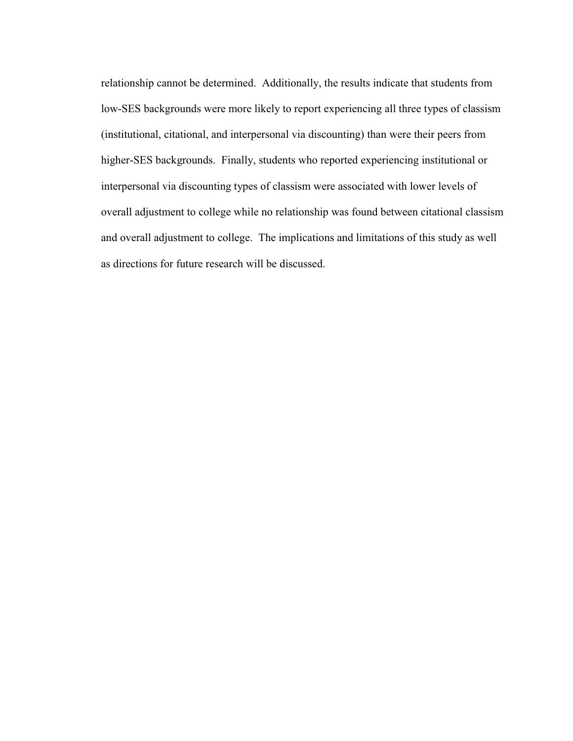relationship cannot be determined. Additionally, the results indicate that students from low-SES backgrounds were more likely to report experiencing all three types of classism (institutional, citational, and interpersonal via discounting) than were their peers from higher-SES backgrounds. Finally, students who reported experiencing institutional or interpersonal via discounting types of classism were associated with lower levels of overall adjustment to college while no relationship was found between citational classism and overall adjustment to college. The implications and limitations of this study as well as directions for future research will be discussed.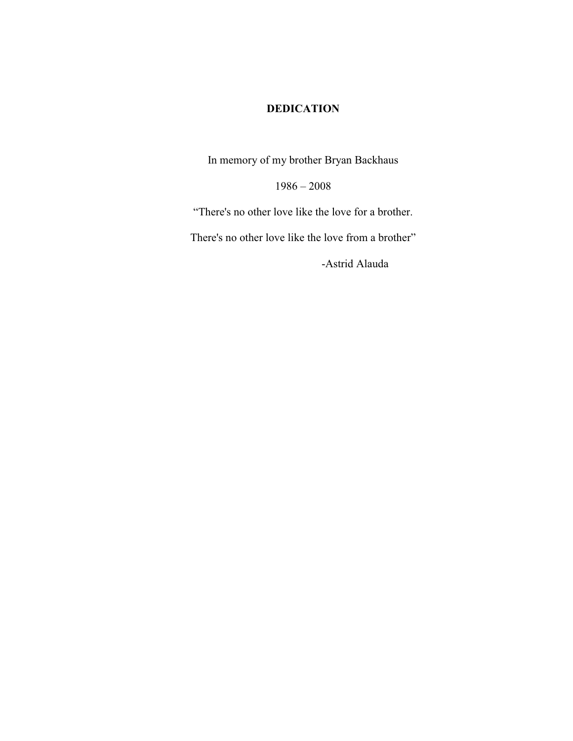## **DEDICATION**

In memory of my brother Bryan Backhaus

 $1986 - 2008$ 

"There's no other love like the love for a brother.

There's no other love like the love from a brother"

-Astrid Alauda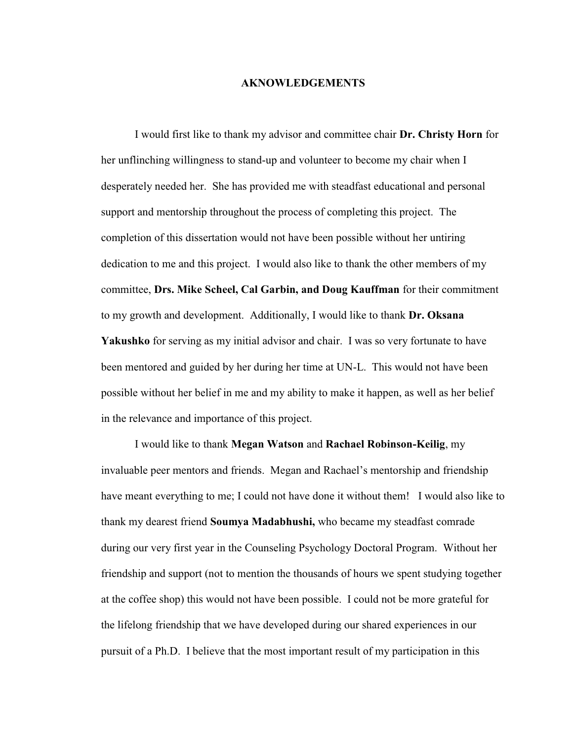### **AKNOWLEDGEMENTS**

I would first like to thank my advisor and committee chair **Dr. Christy Horn** for her unflinching willingness to stand-up and volunteer to become my chair when I desperately needed her. She has provided me with steadfast educational and personal support and mentorship throughout the process of completing this project. The completion of this dissertation would not have been possible without her untiring dedication to me and this project. I would also like to thank the other members of my committee, **Drs. Mike Scheel, Cal Garbin, and Doug Kauffman** for their commitment to my growth and development. Additionally, I would like to thank **Dr. Oksana Yakushko** for serving as my initial advisor and chair. I was so very fortunate to have been mentored and guided by her during her time at UN-L. This would not have been possible without her belief in me and my ability to make it happen, as well as her belief in the relevance and importance of this project.

 I would like to thank **Megan Watson** and **Rachael Robinson-Keilig**, my invaluable peer mentors and friends. Megan and Rachael's mentorship and friendship have meant everything to me; I could not have done it without them! I would also like to thank my dearest friend **Soumya Madabhushi,** who became my steadfast comrade during our very first year in the Counseling Psychology Doctoral Program. Without her friendship and support (not to mention the thousands of hours we spent studying together at the coffee shop) this would not have been possible. I could not be more grateful for the lifelong friendship that we have developed during our shared experiences in our pursuit of a Ph.D. I believe that the most important result of my participation in this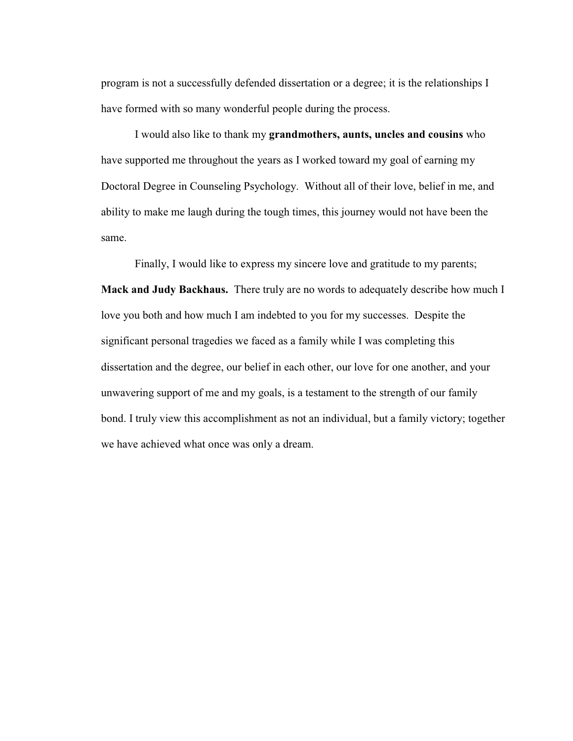program is not a successfully defended dissertation or a degree; it is the relationships I have formed with so many wonderful people during the process.

 I would also like to thank my **grandmothers, aunts, uncles and cousins** who have supported me throughout the years as I worked toward my goal of earning my Doctoral Degree in Counseling Psychology. Without all of their love, belief in me, and ability to make me laugh during the tough times, this journey would not have been the same.

Finally, I would like to express my sincere love and gratitude to my parents; **Mack and Judy Backhaus.** There truly are no words to adequately describe how much I love you both and how much I am indebted to you for my successes. Despite the significant personal tragedies we faced as a family while I was completing this dissertation and the degree, our belief in each other, our love for one another, and your unwavering support of me and my goals, is a testament to the strength of our family bond. I truly view this accomplishment as not an individual, but a family victory; together we have achieved what once was only a dream.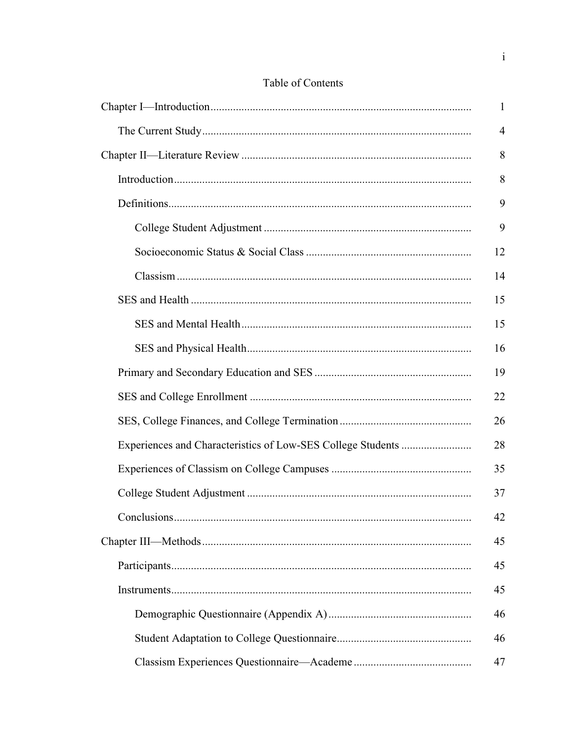| $\mathbf{1}$   |
|----------------|
| $\overline{4}$ |
| 8              |
| 8              |
| 9              |
| 9              |
| 12             |
| 14             |
| 15             |
| 15             |
| 16             |
| 19             |
| 22             |
| 26             |
| 28             |
| 35             |
| 37             |
| 42             |
| 45             |
| 45             |
| 45             |
| 46             |
| 46             |
| 47             |

# Table of Contents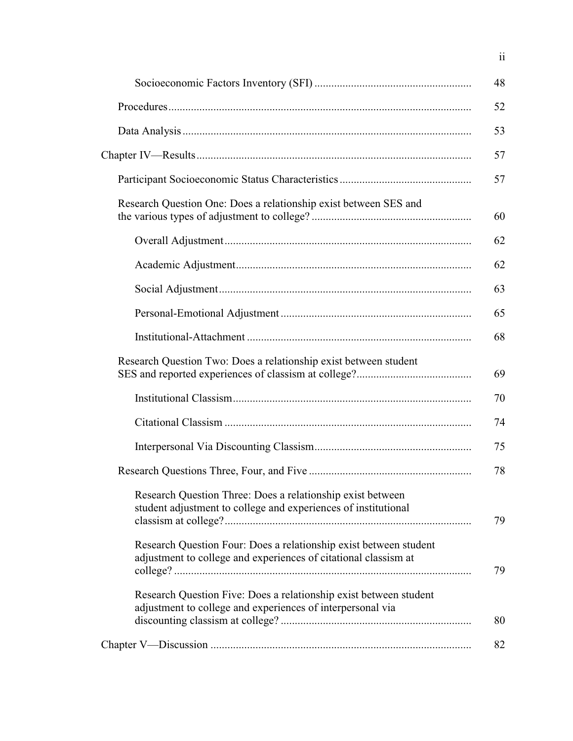|                                                                                                                                      | 48 |
|--------------------------------------------------------------------------------------------------------------------------------------|----|
|                                                                                                                                      | 52 |
|                                                                                                                                      | 53 |
|                                                                                                                                      | 57 |
|                                                                                                                                      | 57 |
| Research Question One: Does a relationship exist between SES and                                                                     | 60 |
|                                                                                                                                      | 62 |
|                                                                                                                                      | 62 |
|                                                                                                                                      | 63 |
|                                                                                                                                      | 65 |
|                                                                                                                                      | 68 |
| Research Question Two: Does a relationship exist between student                                                                     | 69 |
|                                                                                                                                      | 70 |
|                                                                                                                                      | 74 |
|                                                                                                                                      | 75 |
|                                                                                                                                      | 78 |
| Research Question Three: Does a relationship exist between<br>student adjustment to college and experiences of institutional         | 79 |
| Research Question Four: Does a relationship exist between student<br>adjustment to college and experiences of citational classism at | 79 |
| Research Question Five: Does a relationship exist between student<br>adjustment to college and experiences of interpersonal via      | 80 |
|                                                                                                                                      | 82 |

ii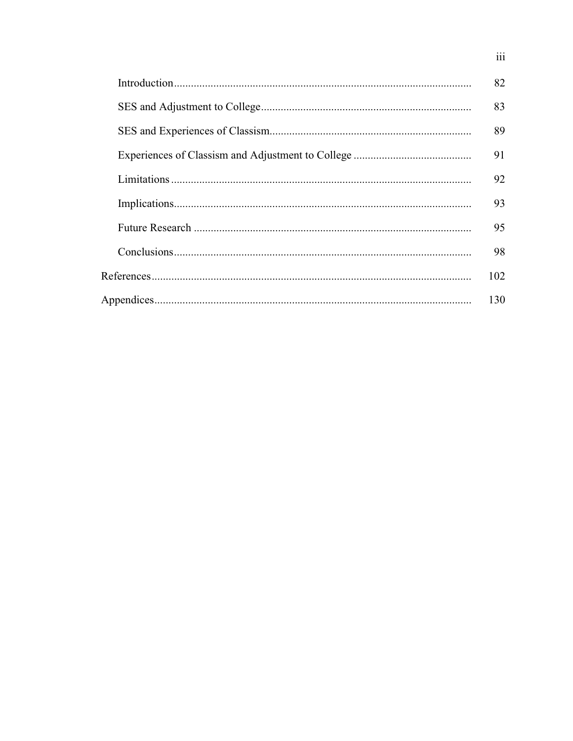| 82  |
|-----|
| 83  |
| 89  |
| 91  |
| 92  |
| 93  |
| 95  |
| 98  |
| 102 |
| 130 |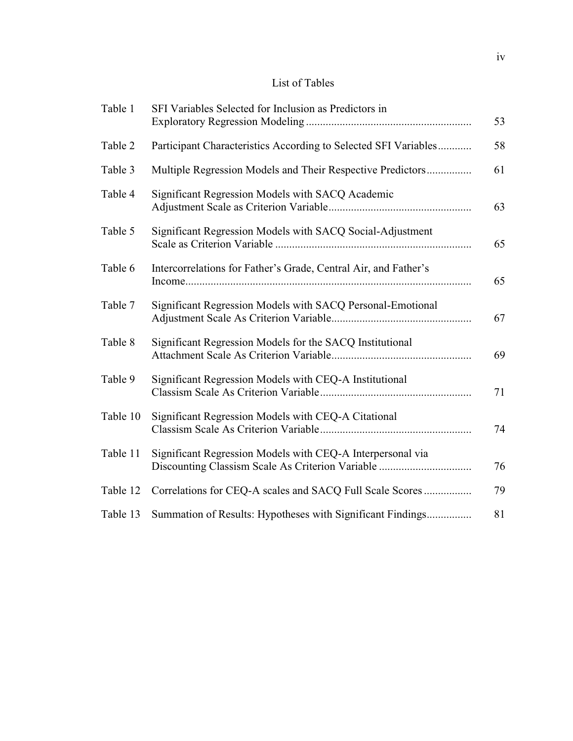## List of Tables

| Table 1  | SFI Variables Selected for Inclusion as Predictors in           | 53 |
|----------|-----------------------------------------------------------------|----|
| Table 2  | Participant Characteristics According to Selected SFI Variables | 58 |
| Table 3  | Multiple Regression Models and Their Respective Predictors      | 61 |
| Table 4  | Significant Regression Models with SACQ Academic                | 63 |
| Table 5  | Significant Regression Models with SACQ Social-Adjustment       | 65 |
| Table 6  | Intercorrelations for Father's Grade, Central Air, and Father's | 65 |
| Table 7  | Significant Regression Models with SACQ Personal-Emotional      | 67 |
| Table 8  | Significant Regression Models for the SACQ Institutional        | 69 |
| Table 9  | Significant Regression Models with CEQ-A Institutional          | 71 |
| Table 10 | Significant Regression Models with CEQ-A Citational             | 74 |
| Table 11 | Significant Regression Models with CEQ-A Interpersonal via      | 76 |
| Table 12 | Correlations for CEQ-A scales and SACQ Full Scale Scores        | 79 |
| Table 13 | Summation of Results: Hypotheses with Significant Findings      | 81 |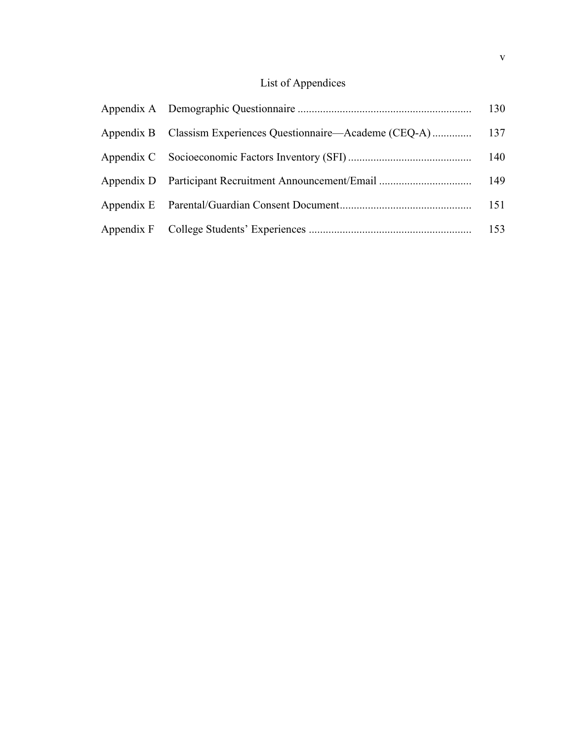# List of Appendices

|  | 130 |
|--|-----|
|  |     |
|  |     |
|  |     |
|  |     |
|  |     |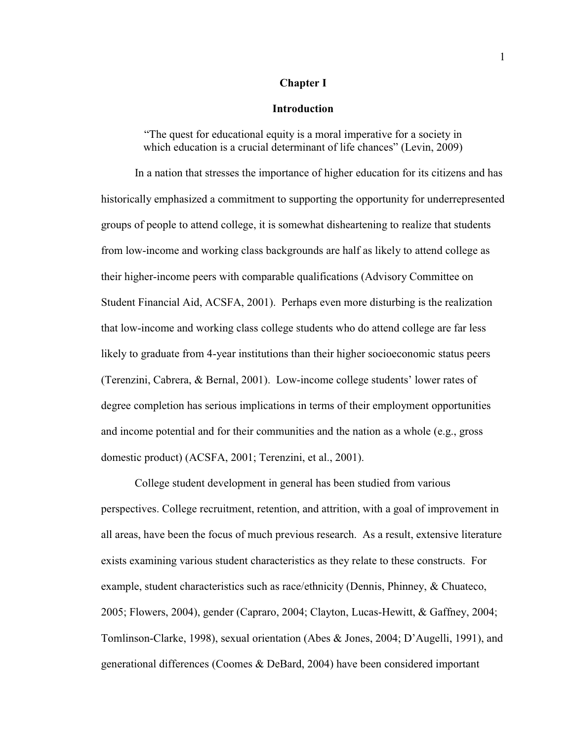#### **Chapter I**

#### **Introduction**

"The quest for educational equity is a moral imperative for a society in which education is a crucial determinant of life chances" (Levin, 2009)

In a nation that stresses the importance of higher education for its citizens and has historically emphasized a commitment to supporting the opportunity for underrepresented groups of people to attend college, it is somewhat disheartening to realize that students from low-income and working class backgrounds are half as likely to attend college as their higher-income peers with comparable qualifications (Advisory Committee on Student Financial Aid, ACSFA, 2001). Perhaps even more disturbing is the realization that low-income and working class college students who do attend college are far less likely to graduate from 4-year institutions than their higher socioeconomic status peers (Terenzini, Cabrera,  $&$  Bernal, 2001). Low-income college students' lower rates of degree completion has serious implications in terms of their employment opportunities and income potential and for their communities and the nation as a whole (e.g., gross domestic product) (ACSFA, 2001; Terenzini, et al., 2001).

College student development in general has been studied from various perspectives. College recruitment, retention, and attrition, with a goal of improvement in all areas, have been the focus of much previous research. As a result, extensive literature exists examining various student characteristics as they relate to these constructs. For example, student characteristics such as race/ethnicity (Dennis, Phinney, & Chuateco, 2005; Flowers, 2004), gender (Capraro, 2004; Clayton, Lucas-Hewitt, & Gaffney, 2004; Tomlinson-Clarke, 1998), sexual orientation (Abes & Jones, 2004; D'Augelli, 1991), and generational differences (Coomes & DeBard, 2004) have been considered important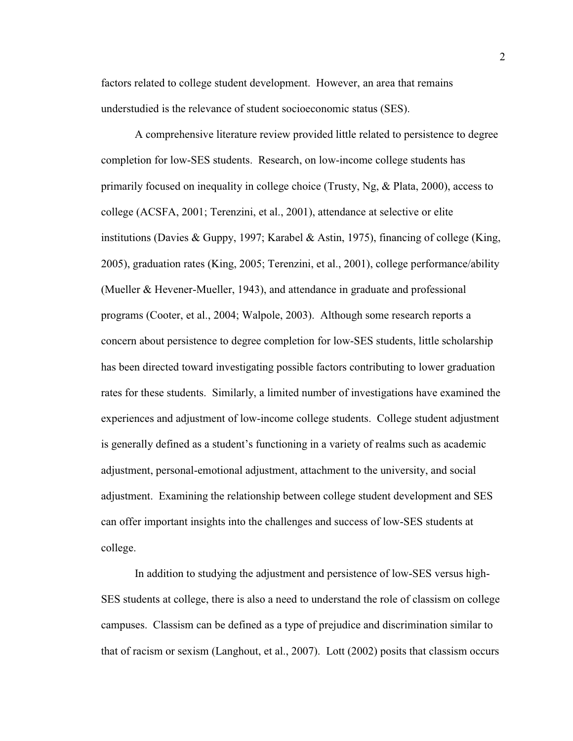factors related to college student development. However, an area that remains understudied is the relevance of student socioeconomic status (SES).

A comprehensive literature review provided little related to persistence to degree completion for low-SES students. Research, on low-income college students has primarily focused on inequality in college choice (Trusty, Ng, & Plata, 2000), access to college (ACSFA, 2001; Terenzini, et al., 2001), attendance at selective or elite institutions (Davies & Guppy, 1997; Karabel & Astin, 1975), financing of college (King, 2005), graduation rates (King, 2005; Terenzini, et al., 2001), college performance/ability (Mueller & Hevener-Mueller, 1943), and attendance in graduate and professional programs (Cooter, et al., 2004; Walpole, 2003). Although some research reports a concern about persistence to degree completion for low-SES students, little scholarship has been directed toward investigating possible factors contributing to lower graduation rates for these students. Similarly, a limited number of investigations have examined the experiences and adjustment of low-income college students. College student adjustment is generally defined as a student's functioning in a variety of realms such as academic adjustment, personal-emotional adjustment, attachment to the university, and social adjustment. Examining the relationship between college student development and SES can offer important insights into the challenges and success of low-SES students at college.

In addition to studying the adjustment and persistence of low-SES versus high-SES students at college, there is also a need to understand the role of classism on college campuses. Classism can be defined as a type of prejudice and discrimination similar to that of racism or sexism (Langhout, et al., 2007). Lott (2002) posits that classism occurs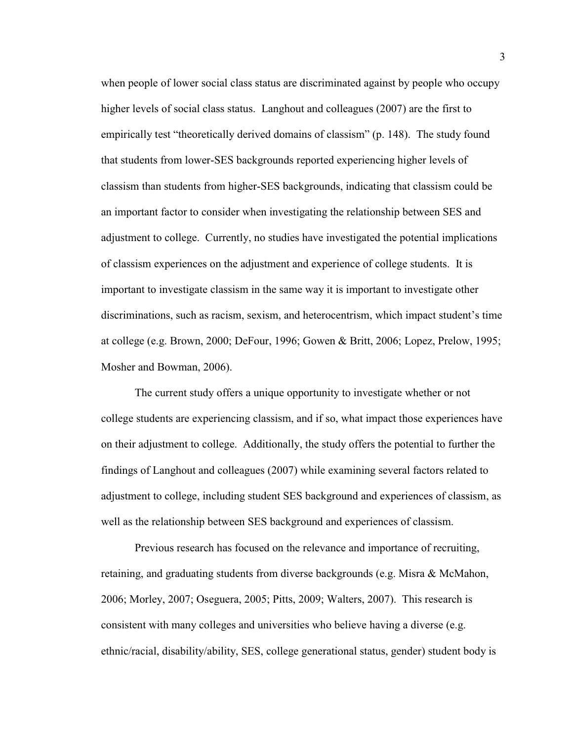when people of lower social class status are discriminated against by people who occupy higher levels of social class status. Langhout and colleagues (2007) are the first to empirically test "theoretically derived domains of classism" (p. 148). The study found that students from lower-SES backgrounds reported experiencing higher levels of classism than students from higher-SES backgrounds, indicating that classism could be an important factor to consider when investigating the relationship between SES and adjustment to college. Currently, no studies have investigated the potential implications of classism experiences on the adjustment and experience of college students. It is important to investigate classism in the same way it is important to investigate other discriminations, such as racism, sexism, and heterocentrism, which impact student's time at college (e.g. Brown, 2000; DeFour, 1996; Gowen & Britt, 2006; Lopez, Prelow, 1995; Mosher and Bowman, 2006).

The current study offers a unique opportunity to investigate whether or not college students are experiencing classism, and if so, what impact those experiences have on their adjustment to college. Additionally, the study offers the potential to further the findings of Langhout and colleagues (2007) while examining several factors related to adjustment to college, including student SES background and experiences of classism, as well as the relationship between SES background and experiences of classism.

Previous research has focused on the relevance and importance of recruiting, retaining, and graduating students from diverse backgrounds (e.g. Misra & McMahon, 2006; Morley, 2007; Oseguera, 2005; Pitts, 2009; Walters, 2007). This research is consistent with many colleges and universities who believe having a diverse (e.g. ethnic/racial, disability/ability, SES, college generational status, gender) student body is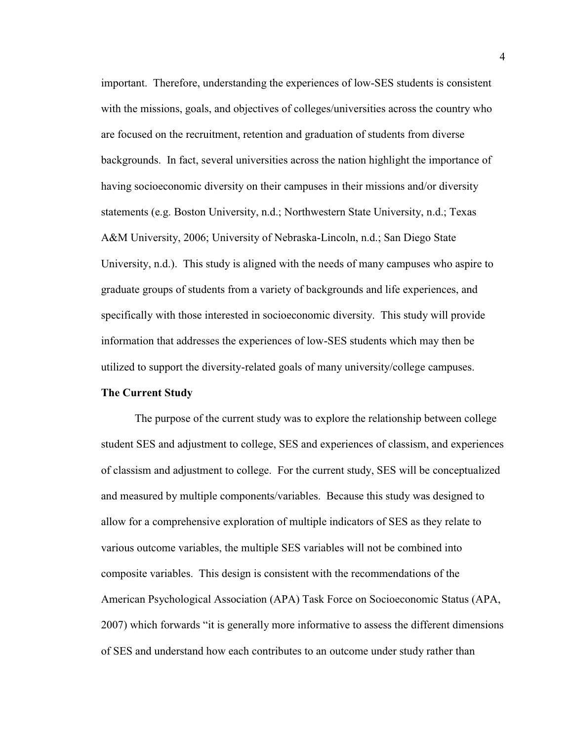important. Therefore, understanding the experiences of low-SES students is consistent with the missions, goals, and objectives of colleges/universities across the country who are focused on the recruitment, retention and graduation of students from diverse backgrounds. In fact, several universities across the nation highlight the importance of having socioeconomic diversity on their campuses in their missions and/or diversity statements (e.g. Boston University, n.d.; Northwestern State University, n.d.; Texas A&M University, 2006; University of Nebraska-Lincoln, n.d.; San Diego State University, n.d.). This study is aligned with the needs of many campuses who aspire to graduate groups of students from a variety of backgrounds and life experiences, and specifically with those interested in socioeconomic diversity. This study will provide information that addresses the experiences of low-SES students which may then be utilized to support the diversity-related goals of many university/college campuses.

#### **The Current Study**

The purpose of the current study was to explore the relationship between college student SES and adjustment to college, SES and experiences of classism, and experiences of classism and adjustment to college. For the current study, SES will be conceptualized and measured by multiple components/variables. Because this study was designed to allow for a comprehensive exploration of multiple indicators of SES as they relate to various outcome variables, the multiple SES variables will not be combined into composite variables. This design is consistent with the recommendations of the American Psychological Association (APA) Task Force on Socioeconomic Status (APA, 2007) which forwards "it is generally more informative to assess the different dimensions of SES and understand how each contributes to an outcome under study rather than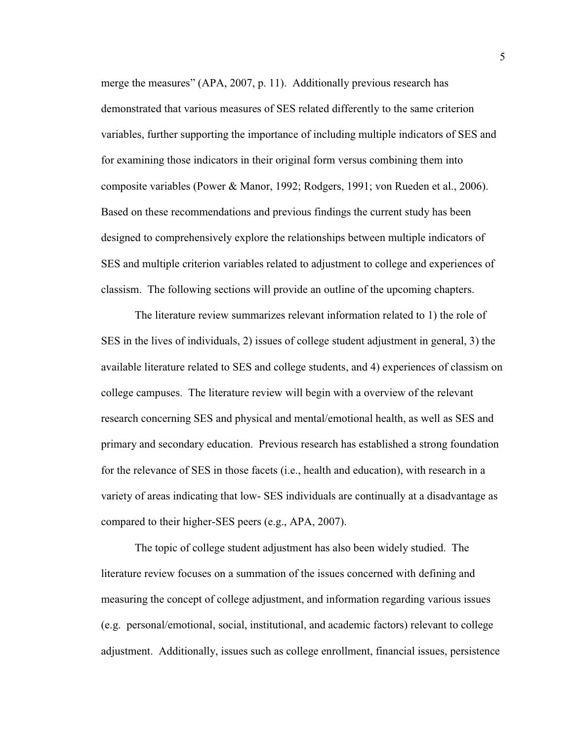merge the measures" (APA, 2007, p. 11). Additionally previous research has demonstrated that various measures of SES related differently to the same criterion variables, further supporting the importance of including multiple indicators of SES and for examining those indicators in their original form versus combining them into composite variables (Power & Manor, 1992; Rodgers, 1991; von Rueden et al., 2006). Based on these recommendations and previous findings the current study has been designed to comprehensively explore the relationships between multiple indicators of SES and multiple criterion variables related to adjustment to college and experiences of classism. The following sections will provide an outline of the upcoming chapters.

The literature review summarizes relevant information related to 1) the role of SES in the lives of individuals, 2) issues of college student adjustment in general, 3) the available literature related to SES and college students, and 4) experiences of classism on college campuses. The literature review will begin with a overview of the relevant research concerning SES and physical and mental/emotional health, as well as SES and primary and secondary education. Previous research has established a strong foundation for the relevance of SES in those facets (i.e., health and education), with research in a variety of areas indicating that low- SES individuals are continually at a disadvantage as compared to their higher-SES peers (e.g., APA, 2007).

 The topic of college student adjustment has also been widely studied. The literature review focuses on a summation of the issues concerned with defining and measuring the concept of college adjustment, and information regarding various issues (e.g. personal/emotional, social, institutional, and academic factors) relevant to college adjustment. Additionally, issues such as college enrollment, financial issues, persistence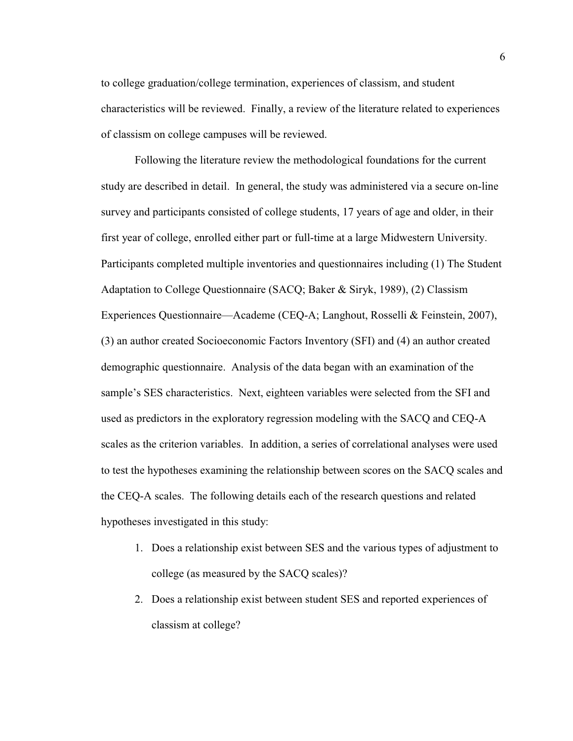to college graduation/college termination, experiences of classism, and student characteristics will be reviewed. Finally, a review of the literature related to experiences of classism on college campuses will be reviewed.

 Following the literature review the methodological foundations for the current study are described in detail. In general, the study was administered via a secure on-line survey and participants consisted of college students, 17 years of age and older, in their first year of college, enrolled either part or full-time at a large Midwestern University. Participants completed multiple inventories and questionnaires including (1) The Student Adaptation to College Questionnaire (SACQ; Baker & Siryk, 1989), (2) Classism Experiences Questionnaire—Academe (CEQ-A; Langhout, Rosselli & Feinstein, 2007), (3) an author created Socioeconomic Factors Inventory (SFI) and (4) an author created demographic questionnaire. Analysis of the data began with an examination of the sample's SES characteristics. Next, eighteen variables were selected from the SFI and used as predictors in the exploratory regression modeling with the SACQ and CEQ-A scales as the criterion variables. In addition, a series of correlational analyses were used to test the hypotheses examining the relationship between scores on the SACQ scales and the CEQ-A scales. The following details each of the research questions and related hypotheses investigated in this study:

- 1. Does a relationship exist between SES and the various types of adjustment to college (as measured by the SACQ scales)?
- 2. Does a relationship exist between student SES and reported experiences of classism at college?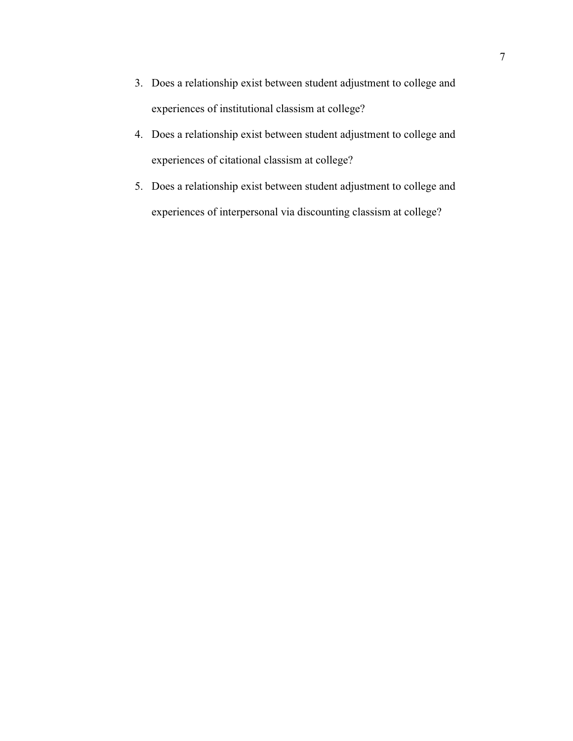- 3. Does a relationship exist between student adjustment to college and experiences of institutional classism at college?
- 4. Does a relationship exist between student adjustment to college and experiences of citational classism at college?
- 5. Does a relationship exist between student adjustment to college and experiences of interpersonal via discounting classism at college?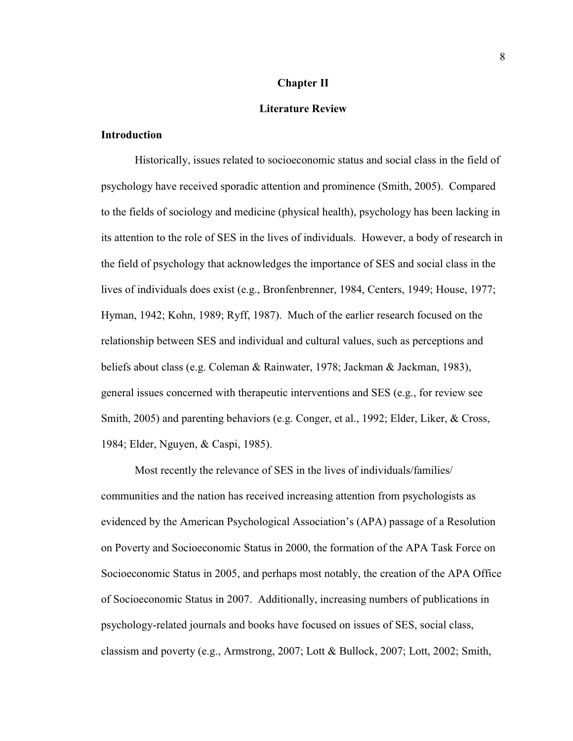#### **Chapter II**

#### **Literature Review**

### **Introduction**

Historically, issues related to socioeconomic status and social class in the field of psychology have received sporadic attention and prominence (Smith, 2005). Compared to the fields of sociology and medicine (physical health), psychology has been lacking in its attention to the role of SES in the lives of individuals. However, a body of research in the field of psychology that acknowledges the importance of SES and social class in the lives of individuals does exist (e.g., Bronfenbrenner, 1984, Centers, 1949; House, 1977; Hyman, 1942; Kohn, 1989; Ryff, 1987). Much of the earlier research focused on the relationship between SES and individual and cultural values, such as perceptions and beliefs about class (e.g. Coleman & Rainwater, 1978; Jackman & Jackman, 1983), general issues concerned with therapeutic interventions and SES (e.g., for review see Smith, 2005) and parenting behaviors (e.g. Conger, et al., 1992; Elder, Liker, & Cross, 1984; Elder, Nguyen, & Caspi, 1985).

Most recently the relevance of SES in the lives of individuals/families/ communities and the nation has received increasing attention from psychologists as evidenced by the American Psychological Association's (APA) passage of a Resolution on Poverty and Socioeconomic Status in 2000, the formation of the APA Task Force on Socioeconomic Status in 2005, and perhaps most notably, the creation of the APA Office of Socioeconomic Status in 2007. Additionally, increasing numbers of publications in psychology-related journals and books have focused on issues of SES, social class, classism and poverty (e.g., Armstrong, 2007; Lott & Bullock, 2007; Lott, 2002; Smith,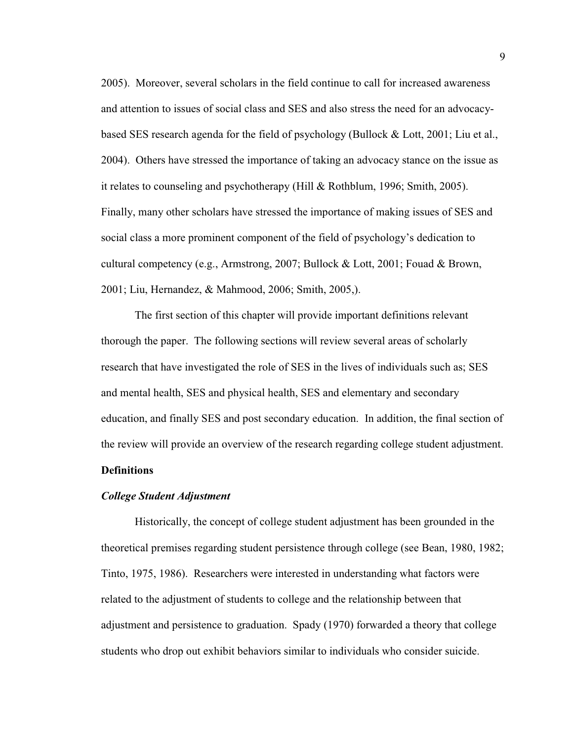2005). Moreover, several scholars in the field continue to call for increased awareness and attention to issues of social class and SES and also stress the need for an advocacybased SES research agenda for the field of psychology (Bullock & Lott, 2001; Liu et al., 2004). Others have stressed the importance of taking an advocacy stance on the issue as it relates to counseling and psychotherapy (Hill & Rothblum, 1996; Smith, 2005). Finally, many other scholars have stressed the importance of making issues of SES and social class a more prominent component of the field of psychology's dedication to cultural competency (e.g., Armstrong, 2007; Bullock & Lott, 2001; Fouad & Brown, 2001; Liu, Hernandez, & Mahmood, 2006; Smith, 2005,).

The first section of this chapter will provide important definitions relevant thorough the paper. The following sections will review several areas of scholarly research that have investigated the role of SES in the lives of individuals such as; SES and mental health, SES and physical health, SES and elementary and secondary education, and finally SES and post secondary education. In addition, the final section of the review will provide an overview of the research regarding college student adjustment.

## **Definitions**

#### *College Student Adjustment*

Historically, the concept of college student adjustment has been grounded in the theoretical premises regarding student persistence through college (see Bean, 1980, 1982; Tinto, 1975, 1986). Researchers were interested in understanding what factors were related to the adjustment of students to college and the relationship between that adjustment and persistence to graduation. Spady (1970) forwarded a theory that college students who drop out exhibit behaviors similar to individuals who consider suicide.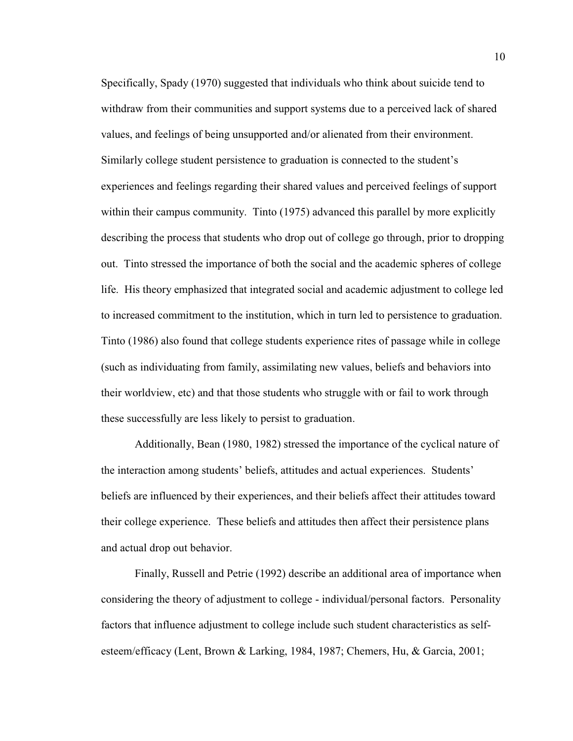Specifically, Spady (1970) suggested that individuals who think about suicide tend to withdraw from their communities and support systems due to a perceived lack of shared values, and feelings of being unsupported and/or alienated from their environment. Similarly college student persistence to graduation is connected to the student's experiences and feelings regarding their shared values and perceived feelings of support within their campus community. Tinto (1975) advanced this parallel by more explicitly describing the process that students who drop out of college go through, prior to dropping out. Tinto stressed the importance of both the social and the academic spheres of college life. His theory emphasized that integrated social and academic adjustment to college led to increased commitment to the institution, which in turn led to persistence to graduation. Tinto (1986) also found that college students experience rites of passage while in college (such as individuating from family, assimilating new values, beliefs and behaviors into their worldview, etc) and that those students who struggle with or fail to work through these successfully are less likely to persist to graduation.

Additionally, Bean (1980, 1982) stressed the importance of the cyclical nature of the interaction among students' beliefs, attitudes and actual experiences. Students' beliefs are influenced by their experiences, and their beliefs affect their attitudes toward their college experience. These beliefs and attitudes then affect their persistence plans and actual drop out behavior.

Finally, Russell and Petrie (1992) describe an additional area of importance when considering the theory of adjustment to college - individual/personal factors. Personality factors that influence adjustment to college include such student characteristics as selfesteem/efficacy (Lent, Brown & Larking, 1984, 1987; Chemers, Hu, & Garcia, 2001;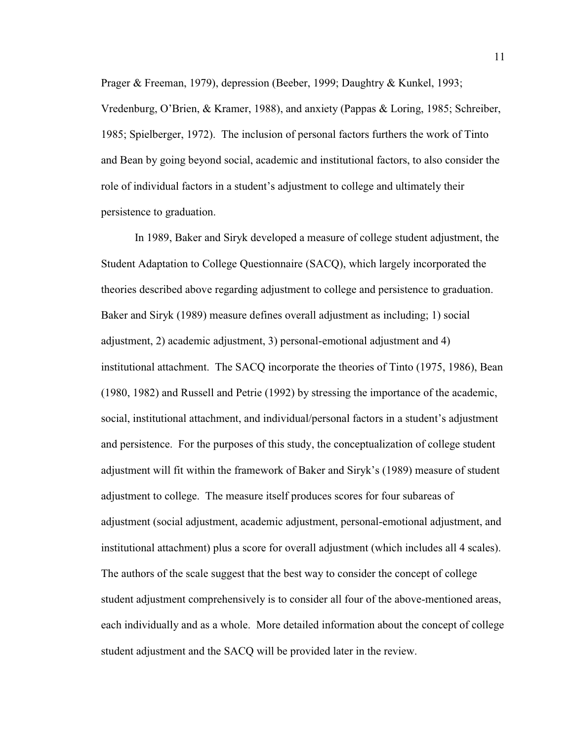Prager & Freeman, 1979), depression (Beeber, 1999; Daughtry & Kunkel, 1993;

Vredenburg, O'Brien, & Kramer, 1988), and anxiety (Pappas & Loring, 1985; Schreiber, 1985; Spielberger, 1972). The inclusion of personal factors furthers the work of Tinto and Bean by going beyond social, academic and institutional factors, to also consider the role of individual factors in a student's adjustment to college and ultimately their persistence to graduation.

 In 1989, Baker and Siryk developed a measure of college student adjustment, the Student Adaptation to College Questionnaire (SACQ), which largely incorporated the theories described above regarding adjustment to college and persistence to graduation. Baker and Siryk (1989) measure defines overall adjustment as including; 1) social adjustment, 2) academic adjustment, 3) personal-emotional adjustment and 4) institutional attachment. The SACQ incorporate the theories of Tinto (1975, 1986), Bean (1980, 1982) and Russell and Petrie (1992) by stressing the importance of the academic, social, institutional attachment, and individual/personal factors in a student's adjustment and persistence. For the purposes of this study, the conceptualization of college student adjustment will fit within the framework of Baker and Siryk's (1989) measure of student adjustment to college. The measure itself produces scores for four subareas of adjustment (social adjustment, academic adjustment, personal-emotional adjustment, and institutional attachment) plus a score for overall adjustment (which includes all 4 scales). The authors of the scale suggest that the best way to consider the concept of college student adjustment comprehensively is to consider all four of the above-mentioned areas, each individually and as a whole. More detailed information about the concept of college student adjustment and the SACQ will be provided later in the review.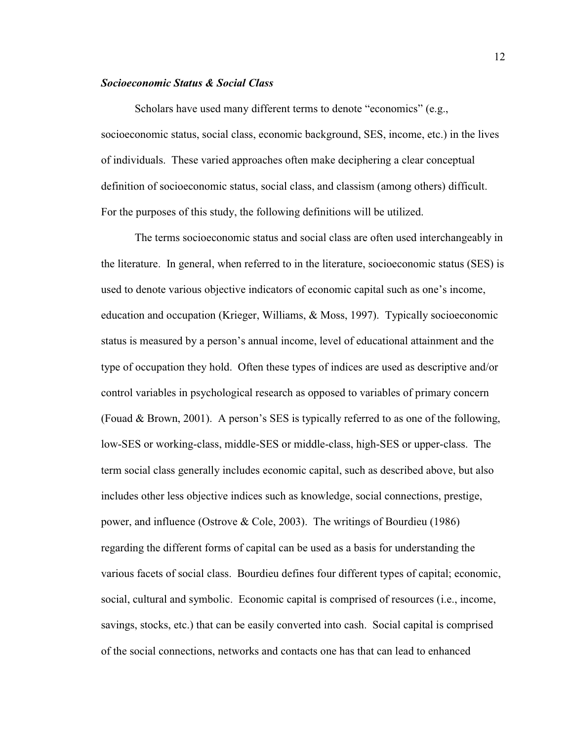#### *Socioeconomic Status & Social Class*

Scholars have used many different terms to denote "economics" (e.g., socioeconomic status, social class, economic background, SES, income, etc.) in the lives of individuals. These varied approaches often make deciphering a clear conceptual definition of socioeconomic status, social class, and classism (among others) difficult. For the purposes of this study, the following definitions will be utilized.

The terms socioeconomic status and social class are often used interchangeably in the literature. In general, when referred to in the literature, socioeconomic status (SES) is used to denote various objective indicators of economic capital such as one's income, education and occupation (Krieger, Williams, & Moss, 1997). Typically socioeconomic status is measured by a person's annual income, level of educational attainment and the type of occupation they hold. Often these types of indices are used as descriptive and/or control variables in psychological research as opposed to variables of primary concern (Fouad & Brown, 2001). A person's SES is typically referred to as one of the following, low-SES or working-class, middle-SES or middle-class, high-SES or upper-class. The term social class generally includes economic capital, such as described above, but also includes other less objective indices such as knowledge, social connections, prestige, power, and influence (Ostrove & Cole, 2003). The writings of Bourdieu (1986) regarding the different forms of capital can be used as a basis for understanding the various facets of social class. Bourdieu defines four different types of capital; economic, social, cultural and symbolic. Economic capital is comprised of resources (i.e., income, savings, stocks, etc.) that can be easily converted into cash. Social capital is comprised of the social connections, networks and contacts one has that can lead to enhanced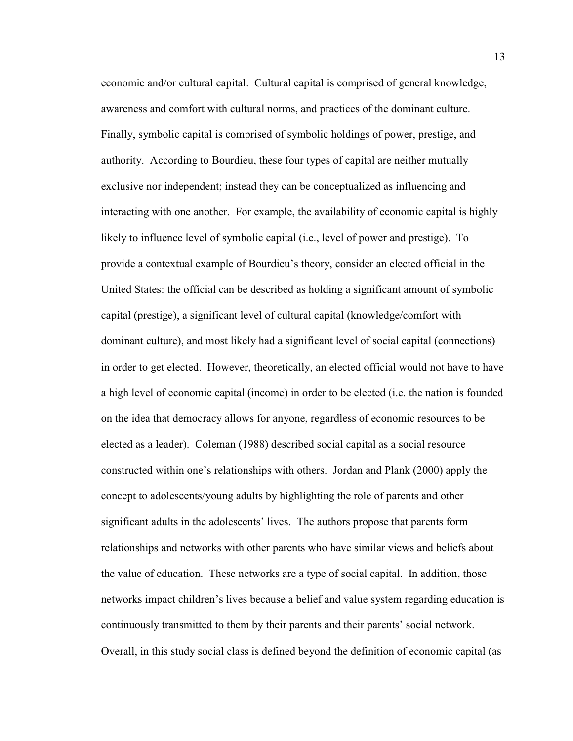economic and/or cultural capital. Cultural capital is comprised of general knowledge, awareness and comfort with cultural norms, and practices of the dominant culture. Finally, symbolic capital is comprised of symbolic holdings of power, prestige, and authority. According to Bourdieu, these four types of capital are neither mutually exclusive nor independent; instead they can be conceptualized as influencing and interacting with one another. For example, the availability of economic capital is highly likely to influence level of symbolic capital (i.e., level of power and prestige). To provide a contextual example of Bourdieu's theory, consider an elected official in the United States: the official can be described as holding a significant amount of symbolic capital (prestige), a significant level of cultural capital (knowledge/comfort with dominant culture), and most likely had a significant level of social capital (connections) in order to get elected. However, theoretically, an elected official would not have to have a high level of economic capital (income) in order to be elected (i.e. the nation is founded on the idea that democracy allows for anyone, regardless of economic resources to be elected as a leader). Coleman (1988) described social capital as a social resource constructed within one's relationships with others. Jordan and Plank (2000) apply the concept to adolescents/young adults by highlighting the role of parents and other significant adults in the adolescents' lives. The authors propose that parents form relationships and networks with other parents who have similar views and beliefs about the value of education. These networks are a type of social capital. In addition, those networks impact children's lives because a belief and value system regarding education is continuously transmitted to them by their parents and their parents' social network. Overall, in this study social class is defined beyond the definition of economic capital (as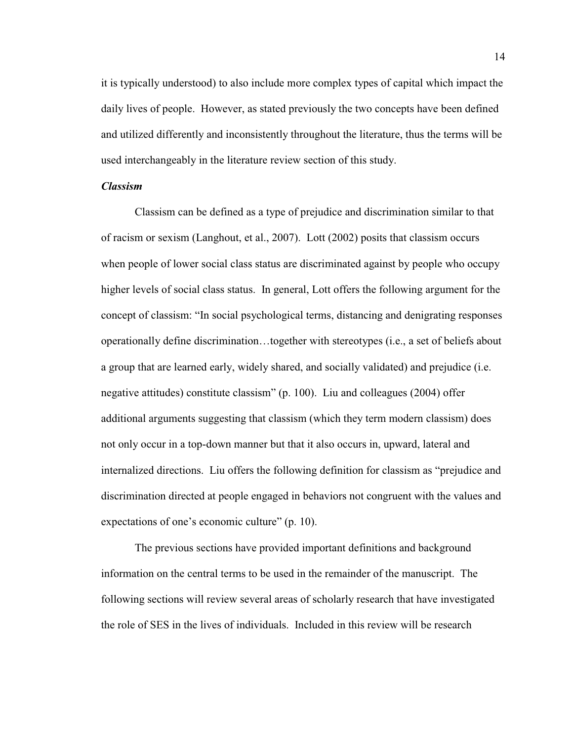it is typically understood) to also include more complex types of capital which impact the daily lives of people. However, as stated previously the two concepts have been defined and utilized differently and inconsistently throughout the literature, thus the terms will be used interchangeably in the literature review section of this study.

## *Classism*

Classism can be defined as a type of prejudice and discrimination similar to that of racism or sexism (Langhout, et al., 2007). Lott (2002) posits that classism occurs when people of lower social class status are discriminated against by people who occupy higher levels of social class status. In general, Lott offers the following argument for the concept of classism: "In social psychological terms, distancing and denigrating responses operationally define discrimination...together with stereotypes (i.e., a set of beliefs about a group that are learned early, widely shared, and socially validated) and prejudice (i.e. negative attitudes) constitute classism" (p. 100). Liu and colleagues  $(2004)$  offer additional arguments suggesting that classism (which they term modern classism) does not only occur in a top-down manner but that it also occurs in, upward, lateral and internalized directions. Liu offers the following definition for classism as "prejudice and discrimination directed at people engaged in behaviors not congruent with the values and expectations of one's economic culture"  $(p. 10)$ .

The previous sections have provided important definitions and background information on the central terms to be used in the remainder of the manuscript. The following sections will review several areas of scholarly research that have investigated the role of SES in the lives of individuals. Included in this review will be research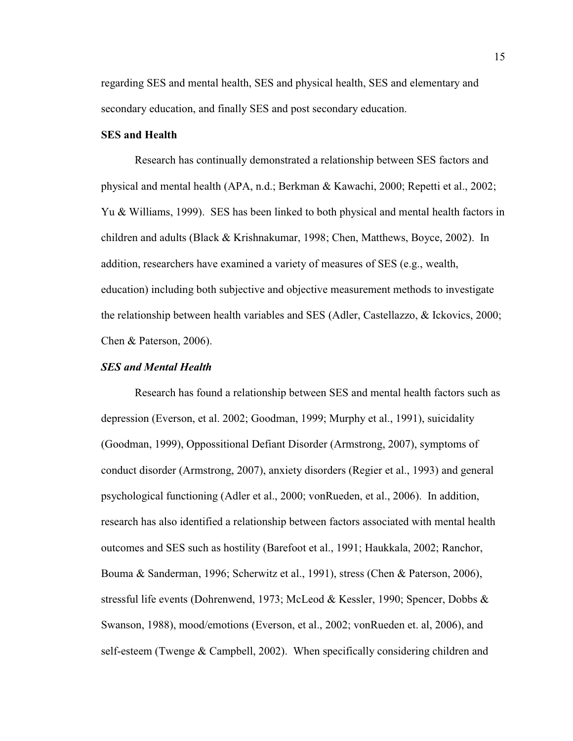regarding SES and mental health, SES and physical health, SES and elementary and secondary education, and finally SES and post secondary education.

### **SES and Health**

 Research has continually demonstrated a relationship between SES factors and physical and mental health (APA, n.d.; Berkman & Kawachi, 2000; Repetti et al., 2002; Yu & Williams, 1999). SES has been linked to both physical and mental health factors in children and adults (Black & Krishnakumar, 1998; Chen, Matthews, Boyce, 2002). In addition, researchers have examined a variety of measures of SES (e.g., wealth, education) including both subjective and objective measurement methods to investigate the relationship between health variables and SES (Adler, Castellazzo, & Ickovics, 2000; Chen & Paterson, 2006).

#### *SES and Mental Health*

Research has found a relationship between SES and mental health factors such as depression (Everson, et al. 2002; Goodman, 1999; Murphy et al., 1991), suicidality (Goodman, 1999), Oppossitional Defiant Disorder (Armstrong, 2007), symptoms of conduct disorder (Armstrong, 2007), anxiety disorders (Regier et al., 1993) and general psychological functioning (Adler et al., 2000; vonRueden, et al., 2006). In addition, research has also identified a relationship between factors associated with mental health outcomes and SES such as hostility (Barefoot et al., 1991; Haukkala, 2002; Ranchor, Bouma & Sanderman, 1996; Scherwitz et al., 1991), stress (Chen & Paterson, 2006), stressful life events (Dohrenwend, 1973; McLeod & Kessler, 1990; Spencer, Dobbs & Swanson, 1988), mood/emotions (Everson, et al., 2002; vonRueden et. al, 2006), and self-esteem (Twenge & Campbell, 2002). When specifically considering children and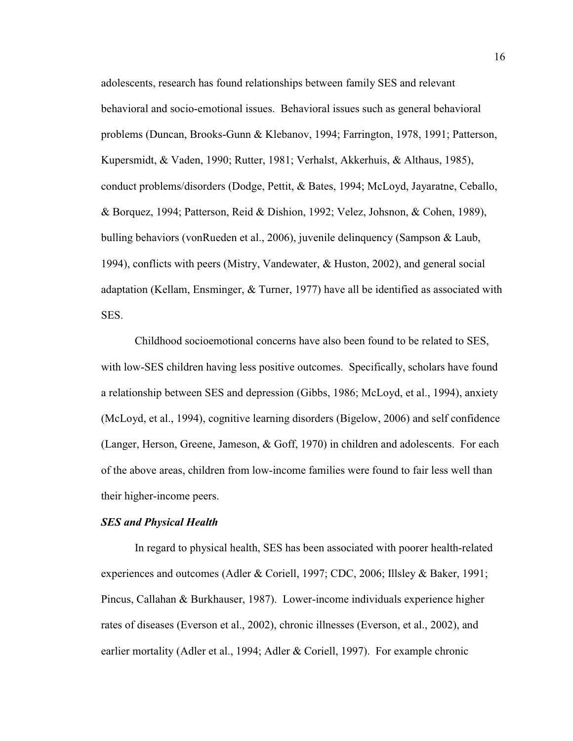adolescents, research has found relationships between family SES and relevant behavioral and socio-emotional issues. Behavioral issues such as general behavioral problems (Duncan, Brooks-Gunn & Klebanov, 1994; Farrington, 1978, 1991; Patterson, Kupersmidt, & Vaden, 1990; Rutter, 1981; Verhalst, Akkerhuis, & Althaus, 1985), conduct problems/disorders (Dodge, Pettit, & Bates, 1994; McLoyd, Jayaratne, Ceballo, & Borquez, 1994; Patterson, Reid & Dishion, 1992; Velez, Johsnon, & Cohen, 1989), bulling behaviors (vonRueden et al., 2006), juvenile delinquency (Sampson & Laub, 1994), conflicts with peers (Mistry, Vandewater, & Huston, 2002), and general social adaptation (Kellam, Ensminger, & Turner, 1977) have all be identified as associated with SES.

Childhood socioemotional concerns have also been found to be related to SES, with low-SES children having less positive outcomes. Specifically, scholars have found a relationship between SES and depression (Gibbs, 1986; McLoyd, et al., 1994), anxiety (McLoyd, et al., 1994), cognitive learning disorders (Bigelow, 2006) and self confidence (Langer, Herson, Greene, Jameson, & Goff, 1970) in children and adolescents. For each of the above areas, children from low-income families were found to fair less well than their higher-income peers.

#### *SES and Physical Health*

In regard to physical health, SES has been associated with poorer health-related experiences and outcomes (Adler & Coriell, 1997; CDC, 2006; Illsley & Baker, 1991; Pincus, Callahan & Burkhauser, 1987). Lower-income individuals experience higher rates of diseases (Everson et al., 2002), chronic illnesses (Everson, et al., 2002), and earlier mortality (Adler et al., 1994; Adler & Coriell, 1997). For example chronic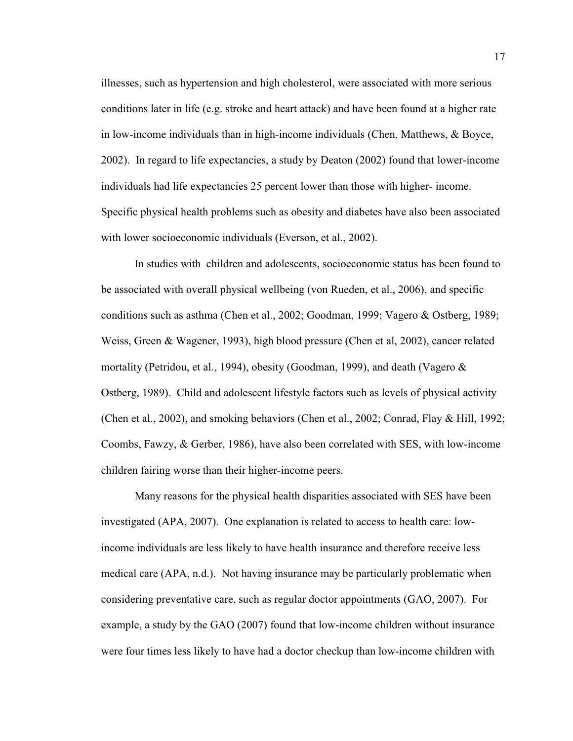illnesses, such as hypertension and high cholesterol, were associated with more serious conditions later in life (e.g. stroke and heart attack) and have been found at a higher rate in low-income individuals than in high-income individuals (Chen, Matthews, & Boyce, 2002). In regard to life expectancies, a study by Deaton (2002) found that lower-income individuals had life expectancies 25 percent lower than those with higher- income. Specific physical health problems such as obesity and diabetes have also been associated with lower socioeconomic individuals (Everson, et al., 2002).

In studies with children and adolescents, socioeconomic status has been found to be associated with overall physical wellbeing (von Rueden, et al., 2006), and specific conditions such as asthma (Chen et al., 2002; Goodman, 1999; Vagero & Ostberg, 1989; Weiss, Green & Wagener, 1993), high blood pressure (Chen et al, 2002), cancer related mortality (Petridou, et al., 1994), obesity (Goodman, 1999), and death (Vagero & Ostberg, 1989). Child and adolescent lifestyle factors such as levels of physical activity (Chen et al., 2002), and smoking behaviors (Chen et al., 2002; Conrad, Flay & Hill, 1992; Coombs, Fawzy, & Gerber, 1986), have also been correlated with SES, with low-income children fairing worse than their higher-income peers.

Many reasons for the physical health disparities associated with SES have been investigated (APA, 2007). One explanation is related to access to health care: lowincome individuals are less likely to have health insurance and therefore receive less medical care (APA, n.d.). Not having insurance may be particularly problematic when considering preventative care, such as regular doctor appointments (GAO, 2007). For example, a study by the GAO (2007) found that low-income children without insurance were four times less likely to have had a doctor checkup than low-income children with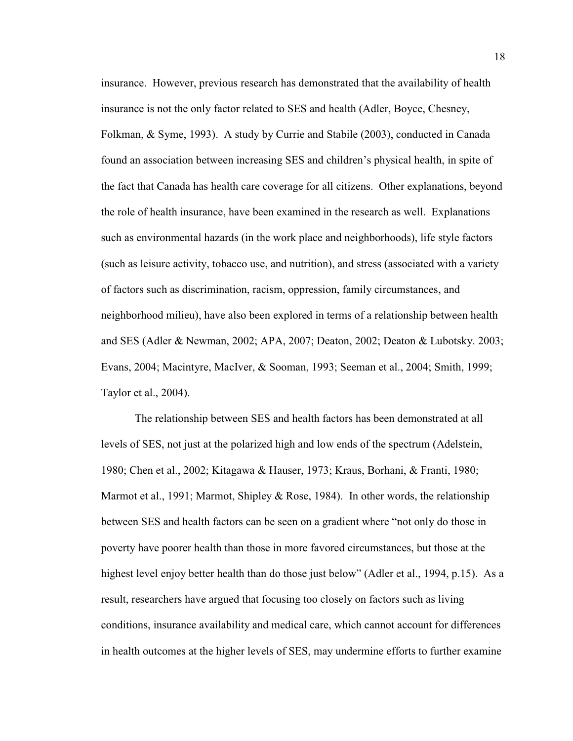insurance. However, previous research has demonstrated that the availability of health insurance is not the only factor related to SES and health (Adler, Boyce, Chesney, Folkman, & Syme, 1993). A study by Currie and Stabile (2003), conducted in Canada found an association between increasing SES and children's physical health, in spite of the fact that Canada has health care coverage for all citizens. Other explanations, beyond the role of health insurance, have been examined in the research as well. Explanations such as environmental hazards (in the work place and neighborhoods), life style factors (such as leisure activity, tobacco use, and nutrition), and stress (associated with a variety of factors such as discrimination, racism, oppression, family circumstances, and neighborhood milieu), have also been explored in terms of a relationship between health and SES (Adler & Newman, 2002; APA, 2007; Deaton, 2002; Deaton & Lubotsky. 2003; Evans, 2004; Macintyre, MacIver, & Sooman, 1993; Seeman et al., 2004; Smith, 1999; Taylor et al., 2004).

The relationship between SES and health factors has been demonstrated at all levels of SES, not just at the polarized high and low ends of the spectrum (Adelstein, 1980; Chen et al., 2002; Kitagawa & Hauser, 1973; Kraus, Borhani, & Franti, 1980; Marmot et al., 1991; Marmot, Shipley & Rose, 1984). In other words, the relationship between SES and health factors can be seen on a gradient where "not only do those in poverty have poorer health than those in more favored circumstances, but those at the highest level enjoy better health than do those just below" (Adler et al., 1994, p.15). As a result, researchers have argued that focusing too closely on factors such as living conditions, insurance availability and medical care, which cannot account for differences in health outcomes at the higher levels of SES, may undermine efforts to further examine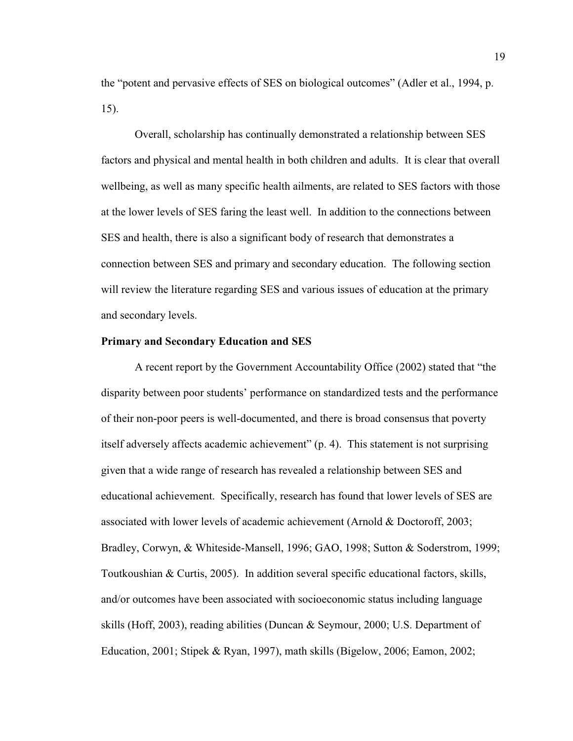the "potent and pervasive effects of SES on biological outcomes" (Adler et al., 1994, p. 15).

Overall, scholarship has continually demonstrated a relationship between SES factors and physical and mental health in both children and adults. It is clear that overall wellbeing, as well as many specific health ailments, are related to SES factors with those at the lower levels of SES faring the least well. In addition to the connections between SES and health, there is also a significant body of research that demonstrates a connection between SES and primary and secondary education. The following section will review the literature regarding SES and various issues of education at the primary and secondary levels.

#### **Primary and Secondary Education and SES**

A recent report by the Government Accountability Office (2002) stated that "the disparity between poor students' performance on standardized tests and the performance of their non-poor peers is well-documented, and there is broad consensus that poverty itself adversely affects academic achievement"  $(p. 4)$ . This statement is not surprising given that a wide range of research has revealed a relationship between SES and educational achievement. Specifically, research has found that lower levels of SES are associated with lower levels of academic achievement (Arnold & Doctoroff, 2003; Bradley, Corwyn, & Whiteside-Mansell, 1996; GAO, 1998; Sutton & Soderstrom, 1999; Toutkoushian & Curtis, 2005). In addition several specific educational factors, skills, and/or outcomes have been associated with socioeconomic status including language skills (Hoff, 2003), reading abilities (Duncan & Seymour, 2000; U.S. Department of Education, 2001; Stipek & Ryan, 1997), math skills (Bigelow, 2006; Eamon, 2002;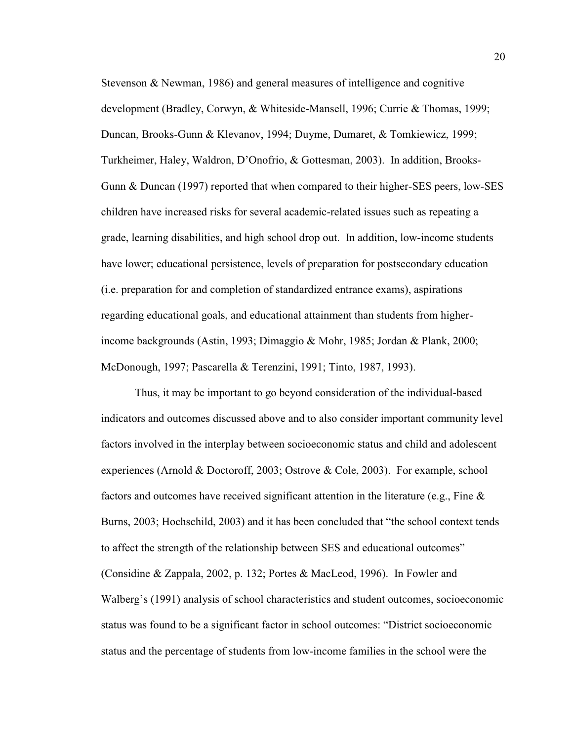Stevenson & Newman, 1986) and general measures of intelligence and cognitive development (Bradley, Corwyn, & Whiteside-Mansell, 1996; Currie & Thomas, 1999; Duncan, Brooks-Gunn & Klevanov, 1994; Duyme, Dumaret, & Tomkiewicz, 1999; Turkheimer, Haley, Waldron, D'Onofrio, & Gottesman, 2003). In addition, Brooks-Gunn & Duncan (1997) reported that when compared to their higher-SES peers, low-SES children have increased risks for several academic-related issues such as repeating a grade, learning disabilities, and high school drop out. In addition, low-income students have lower; educational persistence, levels of preparation for postsecondary education (i.e. preparation for and completion of standardized entrance exams), aspirations regarding educational goals, and educational attainment than students from higherincome backgrounds (Astin, 1993; Dimaggio & Mohr, 1985; Jordan & Plank, 2000; McDonough, 1997; Pascarella & Terenzini, 1991; Tinto, 1987, 1993).

Thus, it may be important to go beyond consideration of the individual-based indicators and outcomes discussed above and to also consider important community level factors involved in the interplay between socioeconomic status and child and adolescent experiences (Arnold & Doctoroff, 2003; Ostrove & Cole, 2003). For example, school factors and outcomes have received significant attention in the literature (e.g., Fine  $\&$ Burns, 2003; Hochschild, 2003) and it has been concluded that "the school context tends to affect the strength of the relationship between SES and educational outcomes" (Considine & Zappala, 2002, p. 132; Portes & MacLeod, 1996). In Fowler and Walberg's (1991) analysis of school characteristics and student outcomes, socioeconomic status was found to be a significant factor in school outcomes: "District socioeconomic status and the percentage of students from low-income families in the school were the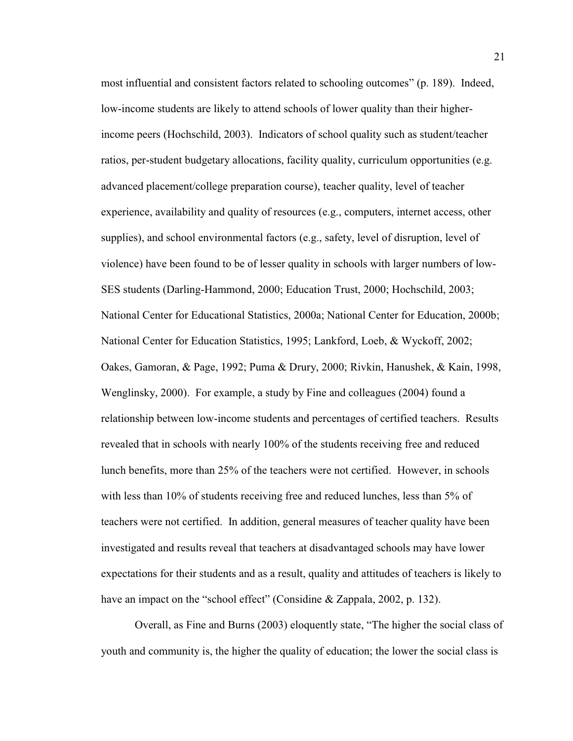most influential and consistent factors related to schooling outcomes" (p. 189). Indeed, low-income students are likely to attend schools of lower quality than their higherincome peers (Hochschild, 2003). Indicators of school quality such as student/teacher ratios, per-student budgetary allocations, facility quality, curriculum opportunities (e.g. advanced placement/college preparation course), teacher quality, level of teacher experience, availability and quality of resources (e.g., computers, internet access, other supplies), and school environmental factors (e.g., safety, level of disruption, level of violence) have been found to be of lesser quality in schools with larger numbers of low-SES students (Darling-Hammond, 2000; Education Trust, 2000; Hochschild, 2003; National Center for Educational Statistics, 2000a; National Center for Education, 2000b; National Center for Education Statistics, 1995; Lankford, Loeb, & Wyckoff, 2002; Oakes, Gamoran, & Page, 1992; Puma & Drury, 2000; Rivkin, Hanushek, & Kain, 1998, Wenglinsky, 2000). For example, a study by Fine and colleagues (2004) found a relationship between low-income students and percentages of certified teachers. Results revealed that in schools with nearly 100% of the students receiving free and reduced lunch benefits, more than 25% of the teachers were not certified. However, in schools with less than 10% of students receiving free and reduced lunches, less than 5% of teachers were not certified. In addition, general measures of teacher quality have been investigated and results reveal that teachers at disadvantaged schools may have lower expectations for their students and as a result, quality and attitudes of teachers is likely to have an impact on the "school effect" (Considine & Zappala, 2002, p. 132).

Overall, as Fine and Burns (2003) eloquently state, "The higher the social class of youth and community is, the higher the quality of education; the lower the social class is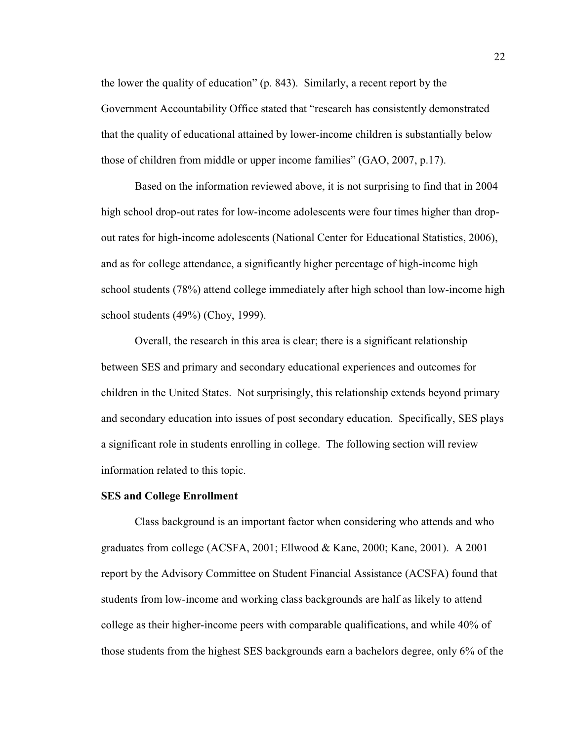the lower the quality of education" (p. 843). Similarly, a recent report by the Government Accountability Office stated that "research has consistently demonstrated that the quality of educational attained by lower-income children is substantially below those of children from middle or upper income families"  $(GAO, 2007, p.17)$ .

Based on the information reviewed above, it is not surprising to find that in 2004 high school drop-out rates for low-income adolescents were four times higher than dropout rates for high-income adolescents (National Center for Educational Statistics, 2006), and as for college attendance, a significantly higher percentage of high-income high school students (78%) attend college immediately after high school than low-income high school students (49%) (Choy, 1999).

Overall, the research in this area is clear; there is a significant relationship between SES and primary and secondary educational experiences and outcomes for children in the United States. Not surprisingly, this relationship extends beyond primary and secondary education into issues of post secondary education. Specifically, SES plays a significant role in students enrolling in college. The following section will review information related to this topic.

### **SES and College Enrollment**

Class background is an important factor when considering who attends and who graduates from college (ACSFA, 2001; Ellwood & Kane, 2000; Kane, 2001). A 2001 report by the Advisory Committee on Student Financial Assistance (ACSFA) found that students from low-income and working class backgrounds are half as likely to attend college as their higher-income peers with comparable qualifications, and while 40% of those students from the highest SES backgrounds earn a bachelors degree, only 6% of the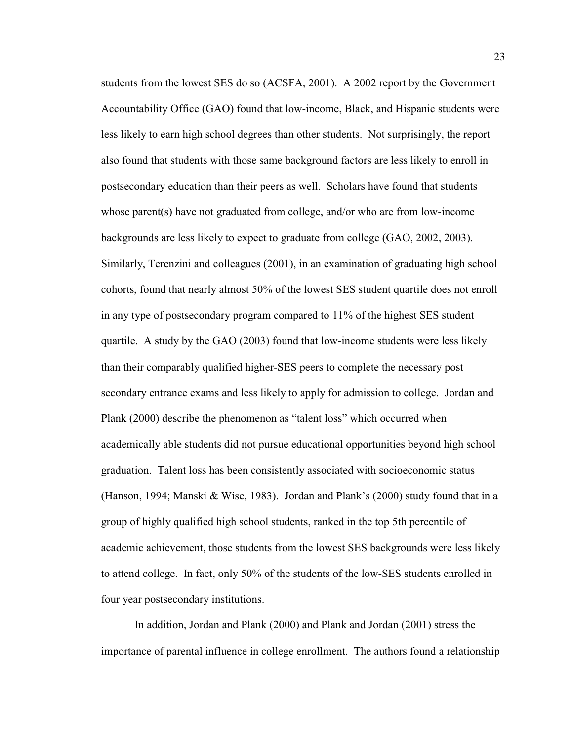students from the lowest SES do so (ACSFA, 2001). A 2002 report by the Government Accountability Office (GAO) found that low-income, Black, and Hispanic students were less likely to earn high school degrees than other students. Not surprisingly, the report also found that students with those same background factors are less likely to enroll in postsecondary education than their peers as well. Scholars have found that students whose parent(s) have not graduated from college, and/or who are from low-income backgrounds are less likely to expect to graduate from college (GAO, 2002, 2003). Similarly, Terenzini and colleagues (2001), in an examination of graduating high school cohorts, found that nearly almost 50% of the lowest SES student quartile does not enroll in any type of postsecondary program compared to 11% of the highest SES student quartile. A study by the GAO (2003) found that low-income students were less likely than their comparably qualified higher-SES peers to complete the necessary post secondary entrance exams and less likely to apply for admission to college. Jordan and Plank (2000) describe the phenomenon as "talent loss" which occurred when academically able students did not pursue educational opportunities beyond high school graduation. Talent loss has been consistently associated with socioeconomic status (Hanson, 1994; Manski & Wise, 1983). Jordan and Plank's (2000) study found that in a group of highly qualified high school students, ranked in the top 5th percentile of academic achievement, those students from the lowest SES backgrounds were less likely to attend college. In fact, only 50% of the students of the low-SES students enrolled in four year postsecondary institutions.

In addition, Jordan and Plank (2000) and Plank and Jordan (2001) stress the importance of parental influence in college enrollment. The authors found a relationship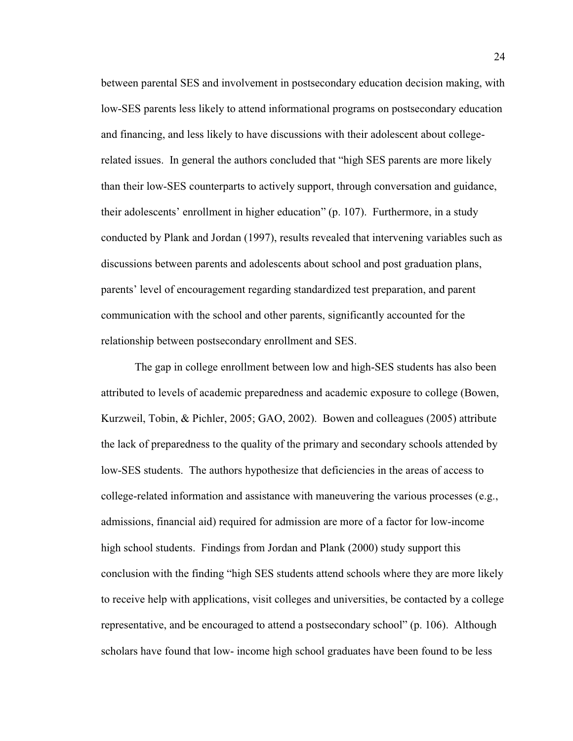between parental SES and involvement in postsecondary education decision making, with low-SES parents less likely to attend informational programs on postsecondary education and financing, and less likely to have discussions with their adolescent about collegerelated issues. In general the authors concluded that "high SES parents are more likely than their low-SES counterparts to actively support, through conversation and guidance, their adolescents' enrollment in higher education" (p. 107). Furthermore, in a study conducted by Plank and Jordan (1997), results revealed that intervening variables such as discussions between parents and adolescents about school and post graduation plans, parents' level of encouragement regarding standardized test preparation, and parent communication with the school and other parents, significantly accounted for the relationship between postsecondary enrollment and SES.

The gap in college enrollment between low and high-SES students has also been attributed to levels of academic preparedness and academic exposure to college (Bowen, Kurzweil, Tobin, & Pichler, 2005; GAO, 2002). Bowen and colleagues (2005) attribute the lack of preparedness to the quality of the primary and secondary schools attended by low-SES students. The authors hypothesize that deficiencies in the areas of access to college-related information and assistance with maneuvering the various processes (e.g., admissions, financial aid) required for admission are more of a factor for low-income high school students. Findings from Jordan and Plank (2000) study support this conclusion with the finding "high SES students attend schools where they are more likely to receive help with applications, visit colleges and universities, be contacted by a college representative, and be encouraged to attend a postsecondary school" (p. 106). Although scholars have found that low- income high school graduates have been found to be less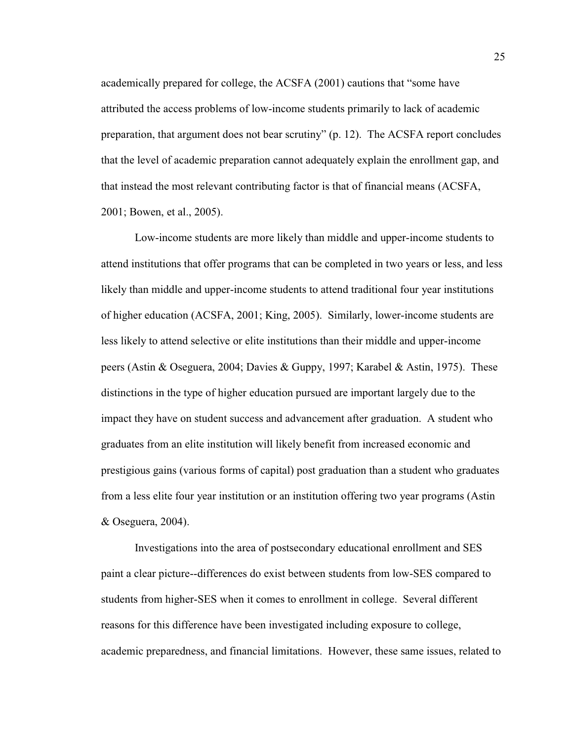academically prepared for college, the ACSFA (2001) cautions that "some have attributed the access problems of low-income students primarily to lack of academic preparation, that argument does not bear scrutiny"  $(p. 12)$ . The ACSFA report concludes that the level of academic preparation cannot adequately explain the enrollment gap, and that instead the most relevant contributing factor is that of financial means (ACSFA, 2001; Bowen, et al., 2005).

Low-income students are more likely than middle and upper-income students to attend institutions that offer programs that can be completed in two years or less, and less likely than middle and upper-income students to attend traditional four year institutions of higher education (ACSFA, 2001; King, 2005). Similarly, lower-income students are less likely to attend selective or elite institutions than their middle and upper-income peers (Astin & Oseguera, 2004; Davies & Guppy, 1997; Karabel & Astin, 1975). These distinctions in the type of higher education pursued are important largely due to the impact they have on student success and advancement after graduation. A student who graduates from an elite institution will likely benefit from increased economic and prestigious gains (various forms of capital) post graduation than a student who graduates from a less elite four year institution or an institution offering two year programs (Astin & Oseguera, 2004).

Investigations into the area of postsecondary educational enrollment and SES paint a clear picture--differences do exist between students from low-SES compared to students from higher-SES when it comes to enrollment in college. Several different reasons for this difference have been investigated including exposure to college, academic preparedness, and financial limitations. However, these same issues, related to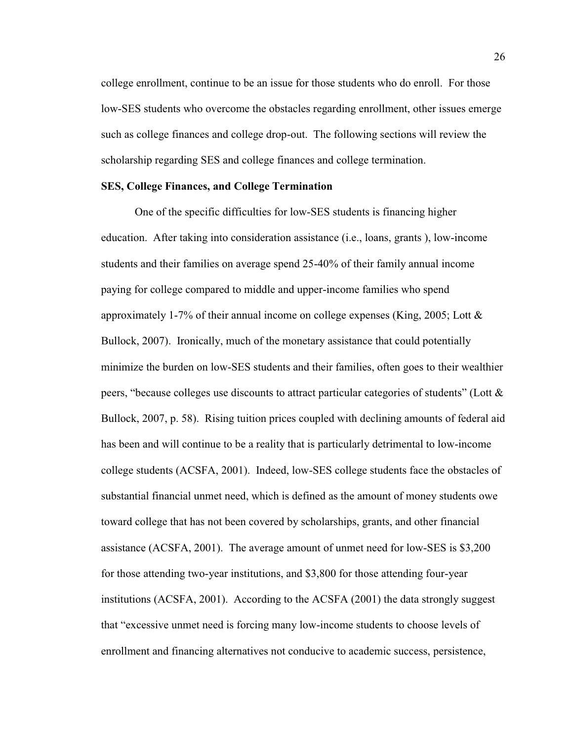college enrollment, continue to be an issue for those students who do enroll. For those low-SES students who overcome the obstacles regarding enrollment, other issues emerge such as college finances and college drop-out. The following sections will review the scholarship regarding SES and college finances and college termination.

# **SES, College Finances, and College Termination**

One of the specific difficulties for low-SES students is financing higher education. After taking into consideration assistance (i.e., loans, grants ), low-income students and their families on average spend 25-40% of their family annual income paying for college compared to middle and upper-income families who spend approximately 1-7% of their annual income on college expenses (King, 2005; Lott & Bullock, 2007). Ironically, much of the monetary assistance that could potentially minimize the burden on low-SES students and their families, often goes to their wealthier peers, "because colleges use discounts to attract particular categories of students" (Lott  $\&$ Bullock, 2007, p. 58). Rising tuition prices coupled with declining amounts of federal aid has been and will continue to be a reality that is particularly detrimental to low-income college students (ACSFA, 2001). Indeed, low-SES college students face the obstacles of substantial financial unmet need, which is defined as the amount of money students owe toward college that has not been covered by scholarships, grants, and other financial assistance (ACSFA, 2001). The average amount of unmet need for low-SES is \$3,200 for those attending two-year institutions, and \$3,800 for those attending four-year institutions (ACSFA, 2001). According to the ACSFA (2001) the data strongly suggest that "excessive unmet need is forcing many low-income students to choose levels of enrollment and financing alternatives not conducive to academic success, persistence,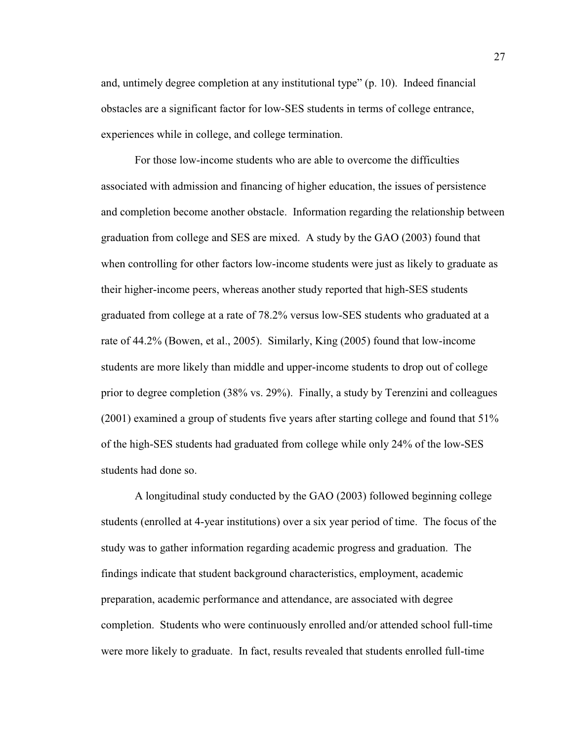and, untimely degree completion at any institutional type"  $(p. 10)$ . Indeed financial obstacles are a significant factor for low-SES students in terms of college entrance, experiences while in college, and college termination.

For those low-income students who are able to overcome the difficulties associated with admission and financing of higher education, the issues of persistence and completion become another obstacle. Information regarding the relationship between graduation from college and SES are mixed. A study by the GAO (2003) found that when controlling for other factors low-income students were just as likely to graduate as their higher-income peers, whereas another study reported that high-SES students graduated from college at a rate of 78.2% versus low-SES students who graduated at a rate of 44.2% (Bowen, et al., 2005). Similarly, King (2005) found that low-income students are more likely than middle and upper-income students to drop out of college prior to degree completion (38% vs. 29%). Finally, a study by Terenzini and colleagues (2001) examined a group of students five years after starting college and found that 51% of the high-SES students had graduated from college while only 24% of the low-SES students had done so.

A longitudinal study conducted by the GAO (2003) followed beginning college students (enrolled at 4-year institutions) over a six year period of time. The focus of the study was to gather information regarding academic progress and graduation. The findings indicate that student background characteristics, employment, academic preparation, academic performance and attendance, are associated with degree completion. Students who were continuously enrolled and/or attended school full-time were more likely to graduate. In fact, results revealed that students enrolled full-time

27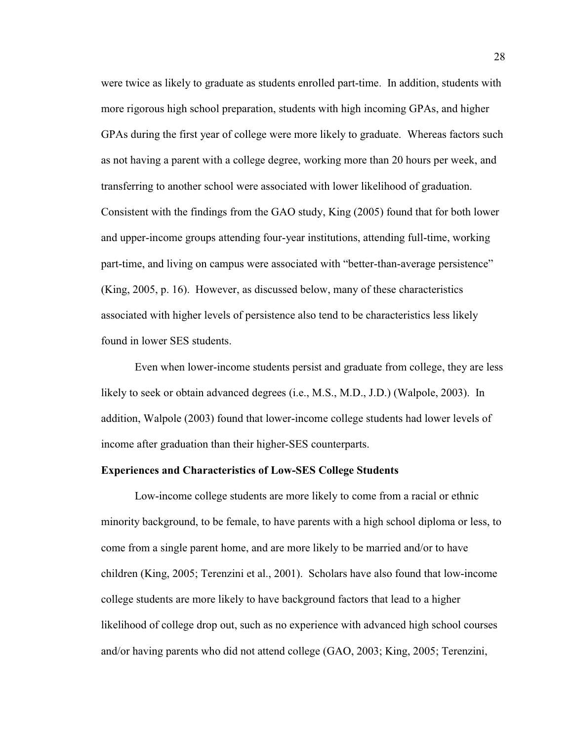were twice as likely to graduate as students enrolled part-time. In addition, students with more rigorous high school preparation, students with high incoming GPAs, and higher GPAs during the first year of college were more likely to graduate. Whereas factors such as not having a parent with a college degree, working more than 20 hours per week, and transferring to another school were associated with lower likelihood of graduation. Consistent with the findings from the GAO study, King (2005) found that for both lower and upper-income groups attending four-year institutions, attending full-time, working part-time, and living on campus were associated with "better-than-average persistence" (King, 2005, p. 16). However, as discussed below, many of these characteristics associated with higher levels of persistence also tend to be characteristics less likely found in lower SES students.

Even when lower-income students persist and graduate from college, they are less likely to seek or obtain advanced degrees (i.e., M.S., M.D., J.D.) (Walpole, 2003). In addition, Walpole (2003) found that lower-income college students had lower levels of income after graduation than their higher-SES counterparts.

#### **Experiences and Characteristics of Low-SES College Students**

Low-income college students are more likely to come from a racial or ethnic minority background, to be female, to have parents with a high school diploma or less, to come from a single parent home, and are more likely to be married and/or to have children (King, 2005; Terenzini et al., 2001). Scholars have also found that low-income college students are more likely to have background factors that lead to a higher likelihood of college drop out, such as no experience with advanced high school courses and/or having parents who did not attend college (GAO, 2003; King, 2005; Terenzini,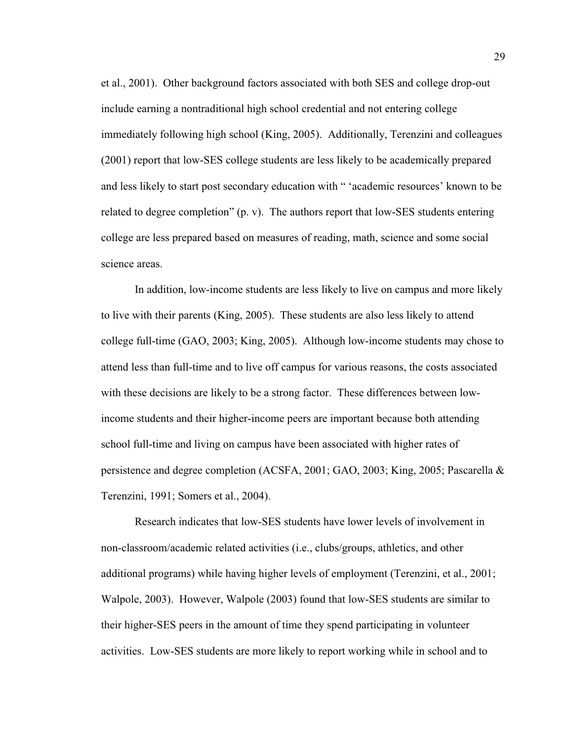et al., 2001). Other background factors associated with both SES and college drop-out include earning a nontraditional high school credential and not entering college immediately following high school (King, 2005). Additionally, Terenzini and colleagues (2001) report that low-SES college students are less likely to be academically prepared and less likely to start post secondary education with "'academic resources' known to be related to degree completion" (p. v). The authors report that low-SES students entering college are less prepared based on measures of reading, math, science and some social science areas.

In addition, low-income students are less likely to live on campus and more likely to live with their parents (King, 2005). These students are also less likely to attend college full-time (GAO, 2003; King, 2005). Although low-income students may chose to attend less than full-time and to live off campus for various reasons, the costs associated with these decisions are likely to be a strong factor. These differences between lowincome students and their higher-income peers are important because both attending school full-time and living on campus have been associated with higher rates of persistence and degree completion (ACSFA, 2001; GAO, 2003; King, 2005; Pascarella & Terenzini, 1991; Somers et al., 2004).

Research indicates that low-SES students have lower levels of involvement in non-classroom/academic related activities (i.e., clubs/groups, athletics, and other additional programs) while having higher levels of employment (Terenzini, et al., 2001; Walpole, 2003). However, Walpole (2003) found that low-SES students are similar to their higher-SES peers in the amount of time they spend participating in volunteer activities. Low-SES students are more likely to report working while in school and to

29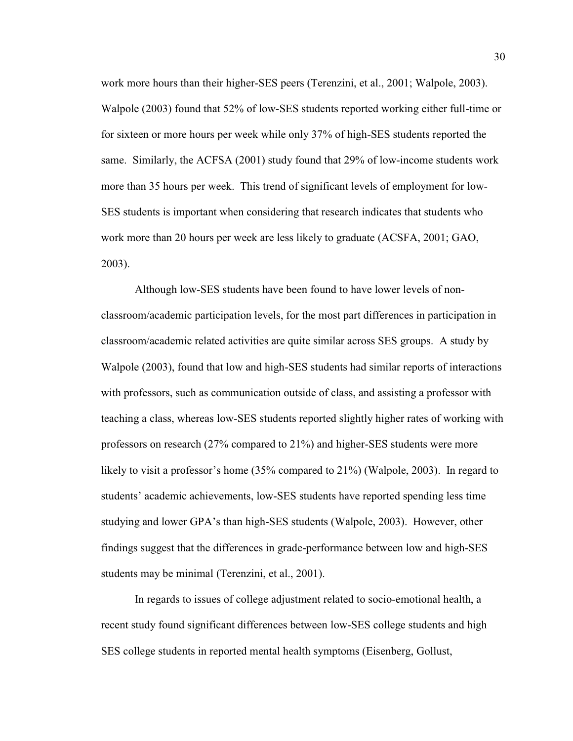work more hours than their higher-SES peers (Terenzini, et al., 2001; Walpole, 2003). Walpole (2003) found that 52% of low-SES students reported working either full-time or for sixteen or more hours per week while only 37% of high-SES students reported the same. Similarly, the ACFSA (2001) study found that 29% of low-income students work more than 35 hours per week. This trend of significant levels of employment for low-SES students is important when considering that research indicates that students who work more than 20 hours per week are less likely to graduate (ACSFA, 2001; GAO, 2003).

Although low-SES students have been found to have lower levels of nonclassroom/academic participation levels, for the most part differences in participation in classroom/academic related activities are quite similar across SES groups. A study by Walpole (2003), found that low and high-SES students had similar reports of interactions with professors, such as communication outside of class, and assisting a professor with teaching a class, whereas low-SES students reported slightly higher rates of working with professors on research (27% compared to 21%) and higher-SES students were more likely to visit a professor's home  $(35\%$  compared to  $21\%)$  (Walpole, 2003). In regard to students' academic achievements, low-SES students have reported spending less time studying and lower GPA's than high-SES students (Walpole, 2003). However, other findings suggest that the differences in grade-performance between low and high-SES students may be minimal (Terenzini, et al., 2001).

In regards to issues of college adjustment related to socio-emotional health, a recent study found significant differences between low-SES college students and high SES college students in reported mental health symptoms (Eisenberg, Gollust,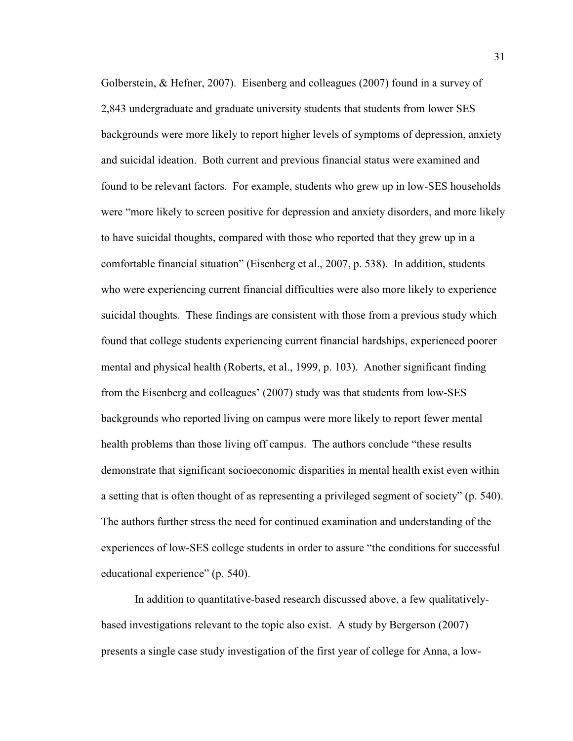Golberstein, & Hefner, 2007). Eisenberg and colleagues (2007) found in a survey of 2,843 undergraduate and graduate university students that students from lower SES backgrounds were more likely to report higher levels of symptoms of depression, anxiety and suicidal ideation. Both current and previous financial status were examined and found to be relevant factors. For example, students who grew up in low-SES households were "more likely to screen positive for depression and anxiety disorders, and more likely to have suicidal thoughts, compared with those who reported that they grew up in a comfortable financial situation" (Eisenberg et al., 2007, p. 538). In addition, students who were experiencing current financial difficulties were also more likely to experience suicidal thoughts. These findings are consistent with those from a previous study which found that college students experiencing current financial hardships, experienced poorer mental and physical health (Roberts, et al., 1999, p. 103). Another significant finding from the Eisenberg and colleagues'  $(2007)$  study was that students from low-SES backgrounds who reported living on campus were more likely to report fewer mental health problems than those living off campus. The authors conclude "these results" demonstrate that significant socioeconomic disparities in mental health exist even within a setting that is often thought of as representing a privileged segment of society" (p. 540). The authors further stress the need for continued examination and understanding of the experiences of low-SES college students in order to assure "the conditions for successful educational experience"  $(p. 540)$ .

In addition to quantitative-based research discussed above, a few qualitativelybased investigations relevant to the topic also exist. A study by Bergerson (2007) presents a single case study investigation of the first year of college for Anna, a low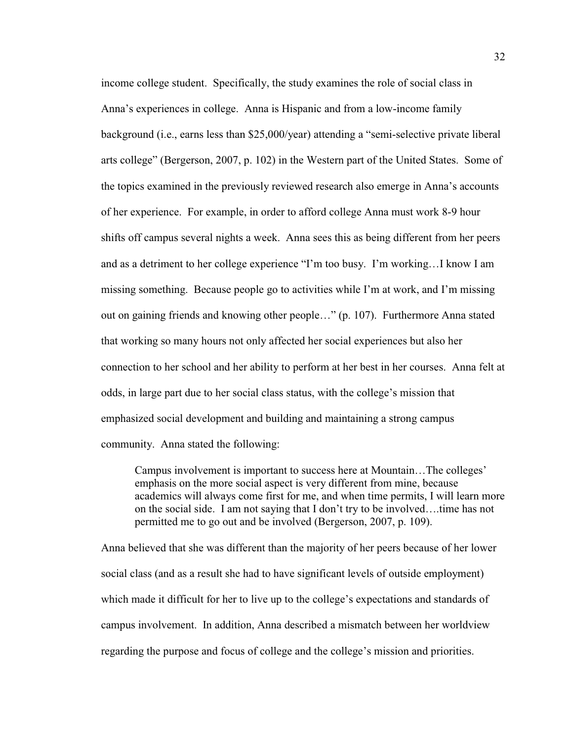income college student. Specifically, the study examines the role of social class in Anna's experiences in college. Anna is Hispanic and from a low-income family background (i.e., earns less than  $$25,000/year$ ) attending a "semi-selective private liberal arts college" (Bergerson, 2007, p. 102) in the Western part of the United States. Some of the topics examined in the previously reviewed research also emerge in Anna's accounts of her experience. For example, in order to afford college Anna must work 8-9 hour shifts off campus several nights a week. Anna sees this as being different from her peers and as a detriment to her college experience "I'm too busy. I'm working...I know I am missing something. Because people go to activities while I'm at work, and I'm missing out on gaining friends and knowing other people..." (p. 107). Furthermore Anna stated that working so many hours not only affected her social experiences but also her connection to her school and her ability to perform at her best in her courses. Anna felt at odds, in large part due to her social class status, with the college's mission that emphasized social development and building and maintaining a strong campus community. Anna stated the following:

Campus involvement is important to success here at Mountain...The colleges' emphasis on the more social aspect is very different from mine, because academics will always come first for me, and when time permits, I will learn more on the social side. I am not saying that I don't try to be involved....time has not permitted me to go out and be involved (Bergerson, 2007, p. 109).

Anna believed that she was different than the majority of her peers because of her lower social class (and as a result she had to have significant levels of outside employment) which made it difficult for her to live up to the college's expectations and standards of campus involvement. In addition, Anna described a mismatch between her worldview regarding the purpose and focus of college and the college's mission and priorities.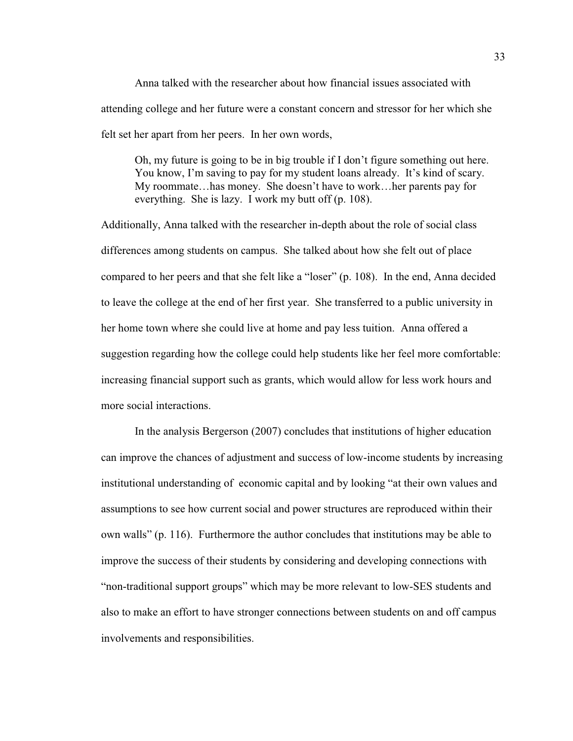Anna talked with the researcher about how financial issues associated with attending college and her future were a constant concern and stressor for her which she felt set her apart from her peers. In her own words,

Oh, my future is going to be in big trouble if I don't figure something out here. You know, I'm saving to pay for my student loans already. It's kind of scary. My roommate...has money. She doesn't have to work...her parents pay for everything. She is lazy. I work my butt off (p. 108).

Additionally, Anna talked with the researcher in-depth about the role of social class differences among students on campus. She talked about how she felt out of place compared to her peers and that she felt like a "loser" (p. 108). In the end, Anna decided to leave the college at the end of her first year. She transferred to a public university in her home town where she could live at home and pay less tuition. Anna offered a suggestion regarding how the college could help students like her feel more comfortable: increasing financial support such as grants, which would allow for less work hours and more social interactions.

In the analysis Bergerson (2007) concludes that institutions of higher education can improve the chances of adjustment and success of low-income students by increasing institutional understanding of economic capital and by looking "at their own values and assumptions to see how current social and power structures are reproduced within their own walls" (p. 116). Furthermore the author concludes that institutions may be able to improve the success of their students by considering and developing connections with "non-traditional support groups" which may be more relevant to low-SES students and also to make an effort to have stronger connections between students on and off campus involvements and responsibilities.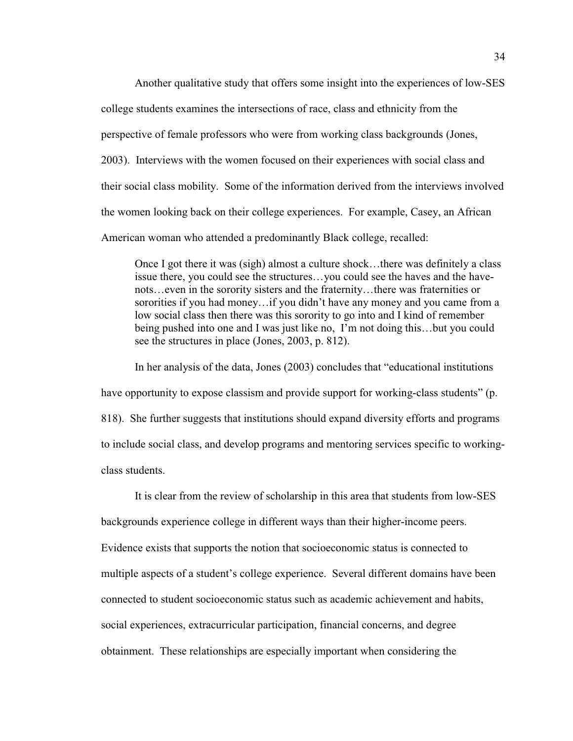Another qualitative study that offers some insight into the experiences of low-SES college students examines the intersections of race, class and ethnicity from the perspective of female professors who were from working class backgrounds (Jones, 2003). Interviews with the women focused on their experiences with social class and their social class mobility. Some of the information derived from the interviews involved the women looking back on their college experiences. For example, Casey, an African American woman who attended a predominantly Black college, recalled:

Once I got there it was (sigh) almost a culture shock...there was definitely a class issue there, you could see the structures...you could see the haves and the havenots...even in the sorority sisters and the fraternity...there was fraternities or sororities if you had money...if you didn't have any money and you came from a low social class then there was this sorority to go into and I kind of remember being pushed into one and I was just like no, I'm not doing this...but you could see the structures in place (Jones, 2003, p. 812).

In her analysis of the data, Jones  $(2003)$  concludes that "educational institutions" have opportunity to expose classism and provide support for working-class students" (p. 818). She further suggests that institutions should expand diversity efforts and programs to include social class, and develop programs and mentoring services specific to workingclass students.

It is clear from the review of scholarship in this area that students from low-SES backgrounds experience college in different ways than their higher-income peers. Evidence exists that supports the notion that socioeconomic status is connected to multiple aspects of a student's college experience. Several different domains have been connected to student socioeconomic status such as academic achievement and habits, social experiences, extracurricular participation, financial concerns, and degree obtainment. These relationships are especially important when considering the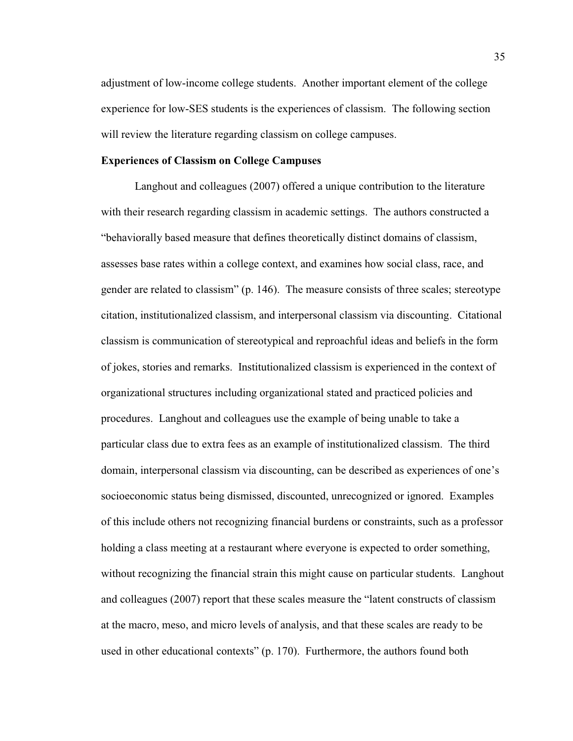adjustment of low-income college students. Another important element of the college experience for low-SES students is the experiences of classism. The following section will review the literature regarding classism on college campuses.

#### **Experiences of Classism on College Campuses**

Langhout and colleagues (2007) offered a unique contribution to the literature with their research regarding classism in academic settings. The authors constructed a "behaviorally based measure that defines theoretically distinct domains of classism, assesses base rates within a college context, and examines how social class, race, and gender are related to classism" (p. 146). The measure consists of three scales; stereotype citation, institutionalized classism, and interpersonal classism via discounting. Citational classism is communication of stereotypical and reproachful ideas and beliefs in the form of jokes, stories and remarks. Institutionalized classism is experienced in the context of organizational structures including organizational stated and practiced policies and procedures. Langhout and colleagues use the example of being unable to take a particular class due to extra fees as an example of institutionalized classism. The third domain, interpersonal classism via discounting, can be described as experiences of one's socioeconomic status being dismissed, discounted, unrecognized or ignored. Examples of this include others not recognizing financial burdens or constraints, such as a professor holding a class meeting at a restaurant where everyone is expected to order something, without recognizing the financial strain this might cause on particular students. Langhout and colleagues (2007) report that these scales measure the "latent constructs of classism at the macro, meso, and micro levels of analysis, and that these scales are ready to be used in other educational contexts" (p. 170). Furthermore, the authors found both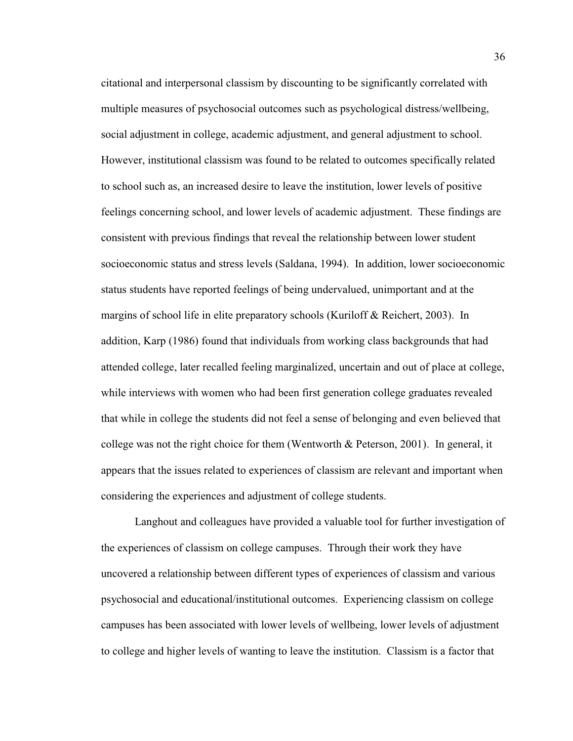citational and interpersonal classism by discounting to be significantly correlated with multiple measures of psychosocial outcomes such as psychological distress/wellbeing, social adjustment in college, academic adjustment, and general adjustment to school. However, institutional classism was found to be related to outcomes specifically related to school such as, an increased desire to leave the institution, lower levels of positive feelings concerning school, and lower levels of academic adjustment. These findings are consistent with previous findings that reveal the relationship between lower student socioeconomic status and stress levels (Saldana, 1994). In addition, lower socioeconomic status students have reported feelings of being undervalued, unimportant and at the margins of school life in elite preparatory schools (Kuriloff & Reichert, 2003). In addition, Karp (1986) found that individuals from working class backgrounds that had attended college, later recalled feeling marginalized, uncertain and out of place at college, while interviews with women who had been first generation college graduates revealed that while in college the students did not feel a sense of belonging and even believed that college was not the right choice for them (Wentworth & Peterson, 2001). In general, it appears that the issues related to experiences of classism are relevant and important when considering the experiences and adjustment of college students.

Langhout and colleagues have provided a valuable tool for further investigation of the experiences of classism on college campuses. Through their work they have uncovered a relationship between different types of experiences of classism and various psychosocial and educational/institutional outcomes. Experiencing classism on college campuses has been associated with lower levels of wellbeing, lower levels of adjustment to college and higher levels of wanting to leave the institution. Classism is a factor that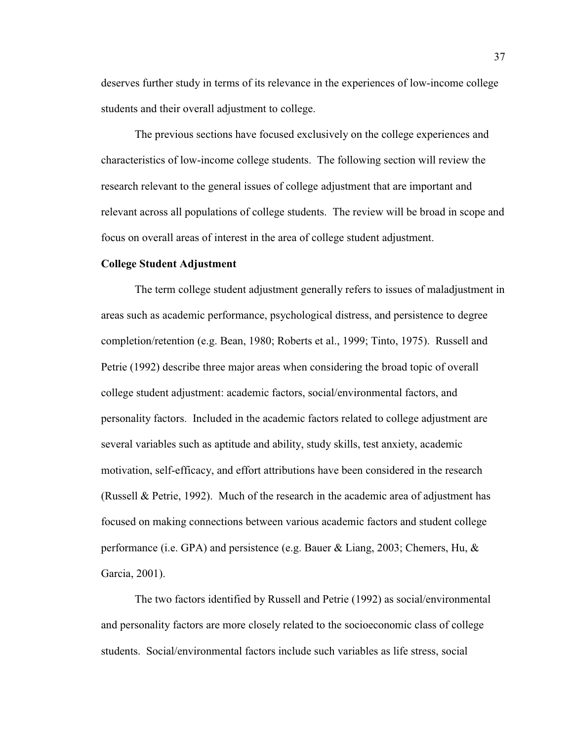deserves further study in terms of its relevance in the experiences of low-income college students and their overall adjustment to college.

The previous sections have focused exclusively on the college experiences and characteristics of low-income college students. The following section will review the research relevant to the general issues of college adjustment that are important and relevant across all populations of college students. The review will be broad in scope and focus on overall areas of interest in the area of college student adjustment.

# **College Student Adjustment**

 The term college student adjustment generally refers to issues of maladjustment in areas such as academic performance, psychological distress, and persistence to degree completion/retention (e.g. Bean, 1980; Roberts et al., 1999; Tinto, 1975). Russell and Petrie (1992) describe three major areas when considering the broad topic of overall college student adjustment: academic factors, social/environmental factors, and personality factors. Included in the academic factors related to college adjustment are several variables such as aptitude and ability, study skills, test anxiety, academic motivation, self-efficacy, and effort attributions have been considered in the research (Russell & Petrie, 1992). Much of the research in the academic area of adjustment has focused on making connections between various academic factors and student college performance (i.e. GPA) and persistence (e.g. Bauer & Liang, 2003; Chemers, Hu, & Garcia, 2001).

 The two factors identified by Russell and Petrie (1992) as social/environmental and personality factors are more closely related to the socioeconomic class of college students. Social/environmental factors include such variables as life stress, social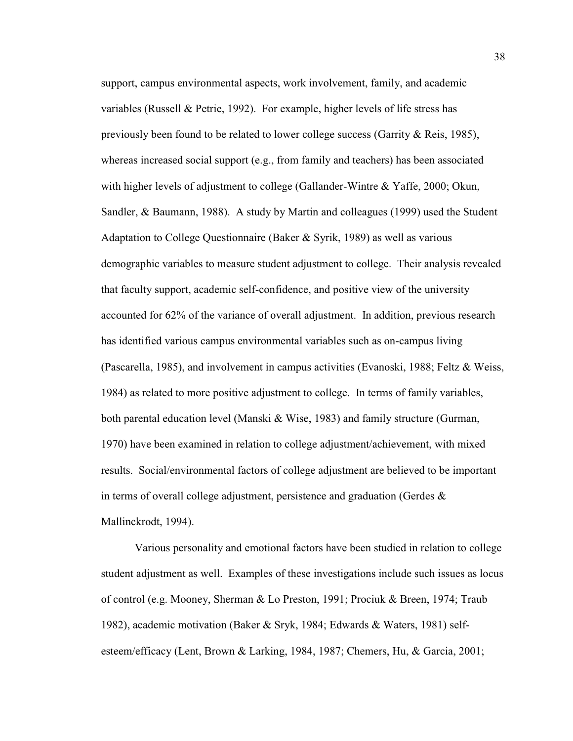support, campus environmental aspects, work involvement, family, and academic variables (Russell & Petrie, 1992). For example, higher levels of life stress has previously been found to be related to lower college success (Garrity & Reis, 1985), whereas increased social support (e.g., from family and teachers) has been associated with higher levels of adjustment to college (Gallander-Wintre & Yaffe, 2000; Okun, Sandler, & Baumann, 1988). A study by Martin and colleagues (1999) used the Student Adaptation to College Questionnaire (Baker & Syrik, 1989) as well as various demographic variables to measure student adjustment to college. Their analysis revealed that faculty support, academic self-confidence, and positive view of the university accounted for 62% of the variance of overall adjustment. In addition, previous research has identified various campus environmental variables such as on-campus living (Pascarella, 1985), and involvement in campus activities (Evanoski, 1988; Feltz & Weiss, 1984) as related to more positive adjustment to college. In terms of family variables, both parental education level (Manski & Wise, 1983) and family structure (Gurman, 1970) have been examined in relation to college adjustment/achievement, with mixed results. Social/environmental factors of college adjustment are believed to be important in terms of overall college adjustment, persistence and graduation (Gerdes  $\&$ Mallinckrodt, 1994).

 Various personality and emotional factors have been studied in relation to college student adjustment as well. Examples of these investigations include such issues as locus of control (e.g. Mooney, Sherman & Lo Preston, 1991; Prociuk & Breen, 1974; Traub 1982), academic motivation (Baker & Sryk, 1984; Edwards & Waters, 1981) selfesteem/efficacy (Lent, Brown & Larking, 1984, 1987; Chemers, Hu, & Garcia, 2001;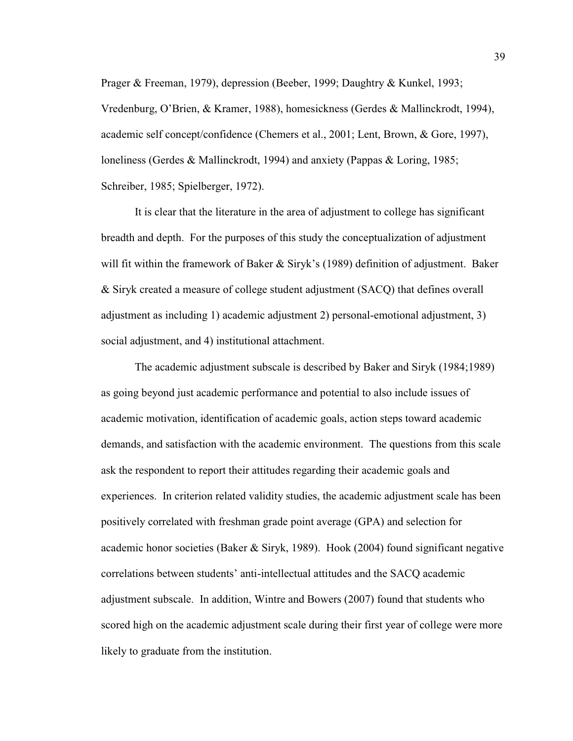Prager & Freeman, 1979), depression (Beeber, 1999; Daughtry & Kunkel, 1993; Vredenburg, O'Brien, & Kramer, 1988), homesickness (Gerdes & Mallinckrodt, 1994), academic self concept/confidence (Chemers et al., 2001; Lent, Brown, & Gore, 1997), loneliness (Gerdes & Mallinckrodt, 1994) and anxiety (Pappas & Loring, 1985; Schreiber, 1985; Spielberger, 1972).

It is clear that the literature in the area of adjustment to college has significant breadth and depth. For the purposes of this study the conceptualization of adjustment will fit within the framework of Baker  $&$  Siryk's (1989) definition of adjustment. Baker & Siryk created a measure of college student adjustment (SACQ) that defines overall adjustment as including 1) academic adjustment 2) personal-emotional adjustment, 3) social adjustment, and 4) institutional attachment.

The academic adjustment subscale is described by Baker and Siryk (1984;1989) as going beyond just academic performance and potential to also include issues of academic motivation, identification of academic goals, action steps toward academic demands, and satisfaction with the academic environment. The questions from this scale ask the respondent to report their attitudes regarding their academic goals and experiences. In criterion related validity studies, the academic adjustment scale has been positively correlated with freshman grade point average (GPA) and selection for academic honor societies (Baker & Siryk, 1989). Hook (2004) found significant negative correlations between students' anti-intellectual attitudes and the SACQ academic adjustment subscale. In addition, Wintre and Bowers (2007) found that students who scored high on the academic adjustment scale during their first year of college were more likely to graduate from the institution.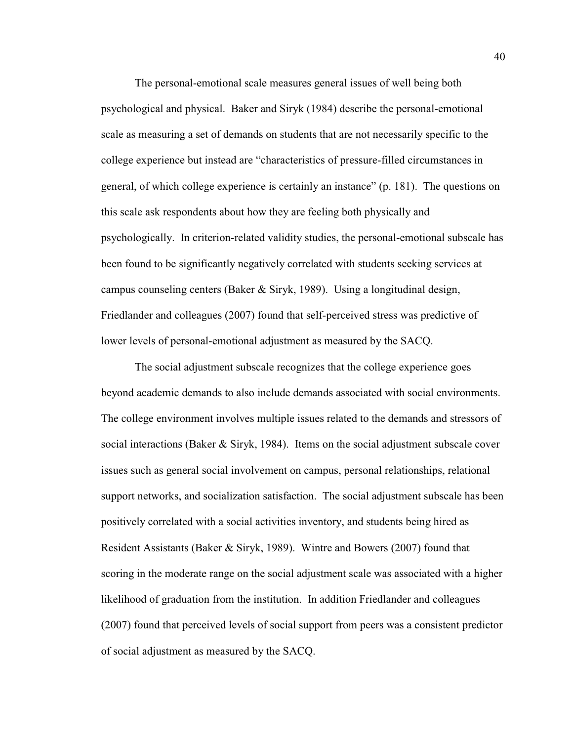The personal-emotional scale measures general issues of well being both psychological and physical. Baker and Siryk (1984) describe the personal-emotional scale as measuring a set of demands on students that are not necessarily specific to the college experience but instead are "characteristics of pressure-filled circumstances in general, of which college experience is certainly an instance" (p. 181). The questions on this scale ask respondents about how they are feeling both physically and psychologically. In criterion-related validity studies, the personal-emotional subscale has been found to be significantly negatively correlated with students seeking services at campus counseling centers (Baker & Siryk, 1989). Using a longitudinal design, Friedlander and colleagues (2007) found that self-perceived stress was predictive of lower levels of personal-emotional adjustment as measured by the SACQ.

The social adjustment subscale recognizes that the college experience goes beyond academic demands to also include demands associated with social environments. The college environment involves multiple issues related to the demands and stressors of social interactions (Baker & Siryk, 1984). Items on the social adjustment subscale cover issues such as general social involvement on campus, personal relationships, relational support networks, and socialization satisfaction. The social adjustment subscale has been positively correlated with a social activities inventory, and students being hired as Resident Assistants (Baker & Siryk, 1989). Wintre and Bowers (2007) found that scoring in the moderate range on the social adjustment scale was associated with a higher likelihood of graduation from the institution. In addition Friedlander and colleagues (2007) found that perceived levels of social support from peers was a consistent predictor of social adjustment as measured by the SACQ.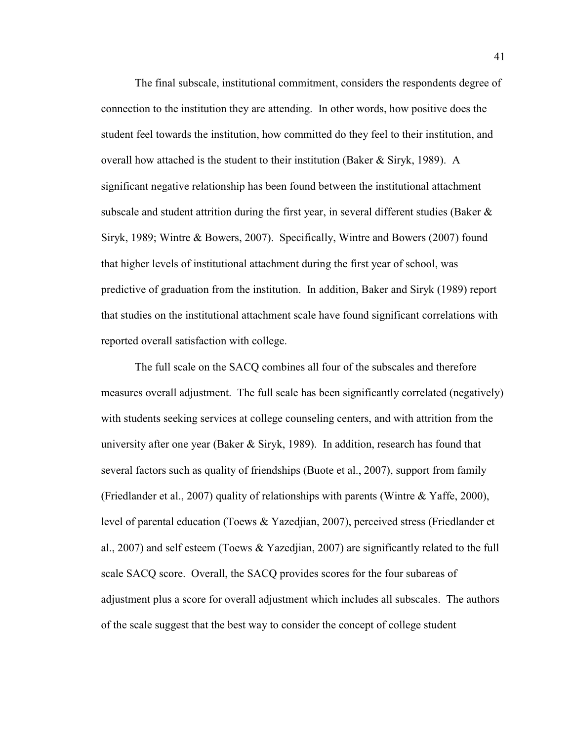The final subscale, institutional commitment, considers the respondents degree of connection to the institution they are attending. In other words, how positive does the student feel towards the institution, how committed do they feel to their institution, and overall how attached is the student to their institution (Baker & Siryk, 1989). A significant negative relationship has been found between the institutional attachment subscale and student attrition during the first year, in several different studies (Baker  $\&$ Siryk, 1989; Wintre & Bowers, 2007). Specifically, Wintre and Bowers (2007) found that higher levels of institutional attachment during the first year of school, was predictive of graduation from the institution. In addition, Baker and Siryk (1989) report that studies on the institutional attachment scale have found significant correlations with reported overall satisfaction with college.

The full scale on the SACQ combines all four of the subscales and therefore measures overall adjustment. The full scale has been significantly correlated (negatively) with students seeking services at college counseling centers, and with attrition from the university after one year (Baker  $&$  Siryk, 1989). In addition, research has found that several factors such as quality of friendships (Buote et al., 2007), support from family (Friedlander et al., 2007) quality of relationships with parents (Wintre  $\&$  Yaffe, 2000), level of parental education (Toews & Yazedjian, 2007), perceived stress (Friedlander et al., 2007) and self esteem (Toews & Yazedjian, 2007) are significantly related to the full scale SACQ score. Overall, the SACQ provides scores for the four subareas of adjustment plus a score for overall adjustment which includes all subscales. The authors of the scale suggest that the best way to consider the concept of college student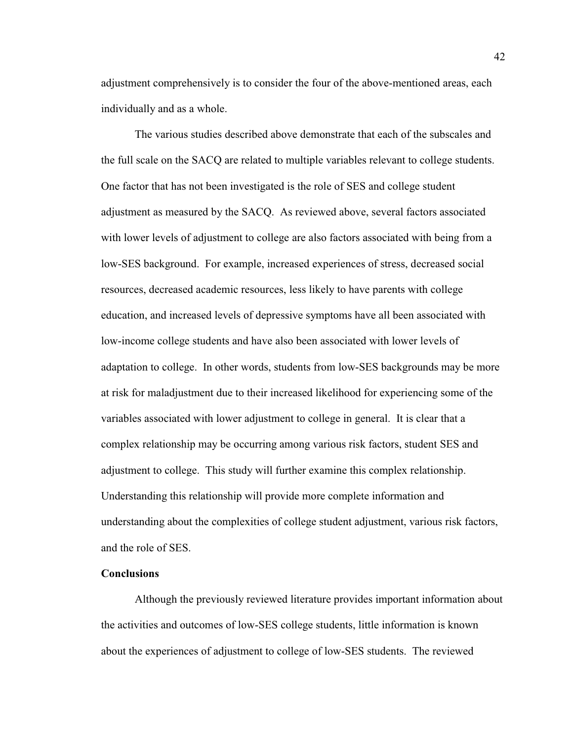adjustment comprehensively is to consider the four of the above-mentioned areas, each individually and as a whole.

The various studies described above demonstrate that each of the subscales and the full scale on the SACQ are related to multiple variables relevant to college students. One factor that has not been investigated is the role of SES and college student adjustment as measured by the SACQ. As reviewed above, several factors associated with lower levels of adjustment to college are also factors associated with being from a low-SES background. For example, increased experiences of stress, decreased social resources, decreased academic resources, less likely to have parents with college education, and increased levels of depressive symptoms have all been associated with low-income college students and have also been associated with lower levels of adaptation to college. In other words, students from low-SES backgrounds may be more at risk for maladjustment due to their increased likelihood for experiencing some of the variables associated with lower adjustment to college in general. It is clear that a complex relationship may be occurring among various risk factors, student SES and adjustment to college. This study will further examine this complex relationship. Understanding this relationship will provide more complete information and understanding about the complexities of college student adjustment, various risk factors, and the role of SES.

### **Conclusions**

Although the previously reviewed literature provides important information about the activities and outcomes of low-SES college students, little information is known about the experiences of adjustment to college of low-SES students. The reviewed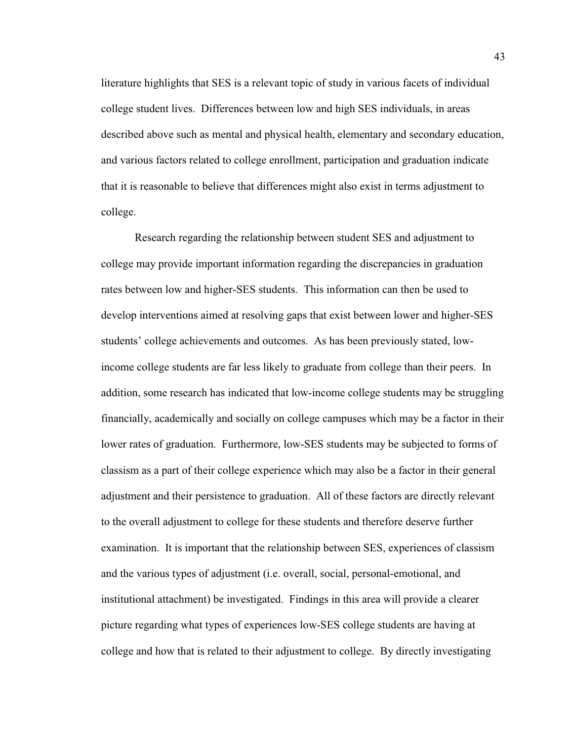literature highlights that SES is a relevant topic of study in various facets of individual college student lives. Differences between low and high SES individuals, in areas described above such as mental and physical health, elementary and secondary education, and various factors related to college enrollment, participation and graduation indicate that it is reasonable to believe that differences might also exist in terms adjustment to college.

Research regarding the relationship between student SES and adjustment to college may provide important information regarding the discrepancies in graduation rates between low and higher-SES students. This information can then be used to develop interventions aimed at resolving gaps that exist between lower and higher-SES students' college achievements and outcomes. As has been previously stated, lowincome college students are far less likely to graduate from college than their peers. In addition, some research has indicated that low-income college students may be struggling financially, academically and socially on college campuses which may be a factor in their lower rates of graduation. Furthermore, low-SES students may be subjected to forms of classism as a part of their college experience which may also be a factor in their general adjustment and their persistence to graduation. All of these factors are directly relevant to the overall adjustment to college for these students and therefore deserve further examination. It is important that the relationship between SES, experiences of classism and the various types of adjustment (i.e. overall, social, personal-emotional, and institutional attachment) be investigated. Findings in this area will provide a clearer picture regarding what types of experiences low-SES college students are having at college and how that is related to their adjustment to college. By directly investigating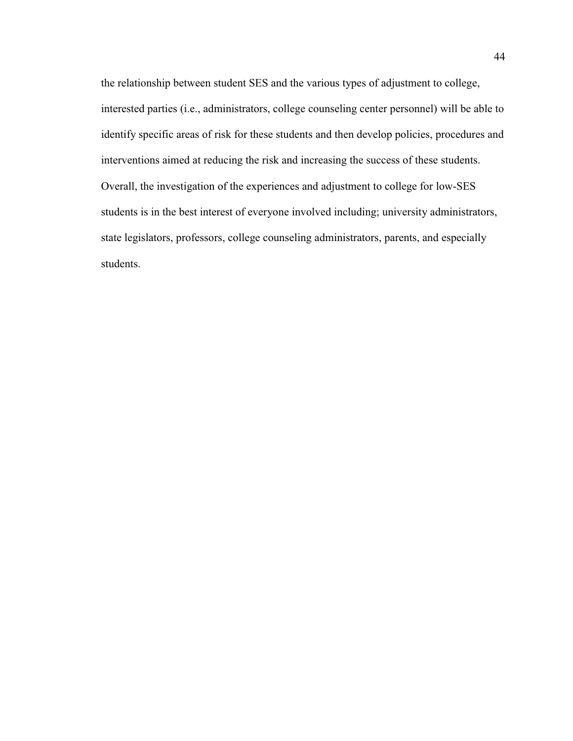the relationship between student SES and the various types of adjustment to college, interested parties (i.e., administrators, college counseling center personnel) will be able to identify specific areas of risk for these students and then develop policies, procedures and interventions aimed at reducing the risk and increasing the success of these students. Overall, the investigation of the experiences and adjustment to college for low-SES students is in the best interest of everyone involved including; university administrators, state legislators, professors, college counseling administrators, parents, and especially students.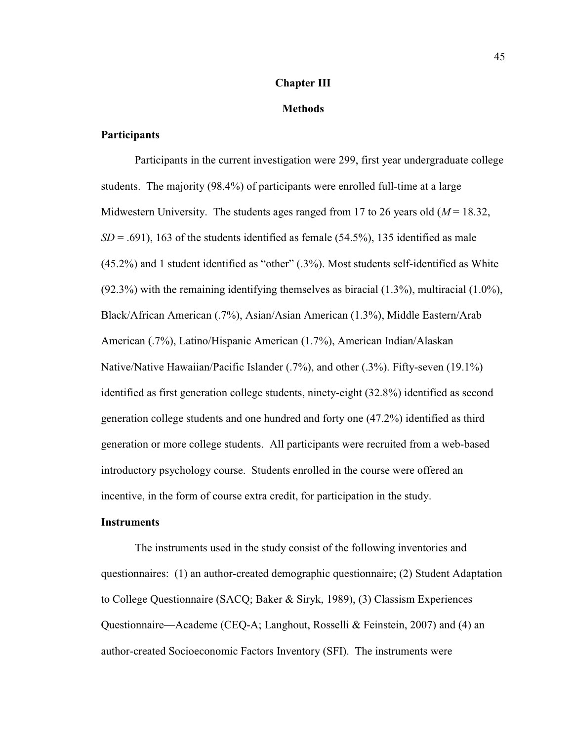#### **Chapter III**

#### **Methods**

#### **Participants**

 Participants in the current investigation were 299, first year undergraduate college students. The majority (98.4%) of participants were enrolled full-time at a large Midwestern University. The students ages ranged from 17 to 26 years old  $(M = 18.32)$ ,  $SD = .691$ ), 163 of the students identified as female (54.5%), 135 identified as male  $(45.2\%)$  and 1 student identified as "other"  $(.3\%)$ . Most students self-identified as White  $(92.3\%)$  with the remaining identifying themselves as biracial  $(1.3\%)$ , multiracial  $(1.0\%)$ , Black/African American (.7%), Asian/Asian American (1.3%), Middle Eastern/Arab American (.7%), Latino/Hispanic American (1.7%), American Indian/Alaskan Native/Native Hawaiian/Pacific Islander (.7%), and other (.3%). Fifty-seven (19.1%) identified as first generation college students, ninety-eight (32.8%) identified as second generation college students and one hundred and forty one (47.2%) identified as third generation or more college students. All participants were recruited from a web-based introductory psychology course. Students enrolled in the course were offered an incentive, in the form of course extra credit, for participation in the study.

#### **Instruments**

 The instruments used in the study consist of the following inventories and questionnaires: (1) an author-created demographic questionnaire; (2) Student Adaptation to College Questionnaire (SACQ; Baker & Siryk, 1989), (3) Classism Experiences Questionnaire—Academe (CEQ-A; Langhout, Rosselli & Feinstein, 2007) and (4) an author-created Socioeconomic Factors Inventory (SFI). The instruments were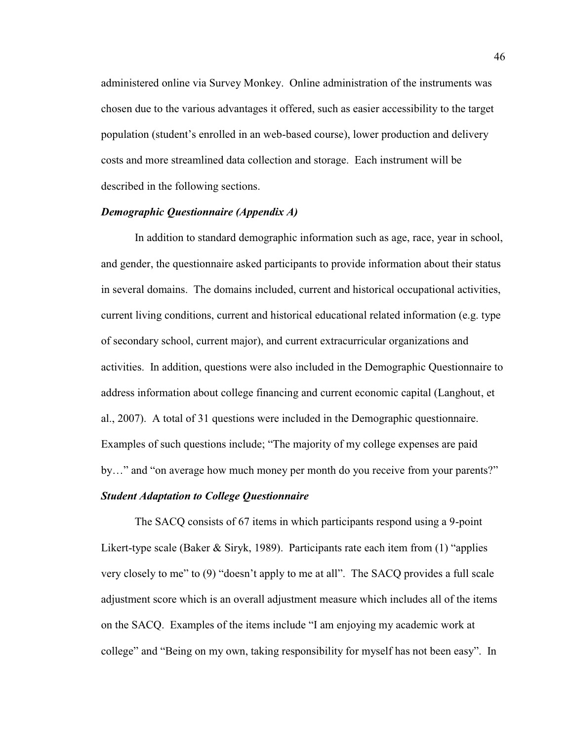administered online via Survey Monkey. Online administration of the instruments was chosen due to the various advantages it offered, such as easier accessibility to the target population (student's enrolled in an web-based course), lower production and delivery costs and more streamlined data collection and storage. Each instrument will be described in the following sections.

## *Demographic Questionnaire (Appendix A)*

In addition to standard demographic information such as age, race, year in school, and gender, the questionnaire asked participants to provide information about their status in several domains. The domains included, current and historical occupational activities, current living conditions, current and historical educational related information (e.g. type of secondary school, current major), and current extracurricular organizations and activities. In addition, questions were also included in the Demographic Questionnaire to address information about college financing and current economic capital (Langhout, et al., 2007). A total of 31 questions were included in the Demographic questionnaire. Examples of such questions include; "The majority of my college expenses are paid by..." and "on average how much money per month do you receive from your parents?"

# *Student Adaptation to College Questionnaire*

The SACQ consists of 67 items in which participants respond using a 9-point Likert-type scale (Baker & Siryk, 1989). Participants rate each item from  $(1)$  "applies" very closely to me" to  $(9)$  "doesn't apply to me at all". The SACQ provides a full scale adjustment score which is an overall adjustment measure which includes all of the items on the SACQ. Examples of the items include "I am enjoying my academic work at college" and "Being on my own, taking responsibility for myself has not been easy". In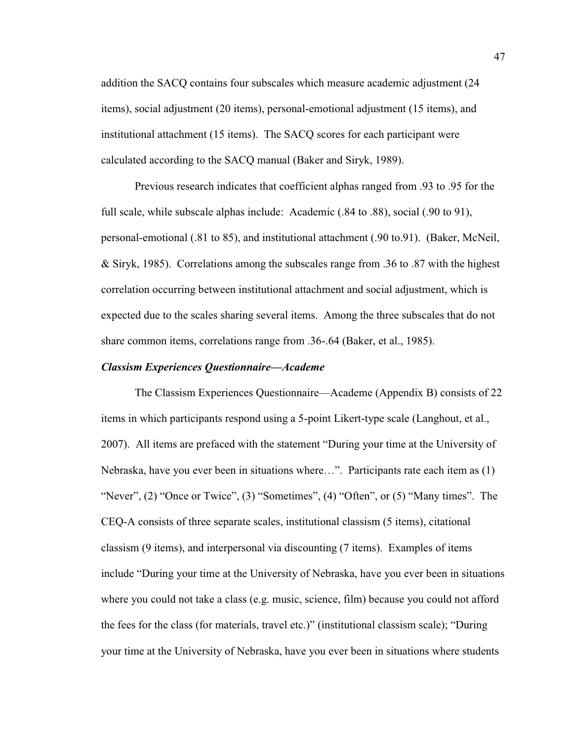addition the SACQ contains four subscales which measure academic adjustment (24 items), social adjustment (20 items), personal-emotional adjustment (15 items), and institutional attachment (15 items). The SACQ scores for each participant were calculated according to the SACQ manual (Baker and Siryk, 1989).

Previous research indicates that coefficient alphas ranged from .93 to .95 for the full scale, while subscale alphas include: Academic (.84 to .88), social (.90 to 91), personal-emotional (.81 to 85), and institutional attachment (.90 to.91). (Baker, McNeil, & Siryk, 1985). Correlations among the subscales range from .36 to .87 with the highest correlation occurring between institutional attachment and social adjustment, which is expected due to the scales sharing several items. Among the three subscales that do not share common items, correlations range from .36-.64 (Baker, et al., 1985).

#### *Classism Experiences Ouestionnaire–Academe*

The Classism Experiences Questionnaire—Academe (Appendix B) consists of 22 items in which participants respond using a 5-point Likert-type scale (Langhout, et al., 2007). All items are prefaced with the statement "During your time at the University of Nebraska, have you ever been in situations where...". Participants rate each item as  $(1)$ "Never",  $(2)$  "Once or Twice",  $(3)$  "Sometimes",  $(4)$  "Often", or  $(5)$  "Many times". The CEQ-A consists of three separate scales, institutional classism (5 items), citational classism (9 items), and interpersonal via discounting (7 items). Examples of items include "During your time at the University of Nebraska, have you ever been in situations where you could not take a class (e.g. music, science, film) because you could not afford the fees for the class (for materials, travel etc.)" (institutional classism scale); "During your time at the University of Nebraska, have you ever been in situations where students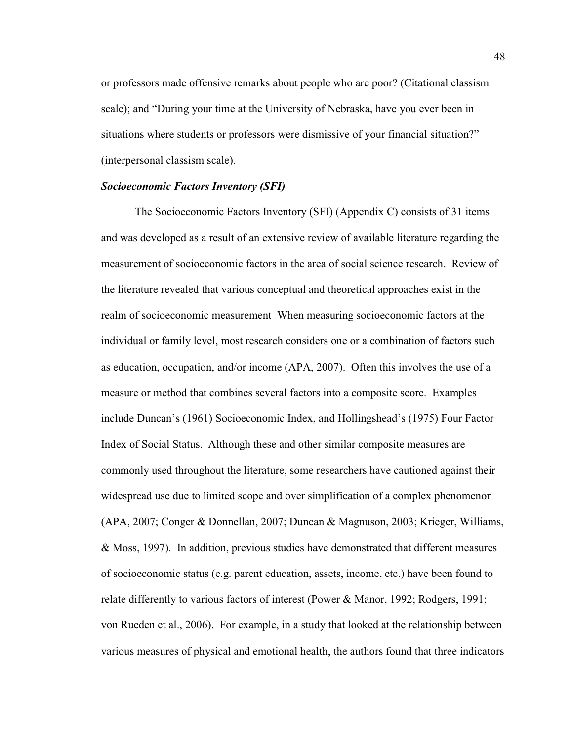or professors made offensive remarks about people who are poor? (Citational classism scale); and "During your time at the University of Nebraska, have you ever been in situations where students or professors were dismissive of your financial situation?" (interpersonal classism scale).

#### *Socioeconomic Factors Inventory (SFI)*

The Socioeconomic Factors Inventory (SFI) (Appendix C) consists of 31 items and was developed as a result of an extensive review of available literature regarding the measurement of socioeconomic factors in the area of social science research. Review of the literature revealed that various conceptual and theoretical approaches exist in the realm of socioeconomic measurement When measuring socioeconomic factors at the individual or family level, most research considers one or a combination of factors such as education, occupation, and/or income (APA, 2007). Often this involves the use of a measure or method that combines several factors into a composite score. Examples include Duncan's (1961) Socioeconomic Index, and Hollingshead's (1975) Four Factor Index of Social Status. Although these and other similar composite measures are commonly used throughout the literature, some researchers have cautioned against their widespread use due to limited scope and over simplification of a complex phenomenon (APA, 2007; Conger & Donnellan, 2007; Duncan & Magnuson, 2003; Krieger, Williams, & Moss, 1997). In addition, previous studies have demonstrated that different measures of socioeconomic status (e.g. parent education, assets, income, etc.) have been found to relate differently to various factors of interest (Power & Manor, 1992; Rodgers, 1991; von Rueden et al., 2006). For example, in a study that looked at the relationship between various measures of physical and emotional health, the authors found that three indicators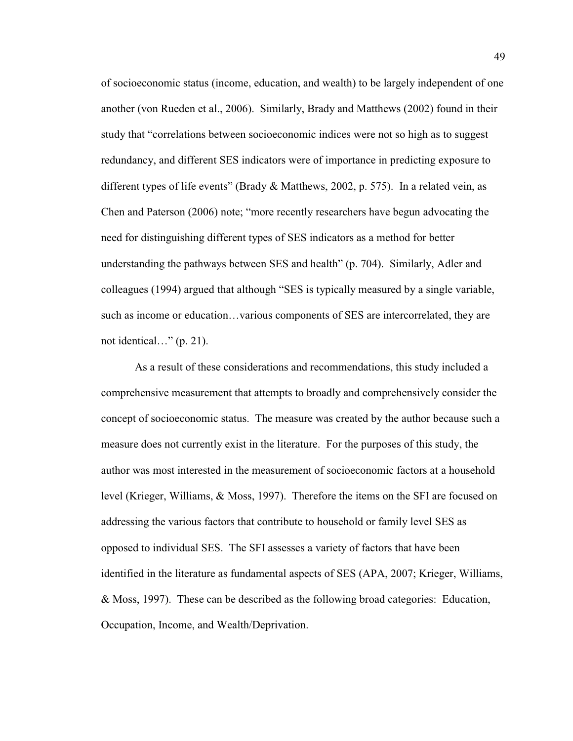of socioeconomic status (income, education, and wealth) to be largely independent of one another (von Rueden et al., 2006). Similarly, Brady and Matthews (2002) found in their study that "correlations between socioeconomic indices were not so high as to suggest redundancy, and different SES indicators were of importance in predicting exposure to different types of life events" (Brady & Matthews, 2002, p. 575). In a related vein, as Chen and Paterson (2006) note; "more recently researchers have begun advocating the need for distinguishing different types of SES indicators as a method for better understanding the pathways between SES and health" (p. 704). Similarly, Adler and colleagues (1994) argued that although "SES is typically measured by a single variable, such as income or education...various components of SES are intercorrelated, they are not identical..."  $(p. 21)$ .

As a result of these considerations and recommendations, this study included a comprehensive measurement that attempts to broadly and comprehensively consider the concept of socioeconomic status. The measure was created by the author because such a measure does not currently exist in the literature. For the purposes of this study, the author was most interested in the measurement of socioeconomic factors at a household level (Krieger, Williams, & Moss, 1997). Therefore the items on the SFI are focused on addressing the various factors that contribute to household or family level SES as opposed to individual SES. The SFI assesses a variety of factors that have been identified in the literature as fundamental aspects of SES (APA, 2007; Krieger, Williams, & Moss, 1997). These can be described as the following broad categories: Education, Occupation, Income, and Wealth/Deprivation.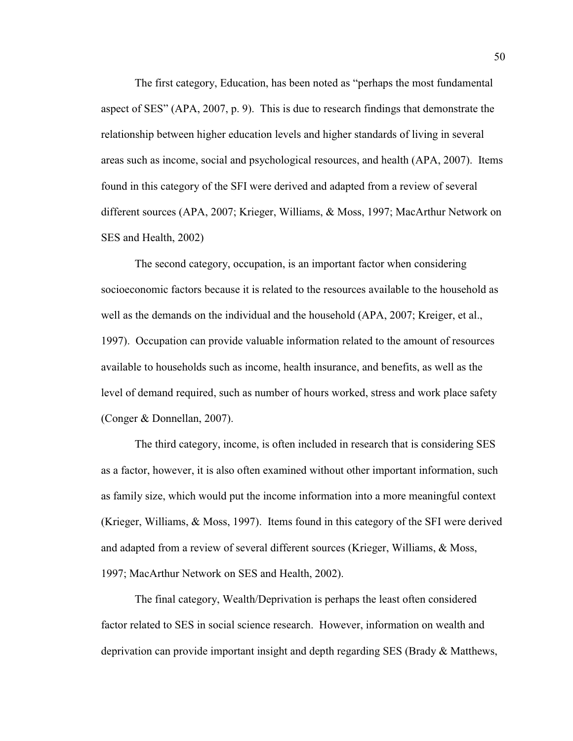The first category, Education, has been noted as "perhaps the most fundamental" aspect of SES" (APA, 2007, p. 9). This is due to research findings that demonstrate the relationship between higher education levels and higher standards of living in several areas such as income, social and psychological resources, and health (APA, 2007). Items found in this category of the SFI were derived and adapted from a review of several different sources (APA, 2007; Krieger, Williams, & Moss, 1997; MacArthur Network on SES and Health, 2002)

The second category, occupation, is an important factor when considering socioeconomic factors because it is related to the resources available to the household as well as the demands on the individual and the household (APA, 2007; Kreiger, et al., 1997). Occupation can provide valuable information related to the amount of resources available to households such as income, health insurance, and benefits, as well as the level of demand required, such as number of hours worked, stress and work place safety (Conger & Donnellan, 2007).

The third category, income, is often included in research that is considering SES as a factor, however, it is also often examined without other important information, such as family size, which would put the income information into a more meaningful context (Krieger, Williams, & Moss, 1997). Items found in this category of the SFI were derived and adapted from a review of several different sources (Krieger, Williams, & Moss, 1997; MacArthur Network on SES and Health, 2002).

The final category, Wealth/Deprivation is perhaps the least often considered factor related to SES in social science research. However, information on wealth and deprivation can provide important insight and depth regarding SES (Brady & Matthews,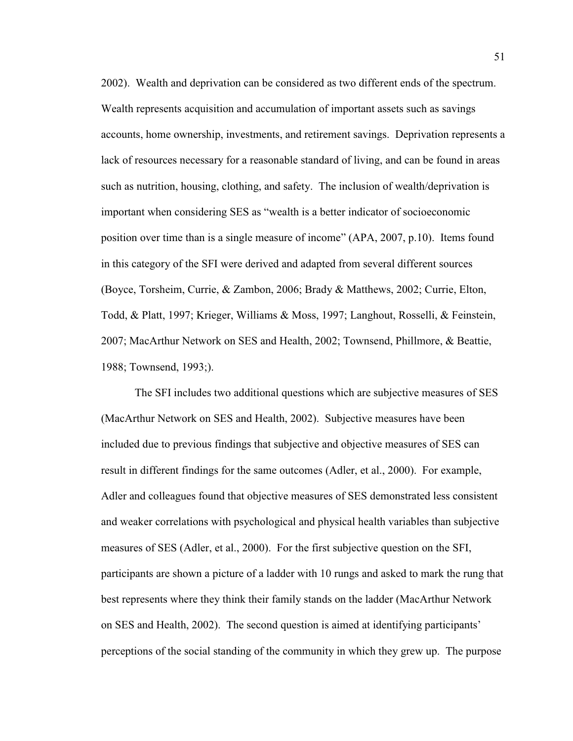2002). Wealth and deprivation can be considered as two different ends of the spectrum. Wealth represents acquisition and accumulation of important assets such as savings accounts, home ownership, investments, and retirement savings. Deprivation represents a lack of resources necessary for a reasonable standard of living, and can be found in areas such as nutrition, housing, clothing, and safety. The inclusion of wealth/deprivation is important when considering SES as "wealth is a better indicator of socioeconomic position over time than is a single measure of income"  $(APA, 2007, p.10)$ . Items found in this category of the SFI were derived and adapted from several different sources (Boyce, Torsheim, Currie, & Zambon, 2006; Brady & Matthews, 2002; Currie, Elton, Todd, & Platt, 1997; Krieger, Williams & Moss, 1997; Langhout, Rosselli, & Feinstein, 2007; MacArthur Network on SES and Health, 2002; Townsend, Phillmore, & Beattie, 1988; Townsend, 1993;).

The SFI includes two additional questions which are subjective measures of SES (MacArthur Network on SES and Health, 2002). Subjective measures have been included due to previous findings that subjective and objective measures of SES can result in different findings for the same outcomes (Adler, et al., 2000). For example, Adler and colleagues found that objective measures of SES demonstrated less consistent and weaker correlations with psychological and physical health variables than subjective measures of SES (Adler, et al., 2000). For the first subjective question on the SFI, participants are shown a picture of a ladder with 10 rungs and asked to mark the rung that best represents where they think their family stands on the ladder (MacArthur Network on SES and Health, 2002). The second question is aimed at identifying participants' perceptions of the social standing of the community in which they grew up. The purpose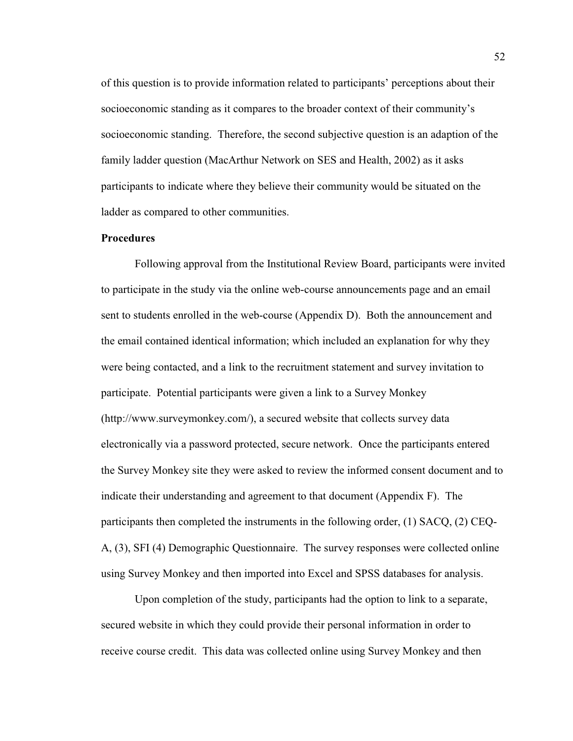of this question is to provide information related to participants' perceptions about their socioeconomic standing as it compares to the broader context of their community's socioeconomic standing. Therefore, the second subjective question is an adaption of the family ladder question (MacArthur Network on SES and Health, 2002) as it asks participants to indicate where they believe their community would be situated on the ladder as compared to other communities.

# **Procedures**

 Following approval from the Institutional Review Board, participants were invited to participate in the study via the online web-course announcements page and an email sent to students enrolled in the web-course (Appendix D). Both the announcement and the email contained identical information; which included an explanation for why they were being contacted, and a link to the recruitment statement and survey invitation to participate. Potential participants were given a link to a Survey Monkey (http://www.surveymonkey.com/), a secured website that collects survey data electronically via a password protected, secure network. Once the participants entered the Survey Monkey site they were asked to review the informed consent document and to indicate their understanding and agreement to that document (Appendix F). The participants then completed the instruments in the following order, (1) SACQ, (2) CEQ-A, (3), SFI (4) Demographic Questionnaire. The survey responses were collected online using Survey Monkey and then imported into Excel and SPSS databases for analysis.

Upon completion of the study, participants had the option to link to a separate, secured website in which they could provide their personal information in order to receive course credit. This data was collected online using Survey Monkey and then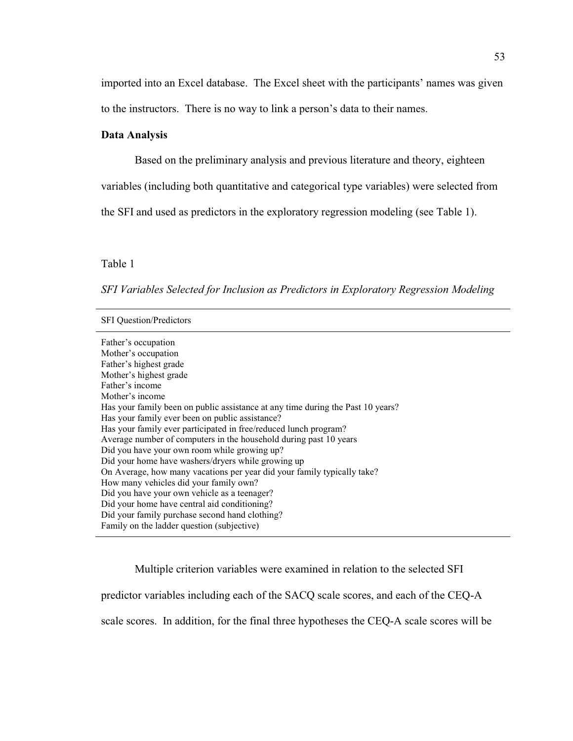imported into an Excel database. The Excel sheet with the participants' names was given to the instructors. There is no way to link a person's data to their names.

#### **Data Analysis**

Based on the preliminary analysis and previous literature and theory, eighteen

variables (including both quantitative and categorical type variables) were selected from

the SFI and used as predictors in the exploratory regression modeling (see Table 1).

Table 1

*SFI Variables Selected for Inclusion as Predictors in Exploratory Regression Modeling* 

SFI Question/Predictors

Father's occupation Mother's occupation Father's highest grade Mother's highest grade Father's income Mother's income Has your family been on public assistance at any time during the Past 10 years? Has your family ever been on public assistance? Has your family ever participated in free/reduced lunch program? Average number of computers in the household during past 10 years Did you have your own room while growing up? Did your home have washers/dryers while growing up On Average, how many vacations per year did your family typically take? How many vehicles did your family own? Did you have your own vehicle as a teenager? Did your home have central aid conditioning? Did your family purchase second hand clothing? Family on the ladder question (subjective)

Multiple criterion variables were examined in relation to the selected SFI

predictor variables including each of the SACQ scale scores, and each of the CEQ-A

scale scores. In addition, for the final three hypotheses the CEQ-A scale scores will be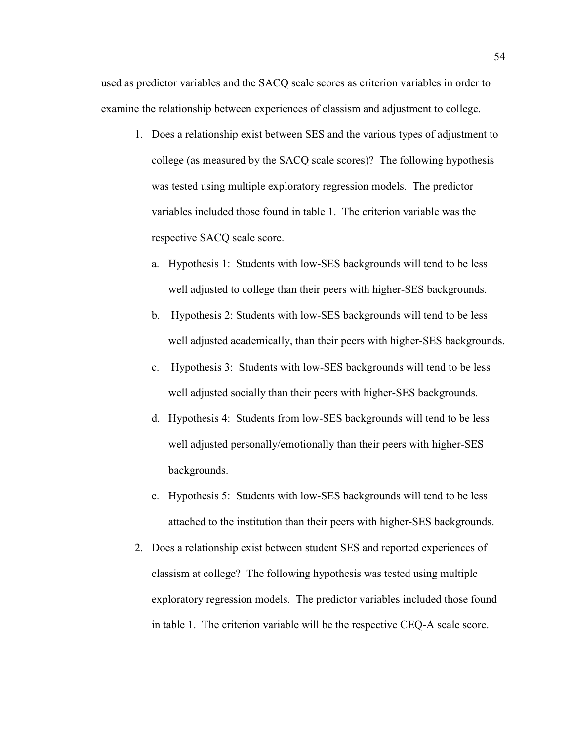used as predictor variables and the SACQ scale scores as criterion variables in order to examine the relationship between experiences of classism and adjustment to college.

- 1. Does a relationship exist between SES and the various types of adjustment to college (as measured by the SACQ scale scores)? The following hypothesis was tested using multiple exploratory regression models. The predictor variables included those found in table 1. The criterion variable was the respective SACQ scale score.
	- a. Hypothesis 1: Students with low-SES backgrounds will tend to be less well adjusted to college than their peers with higher-SES backgrounds.
	- b. Hypothesis 2: Students with low-SES backgrounds will tend to be less well adjusted academically, than their peers with higher-SES backgrounds.
	- c. Hypothesis 3: Students with low-SES backgrounds will tend to be less well adjusted socially than their peers with higher-SES backgrounds.
	- d. Hypothesis 4: Students from low-SES backgrounds will tend to be less well adjusted personally/emotionally than their peers with higher-SES backgrounds.
	- e. Hypothesis 5: Students with low-SES backgrounds will tend to be less attached to the institution than their peers with higher-SES backgrounds.
- 2. Does a relationship exist between student SES and reported experiences of classism at college? The following hypothesis was tested using multiple exploratory regression models. The predictor variables included those found in table 1. The criterion variable will be the respective CEQ-A scale score.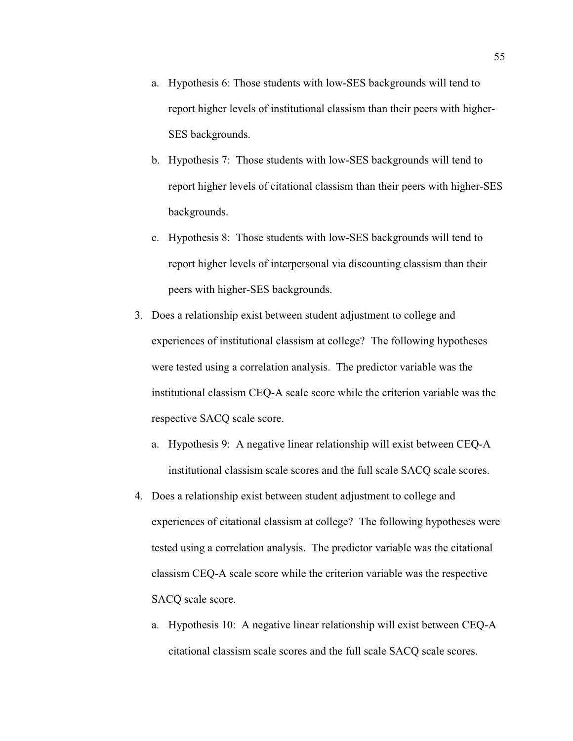- a. Hypothesis 6: Those students with low-SES backgrounds will tend to report higher levels of institutional classism than their peers with higher-SES backgrounds.
- b. Hypothesis 7: Those students with low-SES backgrounds will tend to report higher levels of citational classism than their peers with higher-SES backgrounds.
- c. Hypothesis 8: Those students with low-SES backgrounds will tend to report higher levels of interpersonal via discounting classism than their peers with higher-SES backgrounds.
- 3. Does a relationship exist between student adjustment to college and experiences of institutional classism at college? The following hypotheses were tested using a correlation analysis. The predictor variable was the institutional classism CEQ-A scale score while the criterion variable was the respective SACQ scale score.
	- a. Hypothesis 9: A negative linear relationship will exist between CEQ-A institutional classism scale scores and the full scale SACQ scale scores.
- 4. Does a relationship exist between student adjustment to college and experiences of citational classism at college? The following hypotheses were tested using a correlation analysis. The predictor variable was the citational classism CEQ-A scale score while the criterion variable was the respective SACQ scale score.
	- a. Hypothesis 10: A negative linear relationship will exist between CEQ-A citational classism scale scores and the full scale SACQ scale scores.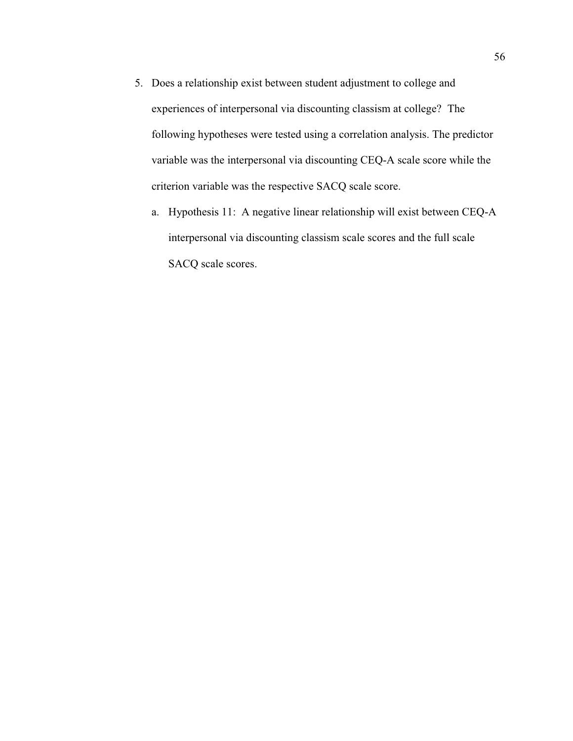- 5. Does a relationship exist between student adjustment to college and experiences of interpersonal via discounting classism at college? The following hypotheses were tested using a correlation analysis. The predictor variable was the interpersonal via discounting CEQ-A scale score while the criterion variable was the respective SACQ scale score.
	- a. Hypothesis 11: A negative linear relationship will exist between CEQ-A interpersonal via discounting classism scale scores and the full scale SACQ scale scores.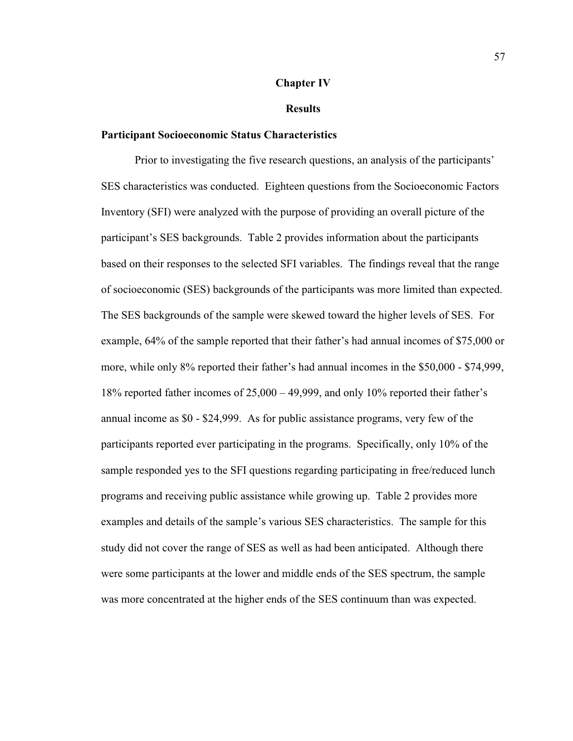#### **Chapter IV**

#### **Results**

## **Participant Socioeconomic Status Characteristics**

Prior to investigating the five research questions, an analysis of the participants' SES characteristics was conducted. Eighteen questions from the Socioeconomic Factors Inventory (SFI) were analyzed with the purpose of providing an overall picture of the participant's SES backgrounds. Table 2 provides information about the participants based on their responses to the selected SFI variables. The findings reveal that the range of socioeconomic (SES) backgrounds of the participants was more limited than expected. The SES backgrounds of the sample were skewed toward the higher levels of SES. For example, 64% of the sample reported that their father's had annual incomes of \$75,000 or more, while only  $8\%$  reported their father's had annual incomes in the  $$50,000$  -  $$74,999$ , 18% reported father incomes of  $25,000 - 49,999$ , and only 10% reported their father's annual income as \$0 - \$24,999. As for public assistance programs, very few of the participants reported ever participating in the programs. Specifically, only 10% of the sample responded yes to the SFI questions regarding participating in free/reduced lunch programs and receiving public assistance while growing up. Table 2 provides more examples and details of the sample's various SES characteristics. The sample for this study did not cover the range of SES as well as had been anticipated. Although there were some participants at the lower and middle ends of the SES spectrum, the sample was more concentrated at the higher ends of the SES continuum than was expected.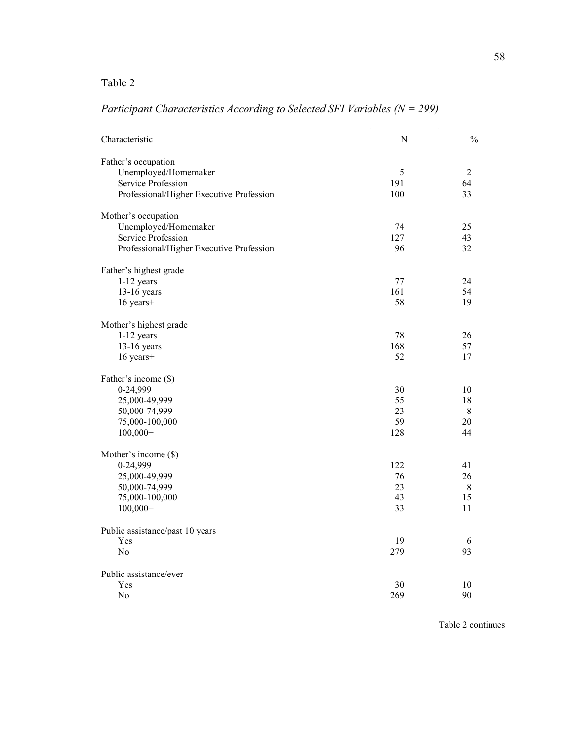# Table 2

| Characteristic                           | ${\bf N}$ | $\frac{0}{0}$  |
|------------------------------------------|-----------|----------------|
| Father's occupation                      |           |                |
| Unemployed/Homemaker                     | 5         | $\overline{2}$ |
| Service Profession                       | 191       | 64             |
| Professional/Higher Executive Profession | 100       | 33             |
| Mother's occupation                      |           |                |
| Unemployed/Homemaker                     | 74        | 25             |
| Service Profession                       | 127       | 43             |
| Professional/Higher Executive Profession | 96        | 32             |
| Father's highest grade                   |           |                |
| $1-12$ years                             | 77        | 24             |
| $13-16$ years                            | 161       | 54             |
| 16 years+                                | 58        | 19             |
| Mother's highest grade                   |           |                |
| $1-12$ years                             | 78        | 26             |
| $13-16$ years                            | 168       | 57             |
| 16 years+                                | 52        | 17             |
| Father's income (\$)                     |           |                |
| 0-24,999                                 | 30        | 10             |
| 25,000-49,999                            | 55        | 18             |
| 50,000-74,999                            | 23        | $\,8\,$        |
| 75,000-100,000                           | 59        | 20             |
| $100,000+$                               | 128       | 44             |
| Mother's income (\$)                     |           |                |
| 0-24,999                                 | 122       | 41             |
| 25,000-49,999                            | 76        | 26             |
| 50,000-74,999                            | 23        | $\,$ 8 $\,$    |
| 75,000-100,000                           | 43        | 15             |
| $100,000+$                               | 33        | 11             |
| Public assistance/past 10 years          |           |                |
| Yes                                      | 19        | 6              |
| N <sub>o</sub>                           | 279       | 93             |
| Public assistance/ever                   |           |                |
| Yes                                      | 30        | 10             |
| No                                       | 269       | 90             |

*Participant Characteristics According to Selected SFI Variables (N = 299)*

Table 2 continues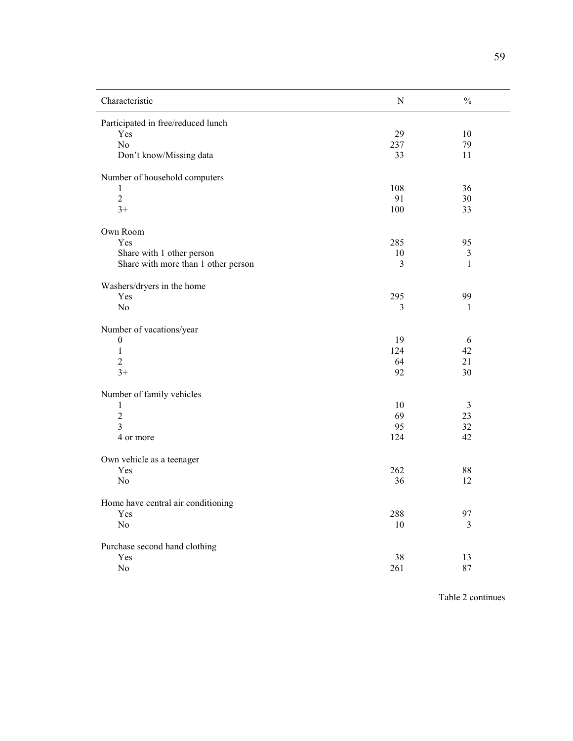| Characteristic                      | ${\bf N}$ | $\frac{0}{0}$  |
|-------------------------------------|-----------|----------------|
| Participated in free/reduced lunch  |           |                |
| Yes                                 | 29        | 10             |
| No                                  | 237       | 79             |
| Don't know/Missing data             | 33        | 11             |
| Number of household computers       |           |                |
| 1                                   | 108       | 36             |
| $\overline{c}$                      | 91        | 30             |
| $3+$                                | 100       | 33             |
| Own Room                            |           |                |
| Yes                                 | 285       | 95             |
| Share with 1 other person           | 10        | 3              |
| Share with more than 1 other person | 3         | $\mathbf{1}$   |
| Washers/dryers in the home          |           |                |
| Yes                                 | 295       | 99             |
| No                                  | 3         | 1              |
| Number of vacations/year            |           |                |
| $\boldsymbol{0}$                    | 19        | 6              |
| $\mathbf{1}$                        | 124       | 42             |
| $\overline{c}$                      | 64        | 21             |
| $3+$                                | 92        | 30             |
| Number of family vehicles           |           |                |
| $\mathbf{1}$                        | 10        | 3              |
| $\overline{2}$                      | 69        | 23             |
| 3                                   | 95        | 32             |
| 4 or more                           | 124       | 42             |
| Own vehicle as a teenager           |           |                |
| Yes                                 | 262       | 88             |
| No                                  | 36        | 12             |
| Home have central air conditioning  |           |                |
| Yes                                 | 288       | 97             |
| $\rm No$                            | $10\,$    | $\mathfrak{Z}$ |
| Purchase second hand clothing       |           |                |
| Yes                                 | 38        | 13             |
| ${\rm No}$                          | 261       | 87             |

Table 2 continues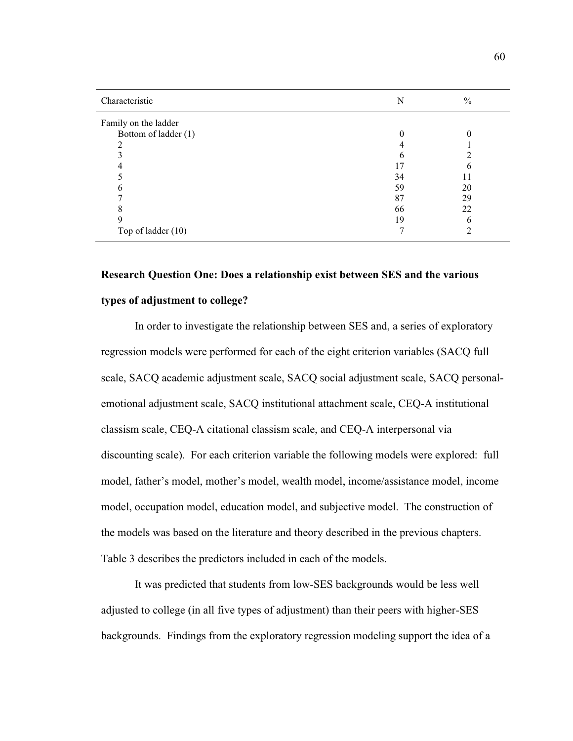| Characteristic       | N  | $\%$ |
|----------------------|----|------|
| Family on the ladder |    |      |
| Bottom of ladder (1) |    |      |
|                      |    |      |
|                      |    |      |
|                      |    |      |
|                      | 34 |      |
|                      | 59 | 20   |
|                      | 87 | 29   |
|                      | 66 | 22   |
|                      | 19 | n    |
| Top of ladder (10)   |    |      |

# **Research Question One: Does a relationship exist between SES and the various**

# **types of adjustment to college?**

In order to investigate the relationship between SES and, a series of exploratory regression models were performed for each of the eight criterion variables (SACQ full scale, SACQ academic adjustment scale, SACQ social adjustment scale, SACQ personalemotional adjustment scale, SACQ institutional attachment scale, CEQ-A institutional classism scale, CEQ-A citational classism scale, and CEQ-A interpersonal via discounting scale). For each criterion variable the following models were explored: full model, father's model, mother's model, wealth model, income/assistance model, income model, occupation model, education model, and subjective model. The construction of the models was based on the literature and theory described in the previous chapters. Table 3 describes the predictors included in each of the models.

It was predicted that students from low-SES backgrounds would be less well adjusted to college (in all five types of adjustment) than their peers with higher-SES backgrounds. Findings from the exploratory regression modeling support the idea of a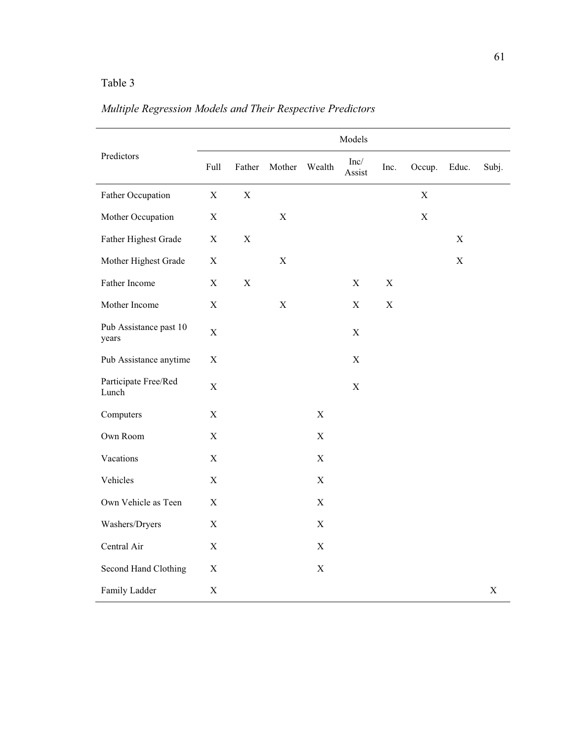# Table 3

| Predictors                      |             |             |             |                           | Models         |             |             |             |             |
|---------------------------------|-------------|-------------|-------------|---------------------------|----------------|-------------|-------------|-------------|-------------|
|                                 | Full        | Father      | Mother      | Wealth                    | Inc/<br>Assist | Inc.        | Occup.      | Educ.       | Subj.       |
| Father Occupation               | $\mathbf X$ | $\mathbf X$ |             |                           |                |             | $\mathbf X$ |             |             |
| Mother Occupation               | $\mathbf X$ |             | $\mathbf X$ |                           |                |             | $\mathbf X$ |             |             |
| Father Highest Grade            | $\mathbf X$ | $\mathbf X$ |             |                           |                |             |             | $\mathbf X$ |             |
| Mother Highest Grade            | $\mathbf X$ |             | $\mathbf X$ |                           |                |             |             | $\mathbf X$ |             |
| Father Income                   | $\mathbf X$ | $\mathbf X$ |             |                           | $\mathbf X$    | $\mathbf X$ |             |             |             |
| Mother Income                   | $\mathbf X$ |             | $\mathbf X$ |                           | $\mathbf X$    | $\mathbf X$ |             |             |             |
| Pub Assistance past 10<br>years | $\mathbf X$ |             |             |                           | $\mathbf X$    |             |             |             |             |
| Pub Assistance anytime          | $\mathbf X$ |             |             |                           | $\mathbf X$    |             |             |             |             |
| Participate Free/Red<br>Lunch   | $\mathbf X$ |             |             |                           | $\mathbf X$    |             |             |             |             |
| Computers                       | $\mathbf X$ |             |             | $\boldsymbol{\mathrm{X}}$ |                |             |             |             |             |
| Own Room                        | $\mathbf X$ |             |             | $\mathbf X$               |                |             |             |             |             |
| Vacations                       | $\mathbf X$ |             |             | $\mathbf X$               |                |             |             |             |             |
| Vehicles                        | $\mathbf X$ |             |             | $\boldsymbol{\mathrm{X}}$ |                |             |             |             |             |
| Own Vehicle as Teen             | $\mathbf X$ |             |             | $\mathbf X$               |                |             |             |             |             |
| Washers/Dryers                  | $\mathbf X$ |             |             | $\mathbf X$               |                |             |             |             |             |
| Central Air                     | $\mathbf X$ |             |             | $\mathbf X$               |                |             |             |             |             |
| Second Hand Clothing            | $\mathbf X$ |             |             | $\boldsymbol{\mathrm{X}}$ |                |             |             |             |             |
| Family Ladder                   | $\mathbf X$ |             |             |                           |                |             |             |             | $\mathbf X$ |

# *Multiple Regression Models and Their Respective Predictors*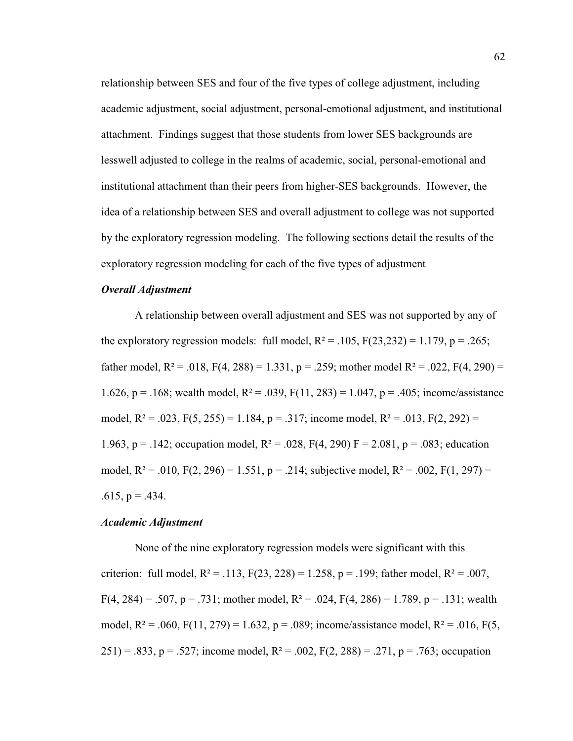relationship between SES and four of the five types of college adjustment, including academic adjustment, social adjustment, personal-emotional adjustment, and institutional attachment. Findings suggest that those students from lower SES backgrounds are lesswell adjusted to college in the realms of academic, social, personal-emotional and institutional attachment than their peers from higher-SES backgrounds. However, the idea of a relationship between SES and overall adjustment to college was not supported by the exploratory regression modeling. The following sections detail the results of the exploratory regression modeling for each of the five types of adjustment

## *Overall Adjustment*

A relationship between overall adjustment and SES was not supported by any of the exploratory regression models: full model,  $R^2 = .105$ ,  $F(23,232) = 1.179$ ,  $p = .265$ ; father model,  $R^2 = .018$ ,  $F(4, 288) = 1.331$ ,  $p = .259$ ; mother model  $R^2 = .022$ ,  $F(4, 290) =$ 1.626, p = .168; wealth model,  $R^2 = .039$ ,  $F(11, 283) = 1.047$ , p = .405; income/assistance model,  $R^2 = .023$ ,  $F(5, 255) = 1.184$ ,  $p = .317$ ; income model,  $R^2 = .013$ ,  $F(2, 292) =$ 1.963, p = .142; occupation model,  $R^2 = 0.028$ ,  $F(4, 290)$  F = 2.081, p = .083; education model,  $R^2 = .010$ ,  $F(2, 296) = 1.551$ ,  $p = .214$ ; subjective model,  $R^2 = .002$ ,  $F(1, 297) =$  $.615, p = .434.$ 

### *Academic Adjustment*

None of the nine exploratory regression models were significant with this criterion: full model,  $R^2 = .113$ ,  $F(23, 228) = 1.258$ ,  $p = .199$ ; father model,  $R^2 = .007$ ,  $F(4, 284) = .507$ , p = .731; mother model, R<sup>2</sup> = .024, F(4, 286) = 1.789, p = .131; wealth model,  $R^2 = .060$ ,  $F(11, 279) = 1.632$ ,  $p = .089$ ; income/assistance model,  $R^2 = .016$ ,  $F(5, 11, 279) = 1.632$ ,  $p = .089$ ; income/assistance model,  $R^2 = .016$ ,  $F(5, 11, 279) = 1.632$ ,  $p = .089$ ; income/assistance model,  $R^2$ 251) = .833, p = .527; income model,  $R^2$  = .002,  $F(2, 288)$  = .271, p = .763; occupation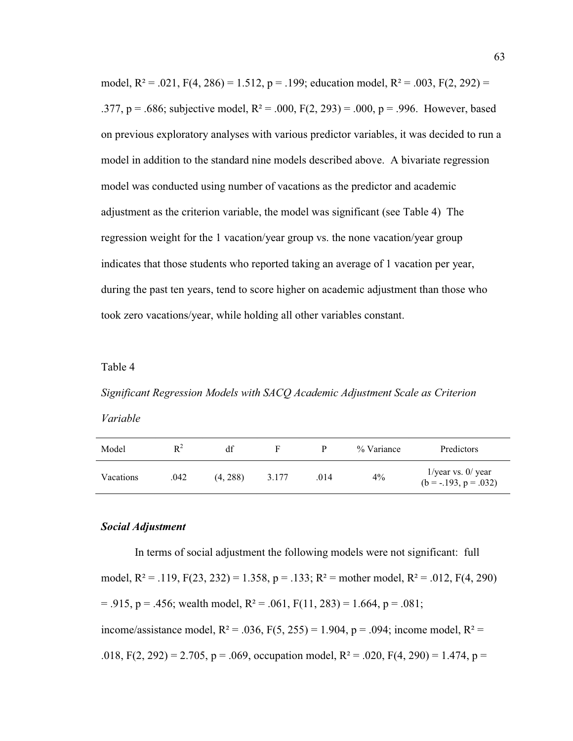model,  $R^2 = .021$ ,  $F(4, 286) = 1.512$ ,  $p = .199$ ; education model,  $R^2 = .003$ ,  $F(2, 292) =$ .377, p = .686; subjective model,  $R^2 = 0.00$ ,  $F(2, 293) = 0.00$ , p = .996. However, based on previous exploratory analyses with various predictor variables, it was decided to run a model in addition to the standard nine models described above. A bivariate regression model was conducted using number of vacations as the predictor and academic adjustment as the criterion variable, the model was significant (see Table 4) The regression weight for the 1 vacation/year group vs. the none vacation/year group indicates that those students who reported taking an average of 1 vacation per year, during the past ten years, tend to score higher on academic adjustment than those who took zero vacations/year, while holding all other variables constant.

#### Table 4

*Significant Regression Models with SACQ Academic Adjustment Scale as Criterion Variable*

| Model     | $R^2$ | df       |       |      | % Variance | Predictors                                         |
|-----------|-------|----------|-------|------|------------|----------------------------------------------------|
| Vacations | .042  | (4, 288) | 3.177 | .014 | $4\%$      | $1$ /year vs. $0$ /year<br>$(b = -.193, p = .032)$ |

#### *Social Adjustment*

In terms of social adjustment the following models were not significant: full model,  $R^2 = .119$ ,  $F(23, 232) = 1.358$ ,  $p = .133$ ;  $R^2$  = mother model,  $R^2 = .012$ ,  $F(4, 290)$  $= .915$ ,  $p = .456$ ; wealth model,  $R^2 = .061$ ,  $F(11, 283) = 1.664$ ,  $p = .081$ ; income/assistance model,  $R^2 = .036$ ,  $F(5, 255) = 1.904$ ,  $p = .094$ ; income model,  $R^2 =$ .018, F(2, 292) = 2.705, p = .069, occupation model, R<sup>2</sup> = .020, F(4, 290) = 1.474, p =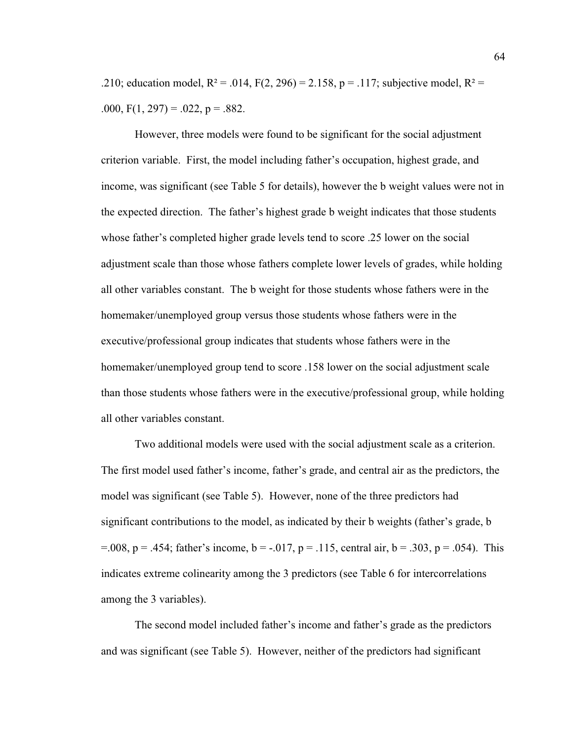.210; education model,  $R^2 = .014$ ,  $F(2, 296) = 2.158$ , p = .117; subjective model,  $R^2 =$ .000,  $F(1, 297) = .022$ ,  $p = .882$ .

However, three models were found to be significant for the social adjustment criterion variable. First, the model including father's occupation, highest grade, and income, was significant (see Table 5 for details), however the b weight values were not in the expected direction. The father's highest grade b weight indicates that those students whose father's completed higher grade levels tend to score .25 lower on the social adjustment scale than those whose fathers complete lower levels of grades, while holding all other variables constant. The b weight for those students whose fathers were in the homemaker/unemployed group versus those students whose fathers were in the executive/professional group indicates that students whose fathers were in the homemaker/unemployed group tend to score .158 lower on the social adjustment scale than those students whose fathers were in the executive/professional group, while holding all other variables constant.

Two additional models were used with the social adjustment scale as a criterion. The first model used father's income, father's grade, and central air as the predictors, the model was significant (see Table 5). However, none of the three predictors had significant contributions to the model, as indicated by their b weights (father's grade, b  $S = 0.008$ , p = .454; father's income, b = -.017, p = .115, central air, b = .303, p = .054). This indicates extreme colinearity among the 3 predictors (see Table 6 for intercorrelations among the 3 variables).

The second model included father's income and father's grade as the predictors and was significant (see Table 5). However, neither of the predictors had significant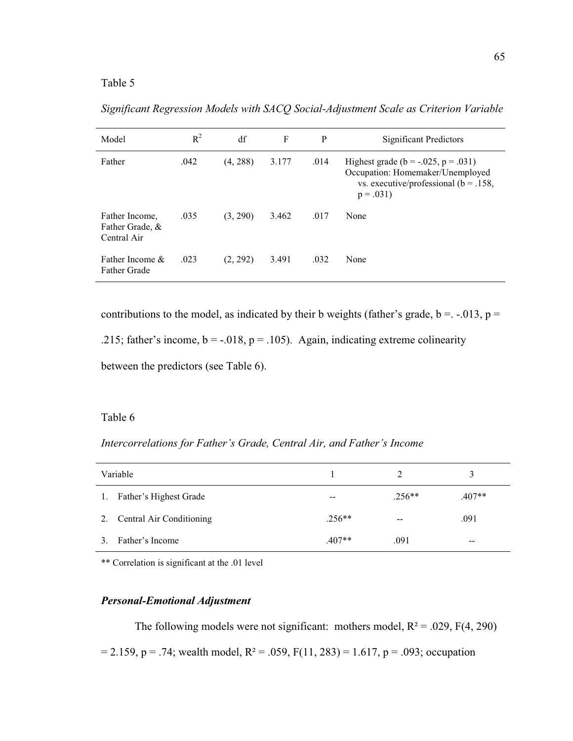*Significant Regression Models with SACQ Social-Adjustment Scale as Criterion Variable* 

| Model                                            | $R^2$ | df       | F     | P    | <b>Significant Predictors</b>                                                                                                             |
|--------------------------------------------------|-------|----------|-------|------|-------------------------------------------------------------------------------------------------------------------------------------------|
| Father                                           | .042  | (4, 288) | 3.177 | .014 | Highest grade ( $b = -.025$ , $p = .031$ )<br>Occupation: Homemaker/Unemployed<br>vs. executive/professional ( $b = .158$ ,<br>$p = .031$ |
| Father Income,<br>Father Grade, &<br>Central Air | .035  | (3, 290) | 3.462 | .017 | None                                                                                                                                      |
| Father Income $\&$<br><b>Father Grade</b>        | .023  | (2, 292) | 3.491 | .032 | None                                                                                                                                      |

contributions to the model, as indicated by their b weights (father's grade,  $b = -.013$ ,  $p =$ 

.215; father's income,  $b = -0.018$ ,  $p = 0.105$ . Again, indicating extreme colinearity

between the predictors (see Table 6).

## Table 6

*Intercorrelations for Father's Grade, Central Air, and Father's Income* 

|    | Variable                 |          |               | 3        |
|----|--------------------------|----------|---------------|----------|
| 1. | Father's Highest Grade   | $- -$    | $.256**$      | $.407**$ |
| 2. | Central Air Conditioning | $.256**$ | $\sim$ $\sim$ | .091     |
|    | Father's Income          | $.407**$ | .091          | --       |

\*\* Correlation is significant at the .01 level

#### *Personal-Emotional Adjustment*

The following models were not significant: mothers model,  $R^2 = .029$ ,  $F(4, 290)$  $= 2.159$ , p = .74; wealth model, R<sup>2</sup> = .059, F(11, 283) = 1.617, p = .093; occupation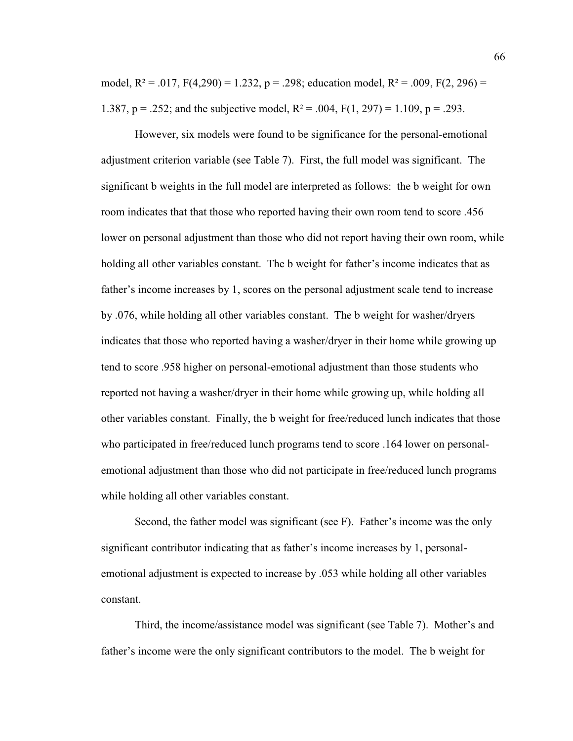model,  $R^2 = .017$ ,  $F(4,290) = 1.232$ ,  $p = .298$ ; education model,  $R^2 = .009$ ,  $F(2, 296) =$ 1.387, p = .252; and the subjective model,  $R^2 = .004$ ,  $F(1, 297) = 1.109$ , p = .293.

However, six models were found to be significance for the personal-emotional adjustment criterion variable (see Table 7). First, the full model was significant. The significant b weights in the full model are interpreted as follows: the b weight for own room indicates that that those who reported having their own room tend to score .456 lower on personal adjustment than those who did not report having their own room, while holding all other variables constant. The b weight for father's income indicates that as father's income increases by 1, scores on the personal adjustment scale tend to increase by .076, while holding all other variables constant. The b weight for washer/dryers indicates that those who reported having a washer/dryer in their home while growing up tend to score .958 higher on personal-emotional adjustment than those students who reported not having a washer/dryer in their home while growing up, while holding all other variables constant. Finally, the b weight for free/reduced lunch indicates that those who participated in free/reduced lunch programs tend to score .164 lower on personalemotional adjustment than those who did not participate in free/reduced lunch programs while holding all other variables constant.

Second, the father model was significant (see F). Father's income was the only significant contributor indicating that as father's income increases by 1, personalemotional adjustment is expected to increase by .053 while holding all other variables constant.

Third, the income/assistance model was significant (see Table 7). Mother's and father's income were the only significant contributors to the model. The b weight for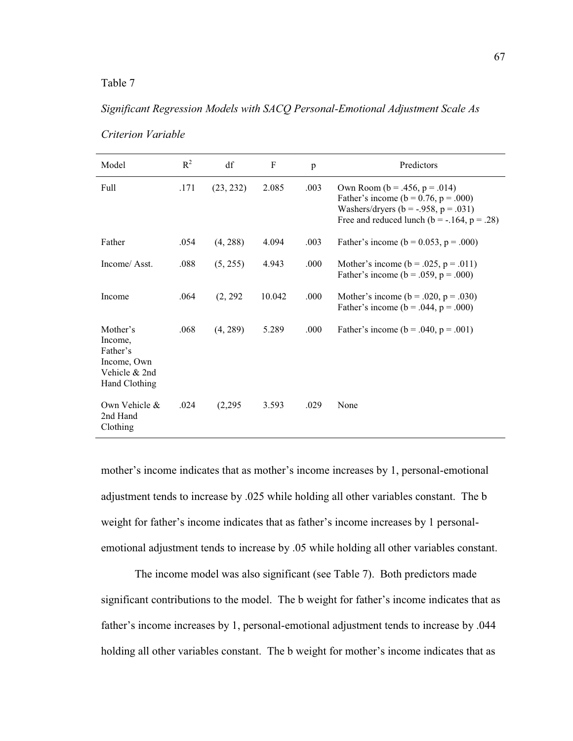## Table 7

# *Significant Regression Models with SACQ Personal-Emotional Adjustment Scale As*

| Model                                                                            | $R^2$ | df        | $\mathbf{F}$ | $\mathbf{p}$ | Predictors                                                                                                                                                                                 |
|----------------------------------------------------------------------------------|-------|-----------|--------------|--------------|--------------------------------------------------------------------------------------------------------------------------------------------------------------------------------------------|
| Full                                                                             | .171  | (23, 232) | 2.085        | .003         | Own Room ( $b = .456$ , $p = .014$ )<br>Father's income ( $b = 0.76$ , $p = .000$ )<br>Washers/dryers ( $b = -.958$ , $p = .031$ )<br>Free and reduced lunch ( $b = -0.164$ , $p = 0.28$ ) |
| Father                                                                           | .054  | (4, 288)  | 4.094        | .003         | Father's income ( $b = 0.053$ , $p = .000$ )                                                                                                                                               |
| Income/Asst.                                                                     | .088  | (5, 255)  | 4.943        | .000         | Mother's income ( $b = .025$ , $p = .011$ )<br>Father's income ( $b = .059$ , $p = .000$ )                                                                                                 |
| Income                                                                           | .064  | (2, 292)  | 10.042       | .000         | Mother's income ( $b = .020$ , $p = .030$ )<br>Father's income ( $b = .044$ , $p = .000$ )                                                                                                 |
| Mother's<br>Income,<br>Father's<br>Income, Own<br>Vehicle & 2nd<br>Hand Clothing | .068  | (4, 289)  | 5.289        | .000         | Father's income ( $b = .040$ , $p = .001$ )                                                                                                                                                |
| Own Vehicle &<br>2nd Hand<br>Clothing                                            | .024  | (2,295)   | 3.593        | .029         | None                                                                                                                                                                                       |

*Criterion Variable* 

mother's income indicates that as mother's income increases by 1, personal-emotional adjustment tends to increase by .025 while holding all other variables constant. The b weight for father's income indicates that as father's income increases by 1 personalemotional adjustment tends to increase by .05 while holding all other variables constant.

The income model was also significant (see Table 7). Both predictors made significant contributions to the model. The b weight for father's income indicates that as father's income increases by 1, personal-emotional adjustment tends to increase by .044 holding all other variables constant. The b weight for mother's income indicates that as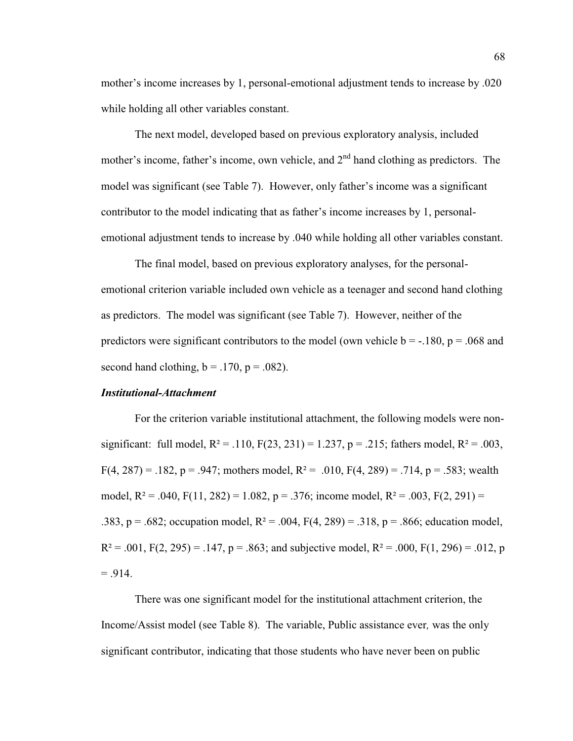mother's income increases by 1, personal-emotional adjustment tends to increase by .020 while holding all other variables constant.

The next model, developed based on previous exploratory analysis, included mother's income, father's income, own vehicle, and  $2<sup>nd</sup>$  hand clothing as predictors. The model was significant (see Table 7). However, only father's income was a significant contributor to the model indicating that as father's income increases by 1, personalemotional adjustment tends to increase by .040 while holding all other variables constant.

The final model, based on previous exploratory analyses, for the personalemotional criterion variable included own vehicle as a teenager and second hand clothing as predictors. The model was significant (see Table 7). However, neither of the predictors were significant contributors to the model (own vehicle  $b = -180$ ,  $p = 0.068$  and second hand clothing,  $b = .170$ ,  $p = .082$ ).

#### *Institutional-Attachment*

For the criterion variable institutional attachment, the following models were nonsignificant: full model,  $R^2 = .110$ ,  $F(23, 231) = 1.237$ ,  $p = .215$ ; fathers model,  $R^2 = .003$ ,  $F(4, 287) = .182$ , p = .947; mothers model, R<sup>2</sup> = .010, F(4, 289) = .714, p = .583; wealth model,  $R^2 = .040$ ,  $F(11, 282) = 1.082$ ,  $p = .376$ ; income model,  $R^2 = .003$ ,  $F(2, 291) =$ .383, p = .682; occupation model,  $R^2 = .004$ ,  $F(4, 289) = .318$ , p = .866; education model,  $R^2 = .001$ ,  $F(2, 295) = .147$ ,  $p = .863$ ; and subjective model,  $R^2 = .000$ ,  $F(1, 296) = .012$ , p  $= .914.$ 

There was one significant model for the institutional attachment criterion, the Income/Assist model (see Table 8). The variable, Public assistance ever*,* was the only significant contributor, indicating that those students who have never been on public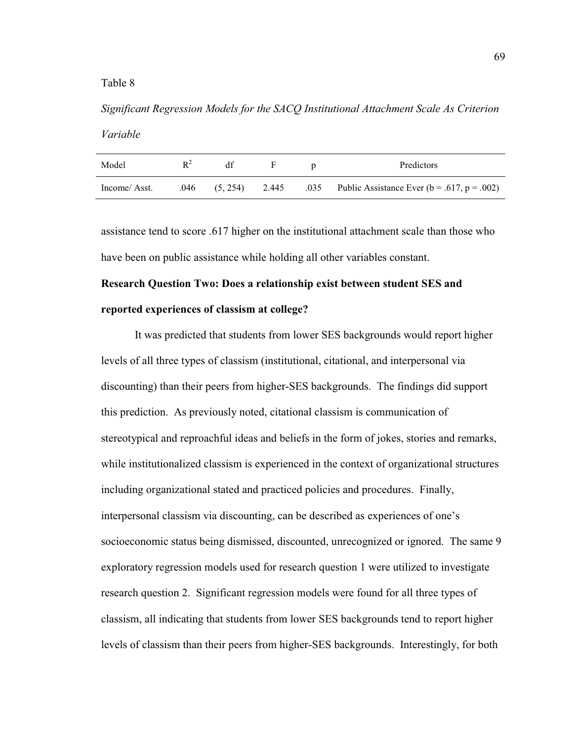## Table 8

*Significant Regression Models for the SACQ Institutional Attachment Scale As Criterion Variable*

| Model        | $R^2$ |  | Predictors                                                                  |
|--------------|-------|--|-----------------------------------------------------------------------------|
| Income/Asst. |       |  | .046 (5, 254) 2.445 .035 Public Assistance Ever ( $b = .617$ , $p = .002$ ) |

assistance tend to score .617 higher on the institutional attachment scale than those who have been on public assistance while holding all other variables constant.

# **Research Question Two: Does a relationship exist between student SES and reported experiences of classism at college?**

It was predicted that students from lower SES backgrounds would report higher levels of all three types of classism (institutional, citational, and interpersonal via discounting) than their peers from higher-SES backgrounds. The findings did support this prediction. As previously noted, citational classism is communication of stereotypical and reproachful ideas and beliefs in the form of jokes, stories and remarks, while institutionalized classism is experienced in the context of organizational structures including organizational stated and practiced policies and procedures. Finally, interpersonal classism via discounting, can be described as experiences of one's socioeconomic status being dismissed, discounted, unrecognized or ignored. The same 9 exploratory regression models used for research question 1 were utilized to investigate research question 2. Significant regression models were found for all three types of classism, all indicating that students from lower SES backgrounds tend to report higher levels of classism than their peers from higher-SES backgrounds. Interestingly, for both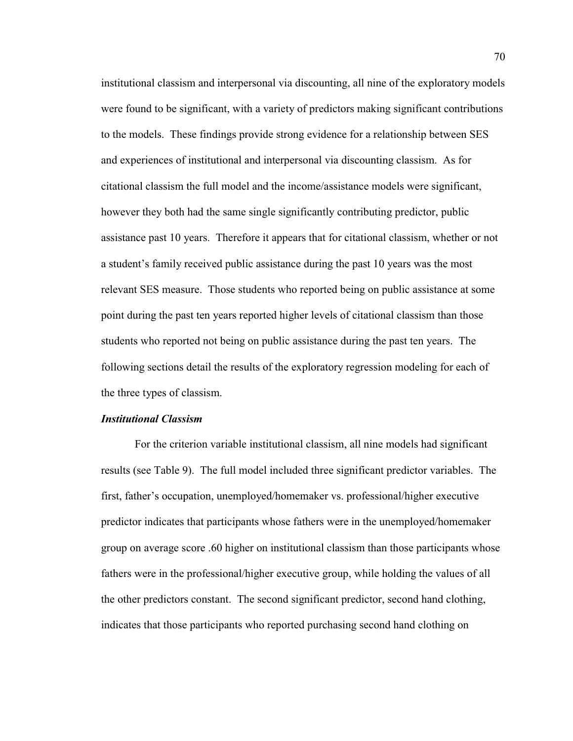institutional classism and interpersonal via discounting, all nine of the exploratory models were found to be significant, with a variety of predictors making significant contributions to the models. These findings provide strong evidence for a relationship between SES and experiences of institutional and interpersonal via discounting classism. As for citational classism the full model and the income/assistance models were significant, however they both had the same single significantly contributing predictor, public assistance past 10 years. Therefore it appears that for citational classism, whether or not a student's family received public assistance during the past 10 years was the most relevant SES measure. Those students who reported being on public assistance at some point during the past ten years reported higher levels of citational classism than those students who reported not being on public assistance during the past ten years. The following sections detail the results of the exploratory regression modeling for each of the three types of classism.

### *Institutional Classism*

For the criterion variable institutional classism, all nine models had significant results (see Table 9). The full model included three significant predictor variables. The first, father's occupation, unemployed/homemaker vs. professional/higher executive predictor indicates that participants whose fathers were in the unemployed/homemaker group on average score .60 higher on institutional classism than those participants whose fathers were in the professional/higher executive group, while holding the values of all the other predictors constant. The second significant predictor, second hand clothing, indicates that those participants who reported purchasing second hand clothing on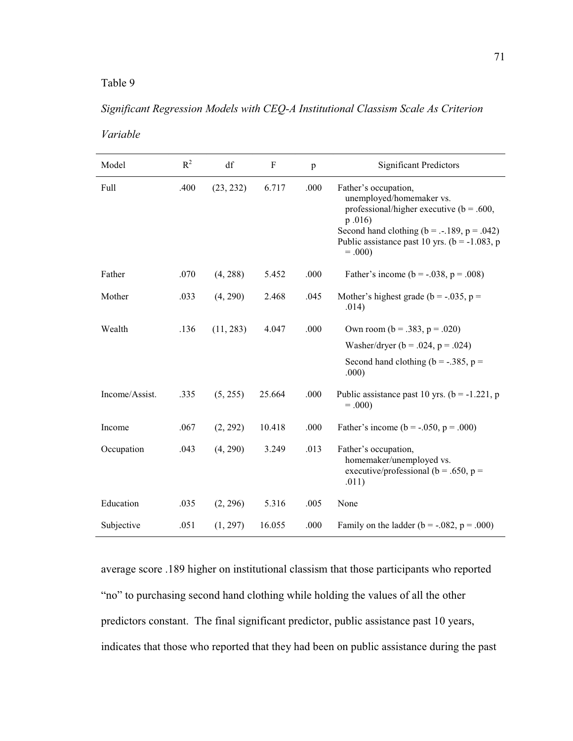# Table 9

# *Significant Regression Models with CEQ-A Institutional Classism Scale As Criterion*

*Variable* 

| Model          | $R^2$ | df        | $\mathbf{F}$ | $\mathbf{p}$ | <b>Significant Predictors</b>                                                                                                                                                                                                   |
|----------------|-------|-----------|--------------|--------------|---------------------------------------------------------------------------------------------------------------------------------------------------------------------------------------------------------------------------------|
| Full           | .400  | (23, 232) | 6.717        | .000         | Father's occupation,<br>unemployed/homemaker vs.<br>professional/higher executive ( $b = .600$ ,<br>p.016<br>Second hand clothing ( $b = -.189$ , $p = .042$ )<br>Public assistance past 10 yrs. ( $b = -1.083$ , p<br>$= .000$ |
| Father         | .070  | (4, 288)  | 5.452        | .000         | Father's income ( $b = -.038$ , $p = .008$ )                                                                                                                                                                                    |
| Mother         | .033  | (4, 290)  | 2.468        | .045         | Mother's highest grade ( $b = -.035$ , $p =$<br>.014)                                                                                                                                                                           |
| Wealth         | .136  | (11, 283) | 4.047        | .000         | Own room ( $b = .383$ , $p = .020$ )                                                                                                                                                                                            |
|                |       |           |              |              | Washer/dryer ( $b = .024$ , $p = .024$ )                                                                                                                                                                                        |
|                |       |           |              |              | Second hand clothing ( $b = -.385$ , $p =$<br>.000)                                                                                                                                                                             |
| Income/Assist. | .335  | (5, 255)  | 25.664       | .000         | Public assistance past 10 yrs. ( $b = -1.221$ , p<br>$= .000$                                                                                                                                                                   |
| Income         | .067  | (2, 292)  | 10.418       | .000         | Father's income ( $b = -.050$ , $p = .000$ )                                                                                                                                                                                    |
| Occupation     | .043  | (4, 290)  | 3.249        | .013         | Father's occupation,<br>homemaker/unemployed vs.<br>executive/professional ( $b = .650$ , $p =$<br>.011)                                                                                                                        |
| Education      | .035  | (2, 296)  | 5.316        | .005         | None                                                                                                                                                                                                                            |
| Subjective     | .051  | (1, 297)  | 16.055       | .000         | Family on the ladder ( $b = -.082$ , $p = .000$ )                                                                                                                                                                               |

average score .189 higher on institutional classism that those participants who reported "no" to purchasing second hand clothing while holding the values of all the other predictors constant. The final significant predictor, public assistance past 10 years, indicates that those who reported that they had been on public assistance during the past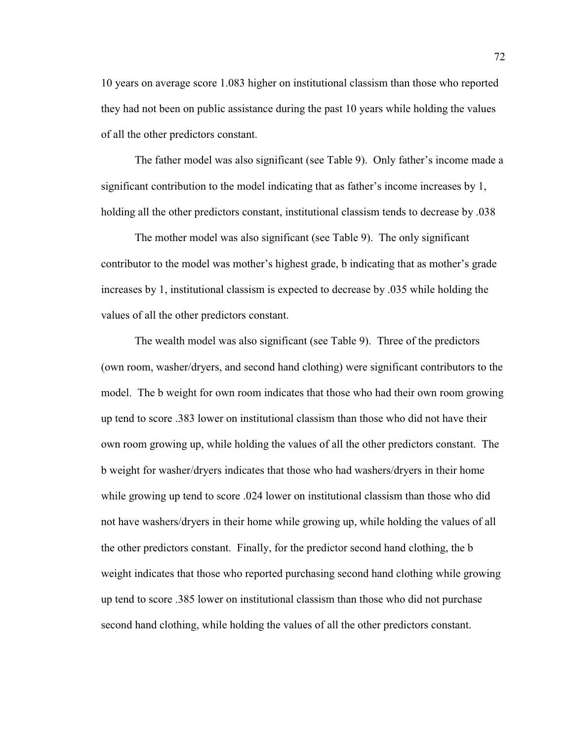10 years on average score 1.083 higher on institutional classism than those who reported they had not been on public assistance during the past 10 years while holding the values of all the other predictors constant.

The father model was also significant (see Table 9). Only father's income made a significant contribution to the model indicating that as father's income increases by  $1$ , holding all the other predictors constant, institutional classism tends to decrease by .038

The mother model was also significant (see Table 9). The only significant contributor to the model was mother's highest grade, b indicating that as mother's grade increases by 1, institutional classism is expected to decrease by .035 while holding the values of all the other predictors constant.

The wealth model was also significant (see Table 9). Three of the predictors (own room, washer/dryers, and second hand clothing) were significant contributors to the model. The b weight for own room indicates that those who had their own room growing up tend to score .383 lower on institutional classism than those who did not have their own room growing up, while holding the values of all the other predictors constant. The b weight for washer/dryers indicates that those who had washers/dryers in their home while growing up tend to score .024 lower on institutional classism than those who did not have washers/dryers in their home while growing up, while holding the values of all the other predictors constant. Finally, for the predictor second hand clothing, the b weight indicates that those who reported purchasing second hand clothing while growing up tend to score .385 lower on institutional classism than those who did not purchase second hand clothing, while holding the values of all the other predictors constant.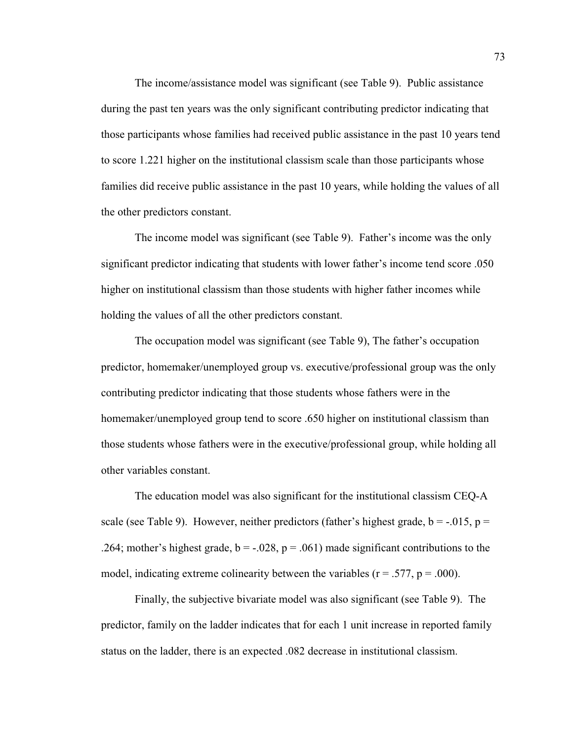The income/assistance model was significant (see Table 9). Public assistance during the past ten years was the only significant contributing predictor indicating that those participants whose families had received public assistance in the past 10 years tend to score 1.221 higher on the institutional classism scale than those participants whose families did receive public assistance in the past 10 years, while holding the values of all the other predictors constant.

The income model was significant (see Table 9). Father's income was the only significant predictor indicating that students with lower father's income tend score .050 higher on institutional classism than those students with higher father incomes while holding the values of all the other predictors constant.

The occupation model was significant (see Table 9), The father's occupation predictor, homemaker/unemployed group vs. executive/professional group was the only contributing predictor indicating that those students whose fathers were in the homemaker/unemployed group tend to score .650 higher on institutional classism than those students whose fathers were in the executive/professional group, while holding all other variables constant.

The education model was also significant for the institutional classism CEQ-A scale (see Table 9). However, neither predictors (father's highest grade,  $b = -0.015$ ,  $p =$ .264; mother's highest grade,  $b = -0.028$ ,  $p = 0.061$ ) made significant contributions to the model, indicating extreme colinearity between the variables ( $r = .577$ ,  $p = .000$ ).

Finally, the subjective bivariate model was also significant (see Table 9). The predictor, family on the ladder indicates that for each 1 unit increase in reported family status on the ladder, there is an expected .082 decrease in institutional classism.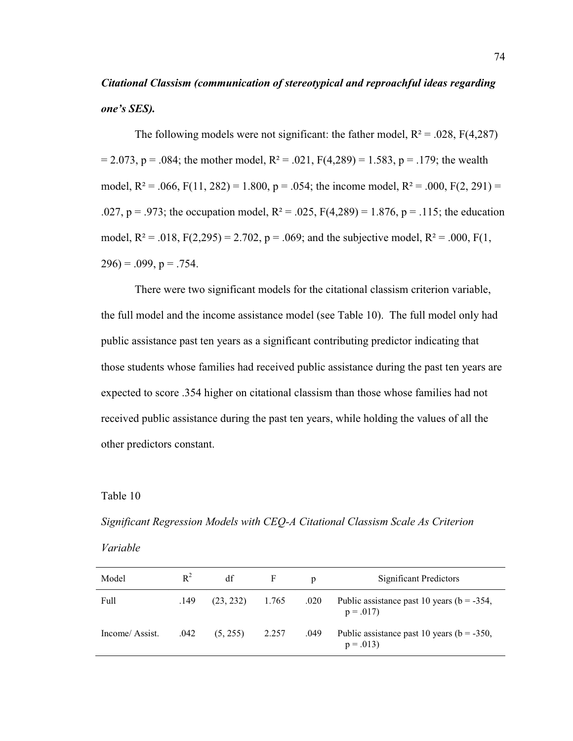# *Citational Classism (communication of stereotypical and reproachful ideas regarding <i>RRis SES<i>kR<i>R<i>kgkgrgkg<i>kgkgkgkgkgn*<sub>*n*</sub>*<i>n*<sub>*n*</sub>*<i>n*<sub>*n*</sup>*n*<sub>*n*</sub>*n*<sub>*n*</sup>*n*<sub>*n*</sub>*n*<sub>*n*</sup>*n*<sub>*n*</sub>*n*<sub>*n*</sup>*n*<sub>*n*</sub>*n*<sub>*n*</sub>*n*<sub>*n*</sup>*n*<sub>*n*</sub>*n*<sub>*n*</sup>*n*<sub>*n*</sub>*n*<sub>*n*</sub></sub></sub></sub></sub></sub></sub>

The following models were not significant: the father model,  $R^2 = .028$ ,  $F(4,287)$  $= 2.073$ , p = .084; the mother model, R<sup>2</sup> = .021, F(4,289) = 1.583, p = .179; the wealth model,  $R^2 = .066$ ,  $F(11, 282) = 1.800$ ,  $p = .054$ ; the income model,  $R^2 = .000$ ,  $F(2, 291) =$ .027, p = .973; the occupation model,  $R^2 = .025$ ,  $F(4,289) = 1.876$ , p = .115; the education model,  $R^2 = .018$ ,  $F(2,295) = 2.702$ ,  $p = .069$ ; and the subjective model,  $R^2 = .000$ ,  $F(1, 1)$  $296$ ) = .099, p = .754.

There were two significant models for the citational classism criterion variable, the full model and the income assistance model (see Table 10). The full model only had public assistance past ten years as a significant contributing predictor indicating that those students whose families had received public assistance during the past ten years are expected to score .354 higher on citational classism than those whose families had not received public assistance during the past ten years, while holding the values of all the other predictors constant.

Table 10

*Significant Regression Models with CEQ-A Citational Classism Scale As Criterion* 

| Variable |
|----------|
|          |

| Model          | $R^2$ | df        | F     | D    | Significant Predictors                                       |
|----------------|-------|-----------|-------|------|--------------------------------------------------------------|
| Full           | .149  | (23, 232) | 1.765 | .020 | Public assistance past 10 years ( $b = -354$ ,<br>$p = .017$ |
| Income/Assist. | .042  | (5, 255)  | 2.257 | .049 | Public assistance past 10 years ( $b = -350$ ,<br>$p = .013$ |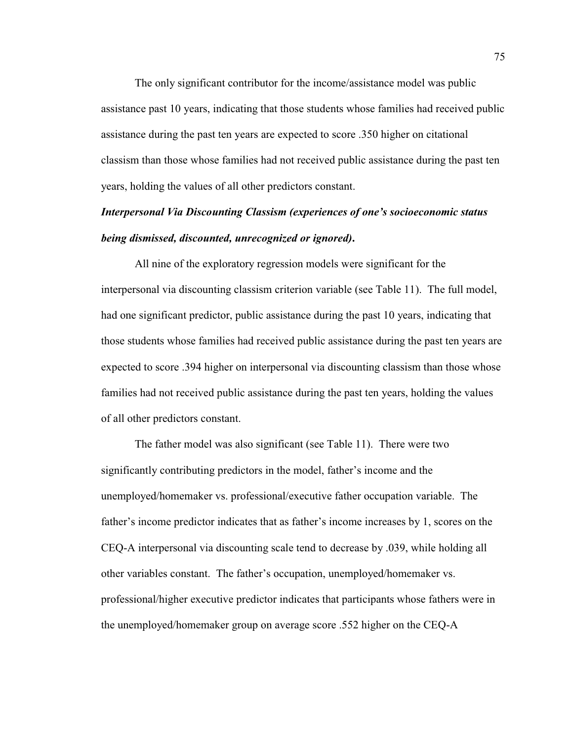The only significant contributor for the income/assistance model was public assistance past 10 years, indicating that those students whose families had received public assistance during the past ten years are expected to score .350 higher on citational classism than those whose families had not received public assistance during the past ten years, holding the values of all other predictors constant.

# **Interpersonal Via Discounting Classism (experiences of one's socioeconomic status** *being dismissed, discounted, unrecognized or ignored)***.**

All nine of the exploratory regression models were significant for the interpersonal via discounting classism criterion variable (see Table 11). The full model, had one significant predictor, public assistance during the past 10 years, indicating that those students whose families had received public assistance during the past ten years are expected to score .394 higher on interpersonal via discounting classism than those whose families had not received public assistance during the past ten years, holding the values of all other predictors constant.

The father model was also significant (see Table 11). There were two significantly contributing predictors in the model, father's income and the unemployed/homemaker vs. professional/executive father occupation variable. The father's income predictor indicates that as father's income increases by 1, scores on the CEQ-A interpersonal via discounting scale tend to decrease by .039, while holding all other variables constant. The father's occupation, unemployed/homemaker vs. professional/higher executive predictor indicates that participants whose fathers were in the unemployed/homemaker group on average score .552 higher on the CEQ-A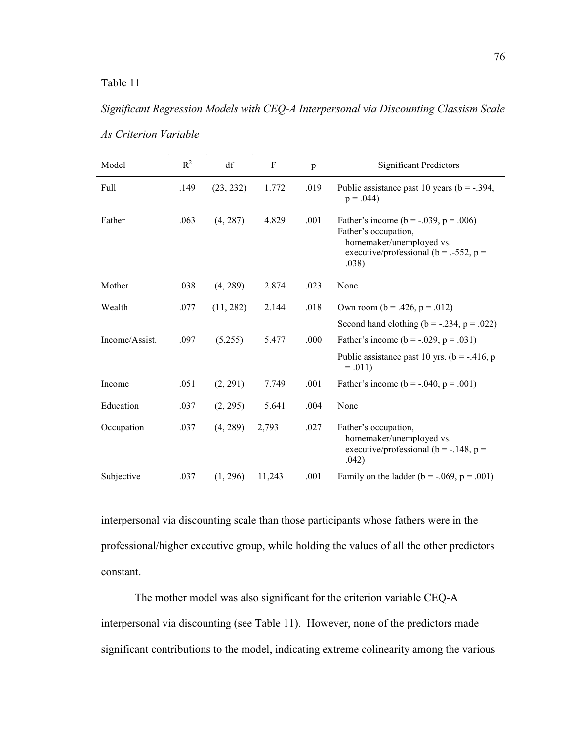# *Significant Regression Models with CEQ-A Interpersonal via Discounting Classism Scale*

| Model          | $R^2$ | df        | $\mathbf{F}$ | $\mathbf{p}$ | <b>Significant Predictors</b>                                                                                                                               |
|----------------|-------|-----------|--------------|--------------|-------------------------------------------------------------------------------------------------------------------------------------------------------------|
| Full           | .149  | (23, 232) | 1.772        | .019         | Public assistance past 10 years ( $b = -0.394$ ,<br>$p = .044$                                                                                              |
| Father         | .063  | (4, 287)  | 4.829        | .001         | Father's income ( $b = -0.039$ , $p = 0.006$ )<br>Father's occupation,<br>homemaker/unemployed vs.<br>executive/professional ( $b = -.552$ , $p =$<br>.038) |
| Mother         | .038  | (4, 289)  | 2.874        | .023         | None                                                                                                                                                        |
| Wealth         | .077  | (11, 282) | 2.144        | .018         | Own room ( $b = .426$ , $p = .012$ )                                                                                                                        |
|                |       |           |              |              | Second hand clothing ( $b = -.234$ , $p = .022$ )                                                                                                           |
| Income/Assist. | .097  | (5,255)   | 5.477        | .000         | Father's income ( $b = -0.029$ , $p = 0.031$ )                                                                                                              |
|                |       |           |              |              | Public assistance past 10 yrs. ( $b = -0.416$ , p<br>$=.011)$                                                                                               |
| Income         | .051  | (2, 291)  | 7.749        | .001         | Father's income ( $b = -.040$ , $p = .001$ )                                                                                                                |
| Education      | .037  | (2, 295)  | 5.641        | .004         | None                                                                                                                                                        |
| Occupation     | .037  | (4, 289)  | 2,793        | .027         | Father's occupation,<br>homemaker/unemployed vs.<br>executive/professional ( $b = -148$ , $p =$<br>.042)                                                    |
| Subjective     | .037  | (1, 296)  | 11,243       | .001         | Family on the ladder ( $b = -.069$ , $p = .001$ )                                                                                                           |

*As Criterion Variable* 

interpersonal via discounting scale than those participants whose fathers were in the professional/higher executive group, while holding the values of all the other predictors constant.

The mother model was also significant for the criterion variable CEQ-A interpersonal via discounting (see Table 11). However, none of the predictors made significant contributions to the model, indicating extreme colinearity among the various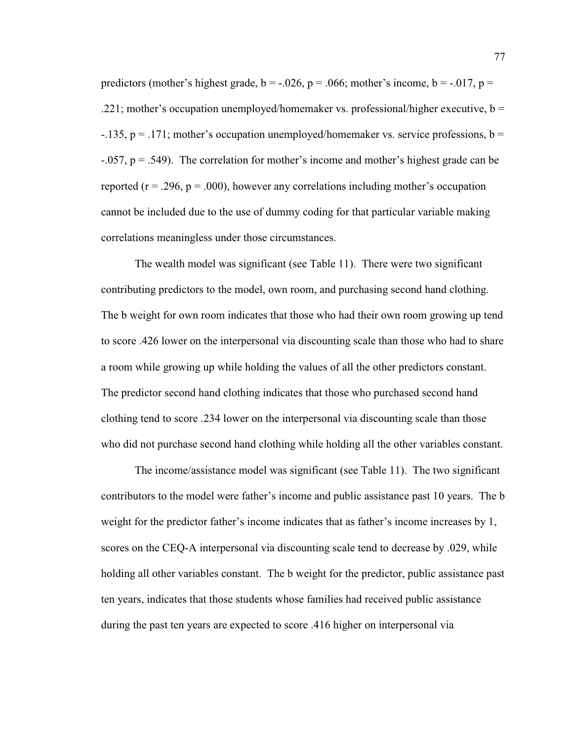predictors (mother's highest grade,  $b = -0.026$ ,  $p = 0.066$ ; mother's income,  $b = -0.017$ ,  $p =$  $221$ ; mother's occupation unemployed/homemaker vs. professional/higher executive, b =  $-135$ ,  $p = 171$ ; mother's occupation unemployed/homemaker vs. service professions, b =  $-0.057$ , p = .549). The correlation for mother's income and mother's highest grade can be reported ( $r = .296$ ,  $p = .000$ ), however any correlations including mother's occupation cannot be included due to the use of dummy coding for that particular variable making correlations meaningless under those circumstances.

The wealth model was significant (see Table 11). There were two significant contributing predictors to the model, own room, and purchasing second hand clothing. The b weight for own room indicates that those who had their own room growing up tend to score .426 lower on the interpersonal via discounting scale than those who had to share a room while growing up while holding the values of all the other predictors constant. The predictor second hand clothing indicates that those who purchased second hand clothing tend to score .234 lower on the interpersonal via discounting scale than those who did not purchase second hand clothing while holding all the other variables constant.

The income/assistance model was significant (see Table 11). The two significant contributors to the model were father's income and public assistance past 10 years. The b weight for the predictor father's income indicates that as father's income increases by 1, scores on the CEQ-A interpersonal via discounting scale tend to decrease by .029, while holding all other variables constant. The b weight for the predictor, public assistance past ten years, indicates that those students whose families had received public assistance during the past ten years are expected to score .416 higher on interpersonal via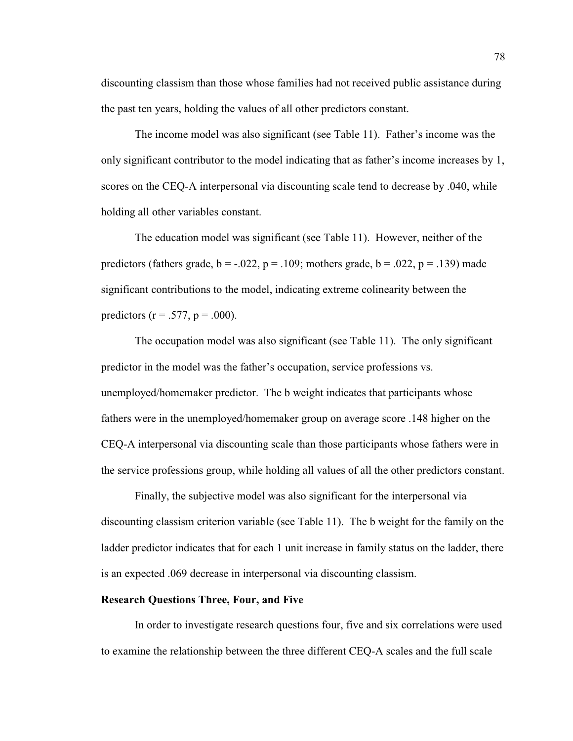discounting classism than those whose families had not received public assistance during the past ten years, holding the values of all other predictors constant.

The income model was also significant (see Table 11). Father's income was the only significant contributor to the model indicating that as father's income increases by 1, scores on the CEQ-A interpersonal via discounting scale tend to decrease by .040, while holding all other variables constant.

The education model was significant (see Table 11). However, neither of the predictors (fathers grade,  $b = -.022$ ,  $p = .109$ ; mothers grade,  $b = .022$ ,  $p = .139$ ) made significant contributions to the model, indicating extreme colinearity between the predictors ( $r = .577$ ,  $p = .000$ ).

The occupation model was also significant (see Table 11). The only significant predictor in the model was the father's occupation, service professions vs. unemployed/homemaker predictor. The b weight indicates that participants whose fathers were in the unemployed/homemaker group on average score .148 higher on the CEQ-A interpersonal via discounting scale than those participants whose fathers were in the service professions group, while holding all values of all the other predictors constant.

Finally, the subjective model was also significant for the interpersonal via discounting classism criterion variable (see Table 11). The b weight for the family on the ladder predictor indicates that for each 1 unit increase in family status on the ladder, there is an expected .069 decrease in interpersonal via discounting classism.

## **Research Questions Three, Four, and Five**

In order to investigate research questions four, five and six correlations were used to examine the relationship between the three different CEQ-A scales and the full scale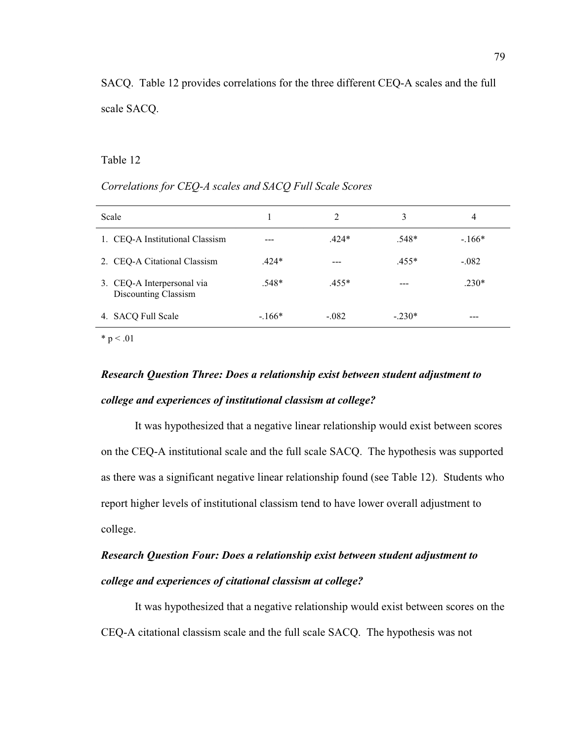SACQ. Table 12 provides correlations for the three different CEQ-A scales and the full scale SACQ.

## Table 12

## *Correlations for CEQ-A scales and SACQ Full Scale Scores*

| Scale                                              |         | 2       | 3        | 4       |
|----------------------------------------------------|---------|---------|----------|---------|
| 1. CEQ-A Institutional Classism                    |         | $.424*$ | $.548*$  | $-166*$ |
| 2. CEQ-A Citational Classism                       | $.424*$ |         | $.455*$  | $-.082$ |
| 3. CEQ-A Interpersonal via<br>Discounting Classism | $.548*$ | $.455*$ |          | $.230*$ |
| 4. SACQ Full Scale                                 | $-166*$ | $-.082$ | $-.230*$ | ---     |

 $* p < .01$ 

# *Research Question Three: Does a relationship exist between student adjustment to college and experiences of institutional classism at college?*

It was hypothesized that a negative linear relationship would exist between scores on the CEQ-A institutional scale and the full scale SACQ. The hypothesis was supported as there was a significant negative linear relationship found (see Table 12). Students who report higher levels of institutional classism tend to have lower overall adjustment to college.

# *Research Question Four: Does a relationship exist between student adjustment to college and experiences of citational classism at college?*

It was hypothesized that a negative relationship would exist between scores on the CEQ-A citational classism scale and the full scale SACQ. The hypothesis was not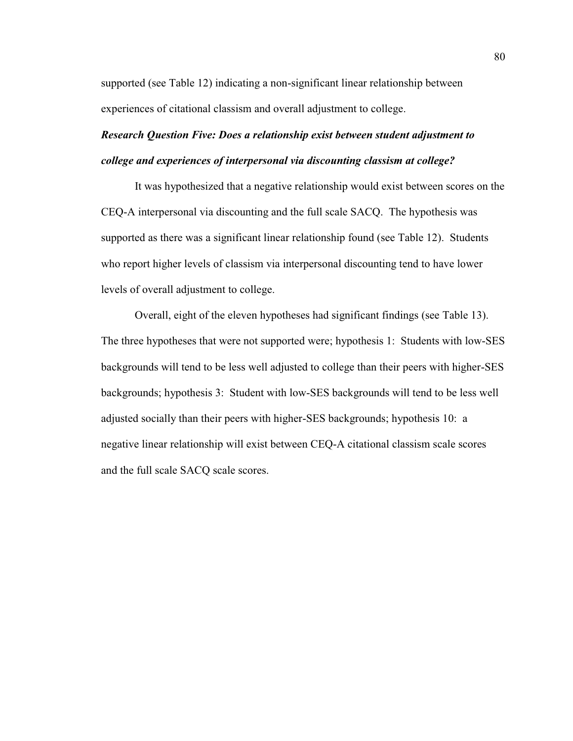supported (see Table 12) indicating a non-significant linear relationship between experiences of citational classism and overall adjustment to college.

# *Research Question Five: Does a relationship exist between student adjustment to college and experiences of interpersonal via discounting classism at college?*

It was hypothesized that a negative relationship would exist between scores on the CEQ-A interpersonal via discounting and the full scale SACQ. The hypothesis was supported as there was a significant linear relationship found (see Table 12). Students who report higher levels of classism via interpersonal discounting tend to have lower levels of overall adjustment to college.

Overall, eight of the eleven hypotheses had significant findings (see Table 13). The three hypotheses that were not supported were; hypothesis 1: Students with low-SES backgrounds will tend to be less well adjusted to college than their peers with higher-SES backgrounds; hypothesis 3: Student with low-SES backgrounds will tend to be less well adjusted socially than their peers with higher-SES backgrounds; hypothesis 10: a negative linear relationship will exist between CEQ-A citational classism scale scores and the full scale SACQ scale scores.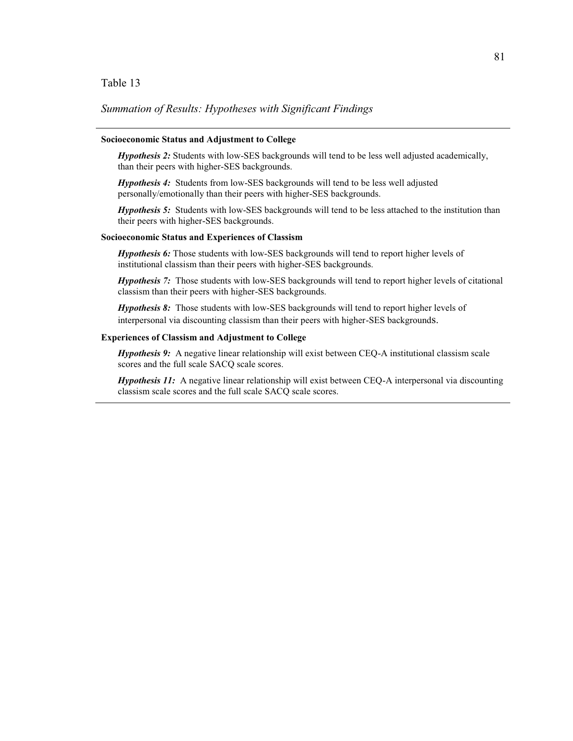### Table 13

#### *Summation of Results: Hypotheses with Significant Findings*

#### **Socioeconomic Status and Adjustment to College**

*Hypothesis 2:* Students with low-SES backgrounds will tend to be less well adjusted academically, than their peers with higher-SES backgrounds.

*Hypothesis 4:* Students from low-SES backgrounds will tend to be less well adjusted personally/emotionally than their peers with higher-SES backgrounds.

*Hypothesis 5:* Students with low-SES backgrounds will tend to be less attached to the institution than their peers with higher-SES backgrounds.

#### **Socioeconomic Status and Experiences of Classism**

*Hypothesis 6:* Those students with low-SES backgrounds will tend to report higher levels of institutional classism than their peers with higher-SES backgrounds.

*Hypothesis 7:* Those students with low-SES backgrounds will tend to report higher levels of citational classism than their peers with higher-SES backgrounds.

*Hypothesis 8:* Those students with low-SES backgrounds will tend to report higher levels of interpersonal via discounting classism than their peers with higher-SES backgrounds.

#### **Experiences of Classism and Adjustment to College**

*Hypothesis 9:* A negative linear relationship will exist between CEQ-A institutional classism scale scores and the full scale SACQ scale scores.

*Hypothesis 11:* A negative linear relationship will exist between CEQ-A interpersonal via discounting classism scale scores and the full scale SACQ scale scores.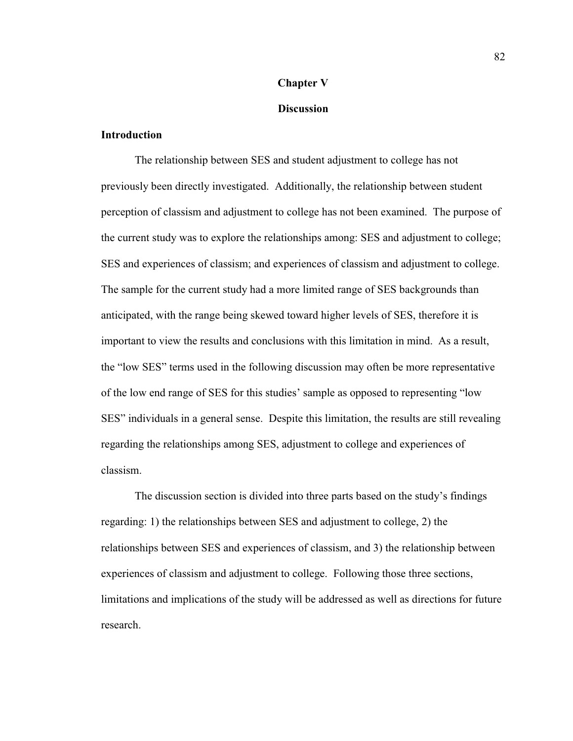### **Chapter V**

#### **Discussion**

### **Introduction**

The relationship between SES and student adjustment to college has not previously been directly investigated. Additionally, the relationship between student perception of classism and adjustment to college has not been examined. The purpose of the current study was to explore the relationships among: SES and adjustment to college; SES and experiences of classism; and experiences of classism and adjustment to college. The sample for the current study had a more limited range of SES backgrounds than anticipated, with the range being skewed toward higher levels of SES, therefore it is important to view the results and conclusions with this limitation in mind. As a result, the "low SES" terms used in the following discussion may often be more representative of the low end range of SES for this studies' sample as opposed to representing "low SES" individuals in a general sense. Despite this limitation, the results are still revealing regarding the relationships among SES, adjustment to college and experiences of classism.

The discussion section is divided into three parts based on the study's findings regarding: 1) the relationships between SES and adjustment to college, 2) the relationships between SES and experiences of classism, and 3) the relationship between experiences of classism and adjustment to college. Following those three sections, limitations and implications of the study will be addressed as well as directions for future research.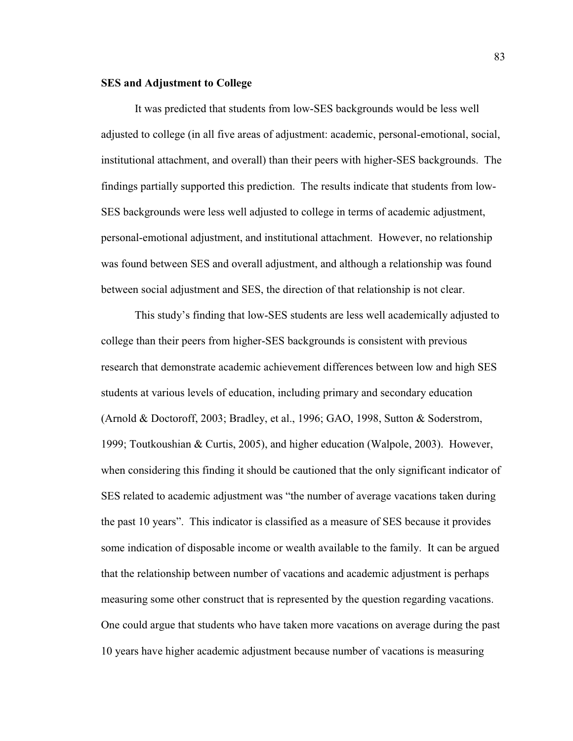#### **SES and Adjustment to College**

It was predicted that students from low-SES backgrounds would be less well adjusted to college (in all five areas of adjustment: academic, personal-emotional, social, institutional attachment, and overall) than their peers with higher-SES backgrounds. The findings partially supported this prediction. The results indicate that students from low-SES backgrounds were less well adjusted to college in terms of academic adjustment, personal-emotional adjustment, and institutional attachment. However, no relationship was found between SES and overall adjustment, and although a relationship was found between social adjustment and SES, the direction of that relationship is not clear.

This study's finding that low-SES students are less well academically adjusted to college than their peers from higher-SES backgrounds is consistent with previous research that demonstrate academic achievement differences between low and high SES students at various levels of education, including primary and secondary education (Arnold & Doctoroff, 2003; Bradley, et al., 1996; GAO, 1998, Sutton & Soderstrom, 1999; Toutkoushian & Curtis, 2005), and higher education (Walpole, 2003). However, when considering this finding it should be cautioned that the only significant indicator of SES related to academic adjustment was "the number of average vacations taken during the past 10 years". This indicator is classified as a measure of SES because it provides some indication of disposable income or wealth available to the family. It can be argued that the relationship between number of vacations and academic adjustment is perhaps measuring some other construct that is represented by the question regarding vacations. One could argue that students who have taken more vacations on average during the past 10 years have higher academic adjustment because number of vacations is measuring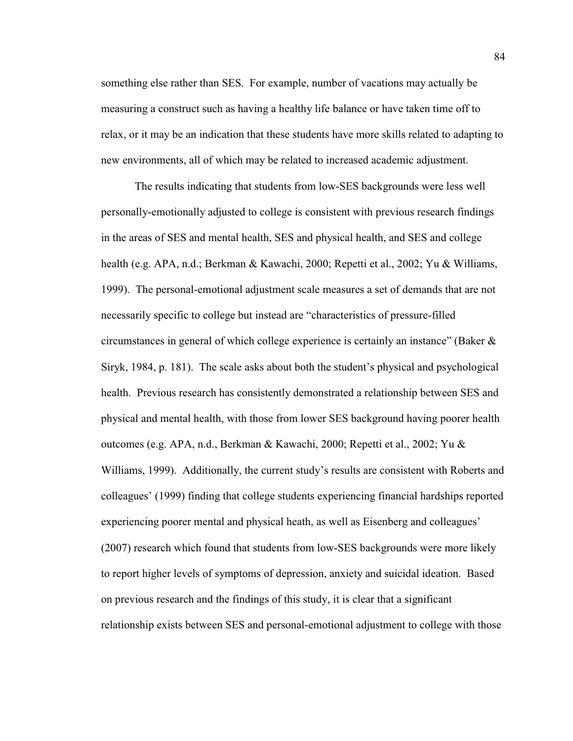something else rather than SES. For example, number of vacations may actually be measuring a construct such as having a healthy life balance or have taken time off to relax, or it may be an indication that these students have more skills related to adapting to new environments, all of which may be related to increased academic adjustment.

The results indicating that students from low-SES backgrounds were less well personally-emotionally adjusted to college is consistent with previous research findings in the areas of SES and mental health, SES and physical health, and SES and college health (e.g. APA, n.d.; Berkman & Kawachi, 2000; Repetti et al., 2002; Yu & Williams, 1999). The personal-emotional adjustment scale measures a set of demands that are not necessarily specific to college but instead are "characteristics of pressure-filled circumstances in general of which college experience is certainly an instance" (Baker  $\&$ Siryk, 1984, p. 181). The scale asks about both the student's physical and psychological health. Previous research has consistently demonstrated a relationship between SES and physical and mental health, with those from lower SES background having poorer health outcomes (e.g. APA, n.d., Berkman & Kawachi, 2000; Repetti et al., 2002; Yu & Williams, 1999). Additionally, the current study's results are consistent with Roberts and colleagues' (1999) finding that college students experiencing financial hardships reported experiencing poorer mental and physical heath, as well as Eisenberg and colleagues' (2007) research which found that students from low-SES backgrounds were more likely to report higher levels of symptoms of depression, anxiety and suicidal ideation. Based on previous research and the findings of this study, it is clear that a significant relationship exists between SES and personal-emotional adjustment to college with those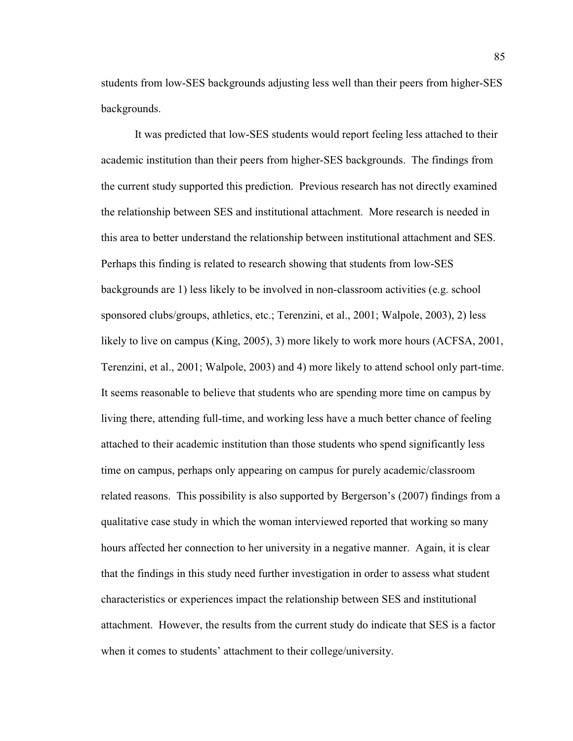students from low-SES backgrounds adjusting less well than their peers from higher-SES backgrounds.

It was predicted that low-SES students would report feeling less attached to their academic institution than their peers from higher-SES backgrounds. The findings from the current study supported this prediction. Previous research has not directly examined the relationship between SES and institutional attachment. More research is needed in this area to better understand the relationship between institutional attachment and SES. Perhaps this finding is related to research showing that students from low-SES backgrounds are 1) less likely to be involved in non-classroom activities (e.g. school sponsored clubs/groups, athletics, etc.; Terenzini, et al., 2001; Walpole, 2003), 2) less likely to live on campus (King, 2005), 3) more likely to work more hours (ACFSA, 2001, Terenzini, et al., 2001; Walpole, 2003) and 4) more likely to attend school only part-time. It seems reasonable to believe that students who are spending more time on campus by living there, attending full-time, and working less have a much better chance of feeling attached to their academic institution than those students who spend significantly less time on campus, perhaps only appearing on campus for purely academic/classroom related reasons. This possibility is also supported by Bergerson's (2007) findings from a qualitative case study in which the woman interviewed reported that working so many hours affected her connection to her university in a negative manner. Again, it is clear that the findings in this study need further investigation in order to assess what student characteristics or experiences impact the relationship between SES and institutional attachment. However, the results from the current study do indicate that SES is a factor when it comes to students' attachment to their college/university.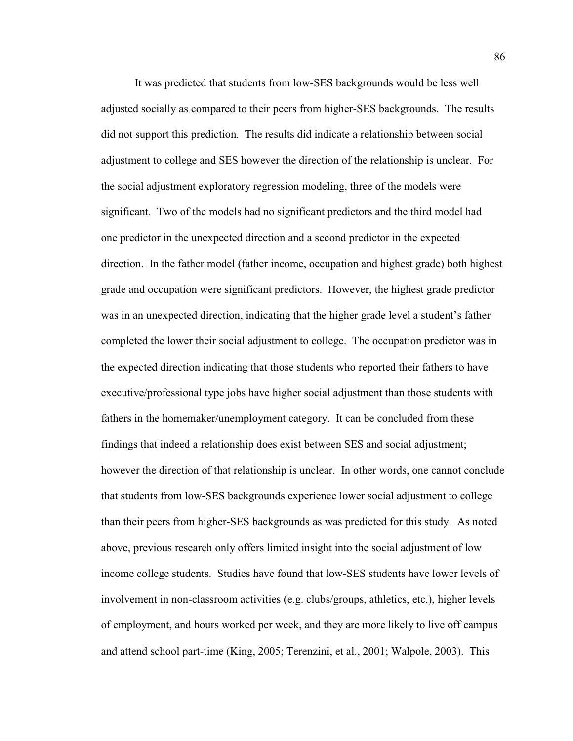It was predicted that students from low-SES backgrounds would be less well adjusted socially as compared to their peers from higher-SES backgrounds. The results did not support this prediction. The results did indicate a relationship between social adjustment to college and SES however the direction of the relationship is unclear. For the social adjustment exploratory regression modeling, three of the models were significant. Two of the models had no significant predictors and the third model had one predictor in the unexpected direction and a second predictor in the expected direction. In the father model (father income, occupation and highest grade) both highest grade and occupation were significant predictors. However, the highest grade predictor was in an unexpected direction, indicating that the higher grade level a student's father completed the lower their social adjustment to college. The occupation predictor was in the expected direction indicating that those students who reported their fathers to have executive/professional type jobs have higher social adjustment than those students with fathers in the homemaker/unemployment category. It can be concluded from these findings that indeed a relationship does exist between SES and social adjustment; however the direction of that relationship is unclear. In other words, one cannot conclude that students from low-SES backgrounds experience lower social adjustment to college than their peers from higher-SES backgrounds as was predicted for this study. As noted above, previous research only offers limited insight into the social adjustment of low income college students. Studies have found that low-SES students have lower levels of involvement in non-classroom activities (e.g. clubs/groups, athletics, etc.), higher levels of employment, and hours worked per week, and they are more likely to live off campus and attend school part-time (King, 2005; Terenzini, et al., 2001; Walpole, 2003). This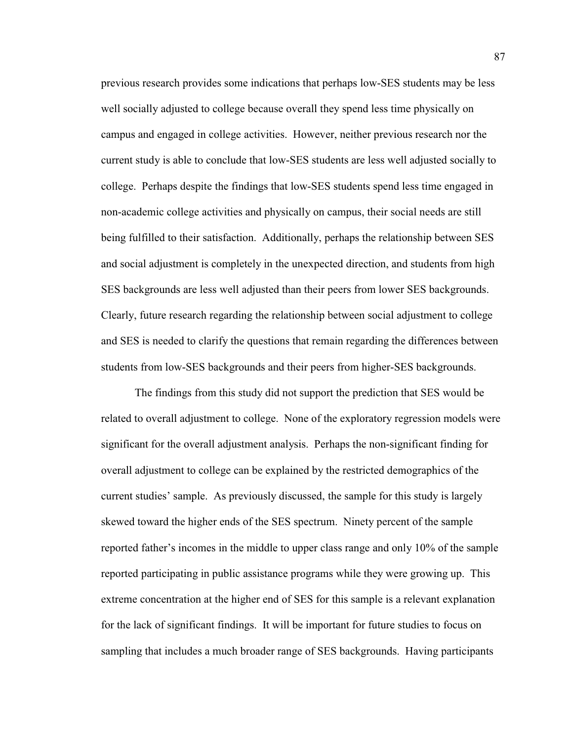previous research provides some indications that perhaps low-SES students may be less well socially adjusted to college because overall they spend less time physically on campus and engaged in college activities. However, neither previous research nor the current study is able to conclude that low-SES students are less well adjusted socially to college. Perhaps despite the findings that low-SES students spend less time engaged in non-academic college activities and physically on campus, their social needs are still being fulfilled to their satisfaction. Additionally, perhaps the relationship between SES and social adjustment is completely in the unexpected direction, and students from high SES backgrounds are less well adjusted than their peers from lower SES backgrounds. Clearly, future research regarding the relationship between social adjustment to college and SES is needed to clarify the questions that remain regarding the differences between students from low-SES backgrounds and their peers from higher-SES backgrounds.

The findings from this study did not support the prediction that SES would be related to overall adjustment to college. None of the exploratory regression models were significant for the overall adjustment analysis. Perhaps the non-significant finding for overall adjustment to college can be explained by the restricted demographics of the current studies' sample. As previously discussed, the sample for this study is largely skewed toward the higher ends of the SES spectrum. Ninety percent of the sample reported father's incomes in the middle to upper class range and only 10% of the sample reported participating in public assistance programs while they were growing up. This extreme concentration at the higher end of SES for this sample is a relevant explanation for the lack of significant findings. It will be important for future studies to focus on sampling that includes a much broader range of SES backgrounds. Having participants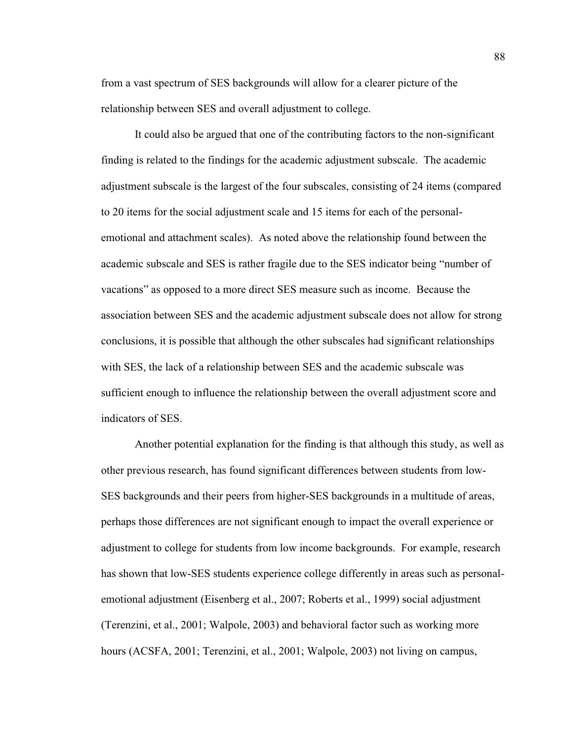from a vast spectrum of SES backgrounds will allow for a clearer picture of the relationship between SES and overall adjustment to college.

It could also be argued that one of the contributing factors to the non-significant finding is related to the findings for the academic adjustment subscale. The academic adjustment subscale is the largest of the four subscales, consisting of 24 items (compared to 20 items for the social adjustment scale and 15 items for each of the personalemotional and attachment scales). As noted above the relationship found between the academic subscale and SES is rather fragile due to the SES indicator being "number of vacations" as opposed to a more direct SES measure such as income. Because the association between SES and the academic adjustment subscale does not allow for strong conclusions, it is possible that although the other subscales had significant relationships with SES, the lack of a relationship between SES and the academic subscale was sufficient enough to influence the relationship between the overall adjustment score and indicators of SES.

 Another potential explanation for the finding is that although this study, as well as other previous research, has found significant differences between students from low-SES backgrounds and their peers from higher-SES backgrounds in a multitude of areas, perhaps those differences are not significant enough to impact the overall experience or adjustment to college for students from low income backgrounds. For example, research has shown that low-SES students experience college differently in areas such as personalemotional adjustment (Eisenberg et al., 2007; Roberts et al., 1999) social adjustment (Terenzini, et al., 2001; Walpole, 2003) and behavioral factor such as working more hours (ACSFA, 2001; Terenzini, et al., 2001; Walpole, 2003) not living on campus,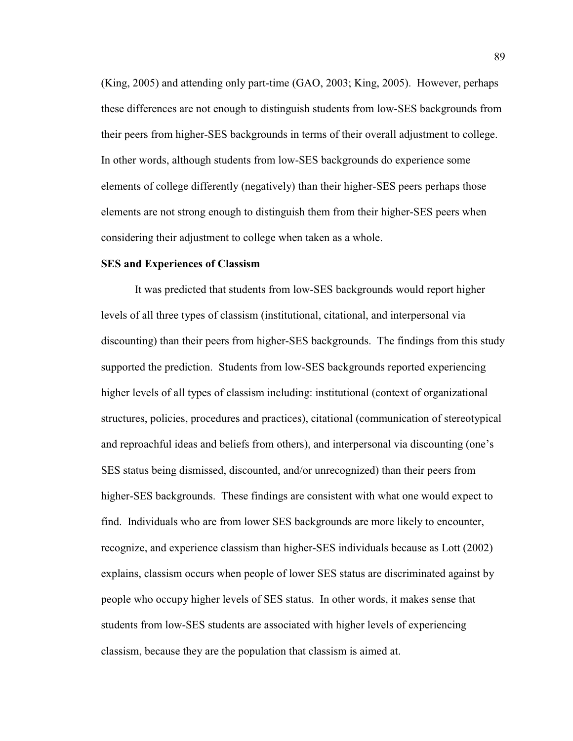(King, 2005) and attending only part-time (GAO, 2003; King, 2005). However, perhaps these differences are not enough to distinguish students from low-SES backgrounds from their peers from higher-SES backgrounds in terms of their overall adjustment to college. In other words, although students from low-SES backgrounds do experience some elements of college differently (negatively) than their higher-SES peers perhaps those elements are not strong enough to distinguish them from their higher-SES peers when considering their adjustment to college when taken as a whole.

### **SES and Experiences of Classism**

It was predicted that students from low-SES backgrounds would report higher levels of all three types of classism (institutional, citational, and interpersonal via discounting) than their peers from higher-SES backgrounds. The findings from this study supported the prediction. Students from low-SES backgrounds reported experiencing higher levels of all types of classism including: institutional (context of organizational structures, policies, procedures and practices), citational (communication of stereotypical and reproachful ideas and beliefs from others), and interpersonal via discounting (one's SES status being dismissed, discounted, and/or unrecognized) than their peers from higher-SES backgrounds. These findings are consistent with what one would expect to find. Individuals who are from lower SES backgrounds are more likely to encounter, recognize, and experience classism than higher-SES individuals because as Lott (2002) explains, classism occurs when people of lower SES status are discriminated against by people who occupy higher levels of SES status. In other words, it makes sense that students from low-SES students are associated with higher levels of experiencing classism, because they are the population that classism is aimed at.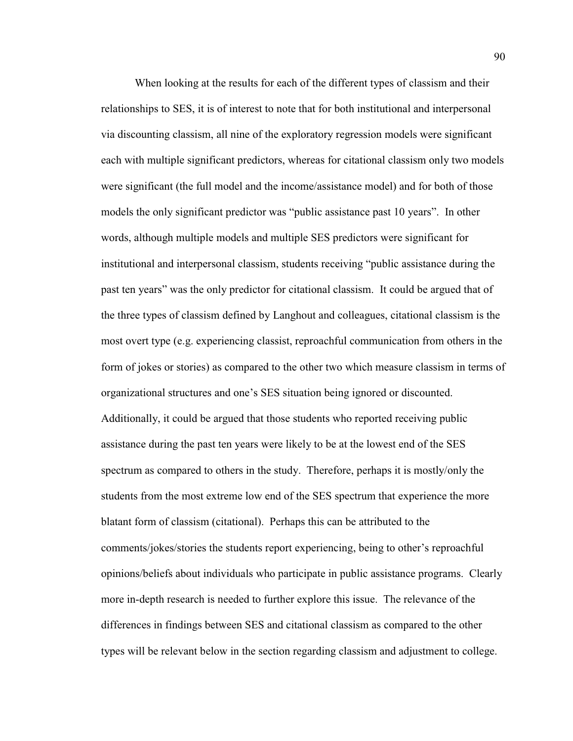When looking at the results for each of the different types of classism and their relationships to SES, it is of interest to note that for both institutional and interpersonal via discounting classism, all nine of the exploratory regression models were significant each with multiple significant predictors, whereas for citational classism only two models were significant (the full model and the income/assistance model) and for both of those models the only significant predictor was "public assistance past 10 years". In other words, although multiple models and multiple SES predictors were significant for institutional and interpersonal classism, students receiving "public assistance during the past ten years´ was the only predictor for citational classism. It could be argued that of the three types of classism defined by Langhout and colleagues, citational classism is the most overt type (e.g. experiencing classist, reproachful communication from others in the form of jokes or stories) as compared to the other two which measure classism in terms of organizational structures and one's SES situation being ignored or discounted. Additionally, it could be argued that those students who reported receiving public assistance during the past ten years were likely to be at the lowest end of the SES spectrum as compared to others in the study. Therefore, perhaps it is mostly/only the students from the most extreme low end of the SES spectrum that experience the more blatant form of classism (citational). Perhaps this can be attributed to the comments/jokes/stories the students report experiencing, being to other's reproachful opinions/beliefs about individuals who participate in public assistance programs. Clearly more in-depth research is needed to further explore this issue. The relevance of the differences in findings between SES and citational classism as compared to the other types will be relevant below in the section regarding classism and adjustment to college.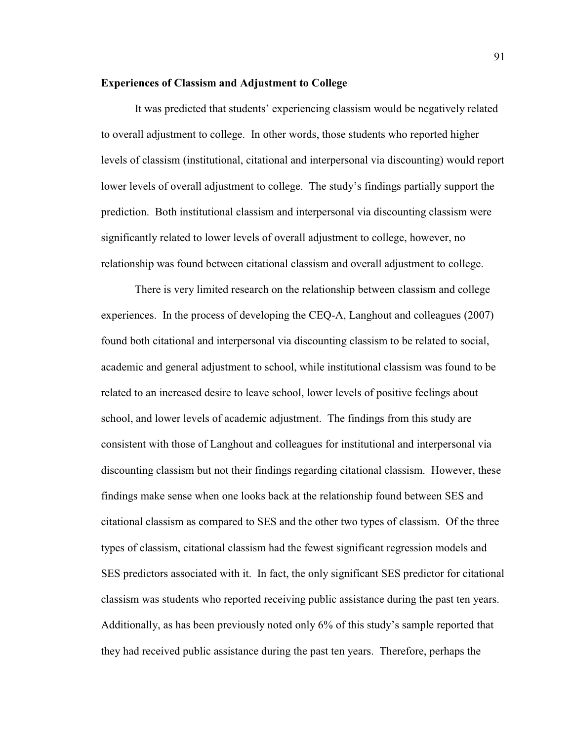#### **Experiences of Classism and Adjustment to College**

It was predicted that students' experiencing classism would be negatively related to overall adjustment to college. In other words, those students who reported higher levels of classism (institutional, citational and interpersonal via discounting) would report lower levels of overall adjustment to college. The study's findings partially support the prediction. Both institutional classism and interpersonal via discounting classism were significantly related to lower levels of overall adjustment to college, however, no relationship was found between citational classism and overall adjustment to college.

 There is very limited research on the relationship between classism and college experiences. In the process of developing the CEQ-A, Langhout and colleagues (2007) found both citational and interpersonal via discounting classism to be related to social, academic and general adjustment to school, while institutional classism was found to be related to an increased desire to leave school, lower levels of positive feelings about school, and lower levels of academic adjustment. The findings from this study are consistent with those of Langhout and colleagues for institutional and interpersonal via discounting classism but not their findings regarding citational classism. However, these findings make sense when one looks back at the relationship found between SES and citational classism as compared to SES and the other two types of classism. Of the three types of classism, citational classism had the fewest significant regression models and SES predictors associated with it. In fact, the only significant SES predictor for citational classism was students who reported receiving public assistance during the past ten years. Additionally, as has been previously noted only  $6\%$  of this study's sample reported that they had received public assistance during the past ten years. Therefore, perhaps the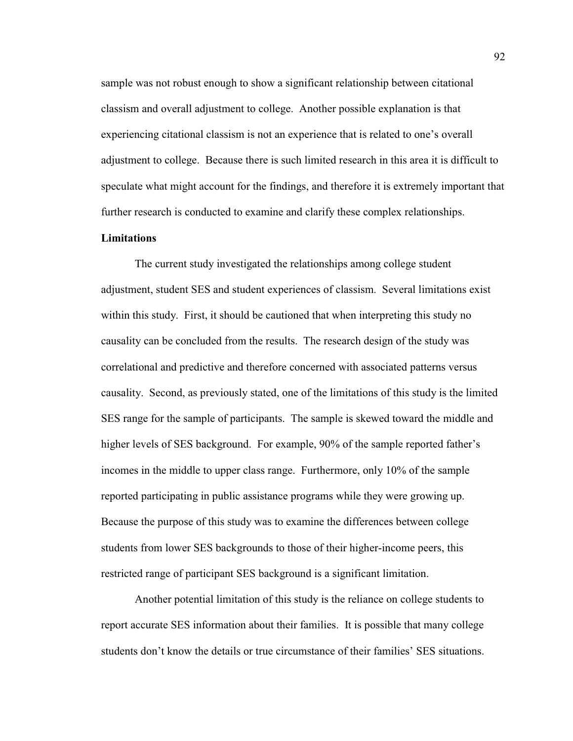sample was not robust enough to show a significant relationship between citational classism and overall adjustment to college. Another possible explanation is that experiencing citational classism is not an experience that is related to one's overall adjustment to college. Because there is such limited research in this area it is difficult to speculate what might account for the findings, and therefore it is extremely important that further research is conducted to examine and clarify these complex relationships.

#### **Limitations**

The current study investigated the relationships among college student adjustment, student SES and student experiences of classism. Several limitations exist within this study. First, it should be cautioned that when interpreting this study no causality can be concluded from the results. The research design of the study was correlational and predictive and therefore concerned with associated patterns versus causality. Second, as previously stated, one of the limitations of this study is the limited SES range for the sample of participants. The sample is skewed toward the middle and higher levels of SES background. For example, 90% of the sample reported father's incomes in the middle to upper class range. Furthermore, only 10% of the sample reported participating in public assistance programs while they were growing up. Because the purpose of this study was to examine the differences between college students from lower SES backgrounds to those of their higher-income peers, this restricted range of participant SES background is a significant limitation.

Another potential limitation of this study is the reliance on college students to report accurate SES information about their families. It is possible that many college students don't know the details or true circumstance of their families' SES situations.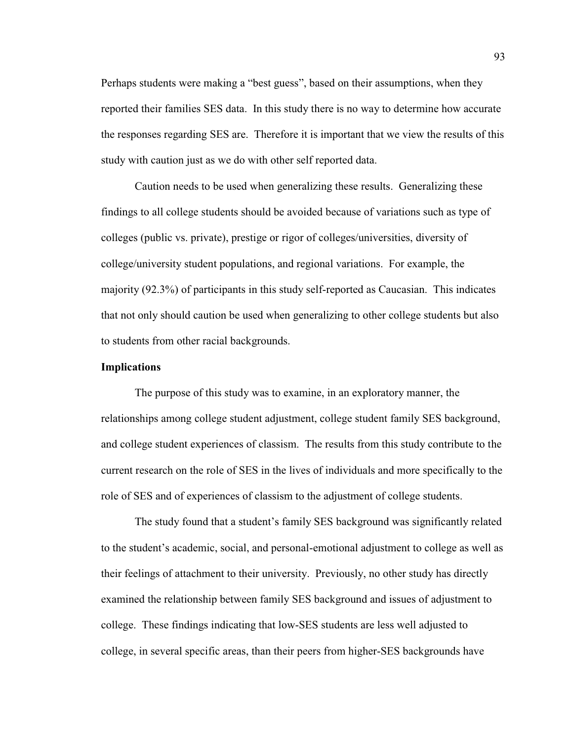Perhaps students were making a "best guess", based on their assumptions, when they reported their families SES data. In this study there is no way to determine how accurate the responses regarding SES are. Therefore it is important that we view the results of this study with caution just as we do with other self reported data.

Caution needs to be used when generalizing these results. Generalizing these findings to all college students should be avoided because of variations such as type of colleges (public vs. private), prestige or rigor of colleges/universities, diversity of college/university student populations, and regional variations. For example, the majority (92.3%) of participants in this study self-reported as Caucasian. This indicates that not only should caution be used when generalizing to other college students but also to students from other racial backgrounds.

## **Implications**

 The purpose of this study was to examine, in an exploratory manner, the relationships among college student adjustment, college student family SES background, and college student experiences of classism. The results from this study contribute to the current research on the role of SES in the lives of individuals and more specifically to the role of SES and of experiences of classism to the adjustment of college students.

The study found that a student's family SES background was significantly related to the student's academic, social, and personal-emotional adjustment to college as well as their feelings of attachment to their university. Previously, no other study has directly examined the relationship between family SES background and issues of adjustment to college. These findings indicating that low-SES students are less well adjusted to college, in several specific areas, than their peers from higher-SES backgrounds have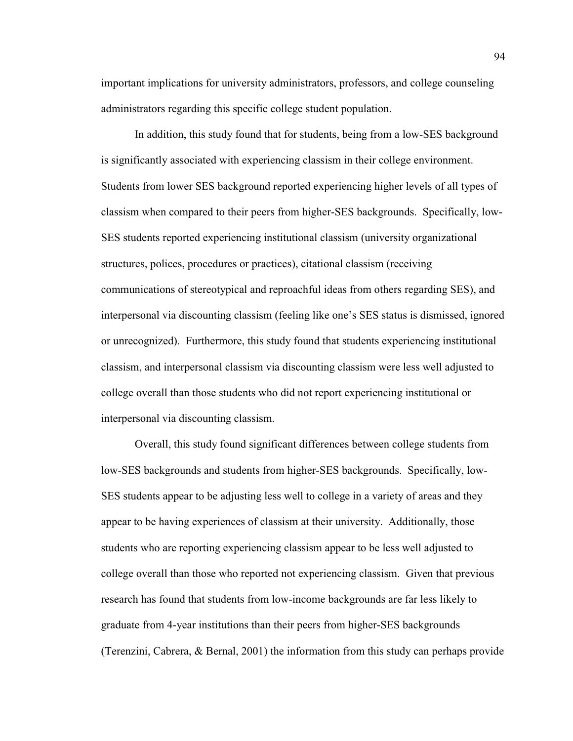important implications for university administrators, professors, and college counseling administrators regarding this specific college student population.

 In addition, this study found that for students, being from a low-SES background is significantly associated with experiencing classism in their college environment. Students from lower SES background reported experiencing higher levels of all types of classism when compared to their peers from higher-SES backgrounds. Specifically, low-SES students reported experiencing institutional classism (university organizational structures, polices, procedures or practices), citational classism (receiving communications of stereotypical and reproachful ideas from others regarding SES), and interpersonal via discounting classism (feeling like one's SES status is dismissed, ignored or unrecognized). Furthermore, this study found that students experiencing institutional classism, and interpersonal classism via discounting classism were less well adjusted to college overall than those students who did not report experiencing institutional or interpersonal via discounting classism.

 Overall, this study found significant differences between college students from low-SES backgrounds and students from higher-SES backgrounds. Specifically, low-SES students appear to be adjusting less well to college in a variety of areas and they appear to be having experiences of classism at their university. Additionally, those students who are reporting experiencing classism appear to be less well adjusted to college overall than those who reported not experiencing classism. Given that previous research has found that students from low-income backgrounds are far less likely to graduate from 4-year institutions than their peers from higher-SES backgrounds (Terenzini, Cabrera, & Bernal, 2001) the information from this study can perhaps provide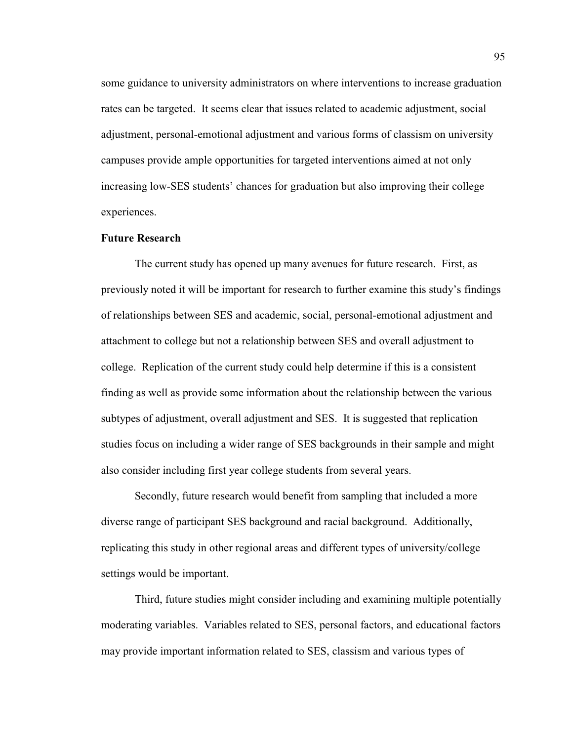some guidance to university administrators on where interventions to increase graduation rates can be targeted. It seems clear that issues related to academic adjustment, social adjustment, personal-emotional adjustment and various forms of classism on university campuses provide ample opportunities for targeted interventions aimed at not only increasing low-SES students' chances for graduation but also improving their college experiences.

#### **Future Research**

The current study has opened up many avenues for future research. First, as previously noted it will be important for research to further examine this study's findings of relationships between SES and academic, social, personal-emotional adjustment and attachment to college but not a relationship between SES and overall adjustment to college. Replication of the current study could help determine if this is a consistent finding as well as provide some information about the relationship between the various subtypes of adjustment, overall adjustment and SES. It is suggested that replication studies focus on including a wider range of SES backgrounds in their sample and might also consider including first year college students from several years.

Secondly, future research would benefit from sampling that included a more diverse range of participant SES background and racial background. Additionally, replicating this study in other regional areas and different types of university/college settings would be important.

Third, future studies might consider including and examining multiple potentially moderating variables. Variables related to SES, personal factors, and educational factors may provide important information related to SES, classism and various types of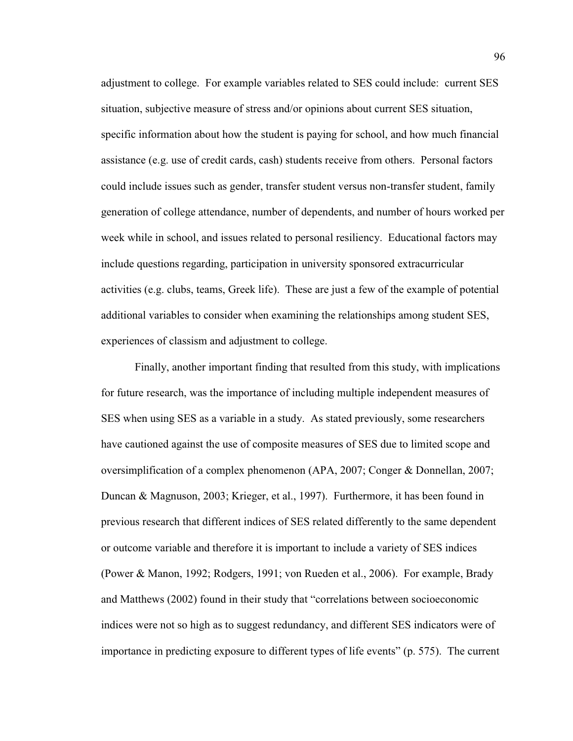adjustment to college. For example variables related to SES could include: current SES situation, subjective measure of stress and/or opinions about current SES situation, specific information about how the student is paying for school, and how much financial assistance (e.g. use of credit cards, cash) students receive from others. Personal factors could include issues such as gender, transfer student versus non-transfer student, family generation of college attendance, number of dependents, and number of hours worked per week while in school, and issues related to personal resiliency. Educational factors may include questions regarding, participation in university sponsored extracurricular activities (e.g. clubs, teams, Greek life). These are just a few of the example of potential additional variables to consider when examining the relationships among student SES, experiences of classism and adjustment to college.

Finally, another important finding that resulted from this study, with implications for future research, was the importance of including multiple independent measures of SES when using SES as a variable in a study. As stated previously, some researchers have cautioned against the use of composite measures of SES due to limited scope and oversimplification of a complex phenomenon (APA, 2007; Conger & Donnellan, 2007; Duncan & Magnuson, 2003; Krieger, et al., 1997). Furthermore, it has been found in previous research that different indices of SES related differently to the same dependent or outcome variable and therefore it is important to include a variety of SES indices (Power & Manon, 1992; Rodgers, 1991; von Rueden et al., 2006). For example, Brady and Matthews (2002) found in their study that "correlations between socioeconomic indices were not so high as to suggest redundancy, and different SES indicators were of importance in predicting exposure to different types of life events" (p. 575). The current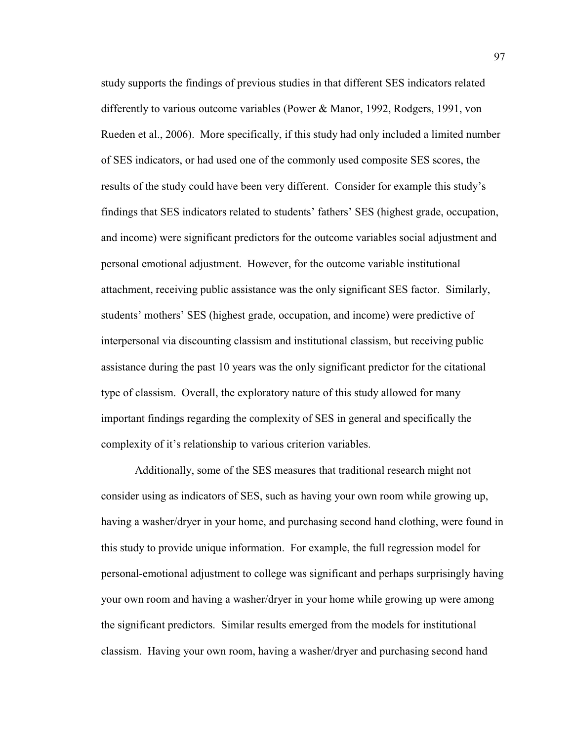study supports the findings of previous studies in that different SES indicators related differently to various outcome variables (Power & Manor, 1992, Rodgers, 1991, von Rueden et al., 2006). More specifically, if this study had only included a limited number of SES indicators, or had used one of the commonly used composite SES scores, the results of the study could have been very different. Consider for example this study's findings that SES indicators related to students' fathers' SES (highest grade, occupation, and income) were significant predictors for the outcome variables social adjustment and personal emotional adjustment. However, for the outcome variable institutional attachment, receiving public assistance was the only significant SES factor. Similarly, students' mothers' SES (highest grade, occupation, and income) were predictive of interpersonal via discounting classism and institutional classism, but receiving public assistance during the past 10 years was the only significant predictor for the citational type of classism. Overall, the exploratory nature of this study allowed for many important findings regarding the complexity of SES in general and specifically the complexity of it's relationship to various criterion variables.

Additionally, some of the SES measures that traditional research might not consider using as indicators of SES, such as having your own room while growing up, having a washer/dryer in your home, and purchasing second hand clothing, were found in this study to provide unique information. For example, the full regression model for personal-emotional adjustment to college was significant and perhaps surprisingly having your own room and having a washer/dryer in your home while growing up were among the significant predictors. Similar results emerged from the models for institutional classism. Having your own room, having a washer/dryer and purchasing second hand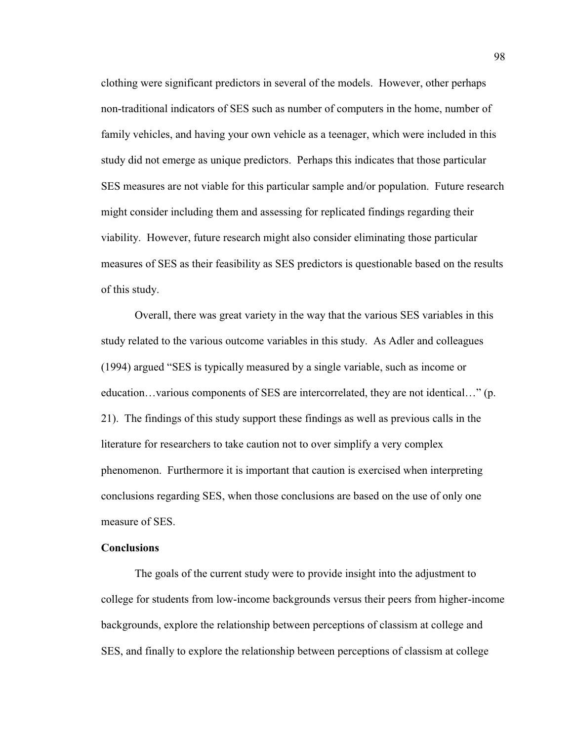clothing were significant predictors in several of the models. However, other perhaps non-traditional indicators of SES such as number of computers in the home, number of family vehicles, and having your own vehicle as a teenager, which were included in this study did not emerge as unique predictors. Perhaps this indicates that those particular SES measures are not viable for this particular sample and/or population. Future research might consider including them and assessing for replicated findings regarding their viability. However, future research might also consider eliminating those particular measures of SES as their feasibility as SES predictors is questionable based on the results of this study.

Overall, there was great variety in the way that the various SES variables in this study related to the various outcome variables in this study. As Adler and colleagues  $(1994)$  argued "SES is typically measured by a single variable, such as income or education...various components of SES are intercorrelated, they are not identical..." (p. 21). The findings of this study support these findings as well as previous calls in the literature for researchers to take caution not to over simplify a very complex phenomenon. Furthermore it is important that caution is exercised when interpreting conclusions regarding SES, when those conclusions are based on the use of only one measure of SES.

## **Conclusions**

The goals of the current study were to provide insight into the adjustment to college for students from low-income backgrounds versus their peers from higher-income backgrounds, explore the relationship between perceptions of classism at college and SES, and finally to explore the relationship between perceptions of classism at college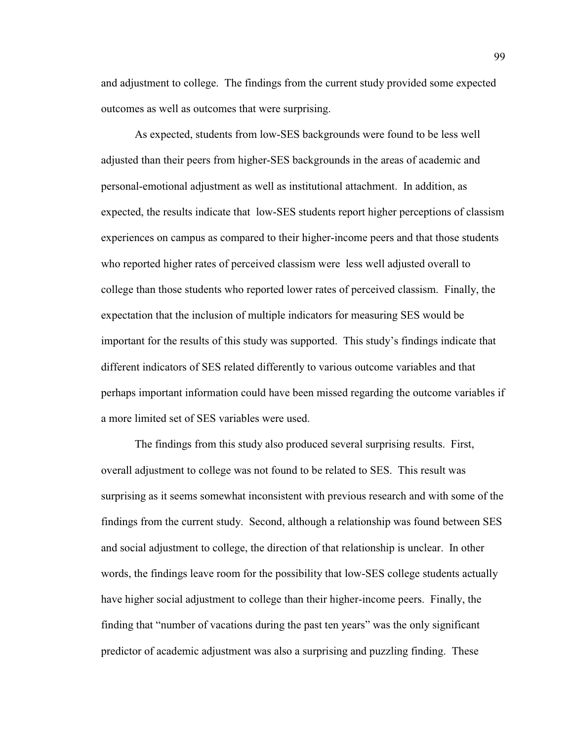and adjustment to college. The findings from the current study provided some expected outcomes as well as outcomes that were surprising.

As expected, students from low-SES backgrounds were found to be less well adjusted than their peers from higher-SES backgrounds in the areas of academic and personal-emotional adjustment as well as institutional attachment. In addition, as expected, the results indicate that low-SES students report higher perceptions of classism experiences on campus as compared to their higher-income peers and that those students who reported higher rates of perceived classism were less well adjusted overall to college than those students who reported lower rates of perceived classism. Finally, the expectation that the inclusion of multiple indicators for measuring SES would be important for the results of this study was supported. This study's findings indicate that different indicators of SES related differently to various outcome variables and that perhaps important information could have been missed regarding the outcome variables if a more limited set of SES variables were used.

 The findings from this study also produced several surprising results. First, overall adjustment to college was not found to be related to SES. This result was surprising as it seems somewhat inconsistent with previous research and with some of the findings from the current study. Second, although a relationship was found between SES and social adjustment to college, the direction of that relationship is unclear. In other words, the findings leave room for the possibility that low-SES college students actually have higher social adjustment to college than their higher-income peers. Finally, the finding that "number of vacations during the past ten years" was the only significant predictor of academic adjustment was also a surprising and puzzling finding. These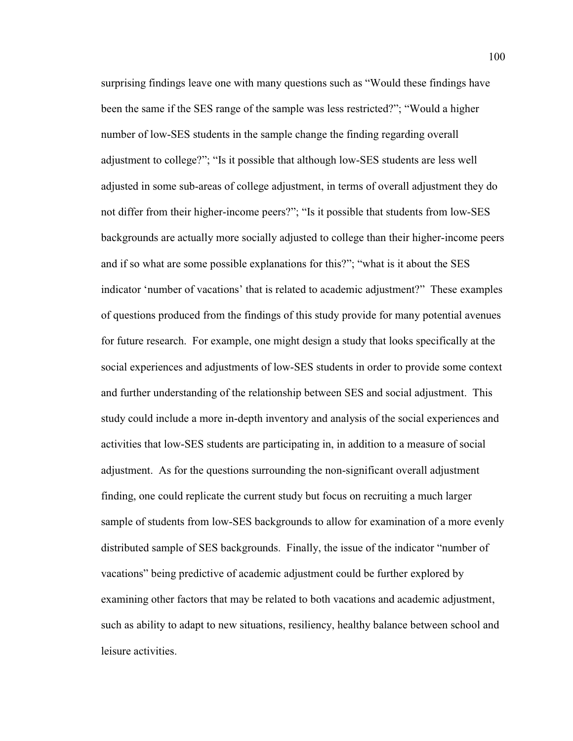surprising findings leave one with many questions such as "Would these findings have been the same if the SES range of the sample was less restricted?"; "Would a higher number of low-SES students in the sample change the finding regarding overall adjustment to college?"; "Is it possible that although low-SES students are less well adjusted in some sub-areas of college adjustment, in terms of overall adjustment they do not differ from their higher-income peers?"; "Is it possible that students from low-SES backgrounds are actually more socially adjusted to college than their higher-income peers and if so what are some possible explanations for this?"; "what is it about the SES indicator 'number of vacations' that is related to academic adjustment?" These examples of questions produced from the findings of this study provide for many potential avenues for future research. For example, one might design a study that looks specifically at the social experiences and adjustments of low-SES students in order to provide some context and further understanding of the relationship between SES and social adjustment. This study could include a more in-depth inventory and analysis of the social experiences and activities that low-SES students are participating in, in addition to a measure of social adjustment. As for the questions surrounding the non-significant overall adjustment finding, one could replicate the current study but focus on recruiting a much larger sample of students from low-SES backgrounds to allow for examination of a more evenly distributed sample of SES backgrounds. Finally, the issue of the indicator "number of vacations" being predictive of academic adjustment could be further explored by examining other factors that may be related to both vacations and academic adjustment, such as ability to adapt to new situations, resiliency, healthy balance between school and leisure activities.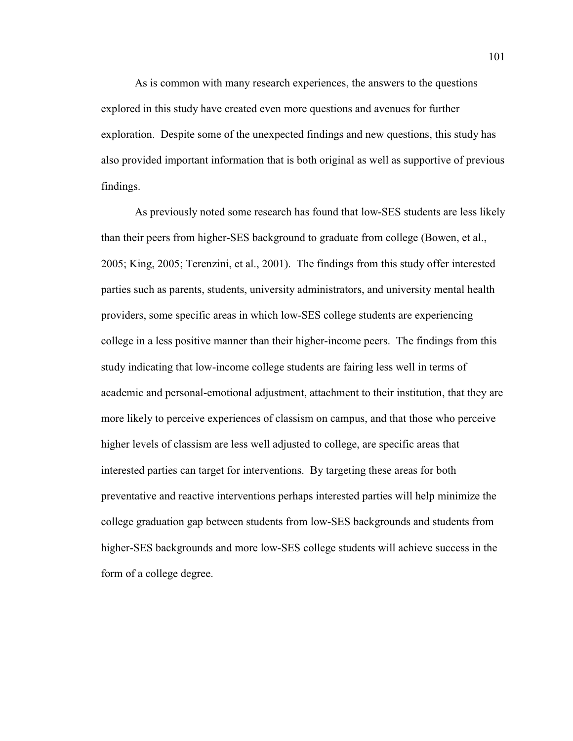As is common with many research experiences, the answers to the questions explored in this study have created even more questions and avenues for further exploration. Despite some of the unexpected findings and new questions, this study has also provided important information that is both original as well as supportive of previous findings.

As previously noted some research has found that low-SES students are less likely than their peers from higher-SES background to graduate from college (Bowen, et al., 2005; King, 2005; Terenzini, et al., 2001). The findings from this study offer interested parties such as parents, students, university administrators, and university mental health providers, some specific areas in which low-SES college students are experiencing college in a less positive manner than their higher-income peers. The findings from this study indicating that low-income college students are fairing less well in terms of academic and personal-emotional adjustment, attachment to their institution, that they are more likely to perceive experiences of classism on campus, and that those who perceive higher levels of classism are less well adjusted to college, are specific areas that interested parties can target for interventions. By targeting these areas for both preventative and reactive interventions perhaps interested parties will help minimize the college graduation gap between students from low-SES backgrounds and students from higher-SES backgrounds and more low-SES college students will achieve success in the form of a college degree.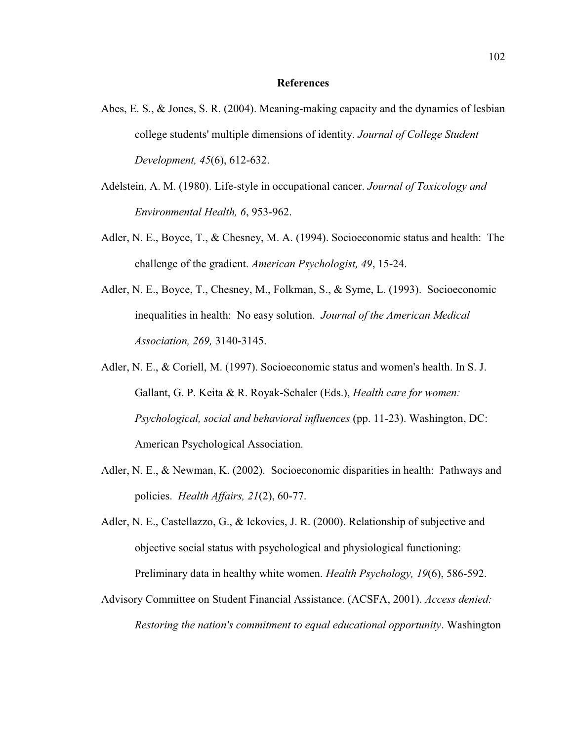## **References**

- Abes, E. S., & Jones, S. R. (2004). Meaning-making capacity and the dynamics of lesbian college students' multiple dimensions of identity. *Journal of College Student Development, 45*(6), 612-632.
- Adelstein, A. M. (1980). Life-style in occupational cancer. *Journal of Toxicology and Environmental Health, 6*, 953-962.
- Adler, N. E., Boyce, T., & Chesney, M. A. (1994). Socioeconomic status and health: The challenge of the gradient. *American Psychologist, 49*, 15-24.
- Adler, N. E., Boyce, T., Chesney, M., Folkman, S., & Syme, L. (1993). Socioeconomic inequalities in health: No easy solution. *Journal of the American Medical Association, 269,* 3140-3145.
- Adler, N. E., & Coriell, M. (1997). Socioeconomic status and women's health. In S. J. Gallant, G. P. Keita & R. Royak-Schaler (Eds.), *Health care for women: Psychological, social and behavioral influences* (pp. 11-23). Washington, DC: American Psychological Association.
- Adler, N. E., & Newman, K. (2002). Socioeconomic disparities in health: Pathways and policies. *Health Affairs, 21*(2), 60-77.
- Adler, N. E., Castellazzo, G., & Ickovics, J. R. (2000). Relationship of subjective and objective social status with psychological and physiological functioning: Preliminary data in healthy white women. *Health Psychology, 19*(6), 586-592.
- Advisory Committee on Student Financial Assistance. (ACSFA, 2001). *Access denied: Restoring the nation's commitment to equal educational opportunity*. Washington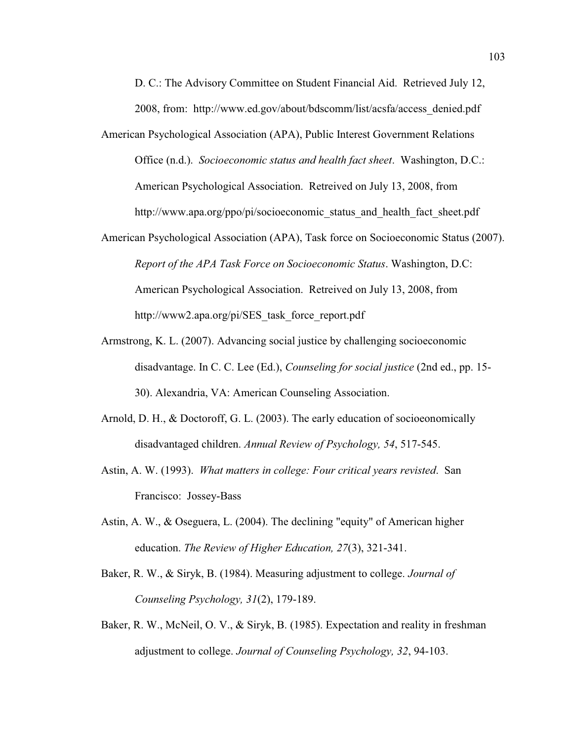D. C.: The Advisory Committee on Student Financial Aid. Retrieved July 12, 2008, from: http://www.ed.gov/about/bdscomm/list/acsfa/access\_denied.pdf

- American Psychological Association (APA), Public Interest Government Relations Office (n.d.). *Socioeconomic status and health fact sheet*. Washington, D.C.: American Psychological Association. Retreived on July 13, 2008, from http://www.apa.org/ppo/pi/socioeconomic status and health fact sheet.pdf
- American Psychological Association (APA), Task force on Socioeconomic Status (2007). *Report of the APA Task Force on Socioeconomic Status*. Washington, D.C: American Psychological Association. Retreived on July 13, 2008, from http://www2.apa.org/pi/SES\_task\_force\_report.pdf
- Armstrong, K. L. (2007). Advancing social justice by challenging socioeconomic disadvantage. In C. C. Lee (Ed.), *Counseling for social justice* (2nd ed., pp. 15- 30). Alexandria, VA: American Counseling Association.
- Arnold, D. H., & Doctoroff, G. L. (2003). The early education of socioeonomically disadvantaged children. *Annual Review of Psychology, 54*, 517-545.
- Astin, A. W. (1993). *What matters in college: Four critical years revisted*. San Francisco: Jossey-Bass
- Astin, A. W., & Oseguera, L. (2004). The declining "equity" of American higher education. *The Review of Higher Education, 27*(3), 321-341.
- Baker, R. W., & Siryk, B. (1984). Measuring adjustment to college. *Journal of Counseling Psychology, 31*(2), 179-189.
- Baker, R. W., McNeil, O. V., & Siryk, B. (1985). Expectation and reality in freshman adjustment to college. *Journal of Counseling Psychology, 32*, 94-103.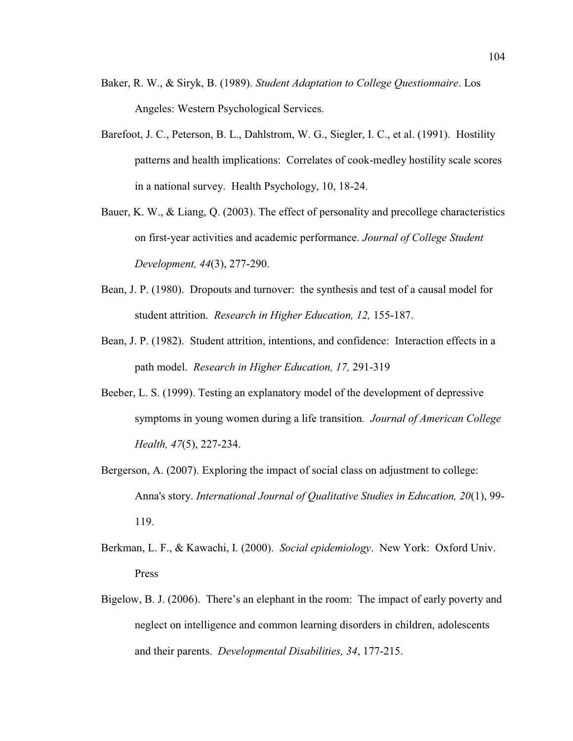- Baker, R. W., & Siryk, B. (1989). *Student Adaptation to College Questionnaire*. Los Angeles: Western Psychological Services.
- Barefoot, J. C., Peterson, B. L., Dahlstrom, W. G., Siegler, I. C., et al. (1991). Hostility patterns and health implications: Correlates of cook-medley hostility scale scores in a national survey. Health Psychology, 10, 18-24.
- Bauer, K. W., & Liang, Q. (2003). The effect of personality and precollege characteristics on first-year activities and academic performance. *Journal of College Student Development, 44*(3), 277-290.
- Bean, J. P. (1980). Dropouts and turnover: the synthesis and test of a causal model for student attrition. *Research in Higher Education, 12,* 155-187.
- Bean, J. P. (1982). Student attrition, intentions, and confidence: Interaction effects in a path model. *Research in Higher Education, 17,* 291-319
- Beeber, L. S. (1999). Testing an explanatory model of the development of depressive symptoms in young women during a life transition*. Journal of American College Health, 47*(5), 227-234.
- Bergerson, A. (2007). Exploring the impact of social class on adjustment to college: Anna's story. *International Journal of Qualitative Studies in Education, 20*(1), 99- 119.
- Berkman, L. F., & Kawachi, I. (2000). *Social epidemiology*. New York: Oxford Univ. Press
- Bigelow, B. J. (2006). There's an elephant in the room: The impact of early poverty and neglect on intelligence and common learning disorders in children, adolescents and their parents. *Developmental Disabilities, 34*, 177-215.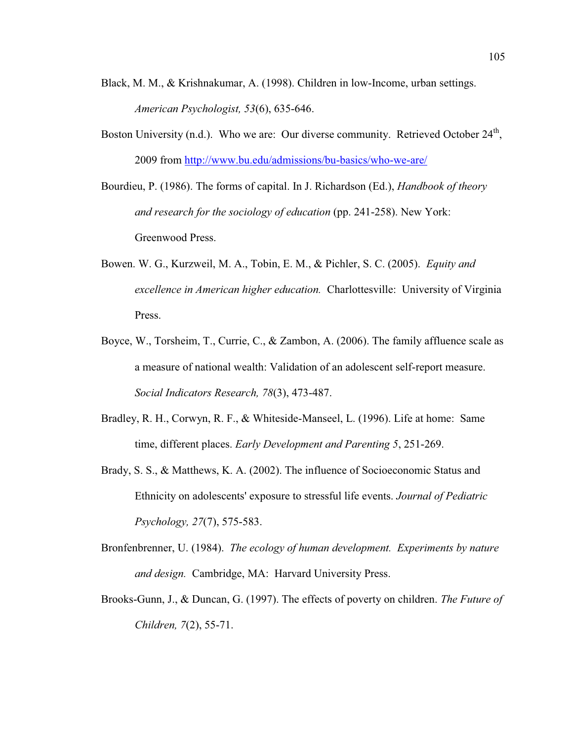- Black, M. M., & Krishnakumar, A. (1998). Children in low-Income, urban settings. *American Psychologist, 53*(6), 635-646.
- Boston University (n.d.). Who we are: Our diverse community. Retrieved October 24<sup>th</sup>, 2009 from http://www.bu.edu/admissions/bu-basics/who-we-are/

Bourdieu, P. (1986). The forms of capital. In J. Richardson (Ed.), *Handbook of theory and research for the sociology of education* (pp. 241-258). New York: Greenwood Press.

- Bowen. W. G., Kurzweil, M. A., Tobin, E. M., & Pichler, S. C. (2005). *Equity and excellence in American higher education.* Charlottesville: University of Virginia Press.
- Boyce, W., Torsheim, T., Currie, C., & Zambon, A. (2006). The family affluence scale as a measure of national wealth: Validation of an adolescent self-report measure. *Social Indicators Research, 78*(3), 473-487.
- Bradley, R. H., Corwyn, R. F., & Whiteside-Manseel, L. (1996). Life at home: Same time, different places. *Early Development and Parenting 5*, 251-269.
- Brady, S. S., & Matthews, K. A. (2002). The influence of Socioeconomic Status and Ethnicity on adolescents' exposure to stressful life events. *Journal of Pediatric Psychology, 27*(7), 575-583.
- Bronfenbrenner, U. (1984). *The ecology of human development. Experiments by nature and design.* Cambridge, MA: Harvard University Press.
- Brooks-Gunn, J., & Duncan, G. (1997). The effects of poverty on children. *The Future of Children, 7*(2), 55-71.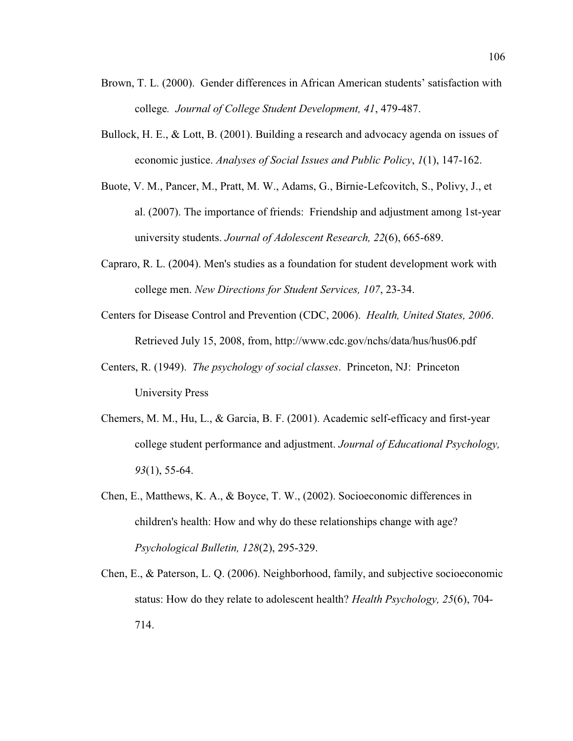- Brown, T. L. (2000). Gender differences in African American students' satisfaction with college*. Journal of College Student Development, 41*, 479-487.
- Bullock, H. E., & Lott, B. (2001). Building a research and advocacy agenda on issues of economic justice. *Analyses of Social Issues and Public Policy*, *1*(1), 147-162.
- Buote, V. M., Pancer, M., Pratt, M. W., Adams, G., Birnie-Lefcovitch, S., Polivy, J., et al. (2007). The importance of friends: Friendship and adjustment among 1st-year university students. *Journal of Adolescent Research, 22*(6), 665-689.
- Capraro, R. L. (2004). Men's studies as a foundation for student development work with college men. *New Directions for Student Services, 107*, 23-34.
- Centers for Disease Control and Prevention (CDC, 2006). *Health, United States, 2006*. Retrieved July 15, 2008, from, http://www.cdc.gov/nchs/data/hus/hus06.pdf
- Centers, R. (1949). *The psychology of social classes*. Princeton, NJ: Princeton University Press
- Chemers, M. M., Hu, L., & Garcia, B. F. (2001). Academic self-efficacy and first-year college student performance and adjustment. *Journal of Educational Psychology, 93*(1), 55-64.
- Chen, E., Matthews, K. A., & Boyce, T. W., (2002). Socioeconomic differences in children's health: How and why do these relationships change with age? *Psychological Bulletin, 128*(2), 295-329.
- Chen, E., & Paterson, L. Q. (2006). Neighborhood, family, and subjective socioeconomic status: How do they relate to adolescent health? *Health Psychology, 25*(6), 704- 714.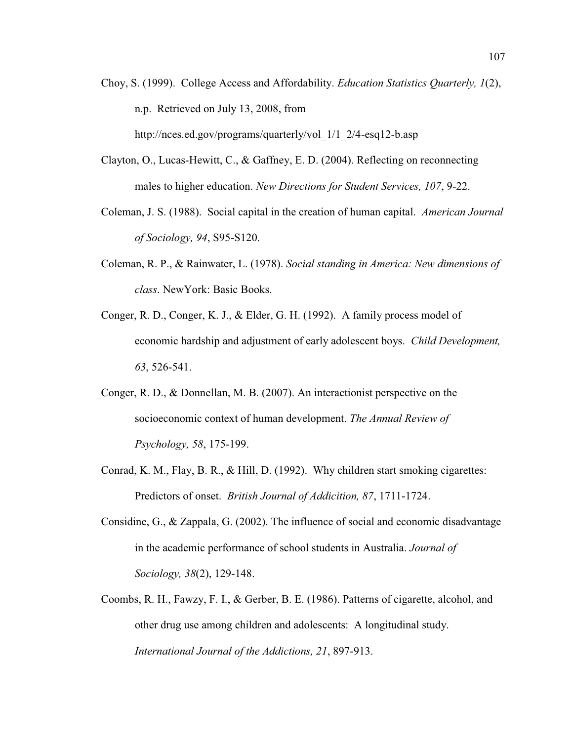- Choy, S. (1999). College Access and Affordability. *Education Statistics Quarterly, 1*(2), n.p. Retrieved on July 13, 2008, from http://nces.ed.gov/programs/quarterly/vol\_1/1\_2/4-esq12-b.asp
- Clayton, O., Lucas-Hewitt, C., & Gaffney, E. D. (2004). Reflecting on reconnecting males to higher education. *New Directions for Student Services, 107*, 9-22.
- Coleman, J. S. (1988). Social capital in the creation of human capital. *American Journal of Sociology, 94*, S95-S120.
- Coleman, R. P., & Rainwater, L. (1978). *Social standing in America: New dimensions of class*. NewYork: Basic Books.
- Conger, R. D., Conger, K. J., & Elder, G. H. (1992). A family process model of economic hardship and adjustment of early adolescent boys. *Child Development, 63*, 526-541.
- Conger, R. D., & Donnellan, M. B. (2007). An interactionist perspective on the socioeconomic context of human development. *The Annual Review of Psychology, 58*, 175-199.
- Conrad, K. M., Flay, B. R., & Hill, D. (1992). Why children start smoking cigarettes: Predictors of onset. *British Journal of Addicition, 87*, 1711-1724.
- Considine, G., & Zappala, G. (2002). The influence of social and economic disadvantage in the academic performance of school students in Australia. *Journal of Sociology, 38*(2), 129-148.
- Coombs, R. H., Fawzy, F. I., & Gerber, B. E. (1986). Patterns of cigarette, alcohol, and other drug use among children and adolescents: A longitudinal study. *International Journal of the Addictions, 21*, 897-913.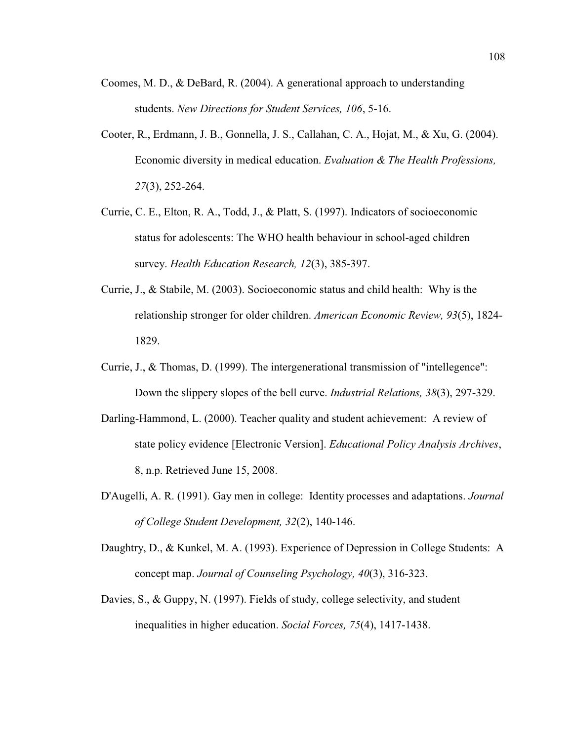- Coomes, M. D., & DeBard, R. (2004). A generational approach to understanding students. *New Directions for Student Services, 106*, 5-16.
- Cooter, R., Erdmann, J. B., Gonnella, J. S., Callahan, C. A., Hojat, M., & Xu, G. (2004). Economic diversity in medical education. *Evaluation & The Health Professions, 27*(3), 252-264.
- Currie, C. E., Elton, R. A., Todd, J., & Platt, S. (1997). Indicators of socioeconomic status for adolescents: The WHO health behaviour in school-aged children survey. *Health Education Research, 12*(3), 385-397.
- Currie, J., & Stabile, M. (2003). Socioeconomic status and child health: Why is the relationship stronger for older children. *American Economic Review, 93*(5), 1824- 1829.
- Currie, J., & Thomas, D. (1999). The intergenerational transmission of "intellegence": Down the slippery slopes of the bell curve. *Industrial Relations, 38*(3), 297-329.
- Darling-Hammond, L. (2000). Teacher quality and student achievement: A review of state policy evidence [Electronic Version]. *Educational Policy Analysis Archives*, 8, n.p. Retrieved June 15, 2008.
- D'Augelli, A. R. (1991). Gay men in college: Identity processes and adaptations. *Journal of College Student Development, 32*(2), 140-146.
- Daughtry, D., & Kunkel, M. A. (1993). Experience of Depression in College Students: A concept map. *Journal of Counseling Psychology, 40*(3), 316-323.
- Davies, S., & Guppy, N. (1997). Fields of study, college selectivity, and student inequalities in higher education. *Social Forces, 75*(4), 1417-1438.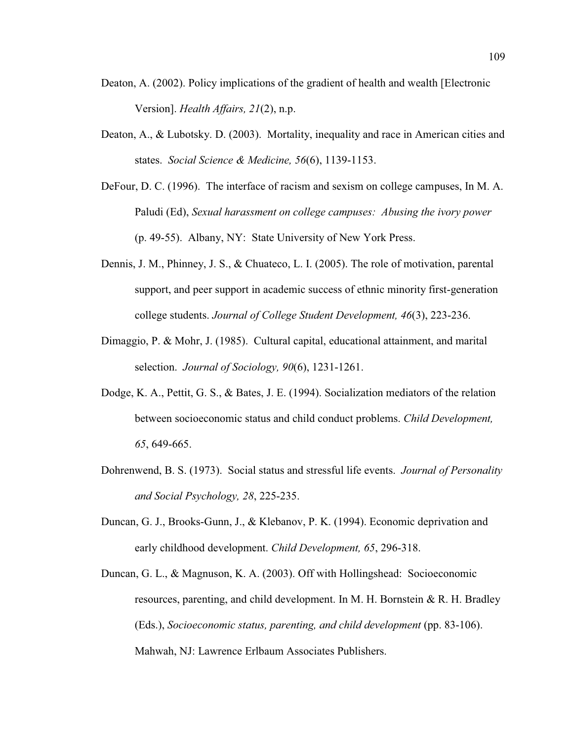- Deaton, A. (2002). Policy implications of the gradient of health and wealth [Electronic Version]. *Health Affairs, 21*(2), n.p.
- Deaton, A., & Lubotsky. D. (2003). Mortality, inequality and race in American cities and states. *Social Science & Medicine, 56*(6), 1139-1153.
- DeFour, D. C. (1996). The interface of racism and sexism on college campuses, In M. A. Paludi (Ed), *Sexual harassment on college campuses: Abusing the ivory power* (p. 49-55). Albany, NY: State University of New York Press.
- Dennis, J. M., Phinney, J. S., & Chuateco, L. I. (2005). The role of motivation, parental support, and peer support in academic success of ethnic minority first-generation college students. *Journal of College Student Development, 46*(3), 223-236.
- Dimaggio, P. & Mohr, J. (1985). Cultural capital, educational attainment, and marital selection. *Journal of Sociology, 90*(6), 1231-1261.
- Dodge, K. A., Pettit, G. S., & Bates, J. E. (1994). Socialization mediators of the relation between socioeconomic status and child conduct problems. *Child Development, 65*, 649-665.
- Dohrenwend, B. S. (1973). Social status and stressful life events. *Journal of Personality and Social Psychology, 28*, 225-235.
- Duncan, G. J., Brooks-Gunn, J., & Klebanov, P. K. (1994). Economic deprivation and early childhood development. *Child Development, 65*, 296-318.
- Duncan, G. L., & Magnuson, K. A. (2003). Off with Hollingshead: Socioeconomic resources, parenting, and child development. In M. H. Bornstein & R. H. Bradley (Eds.), *Socioeconomic status, parenting, and child development* (pp. 83-106). Mahwah, NJ: Lawrence Erlbaum Associates Publishers.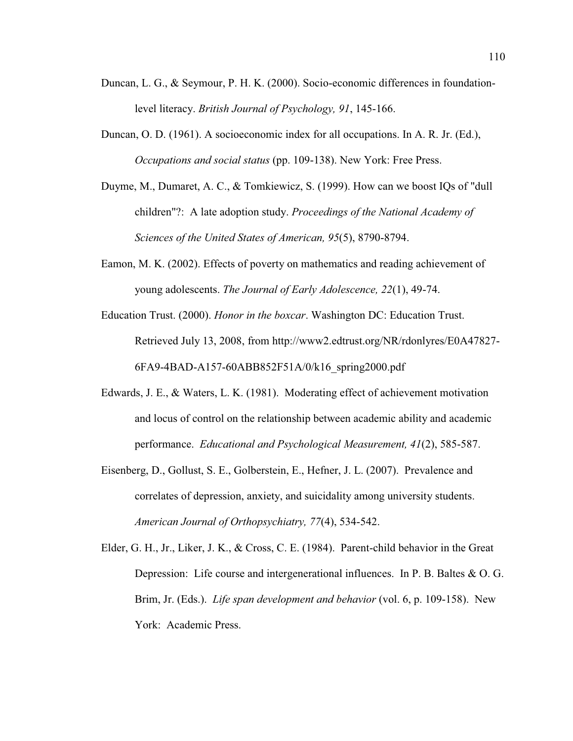- Duncan, L. G., & Seymour, P. H. K. (2000). Socio-economic differences in foundationlevel literacy. *British Journal of Psychology, 91*, 145-166.
- Duncan, O. D. (1961). A socioeconomic index for all occupations. In A. R. Jr. (Ed.), *Occupations and social status* (pp. 109-138). New York: Free Press.
- Duyme, M., Dumaret, A. C., & Tomkiewicz, S. (1999). How can we boost IQs of "dull children"?: A late adoption study. *Proceedings of the National Academy of Sciences of the United States of American, 95*(5), 8790-8794.
- Eamon, M. K. (2002). Effects of poverty on mathematics and reading achievement of young adolescents. *The Journal of Early Adolescence, 22*(1), 49-74.
- Education Trust. (2000). *Honor in the boxcar*. Washington DC: Education Trust. Retrieved July 13, 2008, from http://www2.edtrust.org/NR/rdonlyres/E0A47827- 6FA9-4BAD-A157-60ABB852F51A/0/k16\_spring2000.pdf
- Edwards, J. E., & Waters, L. K. (1981). Moderating effect of achievement motivation and locus of control on the relationship between academic ability and academic performance. *Educational and Psychological Measurement, 41*(2), 585-587.
- Eisenberg, D., Gollust, S. E., Golberstein, E., Hefner, J. L. (2007). Prevalence and correlates of depression, anxiety, and suicidality among university students. *American Journal of Orthopsychiatry, 77*(4), 534-542.
- Elder, G. H., Jr., Liker, J. K., & Cross, C. E. (1984). Parent-child behavior in the Great Depression: Life course and intergenerational influences. In P. B. Baltes & O. G. Brim, Jr. (Eds.). *Life span development and behavior* (vol. 6, p. 109-158). New York: Academic Press.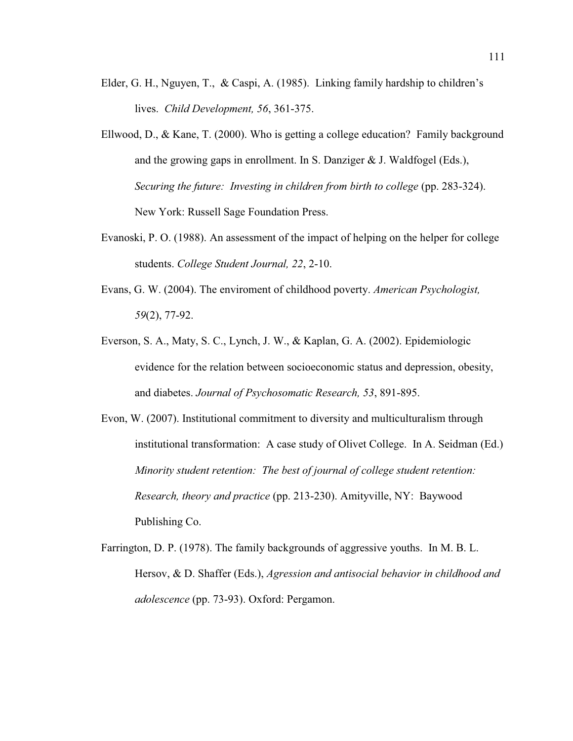- Elder, G. H., Nguyen, T., & Caspi, A. (1985). Linking family hardship to children's lives. *Child Development, 56*, 361-375.
- Ellwood, D., & Kane, T. (2000). Who is getting a college education? Family background and the growing gaps in enrollment. In S. Danziger & J. Waldfogel (Eds.), *Securing the future: Investing in children from birth to college* (pp. 283-324). New York: Russell Sage Foundation Press.
- Evanoski, P. O. (1988). An assessment of the impact of helping on the helper for college students. *College Student Journal, 22*, 2-10.
- Evans, G. W. (2004). The enviroment of childhood poverty. *American Psychologist, 59*(2), 77-92.
- Everson, S. A., Maty, S. C., Lynch, J. W., & Kaplan, G. A. (2002). Epidemiologic evidence for the relation between socioeconomic status and depression, obesity, and diabetes. *Journal of Psychosomatic Research, 53*, 891-895.
- Evon, W. (2007). Institutional commitment to diversity and multiculturalism through institutional transformation: A case study of Olivet College. In A. Seidman (Ed.) *Minority student retention: The best of journal of college student retention: Research, theory and practice* (pp. 213-230). Amityville, NY: Baywood Publishing Co.
- Farrington, D. P. (1978). The family backgrounds of aggressive youths. In M. B. L. Hersov, & D. Shaffer (Eds.), *Agression and antisocial behavior in childhood and adolescence* (pp. 73-93). Oxford: Pergamon.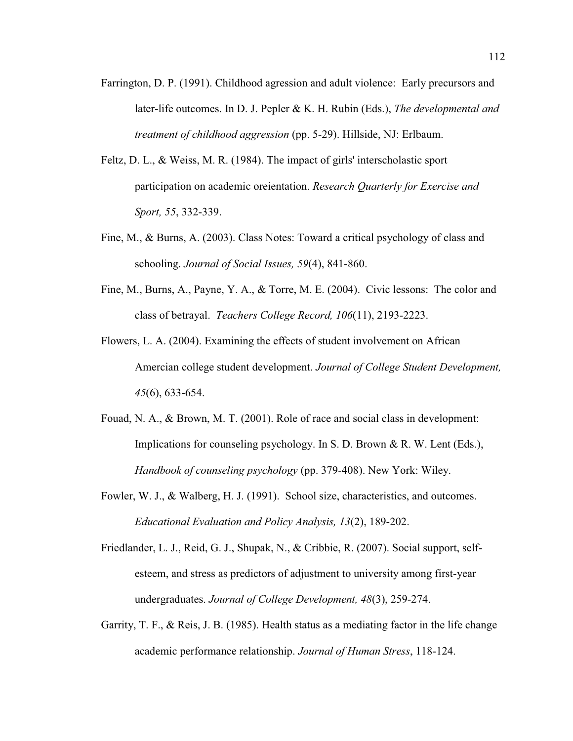- Farrington, D. P. (1991). Childhood agression and adult violence: Early precursors and later-life outcomes. In D. J. Pepler & K. H. Rubin (Eds.), *The developmental and treatment of childhood aggression* (pp. 5-29). Hillside, NJ: Erlbaum.
- Feltz, D. L., & Weiss, M. R. (1984). The impact of girls' interscholastic sport participation on academic oreientation. *Research Quarterly for Exercise and Sport, 55*, 332-339.
- Fine, M., & Burns, A. (2003). Class Notes: Toward a critical psychology of class and schooling. *Journal of Social Issues, 59*(4), 841-860.
- Fine, M., Burns, A., Payne, Y. A., & Torre, M. E. (2004). Civic lessons: The color and class of betrayal. *Teachers College Record, 106*(11), 2193-2223.
- Flowers, L. A. (2004). Examining the effects of student involvement on African Amercian college student development. *Journal of College Student Development, 45*(6), 633-654.
- Fouad, N. A., & Brown, M. T. (2001). Role of race and social class in development: Implications for counseling psychology. In S. D. Brown & R. W. Lent (Eds.), *Handbook of counseling psychology* (pp. 379-408). New York: Wiley.
- Fowler, W. J., & Walberg, H. J. (1991). School size, characteristics, and outcomes. *Educational Evaluation and Policy Analysis, 13*(2), 189-202.
- Friedlander, L. J., Reid, G. J., Shupak, N., & Cribbie, R. (2007). Social support, selfesteem, and stress as predictors of adjustment to university among first-year undergraduates. *Journal of College Development, 48*(3), 259-274.
- Garrity, T. F., & Reis, J. B. (1985). Health status as a mediating factor in the life change academic performance relationship. *Journal of Human Stress*, 118-124.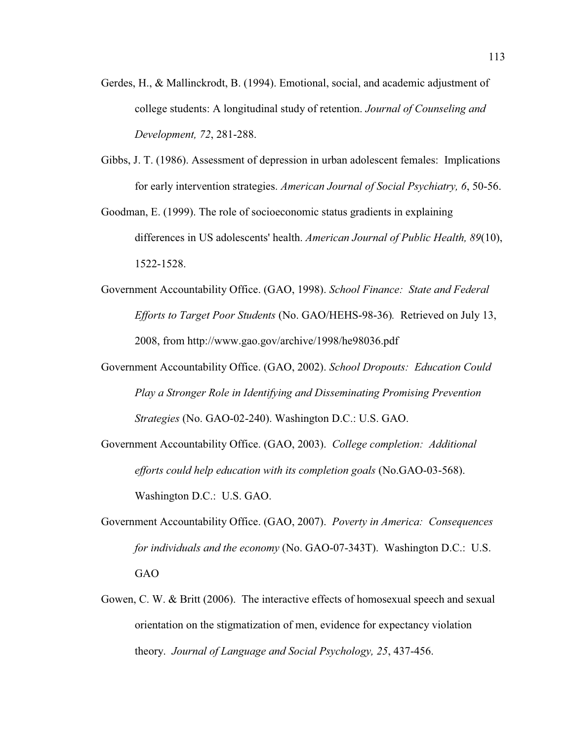- Gerdes, H., & Mallinckrodt, B. (1994). Emotional, social, and academic adjustment of college students: A longitudinal study of retention. *Journal of Counseling and Development, 72*, 281-288.
- Gibbs, J. T. (1986). Assessment of depression in urban adolescent females: Implications for early intervention strategies. *American Journal of Social Psychiatry, 6*, 50-56.
- Goodman, E. (1999). The role of socioeconomic status gradients in explaining differences in US adolescents' health. *American Journal of Public Health, 89*(10), 1522-1528.
- Government Accountability Office. (GAO, 1998). *School Finance: State and Federal Efforts to Target Poor Students* (No. GAO/HEHS-98-36)*.* Retrieved on July 13, 2008, from http://www.gao.gov/archive/1998/he98036.pdf
- Government Accountability Office. (GAO, 2002). *School Dropouts: Education Could Play a Stronger Role in Identifying and Disseminating Promising Prevention Strategies* (No. GAO-02-240). Washington D.C.: U.S. GAO.
- Government Accountability Office. (GAO, 2003). *College completion: Additional efforts could help education with its completion goals* (No.GAO-03-568). Washington D.C.: U.S. GAO.
- Government Accountability Office. (GAO, 2007). *Poverty in America: Consequences for individuals and the economy* (No. GAO-07-343T). Washington D.C.: U.S. GAO
- Gowen, C. W. & Britt (2006). The interactive effects of homosexual speech and sexual orientation on the stigmatization of men, evidence for expectancy violation theory. *Journal of Language and Social Psychology, 25*, 437-456.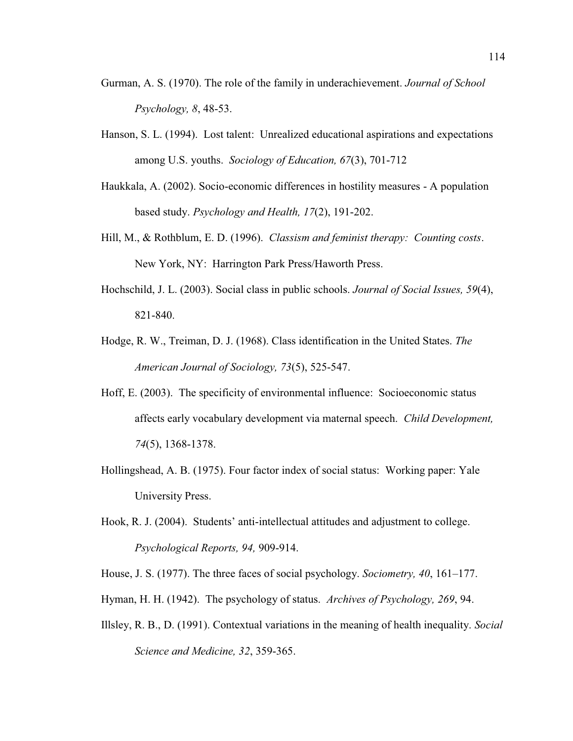- Gurman, A. S. (1970). The role of the family in underachievement. *Journal of School Psychology, 8*, 48-53.
- Hanson, S. L. (1994). Lost talent: Unrealized educational aspirations and expectations among U.S. youths. *Sociology of Education, 67*(3), 701-712
- Haukkala, A. (2002). Socio-economic differences in hostility measures A population based study. *Psychology and Health, 17*(2), 191-202.
- Hill, M., & Rothblum, E. D. (1996). *Classism and feminist therapy: Counting costs*. New York, NY: Harrington Park Press/Haworth Press.
- Hochschild, J. L. (2003). Social class in public schools. *Journal of Social Issues, 59*(4), 821-840.
- Hodge, R. W., Treiman, D. J. (1968). Class identification in the United States. *The American Journal of Sociology, 73*(5), 525-547.
- Hoff, E. (2003). The specificity of environmental influence: Socioeconomic status affects early vocabulary development via maternal speech. *Child Development, 74*(5), 1368-1378.
- Hollingshead, A. B. (1975). Four factor index of social status: Working paper: Yale University Press.
- Hook, R. J. (2004). Students' anti-intellectual attitudes and adjustment to college. *Psychological Reports, 94,* 909-914.

House, J. S. (1977). The three faces of social psychology. *Sociometry*, 40, 161–177.

- Hyman, H. H. (1942). The psychology of status. *Archives of Psychology, 269*, 94.
- Illsley, R. B., D. (1991). Contextual variations in the meaning of health inequality. *Social Science and Medicine, 32*, 359-365.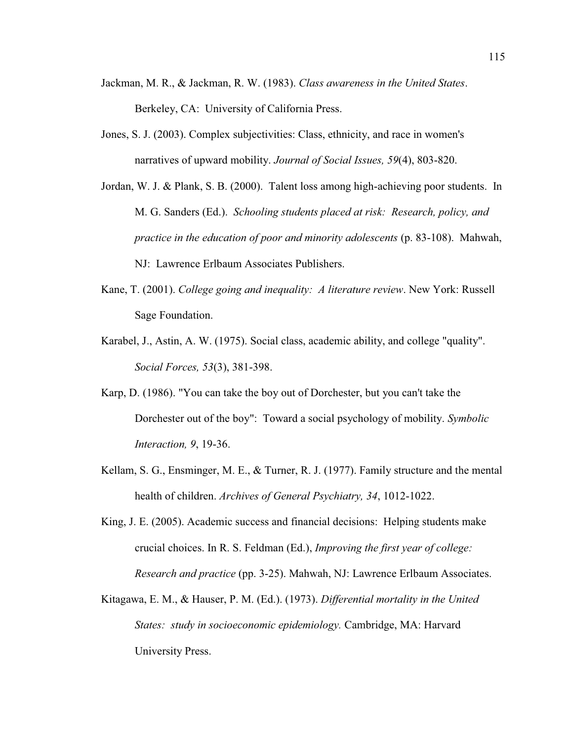- Jackman, M. R., & Jackman, R. W. (1983). *Class awareness in the United States*. Berkeley, CA: University of California Press.
- Jones, S. J. (2003). Complex subjectivities: Class, ethnicity, and race in women's narratives of upward mobility. *Journal of Social Issues, 59*(4), 803-820.
- Jordan, W. J. & Plank, S. B. (2000). Talent loss among high-achieving poor students. In M. G. Sanders (Ed.). *Schooling students placed at risk: Research, policy, and practice in the education of poor and minority adolescents* (p. 83-108). Mahwah, NJ: Lawrence Erlbaum Associates Publishers.
- Kane, T. (2001). *College going and inequality: A literature review*. New York: Russell Sage Foundation.
- Karabel, J., Astin, A. W. (1975). Social class, academic ability, and college "quality". *Social Forces, 53*(3), 381-398.
- Karp, D. (1986). "You can take the boy out of Dorchester, but you can't take the Dorchester out of the boy": Toward a social psychology of mobility. *Symbolic Interaction, 9*, 19-36.
- Kellam, S. G., Ensminger, M. E., & Turner, R. J. (1977). Family structure and the mental health of children. *Archives of General Psychiatry, 34*, 1012-1022.
- King, J. E. (2005). Academic success and financial decisions: Helping students make crucial choices. In R. S. Feldman (Ed.), *Improving the first year of college: Research and practice* (pp. 3-25). Mahwah, NJ: Lawrence Erlbaum Associates.
- Kitagawa, E. M., & Hauser, P. M. (Ed.). (1973). *Differential mortality in the United States: study in socioeconomic epidemiology.* Cambridge, MA: Harvard University Press.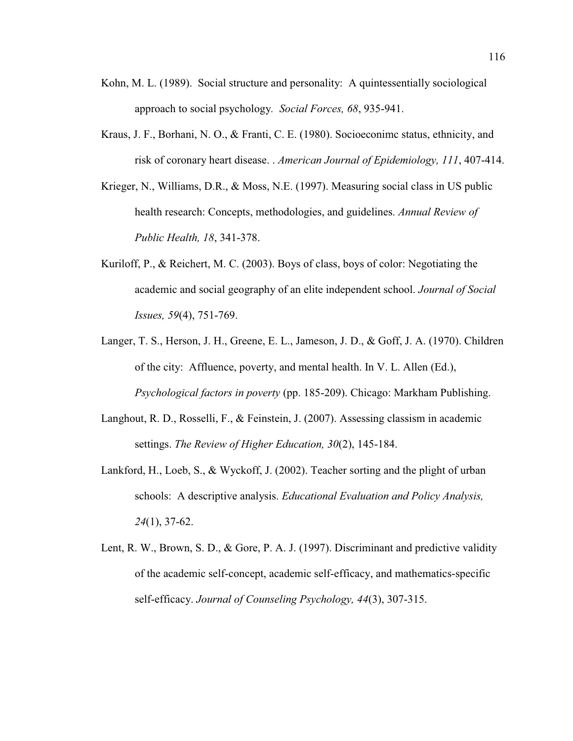- Kohn, M. L. (1989). Social structure and personality: A quintessentially sociological approach to social psychology*. Social Forces, 68*, 935-941.
- Kraus, J. F., Borhani, N. O., & Franti, C. E. (1980). Socioeconimc status, ethnicity, and risk of coronary heart disease. . *American Journal of Epidemiology, 111*, 407-414.
- Krieger, N., Williams, D.R., & Moss, N.E. (1997). Measuring social class in US public health research: Concepts, methodologies, and guidelines. *Annual Review of Public Health, 18*, 341-378.
- Kuriloff, P., & Reichert, M. C. (2003). Boys of class, boys of color: Negotiating the academic and social geography of an elite independent school. *Journal of Social Issues, 59*(4), 751-769.
- Langer, T. S., Herson, J. H., Greene, E. L., Jameson, J. D., & Goff, J. A. (1970). Children of the city: Affluence, poverty, and mental health. In V. L. Allen (Ed.), *Psychological factors in poverty* (pp. 185-209). Chicago: Markham Publishing.
- Langhout, R. D., Rosselli, F., & Feinstein, J. (2007). Assessing classism in academic settings. *The Review of Higher Education, 30*(2), 145-184.
- Lankford, H., Loeb, S., & Wyckoff, J. (2002). Teacher sorting and the plight of urban schools: A descriptive analysis. *Educational Evaluation and Policy Analysis, 24*(1), 37-62.
- Lent, R. W., Brown, S. D., & Gore, P. A. J. (1997). Discriminant and predictive validity of the academic self-concept, academic self-efficacy, and mathematics-specific self-efficacy. *Journal of Counseling Psychology, 44*(3), 307-315.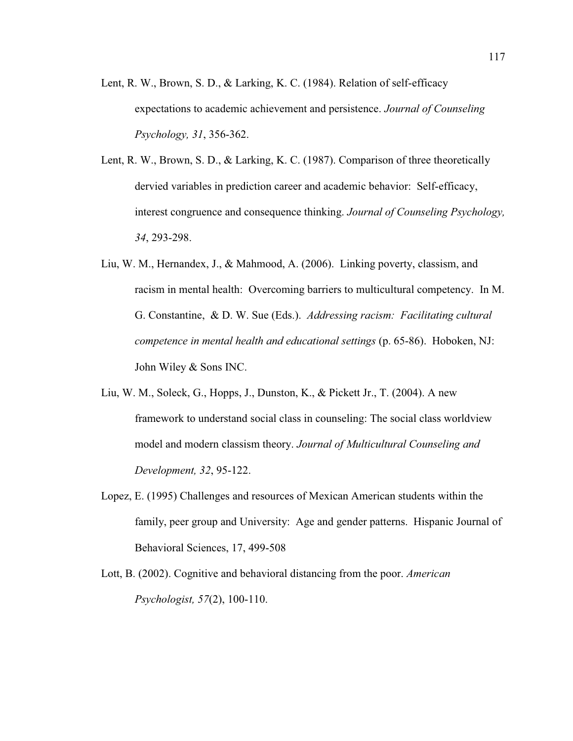- Lent, R. W., Brown, S. D., & Larking, K. C. (1984). Relation of self-efficacy expectations to academic achievement and persistence. *Journal of Counseling Psychology, 31*, 356-362.
- Lent, R. W., Brown, S. D., & Larking, K. C. (1987). Comparison of three theoretically dervied variables in prediction career and academic behavior: Self-efficacy, interest congruence and consequence thinking. *Journal of Counseling Psychology, 34*, 293-298.
- Liu, W. M., Hernandex, J., & Mahmood, A. (2006). Linking poverty, classism, and racism in mental health: Overcoming barriers to multicultural competency. In M. G. Constantine, & D. W. Sue (Eds.). *Addressing racism: Facilitating cultural competence in mental health and educational settings* (p. 65-86). Hoboken, NJ: John Wiley & Sons INC.
- Liu, W. M., Soleck, G., Hopps, J., Dunston, K., & Pickett Jr., T. (2004). A new framework to understand social class in counseling: The social class worldview model and modern classism theory. *Journal of Multicultural Counseling and Development, 32*, 95-122.
- Lopez, E. (1995) Challenges and resources of Mexican American students within the family, peer group and University: Age and gender patterns. Hispanic Journal of Behavioral Sciences, 17, 499-508
- Lott, B. (2002). Cognitive and behavioral distancing from the poor. *American Psychologist, 57*(2), 100-110.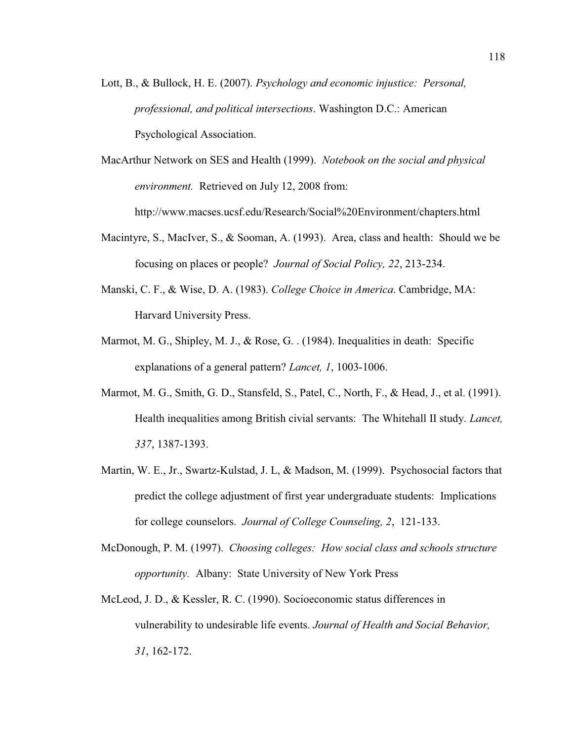- Lott, B., & Bullock, H. E. (2007). *Psychology and economic injustice: Personal, professional, and political intersections*. Washington D.C.: American Psychological Association.
- MacArthur Network on SES and Health (1999). *Notebook on the social and physical environment.* Retrieved on July 12, 2008 from:

http://www.macses.ucsf.edu/Research/Social%20Environment/chapters.html

- Macintyre, S., MacIver, S., & Sooman, A. (1993). Area, class and health: Should we be focusing on places or people? *Journal of Social Policy, 22*, 213-234.
- Manski, C. F., & Wise, D. A. (1983). *College Choice in America*. Cambridge, MA: Harvard University Press.
- Marmot, M. G., Shipley, M. J., & Rose, G. . (1984). Inequalities in death: Specific explanations of a general pattern? *Lancet, 1*, 1003-1006.
- Marmot, M. G., Smith, G. D., Stansfeld, S., Patel, C., North, F., & Head, J., et al. (1991). Health inequalities among British civial servants: The Whitehall II study. *Lancet, 337*, 1387-1393.
- Martin, W. E., Jr., Swartz-Kulstad, J. L, & Madson, M. (1999). Psychosocial factors that predict the college adjustment of first year undergraduate students: Implications for college counselors. *Journal of College Counseling, 2*, 121-133.
- McDonough, P. M. (1997). *Choosing colleges: How social class and schools structure opportunity.* Albany: State University of New York Press
- McLeod, J. D., & Kessler, R. C. (1990). Socioeconomic status differences in vulnerability to undesirable life events. *Journal of Health and Social Behavior, 31*, 162-172.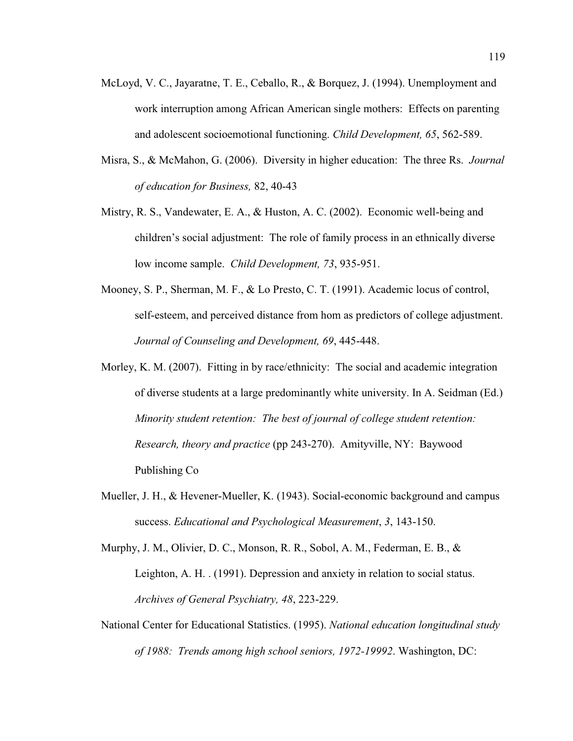- McLoyd, V. C., Jayaratne, T. E., Ceballo, R., & Borquez, J. (1994). Unemployment and work interruption among African American single mothers: Effects on parenting and adolescent socioemotional functioning. *Child Development, 65*, 562-589.
- Misra, S., & McMahon, G. (2006). Diversity in higher education: The three Rs. *Journal of education for Business,* 82, 40-43
- Mistry, R. S., Vandewater, E. A., & Huston, A. C. (2002). Economic well-being and children's social adjustment: The role of family process in an ethnically diverse low income sample. *Child Development, 73*, 935-951.
- Mooney, S. P., Sherman, M. F., & Lo Presto, C. T. (1991). Academic locus of control, self-esteem, and perceived distance from hom as predictors of college adjustment. *Journal of Counseling and Development, 69*, 445-448.
- Morley, K. M. (2007). Fitting in by race/ethnicity: The social and academic integration of diverse students at a large predominantly white university. In A. Seidman (Ed.) *Minority student retention: The best of journal of college student retention: Research, theory and practice* (pp 243-270). Amityville, NY: Baywood Publishing Co
- Mueller, J. H., & Hevener-Mueller, K. (1943). Social-economic background and campus success. *Educational and Psychological Measurement*, *3*, 143-150.
- Murphy, J. M., Olivier, D. C., Monson, R. R., Sobol, A. M., Federman, E. B., & Leighton, A. H. . (1991). Depression and anxiety in relation to social status. *Archives of General Psychiatry, 48*, 223-229.
- National Center for Educational Statistics. (1995). *National education longitudinal study of 1988: Trends among high school seniors, 1972-19992*. Washington, DC: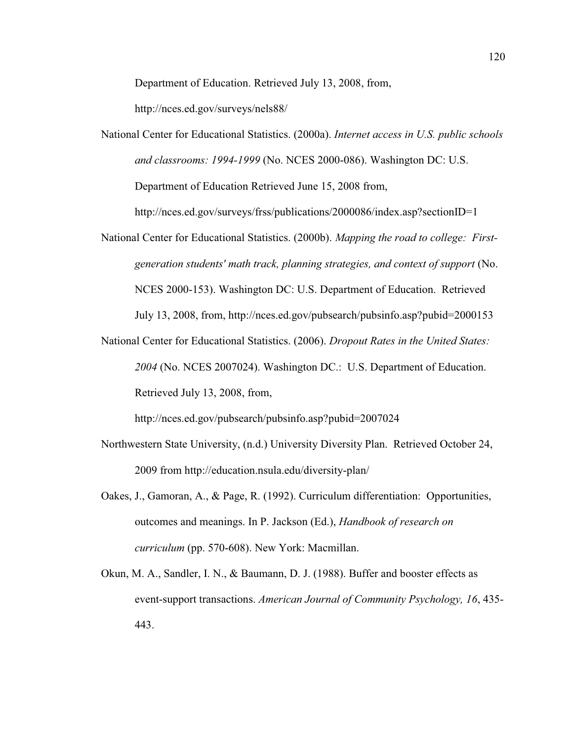Department of Education. Retrieved July 13, 2008, from,

http://nces.ed.gov/surveys/nels88/

National Center for Educational Statistics. (2000a). *Internet access in U.S. public schools and classrooms: 1994-1999* (No. NCES 2000-086). Washington DC: U.S. Department of Education Retrieved June 15, 2008 from,

http://nces.ed.gov/surveys/frss/publications/2000086/index.asp?sectionID=1

- National Center for Educational Statistics. (2000b). *Mapping the road to college: Firstgeneration students' math track, planning strategies, and context of support* (No. NCES 2000-153). Washington DC: U.S. Department of Education. Retrieved July 13, 2008, from, http://nces.ed.gov/pubsearch/pubsinfo.asp?pubid=2000153
- National Center for Educational Statistics. (2006). *Dropout Rates in the United States: 2004* (No. NCES 2007024). Washington DC.: U.S. Department of Education. Retrieved July 13, 2008, from,

http://nces.ed.gov/pubsearch/pubsinfo.asp?pubid=2007024

- Northwestern State University, (n.d.) University Diversity Plan. Retrieved October 24, 2009 from http://education.nsula.edu/diversity-plan/
- Oakes, J., Gamoran, A., & Page, R. (1992). Curriculum differentiation: Opportunities, outcomes and meanings. In P. Jackson (Ed.), *Handbook of research on curriculum* (pp. 570-608). New York: Macmillan.
- Okun, M. A., Sandler, I. N., & Baumann, D. J. (1988). Buffer and booster effects as event-support transactions. *American Journal of Community Psychology, 16*, 435- 443.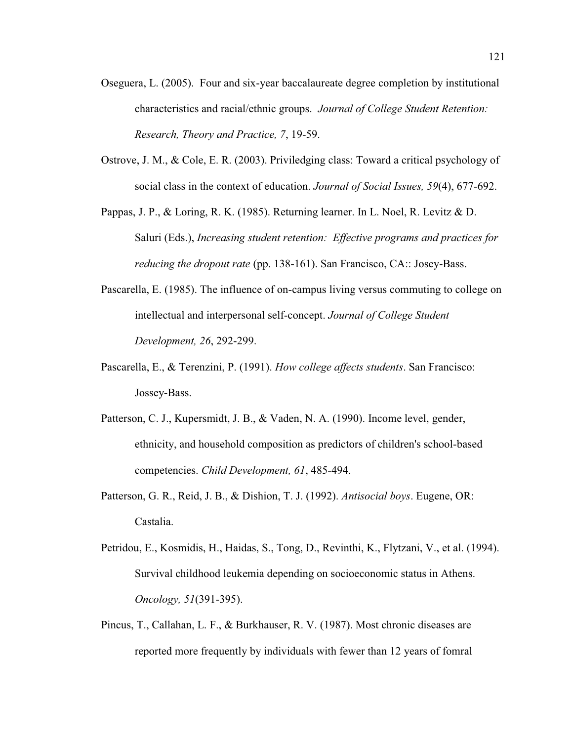- Oseguera, L. (2005). Four and six-year baccalaureate degree completion by institutional characteristics and racial/ethnic groups. *Journal of College Student Retention: Research, Theory and Practice, 7*, 19-59.
- Ostrove, J. M., & Cole, E. R. (2003). Priviledging class: Toward a critical psychology of social class in the context of education. *Journal of Social Issues, 59*(4), 677-692.
- Pappas, J. P., & Loring, R. K. (1985). Returning learner. In L. Noel, R. Levitz & D. Saluri (Eds.), *Increasing student retention: Effective programs and practices for reducing the dropout rate* (pp. 138-161). San Francisco, CA:: Josey-Bass.
- Pascarella, E. (1985). The influence of on-campus living versus commuting to college on intellectual and interpersonal self-concept. *Journal of College Student Development, 26*, 292-299.
- Pascarella, E., & Terenzini, P. (1991). *How college affects students*. San Francisco: Jossey-Bass.
- Patterson, C. J., Kupersmidt, J. B., & Vaden, N. A. (1990). Income level, gender, ethnicity, and household composition as predictors of children's school-based competencies. *Child Development, 61*, 485-494.
- Patterson, G. R., Reid, J. B., & Dishion, T. J. (1992). *Antisocial boys*. Eugene, OR: Castalia.
- Petridou, E., Kosmidis, H., Haidas, S., Tong, D., Revinthi, K., Flytzani, V., et al. (1994). Survival childhood leukemia depending on socioeconomic status in Athens. *Oncology, 51*(391-395).
- Pincus, T., Callahan, L. F., & Burkhauser, R. V. (1987). Most chronic diseases are reported more frequently by individuals with fewer than 12 years of fomral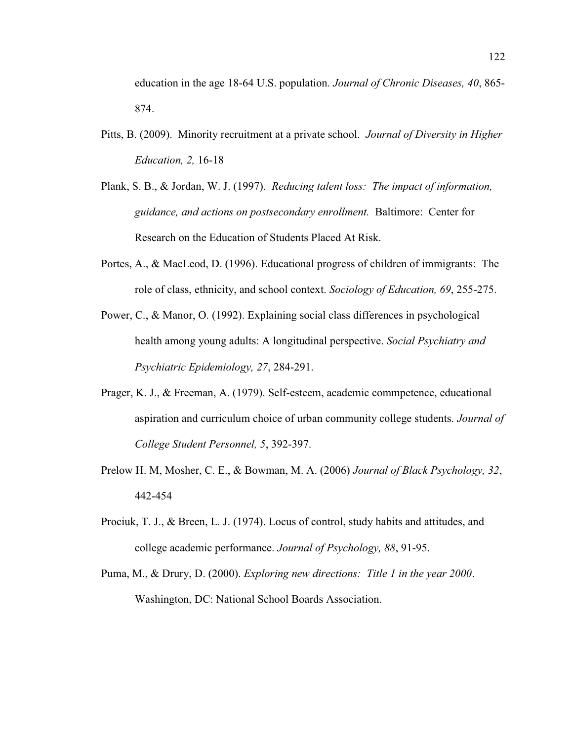education in the age 18-64 U.S. population. *Journal of Chronic Diseases, 40*, 865- 874.

- Pitts, B. (2009). Minority recruitment at a private school. *Journal of Diversity in Higher Education, 2,* 16-18
- Plank, S. B., & Jordan, W. J. (1997). *Reducing talent loss: The impact of information, guidance, and actions on postsecondary enrollment.* Baltimore: Center for Research on the Education of Students Placed At Risk.
- Portes, A., & MacLeod, D. (1996). Educational progress of children of immigrants: The role of class, ethnicity, and school context. *Sociology of Education, 69*, 255-275.
- Power, C., & Manor, O. (1992). Explaining social class differences in psychological health among young adults: A longitudinal perspective. *Social Psychiatry and Psychiatric Epidemiology, 27*, 284-291.
- Prager, K. J., & Freeman, A. (1979). Self-esteem, academic commpetence, educational aspiration and curriculum choice of urban community college students. *Journal of College Student Personnel, 5*, 392-397.
- Prelow H. M, Mosher, C. E., & Bowman, M. A. (2006) *Journal of Black Psychology, 32*, 442-454
- Prociuk, T. J., & Breen, L. J. (1974). Locus of control, study habits and attitudes, and college academic performance. *Journal of Psychology, 88*, 91-95.
- Puma, M., & Drury, D. (2000). *Exploring new directions: Title 1 in the year 2000*. Washington, DC: National School Boards Association.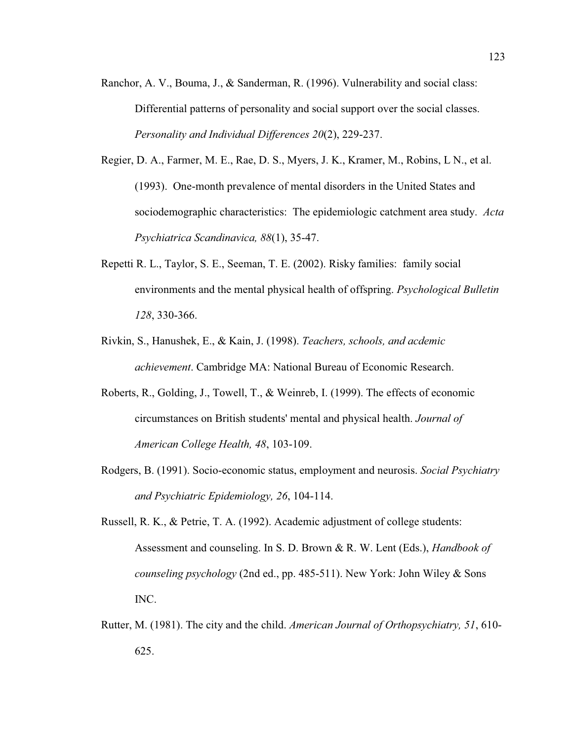- Ranchor, A. V., Bouma, J., & Sanderman, R. (1996). Vulnerability and social class: Differential patterns of personality and social support over the social classes. *Personality and Individual Differences 20*(2), 229-237.
- Regier, D. A., Farmer, M. E., Rae, D. S., Myers, J. K., Kramer, M., Robins, L N., et al. (1993). One-month prevalence of mental disorders in the United States and sociodemographic characteristics: The epidemiologic catchment area study. *Acta Psychiatrica Scandinavica, 88*(1), 35-47.
- Repetti R. L., Taylor, S. E., Seeman, T. E. (2002). Risky families: family social environments and the mental physical health of offspring. *Psychological Bulletin 128*, 330-366.
- Rivkin, S., Hanushek, E., & Kain, J. (1998). *Teachers, schools, and acdemic achievement*. Cambridge MA: National Bureau of Economic Research.
- Roberts, R., Golding, J., Towell, T., & Weinreb, I. (1999). The effects of economic circumstances on British students' mental and physical health. *Journal of American College Health, 48*, 103-109.
- Rodgers, B. (1991). Socio-economic status, employment and neurosis. *Social Psychiatry and Psychiatric Epidemiology, 26*, 104-114.
- Russell, R. K., & Petrie, T. A. (1992). Academic adjustment of college students: Assessment and counseling. In S. D. Brown & R. W. Lent (Eds.), *Handbook of counseling psychology* (2nd ed., pp. 485-511). New York: John Wiley & Sons INC.
- Rutter, M. (1981). The city and the child. *American Journal of Orthopsychiatry, 51*, 610- 625.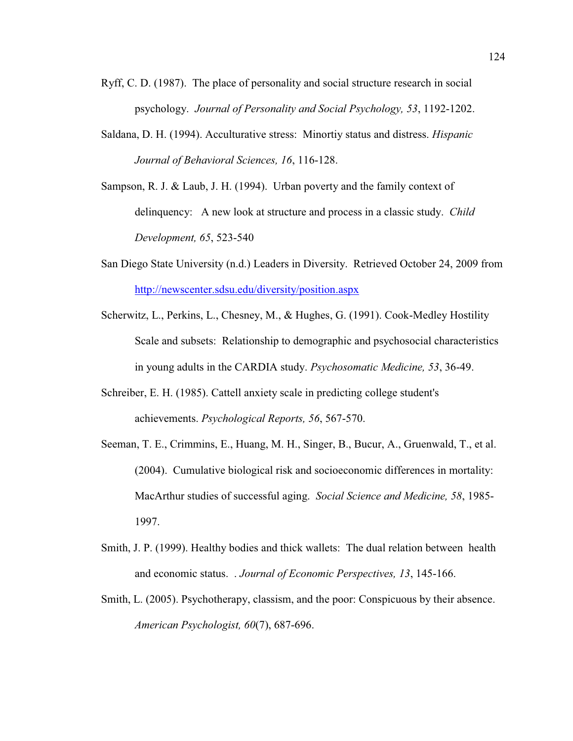- Ryff, C. D. (1987). The place of personality and social structure research in social psychology. *Journal of Personality and Social Psychology, 53*, 1192-1202.
- Saldana, D. H. (1994). Acculturative stress: Minortiy status and distress. *Hispanic Journal of Behavioral Sciences, 16*, 116-128.
- Sampson, R. J. & Laub, J. H. (1994). Urban poverty and the family context of delinquency: A new look at structure and process in a classic study. *Child Development, 65*, 523-540
- San Diego State University (n.d.) Leaders in Diversity. Retrieved October 24, 2009 from http://newscenter.sdsu.edu/diversity/position.aspx
- Scherwitz, L., Perkins, L., Chesney, M., & Hughes, G. (1991). Cook-Medley Hostility Scale and subsets: Relationship to demographic and psychosocial characteristics in young adults in the CARDIA study. *Psychosomatic Medicine, 53*, 36-49.
- Schreiber, E. H. (1985). Cattell anxiety scale in predicting college student's achievements. *Psychological Reports, 56*, 567-570.
- Seeman, T. E., Crimmins, E., Huang, M. H., Singer, B., Bucur, A., Gruenwald, T., et al. (2004). Cumulative biological risk and socioeconomic differences in mortality: MacArthur studies of successful aging. *Social Science and Medicine, 58*, 1985- 1997.
- Smith, J. P. (1999). Healthy bodies and thick wallets: The dual relation between health and economic status. . *Journal of Economic Perspectives, 13*, 145-166.
- Smith, L. (2005). Psychotherapy, classism, and the poor: Conspicuous by their absence. *American Psychologist, 60*(7), 687-696.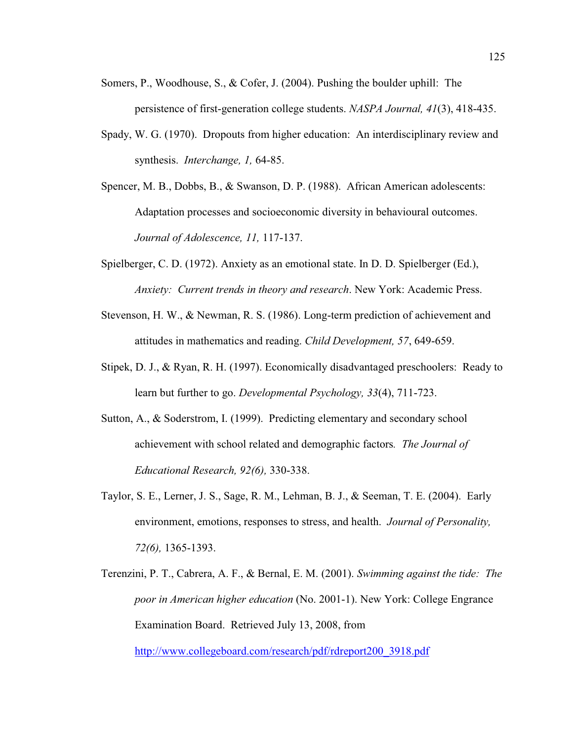- Somers, P., Woodhouse, S., & Cofer, J. (2004). Pushing the boulder uphill: The persistence of first-generation college students. *NASPA Journal, 41*(3), 418-435.
- Spady, W. G. (1970). Dropouts from higher education: An interdisciplinary review and synthesis. *Interchange, 1,* 64-85.
- Spencer, M. B., Dobbs, B., & Swanson, D. P. (1988). African American adolescents: Adaptation processes and socioeconomic diversity in behavioural outcomes. *Journal of Adolescence, 11,* 117-137.
- Spielberger, C. D. (1972). Anxiety as an emotional state. In D. D. Spielberger (Ed.), *Anxiety: Current trends in theory and research*. New York: Academic Press.
- Stevenson, H. W., & Newman, R. S. (1986). Long-term prediction of achievement and attitudes in mathematics and reading. *Child Development, 57*, 649-659.
- Stipek, D. J., & Ryan, R. H. (1997). Economically disadvantaged preschoolers: Ready to learn but further to go. *Developmental Psychology, 33*(4), 711-723.
- Sutton, A., & Soderstrom, I. (1999). Predicting elementary and secondary school achievement with school related and demographic factors*. The Journal of Educational Research, 92(6),* 330-338.
- Taylor, S. E., Lerner, J. S., Sage, R. M., Lehman, B. J., & Seeman, T. E. (2004). Early environment, emotions, responses to stress, and health. *Journal of Personality, 72(6),* 1365-1393.
- Terenzini, P. T., Cabrera, A. F., & Bernal, E. M. (2001). *Swimming against the tide: The poor in American higher education* (No. 2001-1). New York: College Engrance Examination Board. Retrieved July 13, 2008, from http://www.collegeboard.com/research/pdf/rdreport200\_3918.pdf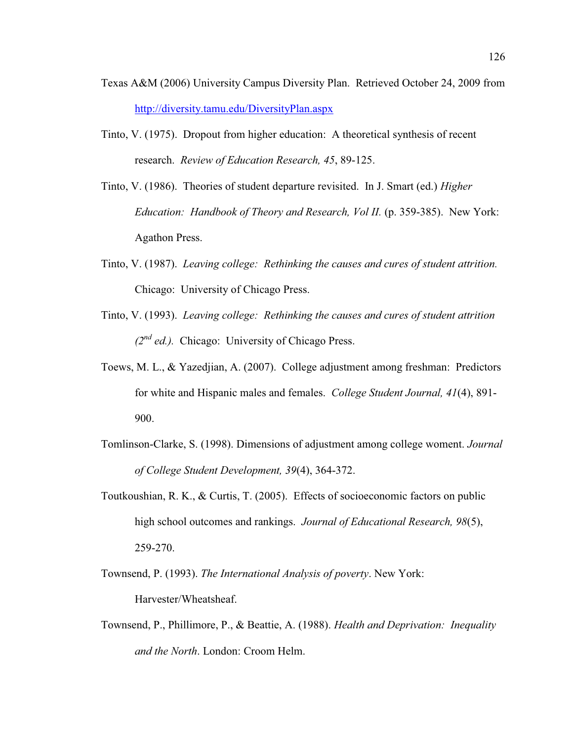- Texas A&M (2006) University Campus Diversity Plan. Retrieved October 24, 2009 from http://diversity.tamu.edu/DiversityPlan.aspx
- Tinto, V. (1975). Dropout from higher education: A theoretical synthesis of recent research. *Review of Education Research, 45*, 89-125.
- Tinto, V. (1986). Theories of student departure revisited. In J. Smart (ed.) *Higher Education: Handbook of Theory and Research, Vol II.* (p. 359-385). New York: Agathon Press.
- Tinto, V. (1987). *Leaving college: Rethinking the causes and cures of student attrition.* Chicago: University of Chicago Press.
- Tinto, V. (1993). *Leaving college: Rethinking the causes and cures of student attrition (2nd ed.).* Chicago: University of Chicago Press.
- Toews, M. L., & Yazedjian, A. (2007). College adjustment among freshman: Predictors for white and Hispanic males and females. *College Student Journal, 41*(4), 891- 900.
- Tomlinson-Clarke, S. (1998). Dimensions of adjustment among college woment. *Journal of College Student Development, 39*(4), 364-372.
- Toutkoushian, R. K., & Curtis, T. (2005). Effects of socioeconomic factors on public high school outcomes and rankings. *Journal of Educational Research, 98*(5), 259-270.
- Townsend, P. (1993). *The International Analysis of poverty*. New York: Harvester/Wheatsheaf.
- Townsend, P., Phillimore, P., & Beattie, A. (1988). *Health and Deprivation: Inequality and the North*. London: Croom Helm.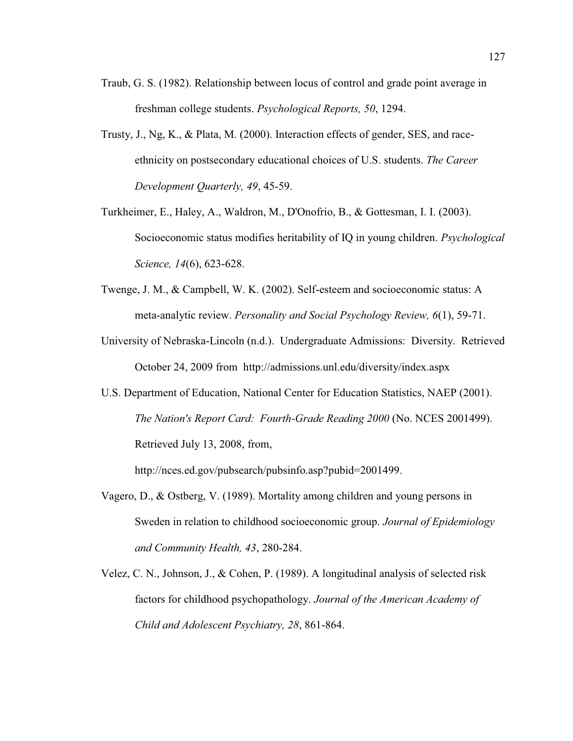- Traub, G. S. (1982). Relationship between locus of control and grade point average in freshman college students. *Psychological Reports, 50*, 1294.
- Trusty, J., Ng, K., & Plata, M. (2000). Interaction effects of gender, SES, and raceethnicity on postsecondary educational choices of U.S. students. *The Career Development Quarterly, 49*, 45-59.
- Turkheimer, E., Haley, A., Waldron, M., D'Onofrio, B., & Gottesman, I. I. (2003). Socioeconomic status modifies heritability of IQ in young children. *Psychological Science, 14*(6), 623-628.
- Twenge, J. M., & Campbell, W. K. (2002). Self-esteem and socioeconomic status: A meta-analytic review. *Personality and Social Psychology Review, 6*(1), 59-71.
- University of Nebraska-Lincoln (n.d.). Undergraduate Admissions: Diversity. Retrieved October 24, 2009 from http://admissions.unl.edu/diversity/index.aspx
- U.S. Department of Education, National Center for Education Statistics, NAEP (2001). *The Nation's Report Card: Fourth-Grade Reading 2000* (No. NCES 2001499). Retrieved July 13, 2008, from,

http://nces.ed.gov/pubsearch/pubsinfo.asp?pubid=2001499.

- Vagero, D., & Ostberg, V. (1989). Mortality among children and young persons in Sweden in relation to childhood socioeconomic group. *Journal of Epidemiology and Community Health, 43*, 280-284.
- Velez, C. N., Johnson, J., & Cohen, P. (1989). A longitudinal analysis of selected risk factors for childhood psychopathology. *Journal of the American Academy of Child and Adolescent Psychiatry, 28*, 861-864.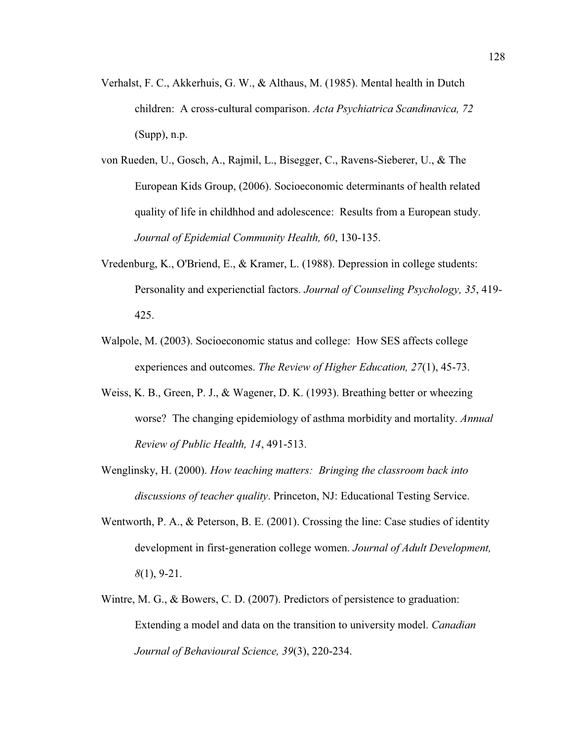- Verhalst, F. C., Akkerhuis, G. W., & Althaus, M. (1985). Mental health in Dutch children: A cross-cultural comparison. *Acta Psychiatrica Scandinavica, 72*  (Supp), n.p.
- von Rueden, U., Gosch, A., Rajmil, L., Bisegger, C., Ravens-Sieberer, U., & The European Kids Group, (2006). Socioeconomic determinants of health related quality of life in childhhod and adolescence: Results from a European study. *Journal of Epidemial Community Health, 60*, 130-135.
- Vredenburg, K., O'Briend, E., & Kramer, L. (1988). Depression in college students: Personality and experienctial factors. *Journal of Counseling Psychology, 35*, 419- 425.
- Walpole, M. (2003). Socioeconomic status and college: How SES affects college experiences and outcomes. *The Review of Higher Education, 27*(1), 45-73.
- Weiss, K. B., Green, P. J., & Wagener, D. K. (1993). Breathing better or wheezing worse? The changing epidemiology of asthma morbidity and mortality. *Annual Review of Public Health, 14*, 491-513.
- Wenglinsky, H. (2000). *How teaching matters: Bringing the classroom back into discussions of teacher quality*. Princeton, NJ: Educational Testing Service.
- Wentworth, P. A., & Peterson, B. E. (2001). Crossing the line: Case studies of identity development in first-generation college women. *Journal of Adult Development, 8*(1), 9-21.
- Wintre, M. G., & Bowers, C. D. (2007). Predictors of persistence to graduation: Extending a model and data on the transition to university model. *Canadian Journal of Behavioural Science, 39*(3), 220-234.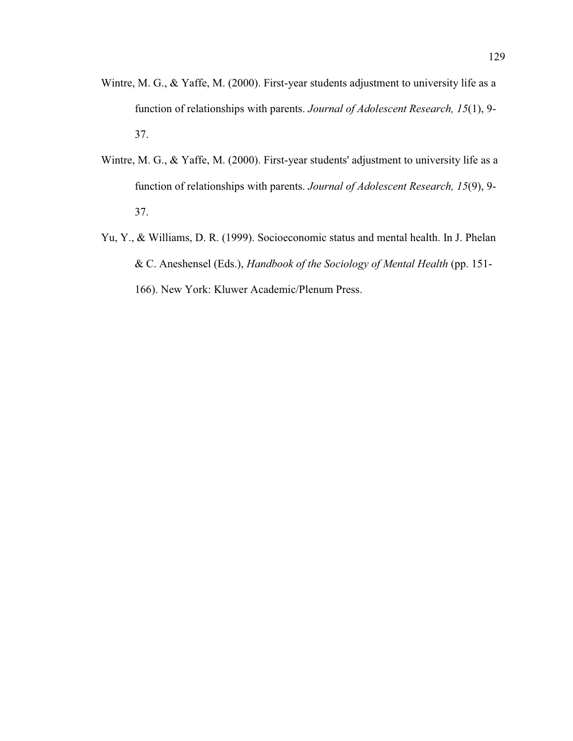- Wintre, M. G., & Yaffe, M. (2000). First-year students adjustment to university life as a function of relationships with parents. *Journal of Adolescent Research, 15*(1), 9- 37.
- Wintre, M. G., & Yaffe, M. (2000). First-year students' adjustment to university life as a function of relationships with parents. *Journal of Adolescent Research, 15*(9), 9- 37.
- Yu, Y., & Williams, D. R. (1999). Socioeconomic status and mental health. In J. Phelan & C. Aneshensel (Eds.), *Handbook of the Sociology of Mental Health* (pp. 151- 166). New York: Kluwer Academic/Plenum Press.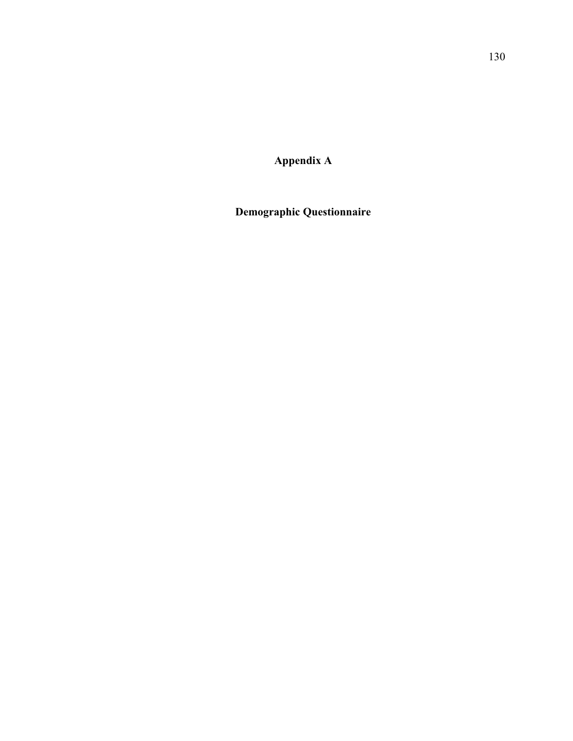**Appendix A** 

**Demographic Questionnaire**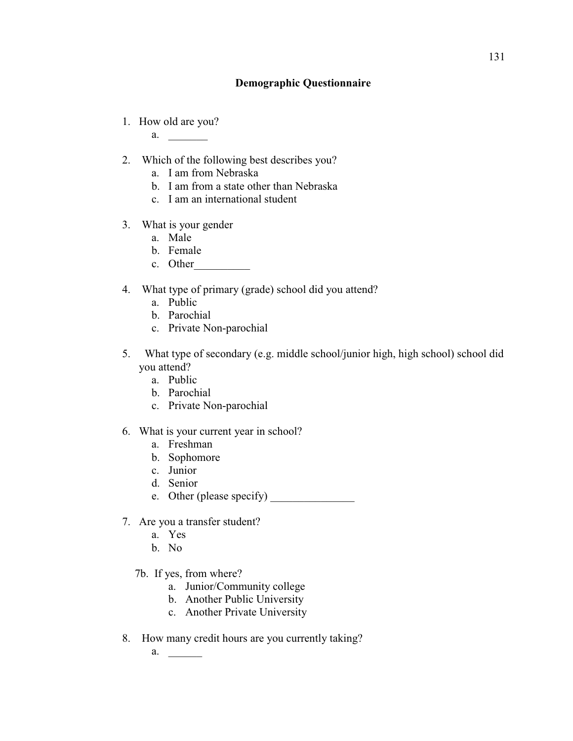## **Demographic Questionnaire**

1. How old are you?

a. \_\_\_\_\_\_\_

- 2. Which of the following best describes you?
	- a. I am from Nebraska
	- b. I am from a state other than Nebraska
	- c. I am an international student
- 3. What is your gender
	- a. Male
	- b. Female
	- c. Other
- 4. What type of primary (grade) school did you attend?
	- a. Public
	- b. Parochial
	- c. Private Non-parochial
- 5. What type of secondary (e.g. middle school/junior high, high school) school did you attend?
	- a. Public
	- b. Parochial
	- c. Private Non-parochial
- 6. What is your current year in school?
	- a. Freshman
	- b. Sophomore
	- c. Junior
	- d. Senior
	- e. Other (please specify)
- 7. Are you a transfer student?
	- a. Yes
	- b. No
	- 7b. If yes, from where?
		- a. Junior/Community college
		- b. Another Public University
		- c. Another Private University
- 8. How many credit hours are you currently taking?
	- a. \_\_\_\_\_\_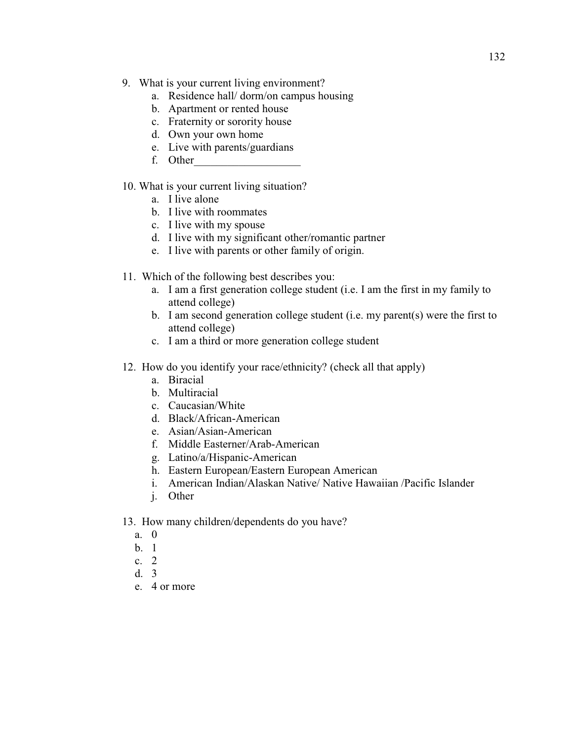- 9. What is your current living environment?
	- a. Residence hall/ dorm/on campus housing
	- b. Apartment or rented house
	- c. Fraternity or sorority house
	- d. Own your own home
	- e. Live with parents/guardians
	- f. Other\_\_\_\_\_\_\_\_\_\_\_\_\_\_\_\_\_\_\_

## 10. What is your current living situation?

- a. I live alone
- b. I live with roommates
- c. I live with my spouse
- d. I live with my significant other/romantic partner
- e. I live with parents or other family of origin.
- 11. Which of the following best describes you:
	- a. I am a first generation college student (i.e. I am the first in my family to attend college)
	- b. I am second generation college student (i.e. my parent(s) were the first to attend college)
	- c. I am a third or more generation college student
- 12. How do you identify your race/ethnicity? (check all that apply)
	- a. Biracial
	- b. Multiracial
	- c. Caucasian/White
	- d. Black/African-American
	- e. Asian/Asian-American
	- f. Middle Easterner/Arab-American
	- g. Latino/a/Hispanic-American
	- h. Eastern European/Eastern European American
	- i. American Indian/Alaskan Native/ Native Hawaiian /Pacific Islander
	- j. Other
- 13. How many children/dependents do you have?
	- a. 0
	- b. 1
	- c. 2
	- d. 3
	- e. 4 or more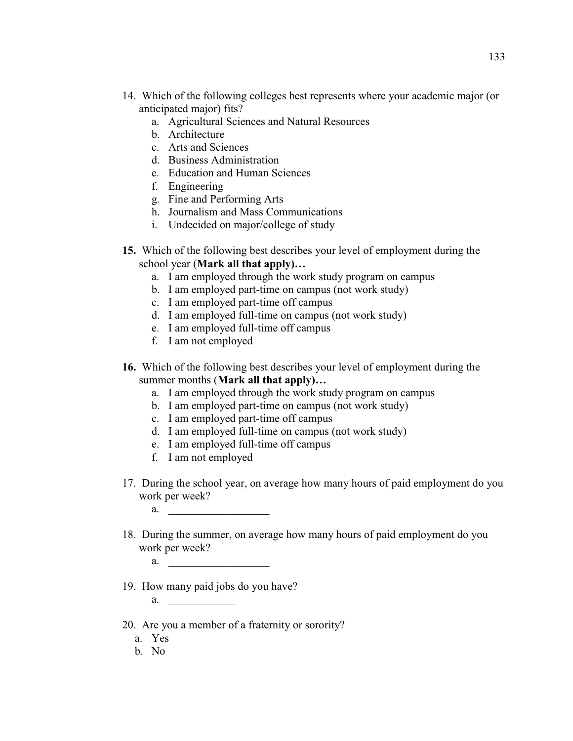- 14. Which of the following colleges best represents where your academic major (or anticipated major) fits?
	- a. Agricultural Sciences and Natural Resources
	- b. Architecture
	- c. Arts and Sciences
	- d. Business Administration
	- e. Education and Human Sciences
	- f. Engineering
	- g. Fine and Performing Arts
	- h. Journalism and Mass Communications
	- i. Undecided on major/college of study
- **15.** Which of the following best describes your level of employment during the school year (**Mark all that apply**)...
	- a. I am employed through the work study program on campus
	- b. I am employed part-time on campus (not work study)
	- c. I am employed part-time off campus
	- d. I am employed full-time on campus (not work study)
	- e. I am employed full-time off campus
	- f. I am not employed
- **16.** Which of the following best describes your level of employment during the summer months (Mark all that apply)...
	- a. I am employed through the work study program on campus
	- b. I am employed part-time on campus (not work study)
	- c. I am employed part-time off campus
	- d. I am employed full-time on campus (not work study)
	- e. I am employed full-time off campus
	- f. I am not employed
- 17. During the school year, on average how many hours of paid employment do you work per week?
	- a. \_\_\_\_\_\_\_\_\_\_\_\_\_\_\_\_\_\_
- 18. During the summer, on average how many hours of paid employment do you work per week?
	- a.  $\blacksquare$
- 19. How many paid jobs do you have?
	- a.
- 20. Are you a member of a fraternity or sorority?
	- a. Yes
	- b. No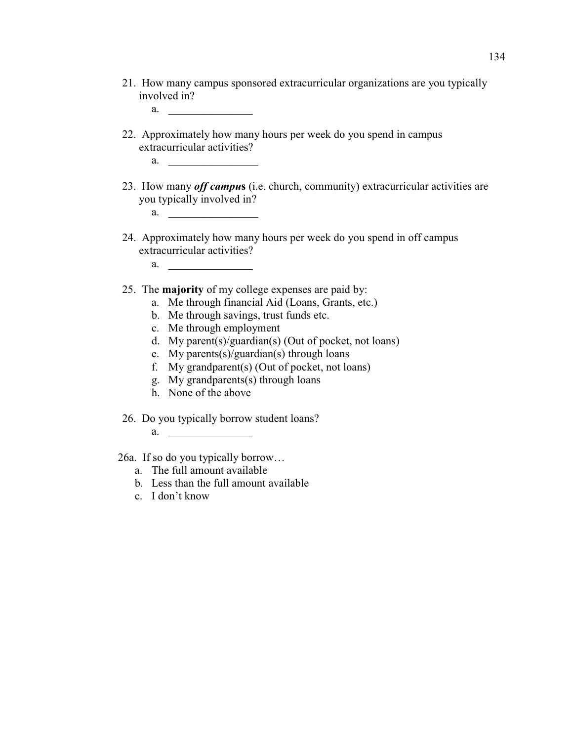21. How many campus sponsored extracurricular organizations are you typically involved in?

a.  $\qquad \qquad$ 

- 22. Approximately how many hours per week do you spend in campus extracurricular activities?
	- a.  $\qquad \qquad$
- 23. How many *off campu***s** (i.e. church, community) extracurricular activities are you typically involved in?
	- a.  $\frac{1}{\sqrt{1-\frac{1}{2}}}\frac{1}{\sqrt{1-\frac{1}{2}}}\frac{1}{\sqrt{1-\frac{1}{2}}}\frac{1}{\sqrt{1-\frac{1}{2}}}\frac{1}{\sqrt{1-\frac{1}{2}}}\frac{1}{\sqrt{1-\frac{1}{2}}}\frac{1}{\sqrt{1-\frac{1}{2}}}\frac{1}{\sqrt{1-\frac{1}{2}}}\frac{1}{\sqrt{1-\frac{1}{2}}}\frac{1}{\sqrt{1-\frac{1}{2}}}\frac{1}{\sqrt{1-\frac{1}{2}}}\frac{1}{\sqrt{1-\frac{1}{2}}}\frac{1}{\sqrt{1-\frac{1}{2}}}\frac{1}{\sqrt{1$
- 24. Approximately how many hours per week do you spend in off campus extracurricular activities?
	- a.  $\qquad \qquad$
- 25. The **majority** of my college expenses are paid by:
	- a. Me through financial Aid (Loans, Grants, etc.)
	- b. Me through savings, trust funds etc.
	- c. Me through employment
	- d. My parent(s)/guardian(s) (Out of pocket, not loans)
	- e. My parents(s)/guardian(s) through loans
	- f. My grandparent(s) (Out of pocket, not loans)
	- g. My grandparents(s) through loans
	- h. None of the above

26. Do you typically borrow student loans?

a.  $\qquad \qquad$ 

26a. If so do you typically borrow...

- a. The full amount available
- b. Less than the full amount available
- c.  $I$  don't know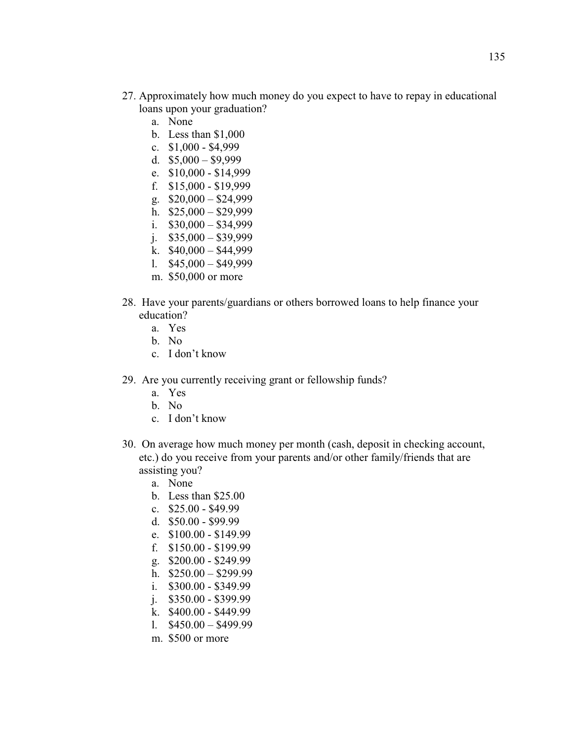- 27. Approximately how much money do you expect to have to repay in educational loans upon your graduation?
	- a. None
	- b. Less than \$1,000
	- c. \$1,000 \$4,999
	- d.  $$5,000 $9,999$
	- e. \$10,000 \$14,999
	- f. \$15,000 \$19,999
	- g.  $$20,000 $24,999$
	- h.  $$25,000 $29,999$
	- i.  $$30,000 $34,999$
	- j.  $$35,000 $39,999$
	- k.  $$40,000 $44,999$
	- l.  $$45,000 $49,999$ m. \$50,000 or more
- 28. Have your parents/guardians or others borrowed loans to help finance your education?
	- a. Yes
	- b. No
	- c. I don't know
- 29. Are you currently receiving grant or fellowship funds?
	- a. Yes
	- b. No
	- c. I don't know
- 30. On average how much money per month (cash, deposit in checking account, etc.) do you receive from your parents and/or other family/friends that are assisting you?
	- a. None
	- b. Less than \$25.00
	- c. \$25.00 \$49.99
	- d. \$50.00 \$99.99
	- e. \$100.00 \$149.99
	- f. \$150.00 \$199.99
	- g. \$200.00 \$249.99
	- h.  $$250.00 $299.99$
	- i. \$300.00 \$349.99
	- j. \$350.00 \$399.99
	- k. \$400.00 \$449.99
	- l.  $$450.00 $499.99$
	- m. \$500 or more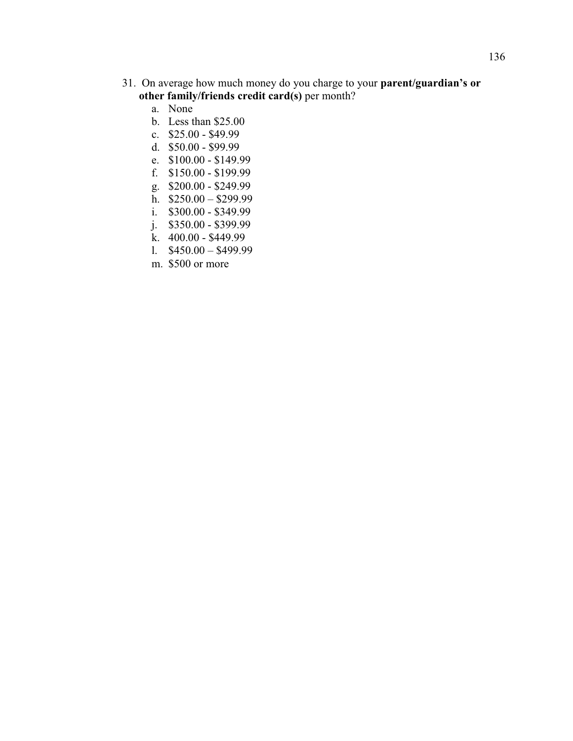- 31. On average how much money do you charge to your parent/guardian's or **other family/friends credit card(s)** per month?
	- a. None
	- b. Less than \$25.00
	- c. \$25.00 \$49.99
	- d. \$50.00 \$99.99
	- e. \$100.00 \$149.99
	- f. \$150.00 \$199.99
	- g. \$200.00 \$249.99
	- h.  $$250.00 $299.99$
	- i. \$300.00 \$349.99
	- j. \$350.00 \$399.99
	- k. 400.00 \$449.99
	- l.  $$450.00 $499.99$
	- m. \$500 or more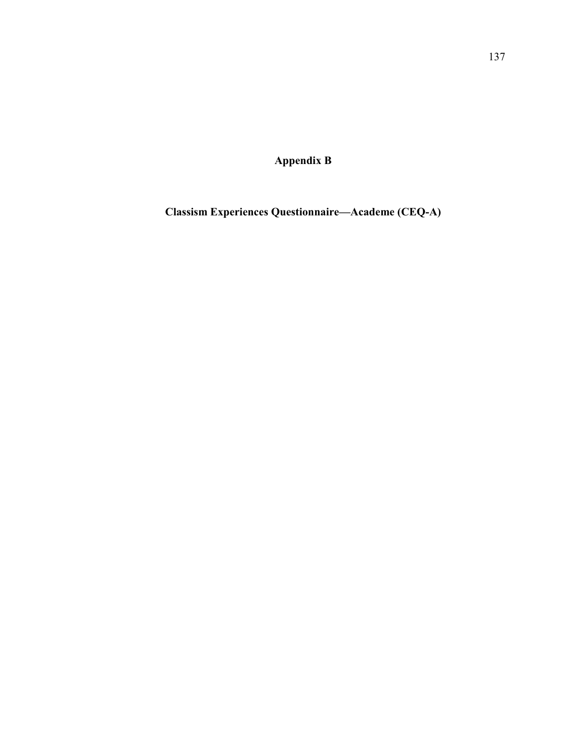**Appendix B** 

**Classism Experiences Questionnaire²Academe (CEQ-A)**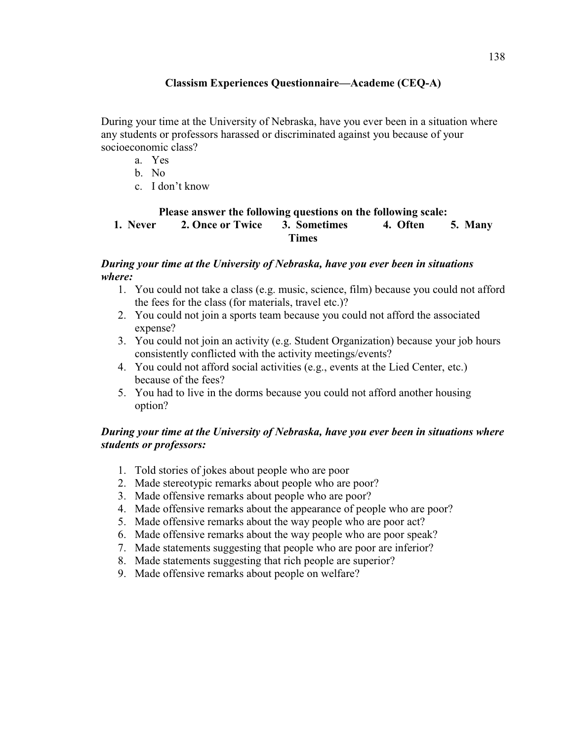## **Classism Experiences Questionnaire²Academe (CEQ-A)**

During your time at the University of Nebraska, have you ever been in a situation where any students or professors harassed or discriminated against you because of your socioeconomic class?

- a. Yes
- b. No
- $c$  I don't know

### **Please answer the following questions on the following scale:**<br>2. Once or Twice 3. Sometimes 4. Often **1. Never 2. Once or Twice 3. Sometimes 4. Often 5. Many Times**

### *During your time at the University of Nebraska, have you ever been in situations where:*

- 1. You could not take a class (e.g. music, science, film) because you could not afford the fees for the class (for materials, travel etc.)?
- 2. You could not join a sports team because you could not afford the associated expense?
- 3. You could not join an activity (e.g. Student Organization) because your job hours consistently conflicted with the activity meetings/events?
- 4. You could not afford social activities (e.g., events at the Lied Center, etc.) because of the fees?
- 5. You had to live in the dorms because you could not afford another housing option?

# *During your time at the University of Nebraska, have you ever been in situations where students or professors:*

- 1. Told stories of jokes about people who are poor
- 2. Made stereotypic remarks about people who are poor?
- 3. Made offensive remarks about people who are poor?
- 4. Made offensive remarks about the appearance of people who are poor?
- 5. Made offensive remarks about the way people who are poor act?
- 6. Made offensive remarks about the way people who are poor speak?
- 7. Made statements suggesting that people who are poor are inferior?
- 8. Made statements suggesting that rich people are superior?
- 9. Made offensive remarks about people on welfare?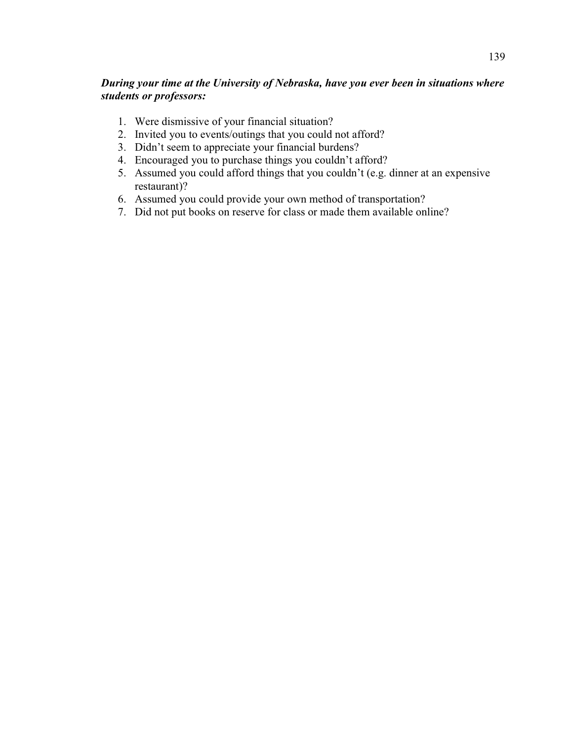# *During your time at the University of Nebraska, have you ever been in situations where students or professors:*

- 1. Were dismissive of your financial situation?
- 2. Invited you to events/outings that you could not afford?
- 3. Didn't seem to appreciate your financial burdens?
- 4. Encouraged you to purchase things you couldn't afford?
- 5. Assumed you could afford things that you couldn't (e.g. dinner at an expensive restaurant)?
- 6. Assumed you could provide your own method of transportation?
- 7. Did not put books on reserve for class or made them available online?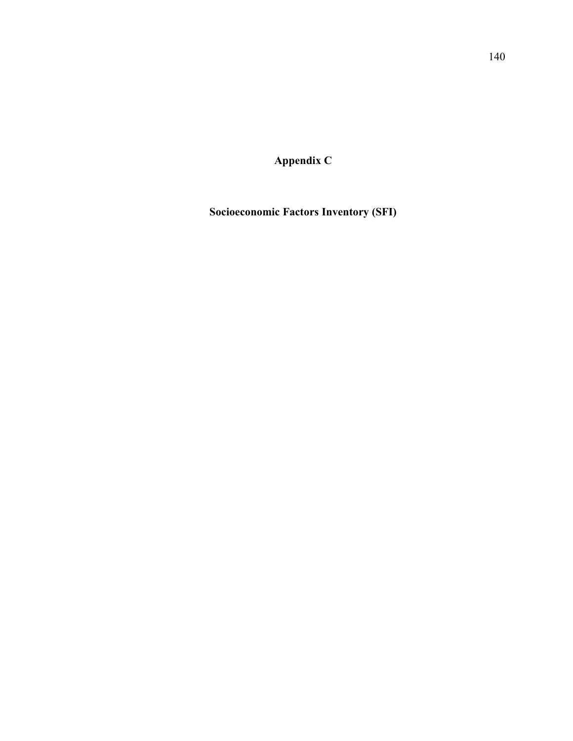**Appendix C** 

**Socioeconomic Factors Inventory (SFI)**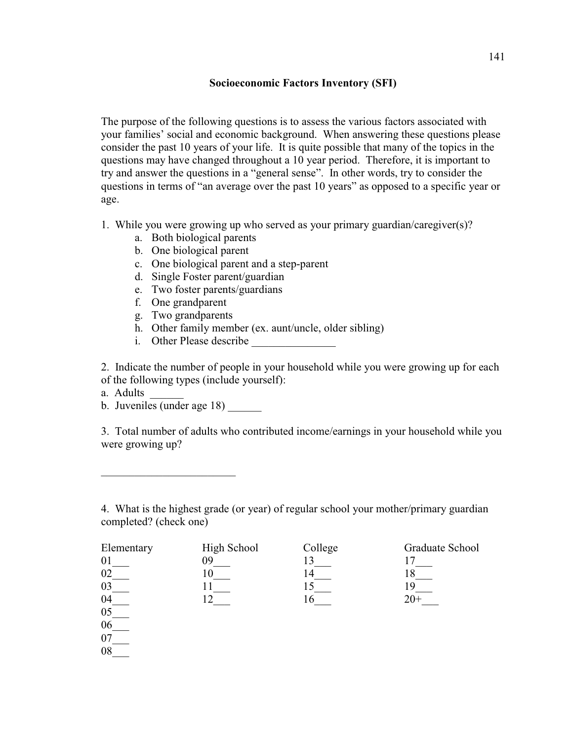#### **Socioeconomic Factors Inventory (SFI)**

The purpose of the following questions is to assess the various factors associated with your families' social and economic background. When answering these questions please consider the past 10 years of your life. It is quite possible that many of the topics in the questions may have changed throughout a 10 year period. Therefore, it is important to try and answer the questions in a "general sense". In other words, try to consider the questions in terms of "an average over the past 10 years" as opposed to a specific year or age.

- 1. While you were growing up who served as your primary guardian/caregiver(s)?
	- a. Both biological parents
	- b. One biological parent
	- c. One biological parent and a step-parent
	- d. Single Foster parent/guardian
	- e. Two foster parents/guardians
	- f. One grandparent
	- g. Two grandparents
	- h. Other family member (ex. aunt/uncle, older sibling)
	- i. Other Please describe

2. Indicate the number of people in your household while you were growing up for each of the following types (include yourself):

a. Adults

 $06$ 07\_\_\_ 08\_\_\_

b. Juveniles (under age 18)

\_\_\_\_\_\_\_\_\_\_\_\_\_\_\_\_\_\_\_\_\_\_\_\_

3. Total number of adults who contributed income/earnings in your household while you were growing up?

4. What is the highest grade (or year) of regular school your mother/primary guardian completed? (check one)

| Elementary | High School | College | Graduate School |
|------------|-------------|---------|-----------------|
|            |             |         |                 |
|            |             |         |                 |
| 03         |             |         |                 |
| 04         |             |         |                 |
| 05         |             |         |                 |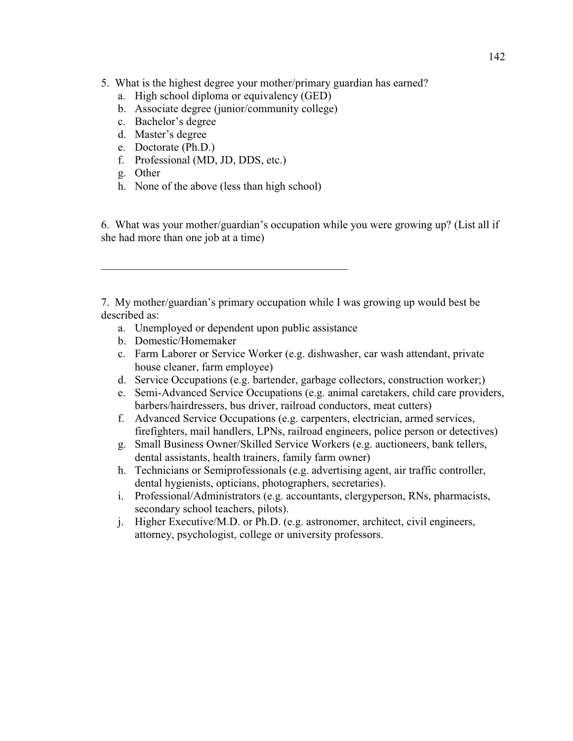- 5. What is the highest degree your mother/primary guardian has earned?
	- a. High school diploma or equivalency (GED)
	- b. Associate degree (junior/community college)
	- c. Bachelor's degree
	- d. Master's degree
	- e. Doctorate (Ph.D.)
	- f. Professional (MD, JD, DDS, etc.)
	- g. Other
	- h. None of the above (less than high school)

\_\_\_\_\_\_\_\_\_\_\_\_\_\_\_\_\_\_\_\_\_\_\_\_\_\_\_\_\_\_\_\_\_\_\_\_\_\_\_\_\_\_\_\_

6. What was your mother/guardian's occupation while you were growing up? (List all if she had more than one job at a time)

7. My mother/guardian's primary occupation while I was growing up would best be described as:

- a. Unemployed or dependent upon public assistance
- b. Domestic/Homemaker
- c. Farm Laborer or Service Worker (e.g. dishwasher, car wash attendant, private house cleaner, farm employee)
- d. Service Occupations (e.g. bartender, garbage collectors, construction worker;)
- e. Semi-Advanced Service Occupations (e.g. animal caretakers, child care providers, barbers/hairdressers, bus driver, railroad conductors, meat cutters)
- f. Advanced Service Occupations (e.g. carpenters, electrician, armed services, firefighters, mail handlers, LPNs, railroad engineers, police person or detectives)
- g. Small Business Owner/Skilled Service Workers (e.g. auctioneers, bank tellers, dental assistants, health trainers, family farm owner)
- h. Technicians or Semiprofessionals (e.g. advertising agent, air traffic controller, dental hygienists, opticians, photographers, secretaries).
- i. Professional/Administrators (e.g. accountants, clergyperson, RNs, pharmacists, secondary school teachers, pilots).
- j. Higher Executive/M.D. or Ph.D. (e.g. astronomer, architect, civil engineers, attorney, psychologist, college or university professors.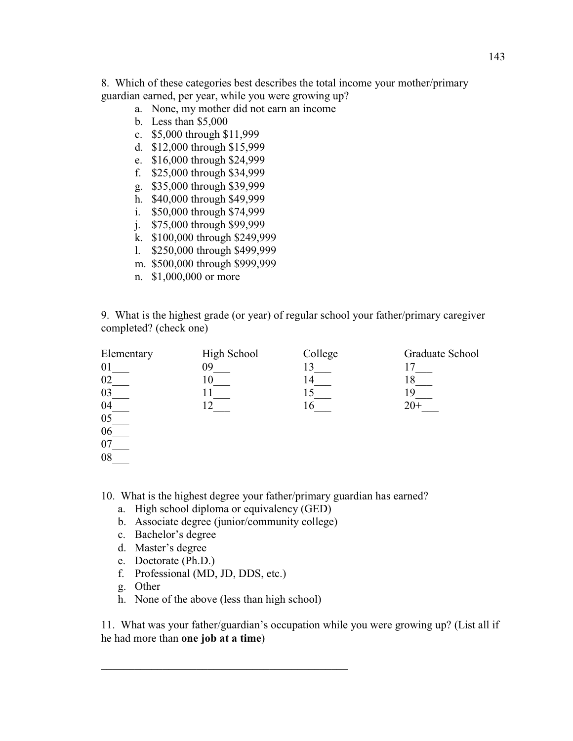8. Which of these categories best describes the total income your mother/primary guardian earned, per year, while you were growing up?

- a. None, my mother did not earn an income
- b. Less than \$5,000
- c. \$5,000 through \$11,999
- d. \$12,000 through \$15,999
- e. \$16,000 through \$24,999
- f. \$25,000 through \$34,999
- g. \$35,000 through \$39,999
- h. \$40,000 through \$49,999
- i. \$50,000 through \$74,999
- j. \$75,000 through \$99,999
- k. \$100,000 through \$249,999
- l. \$250,000 through \$499,999
- m. \$500,000 through \$999,999
- n. \$1,000,000 or more

9. What is the highest grade (or year) of regular school your father/primary caregiver completed? (check one)

| Elementary | High School | College | Graduate School |
|------------|-------------|---------|-----------------|
| 01         | 09          | 13      |                 |
| 02         |             | 14      |                 |
| 03         |             |         | 19              |
| 04         |             | 16      | $20+$           |
| 05         |             |         |                 |
| 06         |             |         |                 |
| 07         |             |         |                 |
| 08         |             |         |                 |

10. What is the highest degree your father/primary guardian has earned?

- a. High school diploma or equivalency (GED)
- b. Associate degree (junior/community college)
- c. Bachelor's degree
- d. Master's degree
- e. Doctorate (Ph.D.)
- f. Professional (MD, JD, DDS, etc.)
- g. Other
- h. None of the above (less than high school)

\_\_\_\_\_\_\_\_\_\_\_\_\_\_\_\_\_\_\_\_\_\_\_\_\_\_\_\_\_\_\_\_\_\_\_\_\_\_\_\_\_\_\_\_

11. What was your father/guardian's occupation while you were growing up? (List all if he had more than **one job at a time**)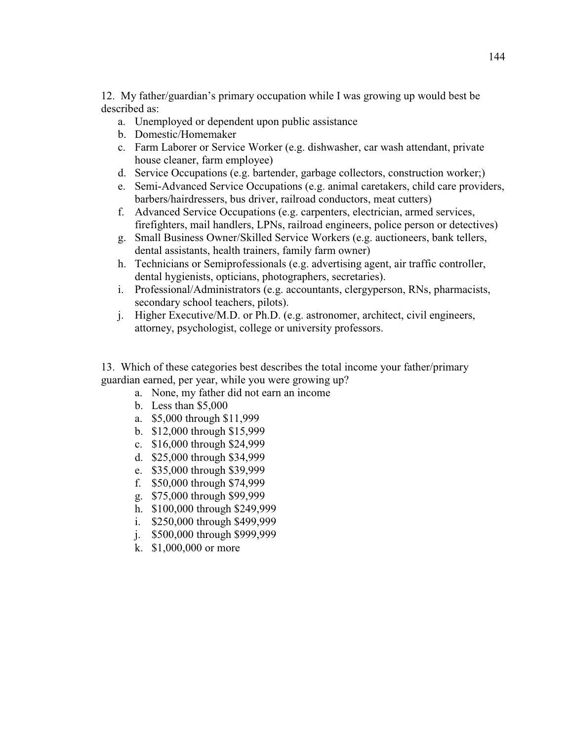12. My father/guardian's primary occupation while I was growing up would best be described as:

- a. Unemployed or dependent upon public assistance
- b. Domestic/Homemaker
- c. Farm Laborer or Service Worker (e.g. dishwasher, car wash attendant, private house cleaner, farm employee)
- d. Service Occupations (e.g. bartender, garbage collectors, construction worker;)
- e. Semi-Advanced Service Occupations (e.g. animal caretakers, child care providers, barbers/hairdressers, bus driver, railroad conductors, meat cutters)
- f. Advanced Service Occupations (e.g. carpenters, electrician, armed services, firefighters, mail handlers, LPNs, railroad engineers, police person or detectives)
- g. Small Business Owner/Skilled Service Workers (e.g. auctioneers, bank tellers, dental assistants, health trainers, family farm owner)
- h. Technicians or Semiprofessionals (e.g. advertising agent, air traffic controller, dental hygienists, opticians, photographers, secretaries).
- i. Professional/Administrators (e.g. accountants, clergyperson, RNs, pharmacists, secondary school teachers, pilots).
- j. Higher Executive/M.D. or Ph.D. (e.g. astronomer, architect, civil engineers, attorney, psychologist, college or university professors.

13. Which of these categories best describes the total income your father/primary guardian earned, per year, while you were growing up?

- a. None, my father did not earn an income
- b. Less than \$5,000
- a. \$5,000 through \$11,999
- b. \$12,000 through \$15,999
- c. \$16,000 through \$24,999
- d. \$25,000 through \$34,999
- e. \$35,000 through \$39,999
- f. \$50,000 through \$74,999
- g. \$75,000 through \$99,999
- h. \$100,000 through \$249,999
- i. \$250,000 through \$499,999
- j. \$500,000 through \$999,999
- k. \$1,000,000 or more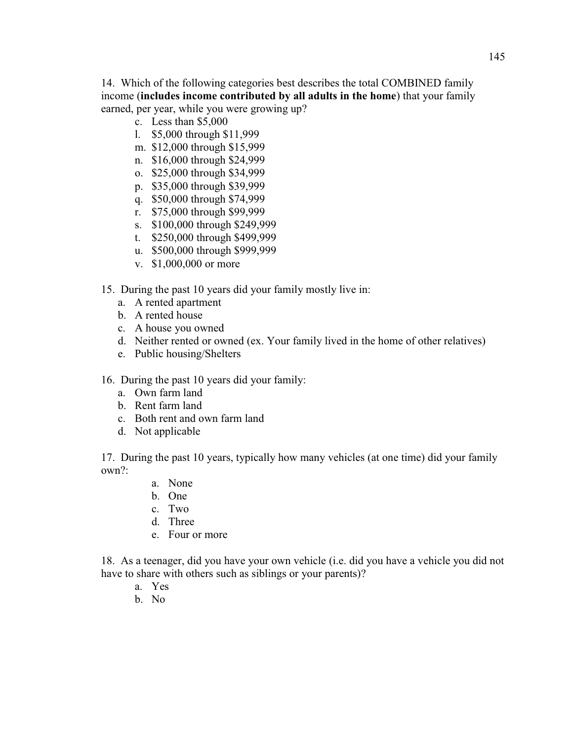14. Which of the following categories best describes the total COMBINED family income (**includes income contributed by all adults in the home**) that your family earned, per year, while you were growing up?

- c. Less than \$5,000
- l. \$5,000 through \$11,999
- m. \$12,000 through \$15,999
- n. \$16,000 through \$24,999
- o. \$25,000 through \$34,999
- p. \$35,000 through \$39,999
- q. \$50,000 through \$74,999
- r. \$75,000 through \$99,999
- s. \$100,000 through \$249,999
- t. \$250,000 through \$499,999
- u. \$500,000 through \$999,999
- v. \$1,000,000 or more
- 15. During the past 10 years did your family mostly live in:
	- a. A rented apartment
	- b. A rented house
	- c. A house you owned
	- d. Neither rented or owned (ex. Your family lived in the home of other relatives)
	- e. Public housing/Shelters
- 16. During the past 10 years did your family:
	- a. Own farm land
	- b. Rent farm land
	- c. Both rent and own farm land
	- d. Not applicable

17. During the past 10 years, typically how many vehicles (at one time) did your family own?:

- a. None
- b. One
- c. Two
- d. Three
- e. Four or more

18. As a teenager, did you have your own vehicle (i.e. did you have a vehicle you did not have to share with others such as siblings or your parents)?

- a. Yes
- b. No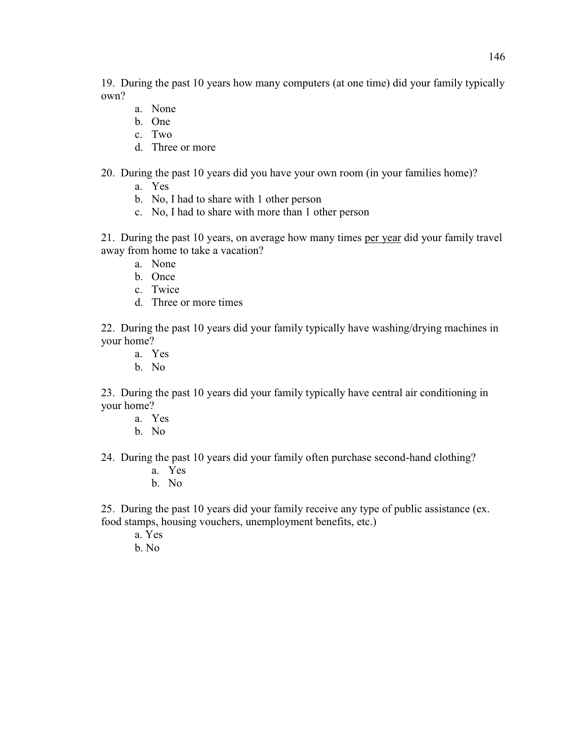19. During the past 10 years how many computers (at one time) did your family typically own?

- a. None
- b. One
- c. Two
- d. Three or more

20. During the past 10 years did you have your own room (in your families home)?

- a. Yes
- b. No, I had to share with 1 other person
- c. No, I had to share with more than 1 other person

21. During the past 10 years, on average how many times per year did your family travel away from home to take a vacation?

- a. None
- b. Once
- c. Twice
- d. Three or more times

22. During the past 10 years did your family typically have washing/drying machines in your home?

- a. Yes
- b. No

23. During the past 10 years did your family typically have central air conditioning in your home?

- a. Yes
- b. No

24. During the past 10 years did your family often purchase second-hand clothing?

- a. Yes
- b. No

25. During the past 10 years did your family receive any type of public assistance (ex. food stamps, housing vouchers, unemployment benefits, etc.)

- a. Yes
- b. No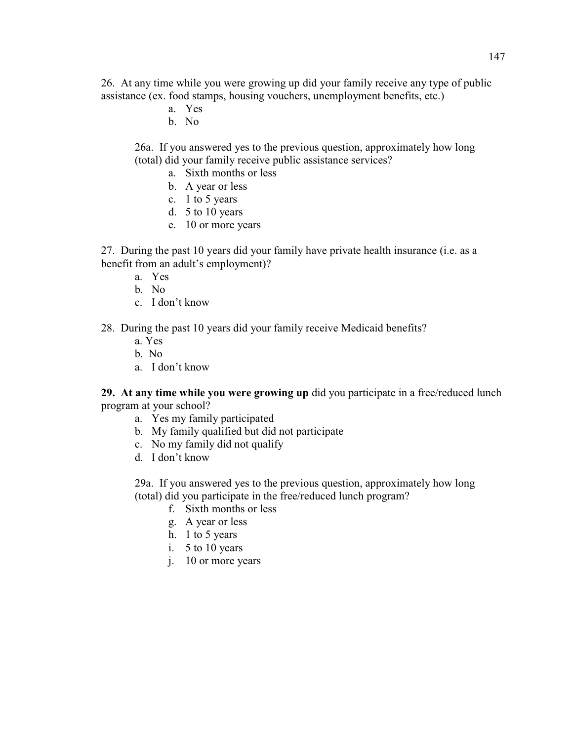26. At any time while you were growing up did your family receive any type of public assistance (ex. food stamps, housing vouchers, unemployment benefits, etc.)

- a. Yes
- b. No

26a. If you answered yes to the previous question, approximately how long (total) did your family receive public assistance services?

- a. Sixth months or less
- b. A year or less
- c. 1 to 5 years
- d. 5 to 10 years
- e. 10 or more years

27. During the past 10 years did your family have private health insurance (i.e. as a benefit from an adult's employment)?

- a. Yes
- b. No
- c. I don't know

28. During the past 10 years did your family receive Medicaid benefits?

- a. Yes
- b. No
- a. I don't know

**29. At any time while you were growing up** did you participate in a free/reduced lunch program at your school?

- a. Yes my family participated
- b. My family qualified but did not participate
- c. No my family did not qualify
- d. I don't know

29a. If you answered yes to the previous question, approximately how long (total) did you participate in the free/reduced lunch program?

- f. Sixth months or less
- g. A year or less
- h. 1 to 5 years
- i. 5 to 10 years
- j. 10 or more years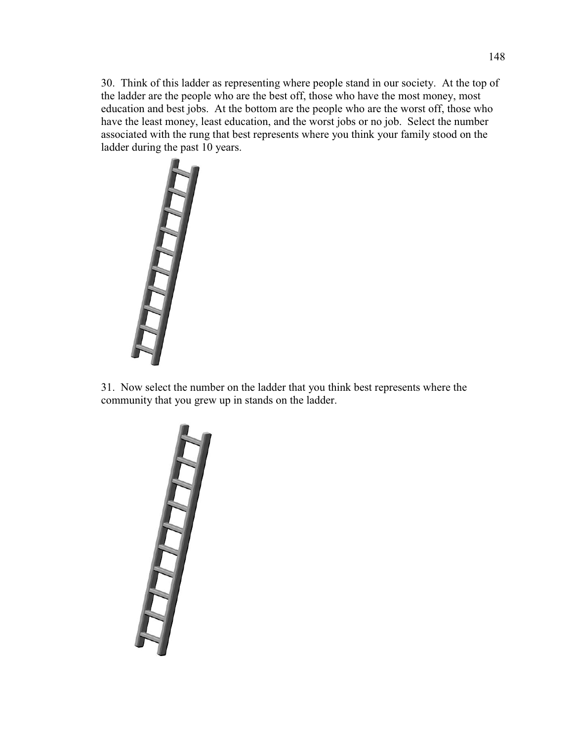30. Think of this ladder as representing where people stand in our society. At the top of the ladder are the people who are the best off, those who have the most money, most education and best jobs. At the bottom are the people who are the worst off, those who have the least money, least education, and the worst jobs or no job. Select the number associated with the rung that best represents where you think your family stood on the ladder during the past 10 years.



31. Now select the number on the ladder that you think best represents where the community that you grew up in stands on the ladder.

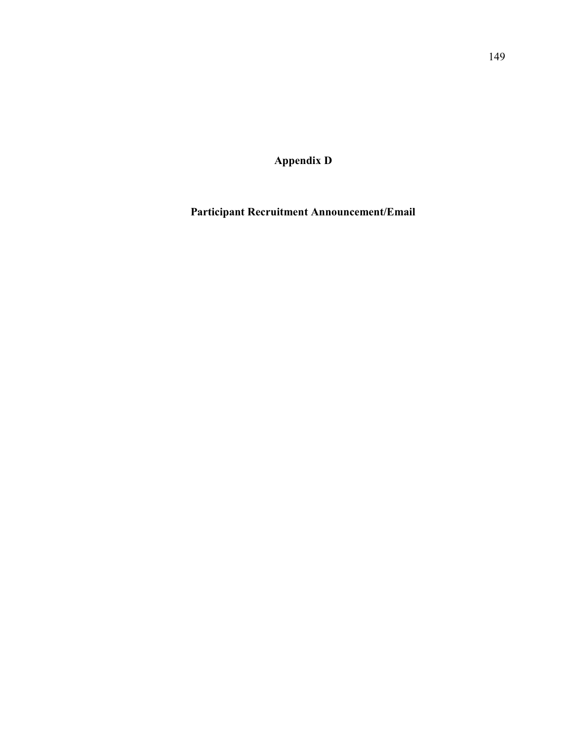**Appendix D** 

**Participant Recruitment Announcement/Email**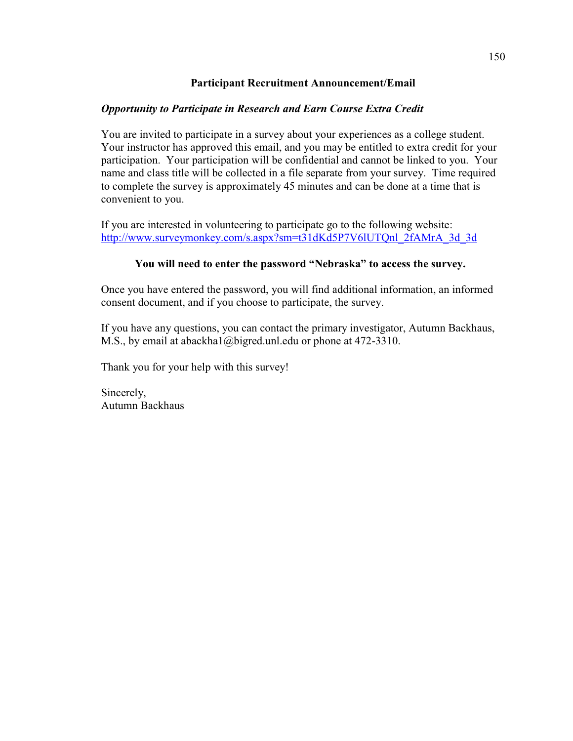## **Participant Recruitment Announcement/Email**

## *Opportunity to Participate in Research and Earn Course Extra Credit*

You are invited to participate in a survey about your experiences as a college student. Your instructor has approved this email, and you may be entitled to extra credit for your participation. Your participation will be confidential and cannot be linked to you. Your name and class title will be collected in a file separate from your survey. Time required to complete the survey is approximately 45 minutes and can be done at a time that is convenient to you.

If you are interested in volunteering to participate go to the following website: http://www.surveymonkey.com/s.aspx?sm=t31dKd5P7V6lUTQnl\_2fAMrA\_3d\_3d

## You will need to enter the password "Nebraska" to access the survey.

Once you have entered the password, you will find additional information, an informed consent document, and if you choose to participate, the survey.

If you have any questions, you can contact the primary investigator, Autumn Backhaus, M.S., by email at abackha1@bigred.unl.edu or phone at 472-3310.

Thank you for your help with this survey!

Sincerely, Autumn Backhaus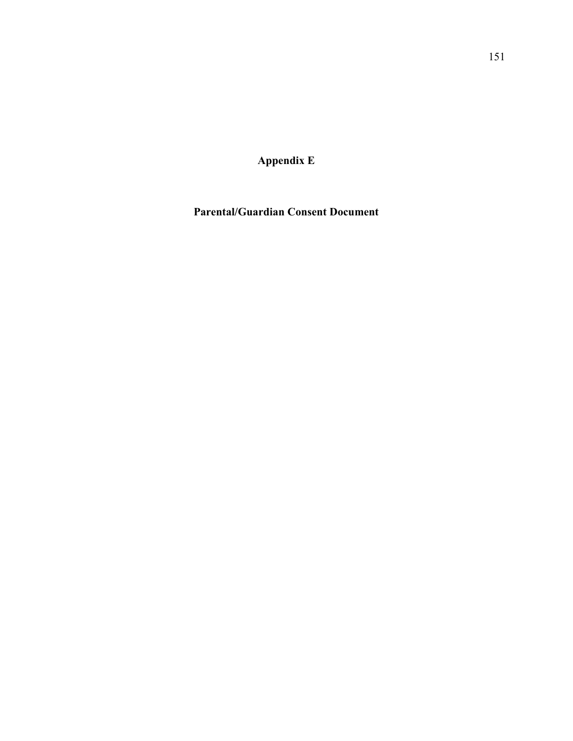**Appendix E** 

**Parental/Guardian Consent Document**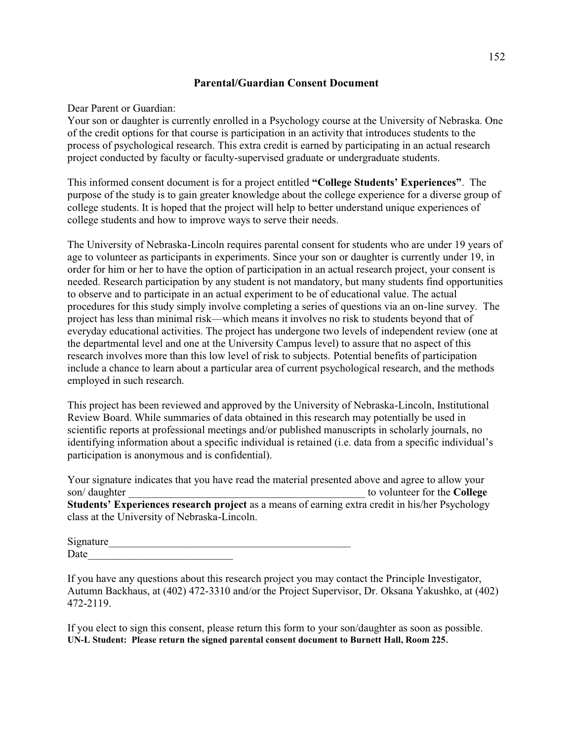### **Parental/Guardian Consent Document**

#### Dear Parent or Guardian:

Your son or daughter is currently enrolled in a Psychology course at the University of Nebraska. One of the credit options for that course is participation in an activity that introduces students to the process of psychological research. This extra credit is earned by participating in an actual research project conducted by faculty or faculty-supervised graduate or undergraduate students.

This informed consent document is for a project entitled "College Students' Experiences". The purpose of the study is to gain greater knowledge about the college experience for a diverse group of college students. It is hoped that the project will help to better understand unique experiences of college students and how to improve ways to serve their needs.

The University of Nebraska-Lincoln requires parental consent for students who are under 19 years of age to volunteer as participants in experiments. Since your son or daughter is currently under 19, in order for him or her to have the option of participation in an actual research project, your consent is needed. Research participation by any student is not mandatory, but many students find opportunities to observe and to participate in an actual experiment to be of educational value. The actual procedures for this study simply involve completing a series of questions via an on-line survey. The project has less than minimal risk—which means it involves no risk to students beyond that of everyday educational activities. The project has undergone two levels of independent review (one at the departmental level and one at the University Campus level) to assure that no aspect of this research involves more than this low level of risk to subjects. Potential benefits of participation include a chance to learn about a particular area of current psychological research, and the methods employed in such research.

This project has been reviewed and approved by the University of Nebraska-Lincoln, Institutional Review Board. While summaries of data obtained in this research may potentially be used in scientific reports at professional meetings and/or published manuscripts in scholarly journals, no identifying information about a specific individual is retained (i.e. data from a specific individual's participation is anonymous and is confidential).

Your signature indicates that you have read the material presented above and agree to allow your son/ daughter **and the college and the college college b college college college college college college Students' Experiences research project** as a means of earning extra credit in his/her Psychology class at the University of Nebraska-Lincoln.

Signature Date

If you have any questions about this research project you may contact the Principle Investigator, Autumn Backhaus, at (402) 472-3310 and/or the Project Supervisor, Dr. Oksana Yakushko, at (402) 472-2119.

If you elect to sign this consent, please return this form to your son/daughter as soon as possible. **UN-L Student: Please return the signed parental consent document to Burnett Hall, Room 225.**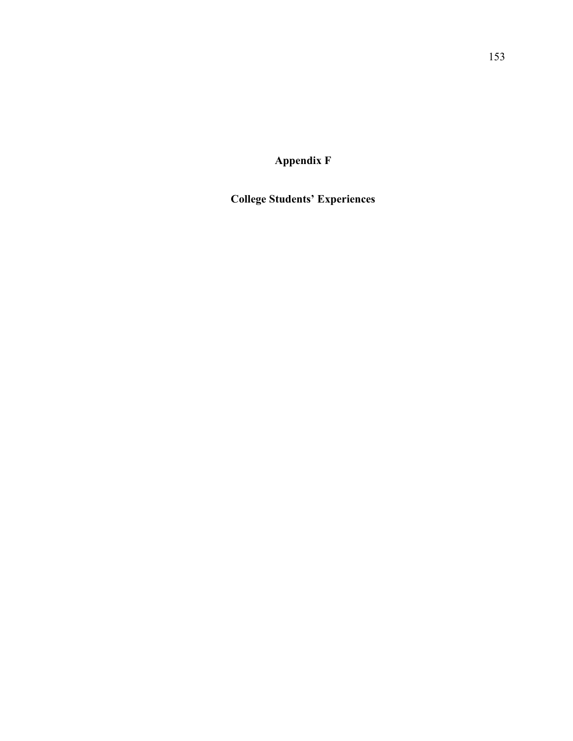**Appendix F** 

**College Students' Experiences**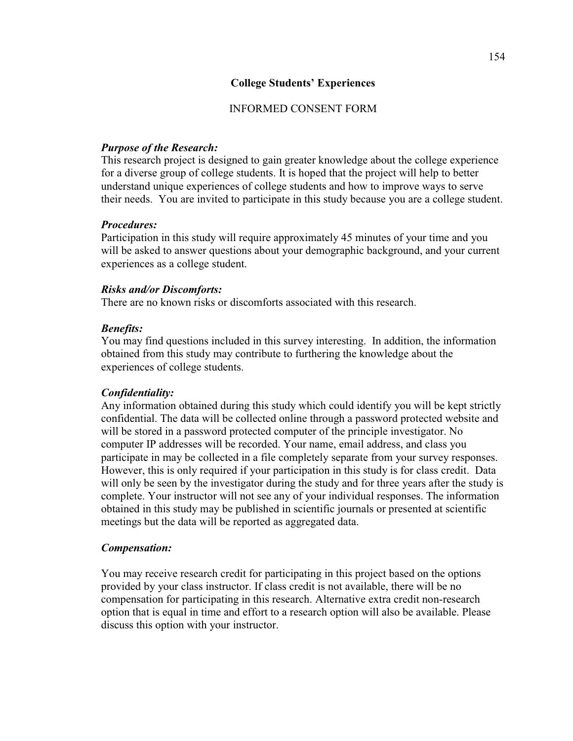### **College Students' Experiences**

### INFORMED CONSENT FORM

### *Purpose of the Research:*

This research project is designed to gain greater knowledge about the college experience for a diverse group of college students. It is hoped that the project will help to better understand unique experiences of college students and how to improve ways to serve their needs. You are invited to participate in this study because you are a college student.

#### *Procedures:*

Participation in this study will require approximately 45 minutes of your time and you will be asked to answer questions about your demographic background, and your current experiences as a college student.

#### *Risks and/or Discomforts:*

There are no known risks or discomforts associated with this research.

#### *Benefits:*

You may find questions included in this survey interesting. In addition, the information obtained from this study may contribute to furthering the knowledge about the experiences of college students.

### *Confidentiality:*

Any information obtained during this study which could identify you will be kept strictly confidential. The data will be collected online through a password protected website and will be stored in a password protected computer of the principle investigator. No computer IP addresses will be recorded. Your name, email address, and class you participate in may be collected in a file completely separate from your survey responses. However, this is only required if your participation in this study is for class credit. Data will only be seen by the investigator during the study and for three years after the study is complete. Your instructor will not see any of your individual responses. The information obtained in this study may be published in scientific journals or presented at scientific meetings but the data will be reported as aggregated data.

#### *Compensation:*

You may receive research credit for participating in this project based on the options provided by your class instructor. If class credit is not available, there will be no compensation for participating in this research. Alternative extra credit non-research option that is equal in time and effort to a research option will also be available. Please discuss this option with your instructor.